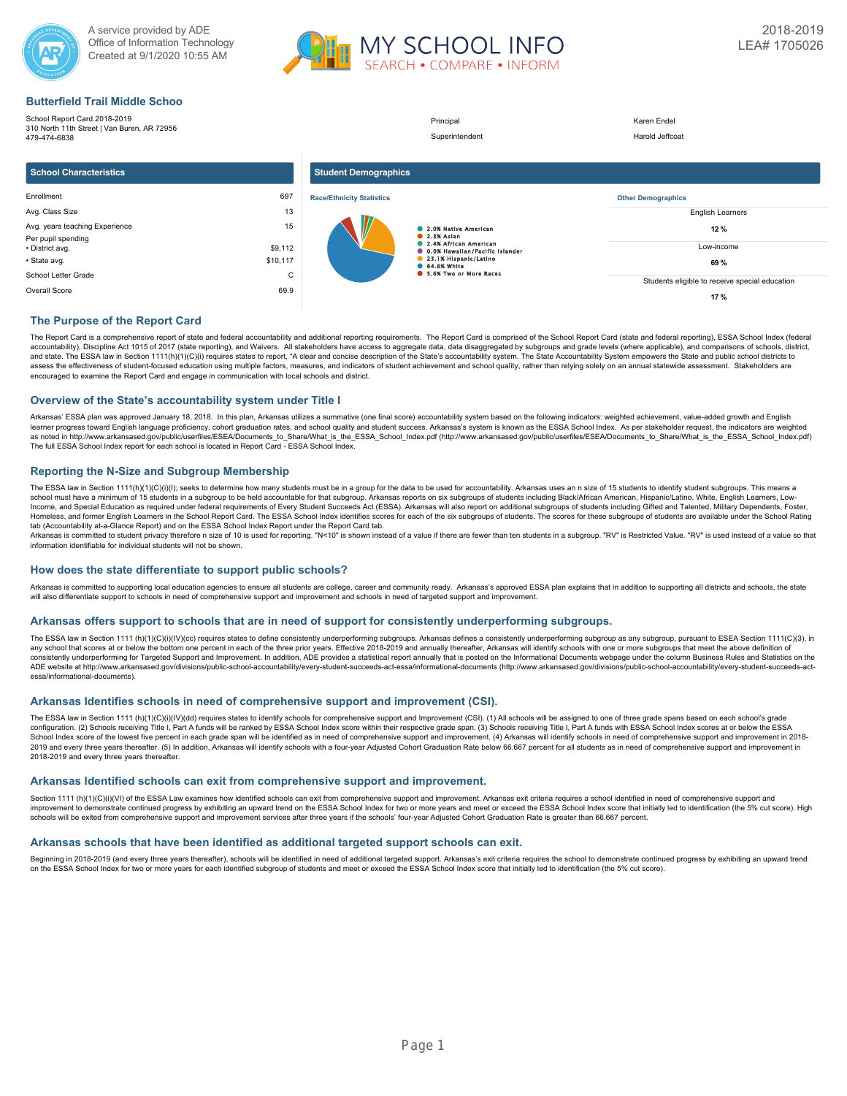



## **Butterfield Trail Middle Schoo**

School Report Card 2018-2019 310 North 11th Street | Van Buren, AR 72956 479-474-6838 Principal Karen Endel Superintendent Harold Jeffcoat **School Characteristics** Enrollment 697 Avg. Class Size 13 Avg. years teaching Experience 15 Per pupil spending • District avg. \$9,112 • State avg. \$10,117 School Letter Grade C Overall Score 69.9 **Student Demographics Race/Ethnicity Statistics** 2.0% Native American 2.3% Asian 2.4% African American 0.0% Hawaiian/Pacific Islander 23.1% Hispanic/Latino 64.6% White 5.6% Two or More Races **Other Demographics** English Learners **12 %** Low-income **69 %** Students eligible to receive special education **17 %**

## **The Purpose of the Report Card**

The Report Card is a comprehensive report of state and federal accountability and additional reporting requirements. The Report Card is comprised of the School Report Card (state and federal reporting), ESSA School Index ( accountability), Discipline Act 1015 of 2017 (state reporting), and Waivers. All stakeholders have access to aggregate data, data disaggregated by subgroups and grade levels (where applicable), and comparisons of schools, and state. The ESSA law in Section 1111(h)(1)(C)(i) requires states to report, "A clear and concise description of the State's accountability system. The State Accountability System empowers the State and public school dis assess the effectiveness of student-focused education using multiple factors, measures, and indicators of student achievement and school quality, rather than relying solely on an annual statewide assessment. Stakeholders a encouraged to examine the Report Card and engage in communication with local schools and district.

## **Overview of the State's accountability system under Title I**

Arkansas' ESSA plan was approved January 18, 2018. In this plan, Arkansas utilizes a summative (one final score) accountability system based on the following indicators: weighted achievement, value-added growth and English learner progress toward English language proficiency, cohort graduation rates, and school quality and student success. Arkansas's system is known as the ESSA School Index. As per stakeholder request, the indicators are wei as noted in http://www.arkansased.gov/public/userfiles/ESEA/Documents\_to\_Share/What\_is\_the\_ESSA\_School\_Index.pdf) (http://www.arkansased.gov/public/userfiles/ESEA/Documents\_to\_Share/What\_is\_the\_ESSA\_School\_Index.pdf) The full ESSA School Index report for each school is located in Report Card - ESSA School Index.

## **Reporting the N-Size and Subgroup Membership**

The ESSA law in Section 1111(h)(1)(C)(i)(l); seeks to determine how many students must be in a group for the data to be used for accountability. Arkansas uses an n size of 15 students to identify student subgroups. This me Income, and Special Education as required under federal requirements of Every Student Succeeds Act (ESSA). Arkansas will also report on additional subgroups of students including Gifted and Talented, Military Dependents, F Homeless, and former English Learners in the School Report Card. The ESSA School Index identifies scores for each of the six subgroups of students. The scores for these subgroups of students are available under the School tab (Accountability at-a-Glance Report) and on the ESSA School Index Report under the Report Card tab.

Arkansas is committed to student privacy therefore n size of 10 is used for reporting. "N<10" is shown instead of a value if there are fewer than ten students in a subgroup. "RV" is Restricted Value. "RV" is used instead

## **How does the state differentiate to support public schools?**

Arkansas is committed to supporting local education agencies to ensure all students are college, career and community ready. Arkansas's approved ESSA plan explains that in addition to supporting all districts and schools, will also differentiate support to schools in need of comprehensive support and improvement and schools in need of targeted support and improvement.

## **Arkansas offers support to schools that are in need of support for consistently underperforming subgroups.**

The ESSA law in Section 1111 (h)(1)(O)(i)(IV)(cc) requires states to define consistently underperforming subgroups. Arkansas defines a consistently underperforming subgroups as any subgroup, pursuant to ESEA Section 1111(C any school that scores at or below the bottom one percent in each of the three prior years. Effective 2018-2019 and annually thereafter. Arkansas will identify schools with one or more subgroups that meet the above definit consistently underperforming for Targeted Support and Improvement. In addition, ADE provides a statistical report annually that is posted on the Informational Documents webpage under the column Business Rules and Statistic ADE website at http://www.arkansased.gov/divisions/public-school-accountability/every-student-succeeds-act-essa/informational-documents (http://www.arkansased.gov/divisions/public-school-accountability/every-student-succee essa/informational-documents).

## **Arkansas Identifies schools in need of comprehensive support and improvement (CSI).**

The ESSA law in Section 1111 (h)(1)(C)(i)(IV)(dd) requires states to identify schools for comprehensive support and Improvement (CSI). (1) All schools will be assigned to one of three grade spans based on each school's gra School Index score of the lowest five percent in each grade span will be identified as in need of comprehensive support and improvement. (4) Arkansas will identify schools in need of comprehensive support and improvement 2019 and every three years thereafter. (5) In addition, Arkansas will identify schools with a four-year Adjusted Cohort Graduation Rate below 66.667 percent for all students as in need of comprehensive support and improvem 2018-2019 and every three years thereafter.

### **Arkansas Identified schools can exit from comprehensive support and improvement.**

Section 1111 (h)(1)(C)(i)(VI) of the ESSA Law examines how identified schools can exit from comprehensive support and improvement. Arkansas exit criteria requires a school identified in need of comprehensive support and improvement to demonstrate continued progress by exhibiting an upward trend on the ESSA School Index for two or more years and meet or exceed the ESSA School Index score that initially led to identification (the 5% cut sco schools will be exited from comprehensive support and improvement services after three years if the schools' four-year Adjusted Cohort Graduation Rate is greater than 66.667 percent.

## **Arkansas schools that have been identified as additional targeted support schools can exit.**

Beginning in 2018-2019 (and every three years thereafter), schools will be identified in need of additional targeted support. Arkansas's exit criteria requires the school to demonstrate continued progress by exhibiting an on the ESSA School Index for two or more years for each identified subgroup of students and meet or exceed the ESSA School Index score that initially led to identification (the 5% cut score).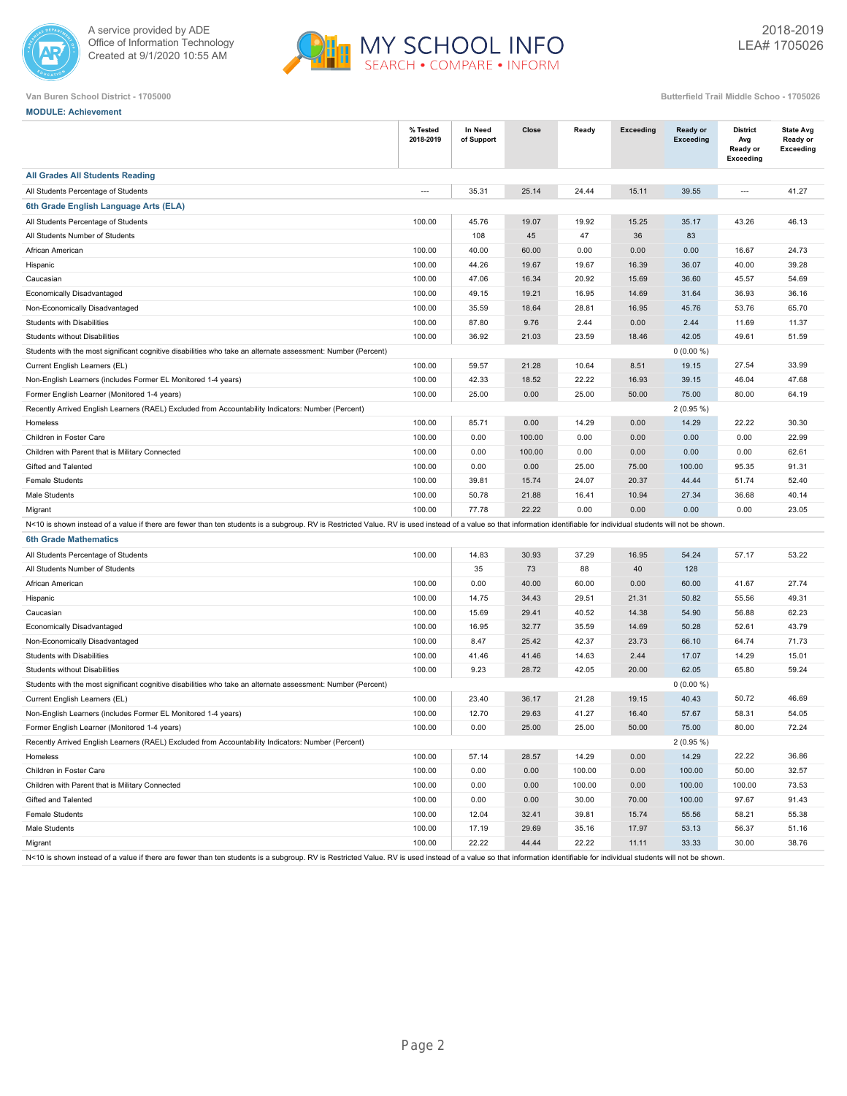



| Ruttorfield Trail Middle Schoo - 1705 |  |  |
|---------------------------------------|--|--|

| <b>MODULE: Achievement</b>                                                                                                                                                                                             |                          |                       |        |        |                  |                              |                                                        |                                                  |
|------------------------------------------------------------------------------------------------------------------------------------------------------------------------------------------------------------------------|--------------------------|-----------------------|--------|--------|------------------|------------------------------|--------------------------------------------------------|--------------------------------------------------|
|                                                                                                                                                                                                                        | % Tested<br>2018-2019    | In Need<br>of Support | Close  | Ready  | <b>Exceeding</b> | Ready or<br><b>Exceeding</b> | <b>District</b><br>Avg<br>Ready or<br><b>Exceeding</b> | <b>State Avg</b><br>Ready or<br><b>Exceeding</b> |
| <b>All Grades All Students Reading</b>                                                                                                                                                                                 |                          |                       |        |        |                  |                              |                                                        |                                                  |
| All Students Percentage of Students                                                                                                                                                                                    | $\overline{\phantom{a}}$ | 35.31                 | 25.14  | 24.44  | 15.11            | 39.55                        | $\overline{\phantom{a}}$                               | 41.27                                            |
| 6th Grade English Language Arts (ELA)                                                                                                                                                                                  |                          |                       |        |        |                  |                              |                                                        |                                                  |
| All Students Percentage of Students                                                                                                                                                                                    | 100.00                   | 45.76                 | 19.07  | 19.92  | 15.25            | 35.17                        | 43.26                                                  | 46.13                                            |
| All Students Number of Students                                                                                                                                                                                        |                          | 108                   | 45     | 47     | 36               | 83                           |                                                        |                                                  |
| African American                                                                                                                                                                                                       | 100.00                   | 40.00                 | 60.00  | 0.00   | 0.00             | 0.00                         | 16.67                                                  | 24.73                                            |
| Hispanic                                                                                                                                                                                                               | 100.00                   | 44.26                 | 19.67  | 19.67  | 16.39            | 36.07                        | 40.00                                                  | 39.28                                            |
| Caucasian                                                                                                                                                                                                              | 100.00                   | 47.06                 | 16.34  | 20.92  | 15.69            | 36.60                        | 45.57                                                  | 54.69                                            |
| Economically Disadvantaged                                                                                                                                                                                             | 100.00                   | 49.15                 | 19.21  | 16.95  | 14.69            | 31.64                        | 36.93                                                  | 36.16                                            |
| Non-Economically Disadvantaged                                                                                                                                                                                         | 100.00                   | 35.59                 | 18.64  | 28.81  | 16.95            | 45.76                        | 53.76                                                  | 65.70                                            |
| <b>Students with Disabilities</b>                                                                                                                                                                                      | 100.00                   | 87.80                 | 9.76   | 2.44   | 0.00             | 2.44                         | 11.69                                                  | 11.37                                            |
| <b>Students without Disabilities</b>                                                                                                                                                                                   | 100.00                   | 36.92                 | 21.03  | 23.59  | 18.46            | 42.05                        | 49.61                                                  | 51.59                                            |
| Students with the most significant cognitive disabilities who take an alternate assessment: Number (Percent)                                                                                                           |                          |                       |        |        |                  | $0(0.00\%)$                  |                                                        |                                                  |
| Current English Learners (EL)                                                                                                                                                                                          | 100.00                   | 59.57                 | 21.28  | 10.64  | 8.51             | 19.15                        | 27.54                                                  | 33.99                                            |
| Non-English Learners (includes Former EL Monitored 1-4 years)                                                                                                                                                          | 100.00                   | 42.33                 | 18.52  | 22.22  | 16.93            | 39.15                        | 46.04                                                  | 47.68                                            |
| Former English Learner (Monitored 1-4 years)                                                                                                                                                                           | 100.00                   | 25.00                 | 0.00   | 25.00  | 50.00            | 75.00                        | 80.00                                                  | 64.19                                            |
| Recently Arrived English Learners (RAEL) Excluded from Accountability Indicators: Number (Percent)                                                                                                                     |                          |                       |        |        |                  | $2(0.95\%)$                  |                                                        |                                                  |
| Homeless                                                                                                                                                                                                               | 100.00                   | 85.71                 | 0.00   | 14.29  | 0.00             | 14.29                        | 22.22                                                  | 30.30                                            |
| Children in Foster Care                                                                                                                                                                                                | 100.00                   | 0.00                  | 100.00 | 0.00   | 0.00             | 0.00                         | 0.00                                                   | 22.99                                            |
| Children with Parent that is Military Connected                                                                                                                                                                        | 100.00                   | 0.00                  | 100.00 | 0.00   | 0.00             | 0.00                         | 0.00                                                   | 62.61                                            |
| Gifted and Talented                                                                                                                                                                                                    | 100.00                   | 0.00                  | 0.00   | 25.00  | 75.00            | 100.00                       | 95.35                                                  | 91.31                                            |
| <b>Female Students</b>                                                                                                                                                                                                 | 100.00                   | 39.81                 | 15.74  | 24.07  | 20.37            | 44.44                        | 51.74                                                  | 52.40                                            |
| Male Students                                                                                                                                                                                                          | 100.00                   | 50.78                 | 21.88  | 16.41  | 10.94            | 27.34                        | 36.68                                                  | 40.14                                            |
| Migrant                                                                                                                                                                                                                | 100.00                   | 77.78                 | 22.22  | 0.00   | 0.00             | 0.00                         | 0.00                                                   | 23.05                                            |
| N<10 is shown instead of a value if there are fewer than ten students is a subgroup. RV is Restricted Value. RV is used instead of a value so that information identifiable for individual students will not be shown. |                          |                       |        |        |                  |                              |                                                        |                                                  |
| <b>6th Grade Mathematics</b>                                                                                                                                                                                           |                          |                       |        |        |                  |                              |                                                        |                                                  |
| All Students Percentage of Students                                                                                                                                                                                    | 100.00                   | 14.83                 | 30.93  | 37.29  | 16.95            | 54.24                        | 57.17                                                  | 53.22                                            |
| All Students Number of Students                                                                                                                                                                                        |                          | 35                    | 73     | 88     | 40               | 128                          |                                                        |                                                  |
| African American                                                                                                                                                                                                       | 100.00                   | 0.00                  | 40.00  | 60.00  | 0.00             | 60.00                        | 41.67                                                  | 27.74                                            |
| Hispanic                                                                                                                                                                                                               | 100.00                   | 14.75                 | 34.43  | 29.51  | 21.31            | 50.82                        | 55.56                                                  | 49.31                                            |
| Caucasian                                                                                                                                                                                                              | 100.00                   | 15.69                 | 29.41  | 40.52  | 14.38            | 54.90                        | 56.88                                                  | 62.23                                            |
| Economically Disadvantaged                                                                                                                                                                                             | 100.00                   | 16.95                 | 32.77  | 35.59  | 14.69            | 50.28                        | 52.61                                                  | 43.79                                            |
| Non-Economically Disadvantaged                                                                                                                                                                                         | 100.00                   | 8.47                  | 25.42  | 42.37  | 23.73            | 66.10                        | 64.74                                                  | 71.73                                            |
| Students with Disabilities                                                                                                                                                                                             | 100.00                   | 41.46                 | 41.46  | 14.63  | 2.44             | 17.07                        | 14.29                                                  | 15.01                                            |
| <b>Students without Disabilities</b>                                                                                                                                                                                   | 100.00                   | 9.23                  | 28.72  | 42.05  | 20.00            | 62.05                        | 65.80                                                  | 59.24                                            |
| Students with the most significant cognitive disabilities who take an alternate assessment: Number (Percent)                                                                                                           |                          |                       |        |        |                  | $0(0.00\%)$                  |                                                        |                                                  |
| Current English Learners (EL)                                                                                                                                                                                          | 100.00                   | 23.40                 | 36.17  | 21.28  | 19.15            | 40.43                        | 50.72                                                  | 46.69                                            |
| Non-English Learners (includes Former EL Monitored 1-4 years)                                                                                                                                                          | 100.00                   | 12.70                 | 29.63  | 41.27  | 16.40            | 57.67                        | 58.31                                                  | 54.05                                            |
| Former English Learner (Monitored 1-4 years)                                                                                                                                                                           | 100.00                   | 0.00                  | 25.00  | 25.00  | 50.00            | 75.00                        | 80.00                                                  | 72.24                                            |
| Recently Arrived English Learners (RAEL) Excluded from Accountability Indicators: Number (Percent)                                                                                                                     |                          |                       |        |        |                  | $2(0.95\%)$                  |                                                        |                                                  |
| Homeless                                                                                                                                                                                                               | 100.00                   | 57.14                 | 28.57  | 14.29  | 0.00             | 14.29                        | 22.22                                                  | 36.86                                            |
| Children in Foster Care                                                                                                                                                                                                | 100.00                   | 0.00                  | 0.00   | 100.00 | 0.00             | 100.00                       | 50.00                                                  | 32.57                                            |
| Children with Parent that is Military Connected                                                                                                                                                                        | 100.00                   | 0.00                  | 0.00   | 100.00 | 0.00             | 100.00                       | 100.00                                                 | 73.53                                            |
| Gifted and Talented                                                                                                                                                                                                    | 100.00                   | 0.00                  | 0.00   | 30.00  | 70.00            | 100.00                       | 97.67                                                  | 91.43                                            |
| Female Students                                                                                                                                                                                                        | 100.00                   | 12.04                 | 32.41  | 39.81  | 15.74            | 55.56                        | 58.21                                                  | 55.38                                            |
| Male Students                                                                                                                                                                                                          | 100.00                   | 17.19                 | 29.69  | 35.16  | 17.97            | 53.13                        | 56.37                                                  | 51.16                                            |
| Migrant                                                                                                                                                                                                                | 100.00                   | 22.22                 | 44.44  | 22.22  | 11.11            | 33.33                        | 30.00                                                  | 38.76                                            |

N<10 is shown instead of a value if there are fewer than ten students is a subgroup. RV is Restricted Value. RV is used instead of a value so that information identifiable for individual students will not be shown.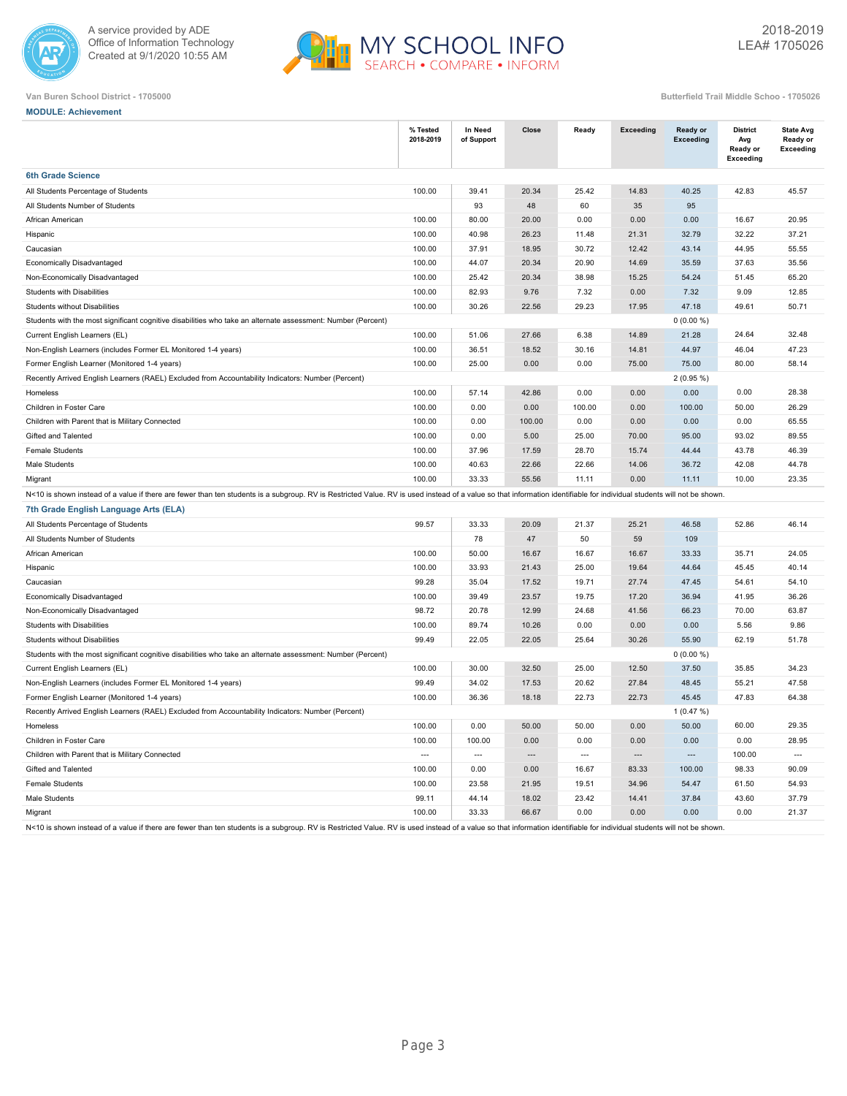



**MODULE: Achievement**

|                                                                                                                                                                                                                        | % Tested<br>2018-2019 | In Need<br>of Support | Close          | Ready          | <b>Exceeding</b>         | <b>Ready or</b><br><b>Exceeding</b> | <b>District</b><br>Avg<br>Ready or<br>Exceeding | <b>State Avg</b><br>Ready or<br>Exceeding |
|------------------------------------------------------------------------------------------------------------------------------------------------------------------------------------------------------------------------|-----------------------|-----------------------|----------------|----------------|--------------------------|-------------------------------------|-------------------------------------------------|-------------------------------------------|
| <b>6th Grade Science</b>                                                                                                                                                                                               |                       |                       |                |                |                          |                                     |                                                 |                                           |
| All Students Percentage of Students                                                                                                                                                                                    | 100.00                | 39.41                 | 20.34          | 25.42          | 14.83                    | 40.25                               | 42.83                                           | 45.57                                     |
| All Students Number of Students                                                                                                                                                                                        |                       | 93                    | 48             | 60             | 35                       | 95                                  |                                                 |                                           |
| African American                                                                                                                                                                                                       | 100.00                | 80.00                 | 20.00          | 0.00           | 0.00                     | 0.00                                | 16.67                                           | 20.95                                     |
| Hispanic                                                                                                                                                                                                               | 100.00                | 40.98                 | 26.23          | 11.48          | 21.31                    | 32.79                               | 32.22                                           | 37.21                                     |
| Caucasian                                                                                                                                                                                                              | 100.00                | 37.91                 | 18.95          | 30.72          | 12.42                    | 43.14                               | 44.95                                           | 55.55                                     |
| Economically Disadvantaged                                                                                                                                                                                             | 100.00                | 44.07                 | 20.34          | 20.90          | 14.69                    | 35.59                               | 37.63                                           | 35.56                                     |
| Non-Economically Disadvantaged                                                                                                                                                                                         | 100.00                | 25.42                 | 20.34          | 38.98          | 15.25                    | 54.24                               | 51.45                                           | 65.20                                     |
| Students with Disabilities                                                                                                                                                                                             | 100.00                | 82.93                 | 9.76           | 7.32           | 0.00                     | 7.32                                | 9.09                                            | 12.85                                     |
| Students without Disabilities                                                                                                                                                                                          | 100.00                | 30.26                 | 22.56          | 29.23          | 17.95                    | 47.18                               | 49.61                                           | 50.71                                     |
| Students with the most significant cognitive disabilities who take an alternate assessment: Number (Percent)                                                                                                           |                       |                       |                |                |                          | $0(0.00\%)$                         |                                                 |                                           |
| Current English Learners (EL)                                                                                                                                                                                          | 100.00                | 51.06                 | 27.66          | 6.38           | 14.89                    | 21.28                               | 24.64                                           | 32.48                                     |
| Non-English Learners (includes Former EL Monitored 1-4 years)                                                                                                                                                          | 100.00                | 36.51                 | 18.52          | 30.16          | 14.81                    | 44.97                               | 46.04                                           | 47.23                                     |
| Former English Learner (Monitored 1-4 years)                                                                                                                                                                           | 100.00                | 25.00                 | 0.00           | 0.00           | 75.00                    | 75.00                               | 80.00                                           | 58.14                                     |
| Recently Arrived English Learners (RAEL) Excluded from Accountability Indicators: Number (Percent)                                                                                                                     |                       |                       |                |                |                          | $2(0.95\%)$                         |                                                 |                                           |
| Homeless                                                                                                                                                                                                               | 100.00                | 57.14                 | 42.86          | 0.00           | 0.00                     | 0.00                                | 0.00                                            | 28.38                                     |
| Children in Foster Care                                                                                                                                                                                                | 100.00                | 0.00                  | 0.00           | 100.00         | 0.00                     | 100.00                              | 50.00                                           | 26.29                                     |
| Children with Parent that is Military Connected                                                                                                                                                                        | 100.00                | 0.00                  | 100.00         | 0.00           | 0.00                     | 0.00                                | 0.00                                            | 65.55                                     |
| Gifted and Talented                                                                                                                                                                                                    | 100.00                | 0.00                  | 5.00           | 25.00          | 70.00                    | 95.00                               | 93.02                                           | 89.55                                     |
| Female Students                                                                                                                                                                                                        | 100.00                | 37.96                 | 17.59          | 28.70          | 15.74                    | 44.44                               | 43.78                                           | 46.39                                     |
| Male Students                                                                                                                                                                                                          | 100.00                | 40.63                 | 22.66          | 22.66          | 14.06                    | 36.72                               | 42.08                                           | 44.78                                     |
| Migrant                                                                                                                                                                                                                | 100.00                | 33.33                 | 55.56          | 11.11          | 0.00                     | 11.11                               | 10.00                                           | 23.35                                     |
| N<10 is shown instead of a value if there are fewer than ten students is a subgroup. RV is Restricted Value. RV is used instead of a value so that information identifiable for individual students will not be shown. |                       |                       |                |                |                          |                                     |                                                 |                                           |
| 7th Grade English Language Arts (ELA)                                                                                                                                                                                  |                       |                       |                |                |                          |                                     |                                                 |                                           |
| All Students Percentage of Students                                                                                                                                                                                    | 99.57                 | 33.33                 | 20.09          | 21.37          | 25.21                    | 46.58                               | 52.86                                           | 46.14                                     |
| All Students Number of Students                                                                                                                                                                                        |                       | 78                    | 47             | 50             | 59                       | 109                                 |                                                 |                                           |
| African American                                                                                                                                                                                                       | 100.00                | 50.00                 | 16.67          | 16.67          | 16.67                    | 33.33                               | 35.71                                           | 24.05                                     |
| Hispanic                                                                                                                                                                                                               | 100.00                | 33.93                 | 21.43          | 25.00          | 19.64                    | 44.64                               | 45.45                                           | 40.14                                     |
| Caucasian                                                                                                                                                                                                              | 99.28                 | 35.04                 | 17.52          | 19.71          | 27.74                    | 47.45                               | 54.61                                           | 54.10                                     |
| Economically Disadvantaged                                                                                                                                                                                             | 100.00                | 39.49                 | 23.57          | 19.75          | 17.20                    | 36.94                               | 41.95                                           | 36.26                                     |
| Non-Economically Disadvantaged                                                                                                                                                                                         | 98.72                 | 20.78                 | 12.99          | 24.68          | 41.56                    | 66.23                               | 70.00                                           | 63.87                                     |
| Students with Disabilities                                                                                                                                                                                             | 100.00                | 89.74                 | 10.26          | 0.00           | 0.00                     | 0.00                                | 5.56                                            | 9.86                                      |
| Students without Disabilities                                                                                                                                                                                          | 99.49                 | 22.05                 | 22.05          | 25.64          | 30.26                    | 55.90                               | 62.19                                           | 51.78                                     |
| Students with the most significant cognitive disabilities who take an alternate assessment: Number (Percent)                                                                                                           |                       |                       |                |                |                          | $0(0.00\%)$                         |                                                 |                                           |
| Current English Learners (EL)                                                                                                                                                                                          | 100.00                | 30.00                 | 32.50          | 25.00          | 12.50                    | 37.50                               | 35.85                                           | 34.23                                     |
| Non-English Learners (includes Former EL Monitored 1-4 years)                                                                                                                                                          | 99.49                 | 34.02                 | 17.53          | 20.62          | 27.84                    | 48.45                               | 55.21                                           | 47.58                                     |
| Former English Learner (Monitored 1-4 years)                                                                                                                                                                           | 100.00                | 36.36                 | 18.18          | 22.73          | 22.73                    | 45.45                               | 47.83                                           | 64.38                                     |
| Recently Arrived English Learners (RAEL) Excluded from Accountability Indicators: Number (Percent)                                                                                                                     |                       |                       |                |                |                          | 1(0.47%)                            |                                                 |                                           |
| Homeless                                                                                                                                                                                                               | 100.00                | 0.00                  | 50.00          | 50.00          | 0.00                     | 50.00                               | 60.00                                           | 29.35                                     |
| Children in Foster Care                                                                                                                                                                                                | 100.00                | 100.00                | 0.00           | 0.00           | 0.00                     | 0.00                                | 0.00                                            | 28.95                                     |
| Children with Parent that is Military Connected                                                                                                                                                                        | $\sim$                | $\overline{a}$        | $\overline{a}$ | $\overline{a}$ | $\overline{\phantom{a}}$ | $\overline{a}$                      | 100.00                                          | $\overline{\phantom{a}}$                  |
| Gifted and Talented                                                                                                                                                                                                    | 100.00                | 0.00                  | 0.00           | 16.67          | 83.33                    | 100.00                              | 98.33                                           | 90.09                                     |
| Female Students                                                                                                                                                                                                        | 100.00                | 23.58                 | 21.95          | 19.51          | 34.96                    | 54.47                               | 61.50                                           | 54.93                                     |
| Male Students                                                                                                                                                                                                          | 99.11                 | 44.14                 | 18.02          | 23.42          | 14.41                    | 37.84                               | 43.60                                           | 37.79                                     |
| Migrant                                                                                                                                                                                                                | 100.00                | 33.33                 | 66.67          | 0.00           | 0.00                     | 0.00                                | 0.00                                            | 21.37                                     |
| N<10 is shown instead of a value if there are fewer than ten students is a subgroup. RV is Restricted Value. RV is used instead of a value so that information identifiable for individual students will not be shown. |                       |                       |                |                |                          |                                     |                                                 |                                           |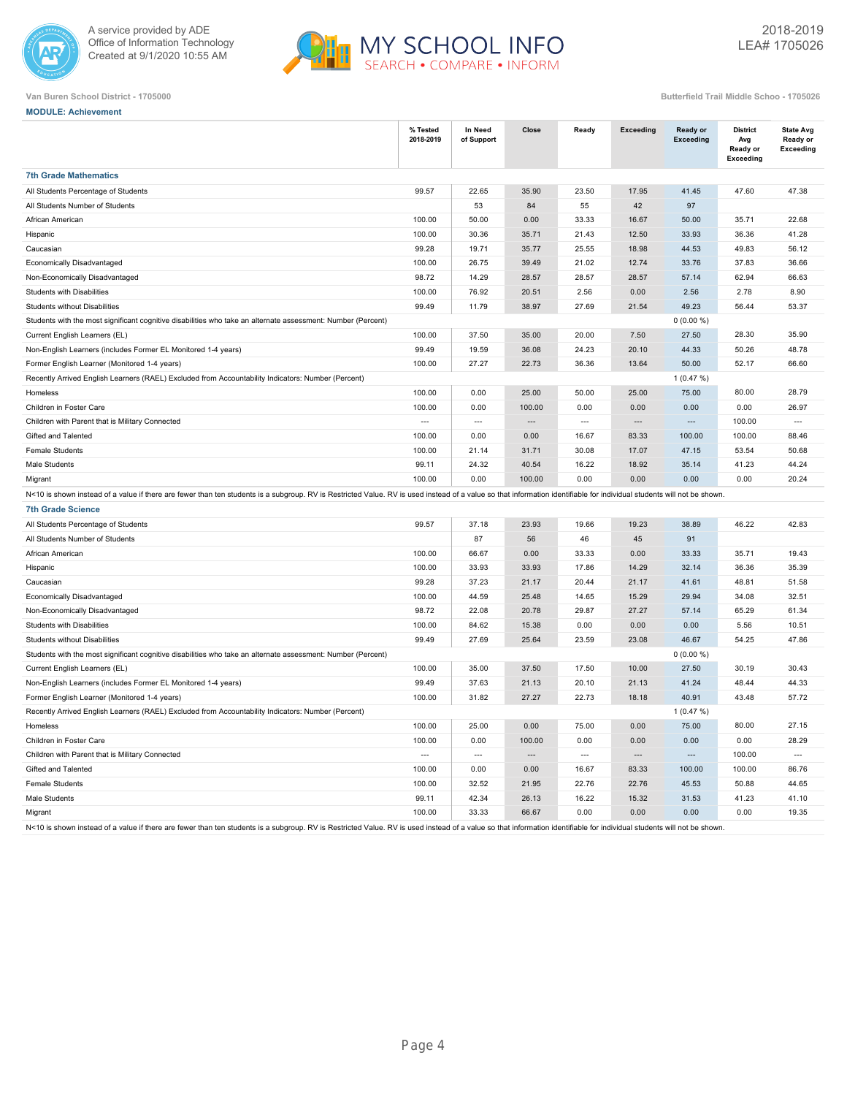



|  | <b>MODULE: Achievement</b> |
|--|----------------------------|
|  |                            |

|                                                                                                                                                                                                                       | % Tested<br>2018-2019                      | In Need<br>of Support | Close                    | Ready                    | Exceeding                | Ready or<br>Exceeding | <b>District</b><br>Avg<br>Ready or<br>Exceeding | <b>State Avg</b><br>Ready or<br>Exceeding |
|-----------------------------------------------------------------------------------------------------------------------------------------------------------------------------------------------------------------------|--------------------------------------------|-----------------------|--------------------------|--------------------------|--------------------------|-----------------------|-------------------------------------------------|-------------------------------------------|
| <b>7th Grade Mathematics</b>                                                                                                                                                                                          |                                            |                       |                          |                          |                          |                       |                                                 |                                           |
| All Students Percentage of Students                                                                                                                                                                                   | 99.57                                      | 22.65                 | 35.90                    | 23.50                    | 17.95                    | 41.45                 | 47.60                                           | 47.38                                     |
| All Students Number of Students                                                                                                                                                                                       |                                            | 53                    | 84                       | 55                       | 42                       | 97                    |                                                 |                                           |
| African American                                                                                                                                                                                                      | 100.00                                     | 50.00                 | 0.00                     | 33.33                    | 16.67                    | 50.00                 | 35.71                                           | 22.68                                     |
| Hispanic                                                                                                                                                                                                              | 100.00                                     | 30.36                 | 35.71                    | 21.43                    | 12.50                    | 33.93                 | 36.36                                           | 41.28                                     |
| Caucasian                                                                                                                                                                                                             | 99.28                                      | 19.71                 | 35.77                    | 25.55                    | 18.98                    | 44.53                 | 49.83                                           | 56.12                                     |
| Economically Disadvantaged                                                                                                                                                                                            | 100.00                                     | 26.75                 | 39.49                    | 21.02                    | 12.74                    | 33.76                 | 37.83                                           | 36.66                                     |
| Non-Economically Disadvantaged                                                                                                                                                                                        | 98.72                                      | 14.29                 | 28.57                    | 28.57                    | 28.57                    | 57.14                 | 62.94                                           | 66.63                                     |
| Students with Disabilities                                                                                                                                                                                            | 100.00                                     | 76.92                 | 20.51                    | 2.56                     | 0.00                     | 2.56                  | 2.78                                            | 8.90                                      |
| Students without Disabilities                                                                                                                                                                                         | 99.49                                      | 11.79                 | 38.97                    | 27.69                    | 21.54                    | 49.23                 | 56.44                                           | 53.37                                     |
| Students with the most significant cognitive disabilities who take an alternate assessment: Number (Percent)                                                                                                          |                                            |                       |                          |                          |                          | $0(0.00\%)$           |                                                 |                                           |
| Current English Learners (EL)                                                                                                                                                                                         | 100.00                                     | 37.50                 | 35.00                    | 20.00                    | 7.50                     | 27.50                 | 28.30                                           | 35.90                                     |
| Non-English Learners (includes Former EL Monitored 1-4 years)                                                                                                                                                         | 99.49                                      | 19.59                 | 36.08                    | 24.23                    | 20.10                    | 44.33                 | 50.26                                           | 48.78                                     |
| Former English Learner (Monitored 1-4 years)                                                                                                                                                                          | 100.00                                     | 27.27                 | 22.73                    | 36.36                    | 13.64                    | 50.00                 | 52.17                                           | 66.60                                     |
| Recently Arrived English Learners (RAEL) Excluded from Accountability Indicators: Number (Percent)                                                                                                                    |                                            |                       |                          |                          |                          | 1(0.47%)              |                                                 |                                           |
| Homeless                                                                                                                                                                                                              | 100.00                                     | 0.00                  | 25.00                    | 50.00                    | 25.00                    | 75.00                 | 80.00                                           | 28.79                                     |
| Children in Foster Care                                                                                                                                                                                               | 100.00                                     | 0.00                  | 100.00                   | 0.00                     | 0.00                     | 0.00                  | 0.00                                            | 26.97                                     |
| Children with Parent that is Military Connected                                                                                                                                                                       | $\overline{\phantom{a}}$                   | $\overline{a}$        | $\overline{a}$           | $\overline{a}$           | $\overline{a}$           | $---$                 | 100.00                                          | $\sim$                                    |
| Gifted and Talented                                                                                                                                                                                                   | 100.00                                     | 0.00                  | 0.00                     | 16.67                    | 83.33                    | 100.00                | 100.00                                          | 88.46                                     |
| <b>Female Students</b>                                                                                                                                                                                                | 100.00                                     | 21.14                 | 31.71                    | 30.08                    | 17.07                    | 47.15                 | 53.54                                           | 50.68                                     |
| Male Students                                                                                                                                                                                                         | 99.11                                      | 24.32                 | 40.54                    | 16.22                    | 18.92                    | 35.14                 | 41.23                                           | 44.24                                     |
| Migrant                                                                                                                                                                                                               | 100.00                                     | 0.00                  | 100.00                   | 0.00                     | 0.00                     | 0.00                  | 0.00                                            | 20.24                                     |
| N<10 is shown instead of a value if there are fewer than ten students is a subgroup. RV is Restricted Value. RV is used instead of a value so that information identifiable for individual students will not be shown |                                            |                       |                          |                          |                          |                       |                                                 |                                           |
| <b>7th Grade Science</b>                                                                                                                                                                                              |                                            |                       |                          |                          |                          |                       |                                                 |                                           |
| All Students Percentage of Students                                                                                                                                                                                   | 99.57                                      | 37.18                 | 23.93                    | 19.66                    | 19.23                    | 38.89                 | 46.22                                           | 42.83                                     |
| All Students Number of Students                                                                                                                                                                                       |                                            | 87                    | 56                       | 46                       | 45                       | 91                    |                                                 |                                           |
| African American                                                                                                                                                                                                      | 100.00                                     | 66.67                 | 0.00                     | 33.33                    | 0.00                     | 33.33                 | 35.71                                           | 19.43                                     |
| Hispanic                                                                                                                                                                                                              | 100.00                                     | 33.93                 | 33.93                    | 17.86                    | 14.29                    | 32.14                 | 36.36                                           | 35.39                                     |
| Caucasian                                                                                                                                                                                                             | 99.28                                      | 37.23                 | 21.17                    | 20.44                    | 21.17                    | 41.61                 | 48.81                                           | 51.58                                     |
| Economically Disadvantaged                                                                                                                                                                                            | 100.00                                     | 44.59                 | 25.48                    | 14.65                    | 15.29                    | 29.94                 | 34.08                                           | 32.51                                     |
| Non-Economically Disadvantaged                                                                                                                                                                                        | 98.72                                      | 22.08                 | 20.78                    | 29.87                    | 27.27                    | 57.14                 | 65.29                                           | 61.34                                     |
| <b>Students with Disabilities</b>                                                                                                                                                                                     | 100.00                                     | 84.62                 | 15.38                    | 0.00                     | 0.00                     | 0.00                  | 5.56                                            | 10.51                                     |
| Students without Disabilities                                                                                                                                                                                         | 99.49                                      | 27.69                 | 25.64                    | 23.59                    | 23.08                    | 46.67                 | 54.25                                           | 47.86                                     |
| Students with the most significant cognitive disabilities who take an alternate assessment: Number (Percent)                                                                                                          |                                            |                       |                          |                          |                          | $0(0.00\%)$           |                                                 |                                           |
| Current English Learners (EL)                                                                                                                                                                                         | 100.00                                     | 35.00                 | 37.50                    | 17.50                    | 10.00                    | 27.50                 | 30.19                                           | 30.43                                     |
| Non-English Learners (includes Former EL Monitored 1-4 years)                                                                                                                                                         | 99.49                                      | 37.63                 | 21.13                    | 20.10                    | 21.13                    | 41.24                 | 48.44                                           | 44.33                                     |
| Former English Learner (Monitored 1-4 years)                                                                                                                                                                          | 100.00                                     | 31.82                 | 27.27                    | 22.73                    | 18.18                    | 40.91                 | 43.48                                           | 57.72                                     |
| Recently Arrived English Learners (RAEL) Excluded from Accountability Indicators: Number (Percent)                                                                                                                    |                                            |                       |                          |                          |                          | 1(0.47%)              |                                                 |                                           |
| Homeless                                                                                                                                                                                                              | 100.00                                     | 25.00                 | 0.00                     | 75.00                    | 0.00                     | 75.00                 | 80.00                                           | 27.15                                     |
| Children in Foster Care                                                                                                                                                                                               | 100.00                                     | 0.00                  | 100.00                   | 0.00                     | 0.00                     | 0.00                  | 0.00                                            | 28.29                                     |
| Children with Parent that is Military Connected                                                                                                                                                                       | $\overline{a}$                             | $\overline{a}$        | $\overline{\phantom{a}}$ | $\overline{\phantom{a}}$ | $\overline{\phantom{a}}$ | $\overline{a}$        | 100.00                                          | $\overline{\phantom{a}}$                  |
| Gifted and Talented                                                                                                                                                                                                   | 100.00                                     | 0.00                  | 0.00                     | 16.67                    | 83.33                    | 100.00                | 100.00                                          | 86.76                                     |
| <b>Female Students</b>                                                                                                                                                                                                | 100.00                                     | 32.52                 | 21.95                    | 22.76                    | 22.76                    | 45.53                 | 50.88                                           | 44.65                                     |
| Male Students                                                                                                                                                                                                         | 99.11                                      | 42.34                 | 26.13                    | 16.22                    | 15.32                    | 31.53                 | 41.23                                           | 41.10                                     |
| Migrant                                                                                                                                                                                                               | 100.00<br>$DY/ia$ Destricted Value $DY/ia$ | 33.33                 | 66.67                    | 0.00<br>$456 - 61$       | 0.00                     | 0.00                  | 0.00                                            | 19.35                                     |

of a value if there are fewer than ten students is a subgroup. RV is Restricted Value. RV is used instead of a value so that in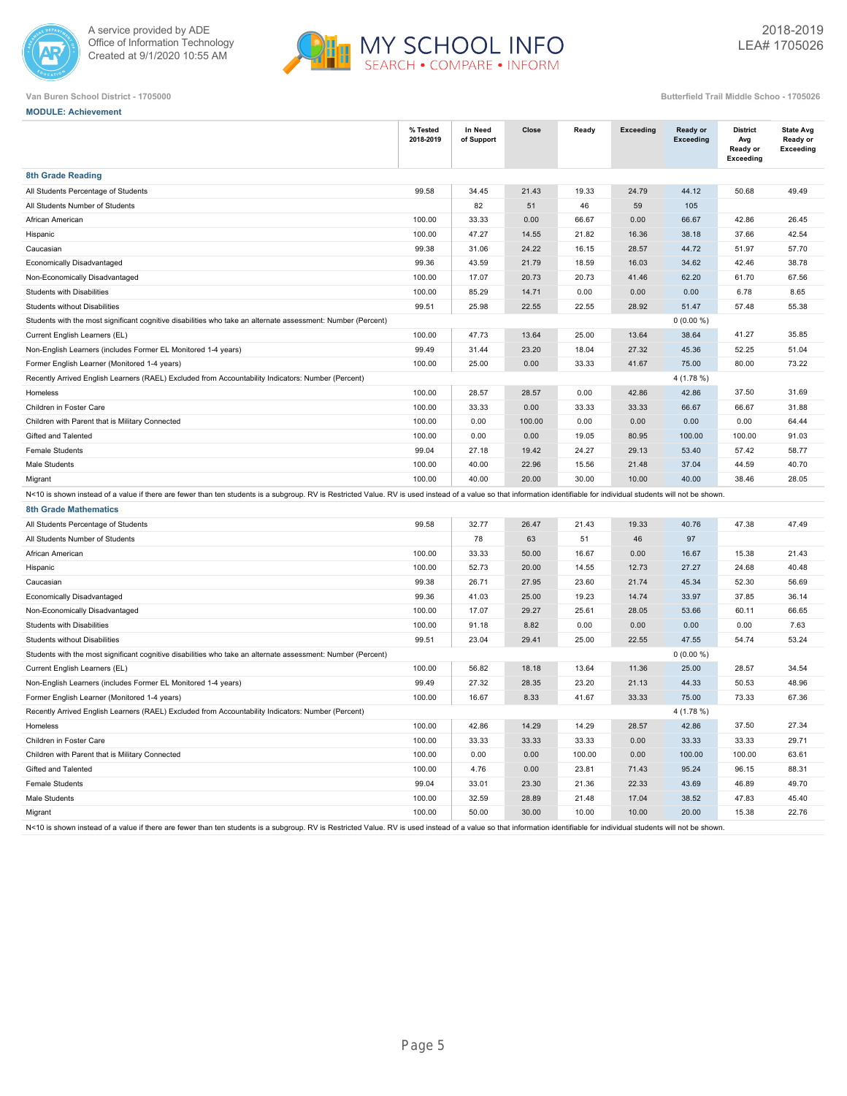



**MODULE: Achievement**

|                                                                                                                                                                                                                        | % Tested<br>2018-2019 | In Need<br>of Support | Close  | Ready  | <b>Exceeding</b> | Ready or<br><b>Exceeding</b> | <b>District</b><br>Avg<br>Ready or<br>Exceeding | <b>State Avg</b><br>Ready or<br><b>Exceeding</b> |  |
|------------------------------------------------------------------------------------------------------------------------------------------------------------------------------------------------------------------------|-----------------------|-----------------------|--------|--------|------------------|------------------------------|-------------------------------------------------|--------------------------------------------------|--|
| <b>8th Grade Reading</b>                                                                                                                                                                                               |                       |                       |        |        |                  |                              |                                                 |                                                  |  |
| All Students Percentage of Students                                                                                                                                                                                    | 99.58                 | 34.45                 | 21.43  | 19.33  | 24.79            | 44.12                        | 50.68                                           | 49.49                                            |  |
| All Students Number of Students                                                                                                                                                                                        |                       | 82                    | 51     | 46     | 59               | 105                          |                                                 |                                                  |  |
| African American                                                                                                                                                                                                       | 100.00                | 33.33                 | 0.00   | 66.67  | 0.00             | 66.67                        | 42.86                                           | 26.45                                            |  |
| Hispanic                                                                                                                                                                                                               | 100.00                | 47.27                 | 14.55  | 21.82  | 16.36            | 38.18                        | 37.66                                           | 42.54                                            |  |
| Caucasian                                                                                                                                                                                                              | 99.38                 | 31.06                 | 24.22  | 16.15  | 28.57            | 44.72                        | 51.97                                           | 57.70                                            |  |
| Economically Disadvantaged                                                                                                                                                                                             | 99.36                 | 43.59                 | 21.79  | 18.59  | 16.03            | 34.62                        | 42.46                                           | 38.78                                            |  |
| Non-Economically Disadvantaged                                                                                                                                                                                         | 100.00                | 17.07                 | 20.73  | 20.73  | 41.46            | 62.20                        | 61.70                                           | 67.56                                            |  |
| Students with Disabilities                                                                                                                                                                                             | 100.00                | 85.29                 | 14.71  | 0.00   | 0.00             | 0.00                         | 6.78                                            | 8.65                                             |  |
| Students without Disabilities                                                                                                                                                                                          | 99.51                 | 25.98                 | 22.55  | 22.55  | 28.92            | 51.47                        | 57.48                                           | 55.38                                            |  |
| Students with the most significant cognitive disabilities who take an alternate assessment: Number (Percent)<br>$0(0.00\%)$                                                                                            |                       |                       |        |        |                  |                              |                                                 |                                                  |  |
| Current English Learners (EL)                                                                                                                                                                                          | 100.00                | 47.73                 | 13.64  | 25.00  | 13.64            | 38.64                        | 41.27                                           | 35.85                                            |  |
| Non-English Learners (includes Former EL Monitored 1-4 years)                                                                                                                                                          | 99.49                 | 31.44                 | 23.20  | 18.04  | 27.32            | 45.36                        | 52.25                                           | 51.04                                            |  |
| Former English Learner (Monitored 1-4 years)                                                                                                                                                                           | 100.00                | 25.00                 | 0.00   | 33.33  | 41.67            | 75.00                        | 80.00                                           | 73.22                                            |  |
| Recently Arrived English Learners (RAEL) Excluded from Accountability Indicators: Number (Percent)                                                                                                                     |                       |                       |        |        |                  | 4 (1.78 %)                   |                                                 |                                                  |  |
| Homeless                                                                                                                                                                                                               | 100.00                | 28.57                 | 28.57  | 0.00   | 42.86            | 42.86                        | 37.50                                           | 31.69                                            |  |
| Children in Foster Care                                                                                                                                                                                                | 100.00                | 33.33                 | 0.00   | 33.33  | 33.33            | 66.67                        | 66.67                                           | 31.88                                            |  |
| Children with Parent that is Military Connected                                                                                                                                                                        | 100.00                | 0.00                  | 100.00 | 0.00   | 0.00             | 0.00                         | 0.00                                            | 64.44                                            |  |
| Gifted and Talented                                                                                                                                                                                                    | 100.00                | 0.00                  | 0.00   | 19.05  | 80.95            | 100.00                       | 100.00                                          | 91.03                                            |  |
| <b>Female Students</b>                                                                                                                                                                                                 | 99.04                 | 27.18                 | 19.42  | 24.27  | 29.13            | 53.40                        | 57.42                                           | 58.77                                            |  |
| Male Students                                                                                                                                                                                                          | 100.00                | 40.00                 | 22.96  | 15.56  | 21.48            | 37.04                        | 44.59                                           | 40.70                                            |  |
| Migrant                                                                                                                                                                                                                | 100.00                | 40.00                 | 20.00  | 30.00  | 10.00            | 40.00                        | 38.46                                           | 28.05                                            |  |
| N<10 is shown instead of a value if there are fewer than ten students is a subgroup. RV is Restricted Value. RV is used instead of a value so that information identifiable for individual students will not be shown. |                       |                       |        |        |                  |                              |                                                 |                                                  |  |
| <b>8th Grade Mathematics</b>                                                                                                                                                                                           |                       |                       |        |        |                  |                              |                                                 |                                                  |  |
| All Students Percentage of Students                                                                                                                                                                                    | 99.58                 | 32.77                 | 26.47  | 21.43  | 19.33            | 40.76                        | 47.38                                           | 47.49                                            |  |
| All Students Number of Students                                                                                                                                                                                        |                       | 78                    | 63     | 51     | 46               | 97                           |                                                 |                                                  |  |
| African American                                                                                                                                                                                                       | 100.00                | 33.33                 | 50.00  | 16.67  | 0.00             | 16.67                        | 15.38                                           | 21.43                                            |  |
| Hispanic                                                                                                                                                                                                               | 100.00                | 52.73                 | 20.00  | 14.55  | 12.73            | 27.27                        | 24.68                                           | 40.48                                            |  |
| Caucasian                                                                                                                                                                                                              | 99.38                 | 26.71                 | 27.95  | 23.60  | 21.74            | 45.34                        | 52.30                                           | 56.69                                            |  |
| Economically Disadvantaged                                                                                                                                                                                             | 99.36                 | 41.03                 | 25.00  | 19.23  | 14.74            | 33.97                        | 37.85                                           | 36.14                                            |  |
| Non-Economically Disadvantaged                                                                                                                                                                                         | 100.00                | 17.07                 | 29.27  | 25.61  | 28.05            | 53.66                        | 60.11                                           | 66.65                                            |  |
| Students with Disabilities                                                                                                                                                                                             | 100.00                | 91.18                 | 8.82   | 0.00   | 0.00             | 0.00                         | 0.00                                            | 7.63                                             |  |
| Students without Disabilities                                                                                                                                                                                          | 99.51                 | 23.04                 | 29.41  | 25.00  | 22.55            | 47.55                        | 54.74                                           | 53.24                                            |  |
| Students with the most significant cognitive disabilities who take an alternate assessment: Number (Percent)                                                                                                           |                       |                       |        |        |                  | $0(0.00\%)$                  |                                                 |                                                  |  |
| Current English Learners (EL)                                                                                                                                                                                          | 100.00                | 56.82                 | 18.18  | 13.64  | 11.36            | 25.00                        | 28.57                                           | 34.54                                            |  |
| Non-English Learners (includes Former EL Monitored 1-4 years)                                                                                                                                                          | 99.49                 | 27.32                 | 28.35  | 23.20  | 21.13            | 44.33                        | 50.53                                           | 48.96                                            |  |
| Former English Learner (Monitored 1-4 years)                                                                                                                                                                           | 100.00                | 16.67                 | 8.33   | 41.67  | 33.33            | 75.00                        | 73.33                                           | 67.36                                            |  |
| Recently Arrived English Learners (RAEL) Excluded from Accountability Indicators: Number (Percent)                                                                                                                     |                       |                       |        |        |                  | 4(1.78%)                     |                                                 |                                                  |  |
| Homeless                                                                                                                                                                                                               | 100.00                | 42.86                 | 14.29  | 14.29  | 28.57            | 42.86                        | 37.50                                           | 27.34                                            |  |
| Children in Foster Care                                                                                                                                                                                                | 100.00                | 33.33                 | 33.33  | 33.33  | 0.00             | 33.33                        | 33.33                                           | 29.71                                            |  |
| Children with Parent that is Military Connected                                                                                                                                                                        | 100.00                | 0.00                  | 0.00   | 100.00 | 0.00             | 100.00                       | 100.00                                          | 63.61                                            |  |
| Gifted and Talented                                                                                                                                                                                                    | 100.00                | 4.76                  | 0.00   | 23.81  | 71.43            | 95.24                        | 96.15                                           | 88.31                                            |  |
| Female Students                                                                                                                                                                                                        | 99.04                 | 33.01                 | 23.30  | 21.36  | 22.33            | 43.69                        | 46.89                                           | 49.70                                            |  |
| Male Students                                                                                                                                                                                                          | 100.00                | 32.59                 | 28.89  | 21.48  | 17.04            | 38.52                        | 47.83                                           | 45.40                                            |  |
| Migrant                                                                                                                                                                                                                | 100.00                | 50.00                 | 30.00  | 10.00  | 10.00            | 20.00                        | 15.38                                           | 22.76                                            |  |
| N<10 is shown instead of a value if there are fewer than ten students is a subgroup. RV is Restricted Value. RV is used instead of a value so that information identifiable for individual students will not be shown. |                       |                       |        |        |                  |                              |                                                 |                                                  |  |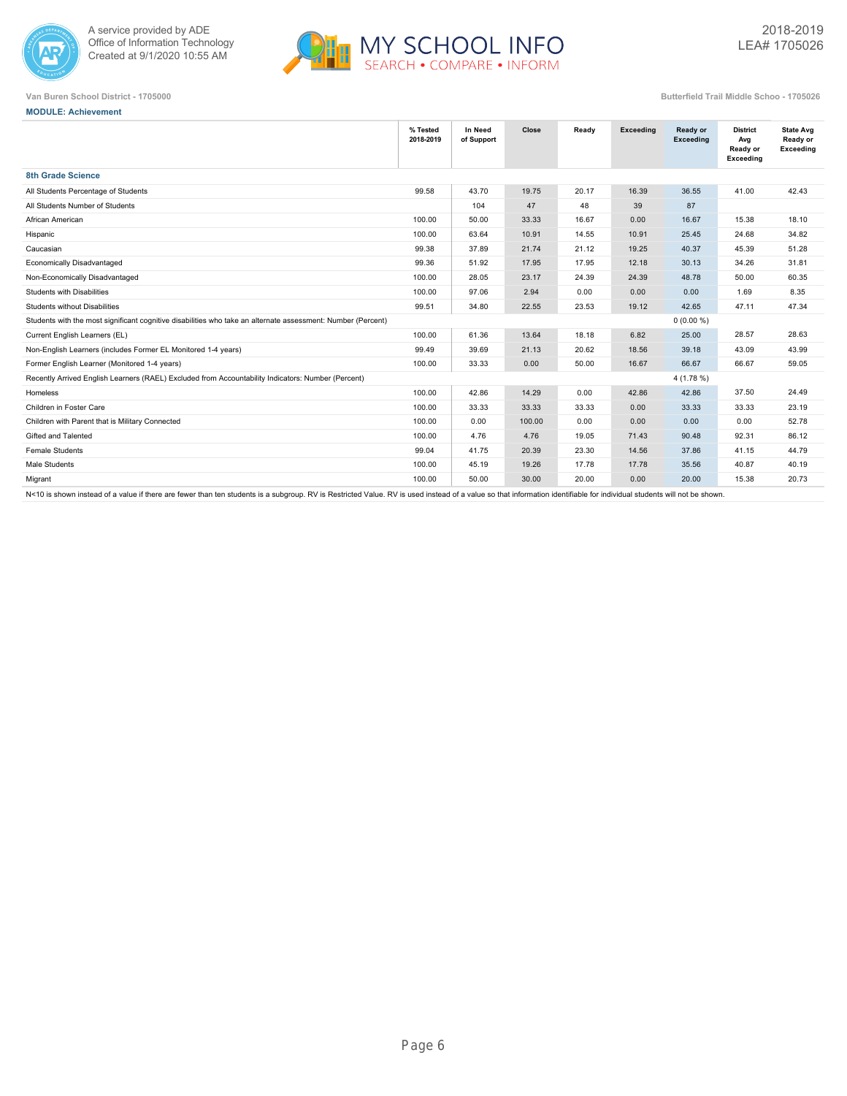



**MODULE: Achievement**

**Van Buren School District - 1705000 Butterfield Trail Middle Schoo - 1705026**

|                                                                                                              | % Tested<br>2018-2019 | In Need<br>of Support | Close  | Ready | Exceeding | Ready or<br>Exceeding | <b>District</b><br>Avg<br>Ready or<br>Exceeding | <b>State Avg</b><br>Ready or<br>Exceeding |
|--------------------------------------------------------------------------------------------------------------|-----------------------|-----------------------|--------|-------|-----------|-----------------------|-------------------------------------------------|-------------------------------------------|
| <b>8th Grade Science</b>                                                                                     |                       |                       |        |       |           |                       |                                                 |                                           |
| All Students Percentage of Students                                                                          | 99.58                 | 43.70                 | 19.75  | 20.17 | 16.39     | 36.55                 | 41.00                                           | 42.43                                     |
| All Students Number of Students                                                                              |                       | 104                   | 47     | 48    | 39        | 87                    |                                                 |                                           |
| African American                                                                                             | 100.00                | 50.00                 | 33.33  | 16.67 | 0.00      | 16.67                 | 15.38                                           | 18.10                                     |
| Hispanic                                                                                                     | 100.00                | 63.64                 | 10.91  | 14.55 | 10.91     | 25.45                 | 24.68                                           | 34.82                                     |
| Caucasian                                                                                                    | 99.38                 | 37.89                 | 21.74  | 21.12 | 19.25     | 40.37                 | 45.39                                           | 51.28                                     |
| Economically Disadvantaged                                                                                   | 99.36                 | 51.92                 | 17.95  | 17.95 | 12.18     | 30.13                 | 34.26                                           | 31.81                                     |
| Non-Economically Disadvantaged                                                                               | 100.00                | 28.05                 | 23.17  | 24.39 | 24.39     | 48.78                 | 50.00                                           | 60.35                                     |
| <b>Students with Disabilities</b>                                                                            | 100.00                | 97.06                 | 2.94   | 0.00  | 0.00      | 0.00                  | 1.69                                            | 8.35                                      |
| Students without Disabilities                                                                                | 99.51                 | 34.80                 | 22.55  | 23.53 | 19.12     | 42.65                 | 47.11                                           | 47.34                                     |
| Students with the most significant cognitive disabilities who take an alternate assessment: Number (Percent) |                       |                       |        |       |           | $0(0.00\%)$           |                                                 |                                           |
| Current English Learners (EL)                                                                                | 100.00                | 61.36                 | 13.64  | 18.18 | 6.82      | 25.00                 | 28.57                                           | 28.63                                     |
| Non-English Learners (includes Former EL Monitored 1-4 years)                                                | 99.49                 | 39.69                 | 21.13  | 20.62 | 18.56     | 39.18                 | 43.09                                           | 43.99                                     |
| Former English Learner (Monitored 1-4 years)                                                                 | 100.00                | 33.33                 | 0.00   | 50.00 | 16.67     | 66.67                 | 66.67                                           | 59.05                                     |
| Recently Arrived English Learners (RAEL) Excluded from Accountability Indicators: Number (Percent)           |                       |                       |        |       |           | $4(1.78\%)$           |                                                 |                                           |
| Homeless                                                                                                     | 100.00                | 42.86                 | 14.29  | 0.00  | 42.86     | 42.86                 | 37.50                                           | 24.49                                     |
| Children in Foster Care                                                                                      | 100.00                | 33.33                 | 33.33  | 33.33 | 0.00      | 33.33                 | 33.33                                           | 23.19                                     |
| Children with Parent that is Military Connected                                                              | 100.00                | 0.00                  | 100.00 | 0.00  | 0.00      | 0.00                  | 0.00                                            | 52.78                                     |
| Gifted and Talented                                                                                          | 100.00                | 4.76                  | 4.76   | 19.05 | 71.43     | 90.48                 | 92.31                                           | 86.12                                     |
| <b>Female Students</b>                                                                                       | 99.04                 | 41.75                 | 20.39  | 23.30 | 14.56     | 37.86                 | 41.15                                           | 44.79                                     |
| Male Students                                                                                                | 100.00                | 45.19                 | 19.26  | 17.78 | 17.78     | 35.56                 | 40.87                                           | 40.19                                     |
| Migrant                                                                                                      | 100.00                | 50.00                 | 30.00  | 20.00 | 0.00      | 20.00                 | 15.38                                           | 20.73                                     |
|                                                                                                              |                       |                       |        |       |           |                       |                                                 |                                           |

N<10 is shown instead of a value if there are fewer than ten students is a subgroup. RV is Restricted Value. RV is used instead of a value so that information identifiable for individual students will not be shown.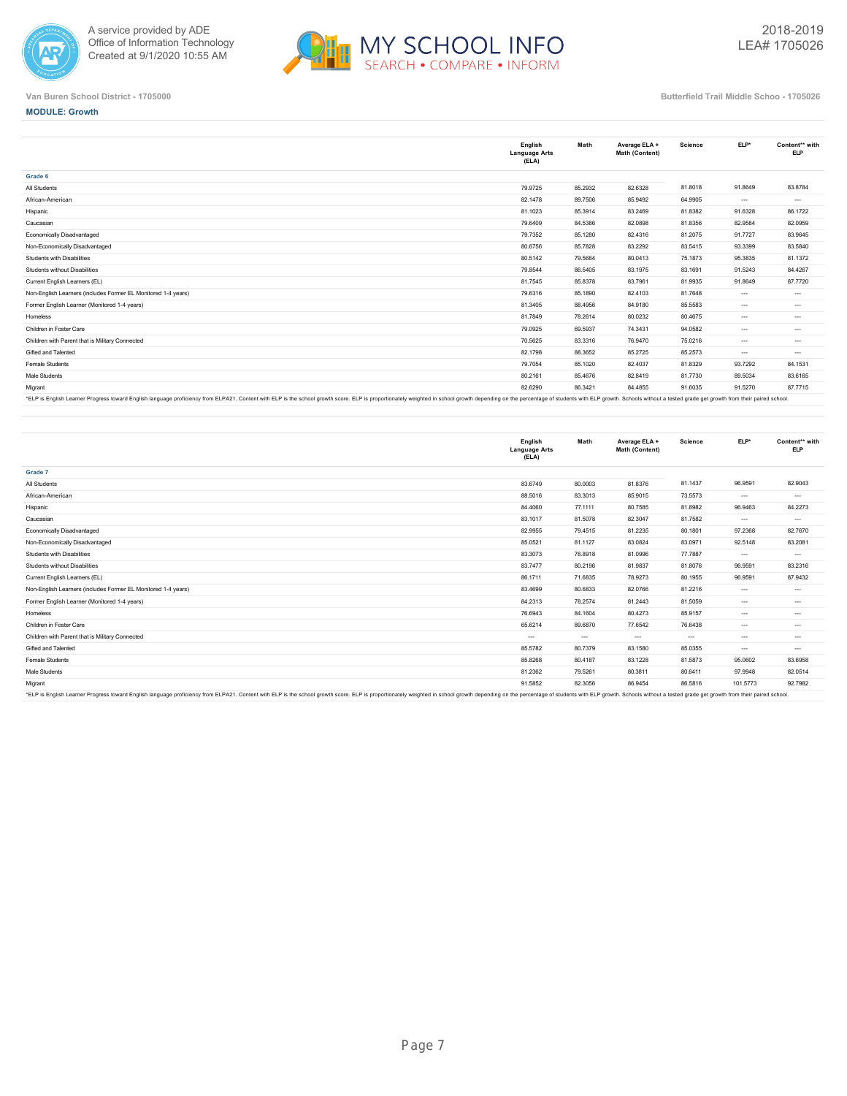



## **MODULE: Growth**

|                                                                                                                                                                                                                                | English<br><b>Language Arts</b><br>(ELA) | Math    | Average ELA +<br>Math (Content) | <b>Science</b> | ELP*     | Content** with<br><b>ELP</b> |
|--------------------------------------------------------------------------------------------------------------------------------------------------------------------------------------------------------------------------------|------------------------------------------|---------|---------------------------------|----------------|----------|------------------------------|
| Grade 6                                                                                                                                                                                                                        |                                          |         |                                 |                |          |                              |
| All Students                                                                                                                                                                                                                   | 79.9725                                  | 85.2932 | 82.6328                         | 81.8018        | 91.8649  | 83.8784                      |
| African-American                                                                                                                                                                                                               | 82.1478                                  | 89.7506 | 85.9492                         | 64.9905        | $\cdots$ | $---$                        |
| Hispanic                                                                                                                                                                                                                       | 81.1023                                  | 85.3914 | 83.2469                         | 81.8382        | 91.6328  | 86.1722                      |
| Caucasian                                                                                                                                                                                                                      | 79.6409                                  | 84.5386 | 82.0898                         | 81.8356        | 82.9584  | 82.0959                      |
| Economically Disadvantaged                                                                                                                                                                                                     | 79.7352                                  | 85.1280 | 82.4316                         | 81.2075        | 91.7727  | 83.9645                      |
| Non-Economically Disadvantaged                                                                                                                                                                                                 | 80.6756                                  | 85.7828 | 83.2292                         | 83.5415        | 93.3399  | 83.5840                      |
| Students with Disabilities                                                                                                                                                                                                     | 80.5142                                  | 79.5684 | 80.0413                         | 75.1873        | 95.3835  | 81.1372                      |
| Students without Disabilities                                                                                                                                                                                                  | 79.8544                                  | 86.5405 | 83.1975                         | 83.1691        | 91.5243  | 84.4267                      |
| Current English Learners (EL)                                                                                                                                                                                                  | 81.7545                                  | 85.8378 | 83.7961                         | 81.9935        | 91.8649  | 87.7720                      |
| Non-English Learners (includes Former EL Monitored 1-4 years)                                                                                                                                                                  | 79.6316                                  | 85.1890 | 82.4103                         | 81.7648        | $\cdots$ | $\cdots$                     |
| Former English Learner (Monitored 1-4 years)                                                                                                                                                                                   | 81.3405                                  | 88.4956 | 84.9180                         | 85.5583        | $\cdots$ | $\cdots$                     |
| Homeless                                                                                                                                                                                                                       | 81.7849                                  | 78.2614 | 80.0232                         | 80.4675        | $\cdots$ | $\cdots$                     |
| Children in Foster Care                                                                                                                                                                                                        | 79.0925                                  | 69.5937 | 74.3431                         | 94.0582        | $\cdots$ | $\cdots$                     |
| Children with Parent that is Military Connected                                                                                                                                                                                | 70.5625                                  | 83.3316 | 76.9470                         | 75.0216        | $\cdots$ | $\cdots$                     |
| Gifted and Talented                                                                                                                                                                                                            | 82.1798                                  | 88.3652 | 85.2725                         | 85.2573        | $\cdots$ | $\cdots$                     |
| Female Students                                                                                                                                                                                                                | 79.7054                                  | 85.1020 | 82.4037                         | 81.8329        | 93.7292  | 84.1531                      |
| Male Students                                                                                                                                                                                                                  | 80.2161                                  | 85.4676 | 82.8419                         | 81.7730        | 89.5034  | 83.6165                      |
| Migrant                                                                                                                                                                                                                        | 82.6290                                  | 86.3421 | 84.4855                         | 91.6035        | 91.5270  | 87.7715                      |
| *FLP is English Learner Progress toward English Janguage proficiency from ELP421. Content with ELP is the school growth score. ELP is transmingately weighted in school growth depending on the perceptage of students with EL |                                          |         |                                 |                |          |                              |

"ELP is English Learner Progress toward English language proficiency from ELPA21. Content with ELP is the school growth score. ELP is proportionately weighted in school growth depending on the percentage of students with E

|                                                                                                                                                                                                                                | English<br><b>Language Arts</b><br>(ELA) | Math     | Average ELA +<br>Math (Content) | <b>Science</b> | $ELP*$   | Content** with<br><b>ELP</b> |
|--------------------------------------------------------------------------------------------------------------------------------------------------------------------------------------------------------------------------------|------------------------------------------|----------|---------------------------------|----------------|----------|------------------------------|
| Grade 7                                                                                                                                                                                                                        |                                          |          |                                 |                |          |                              |
| All Students                                                                                                                                                                                                                   | 83.6749                                  | 80.0003  | 81.8376                         | 81.1437        | 96.9591  | 82.9043                      |
| African-American                                                                                                                                                                                                               | 88.5016                                  | 83.3013  | 85.9015                         | 73.5573        | $\cdots$ | $\cdots$                     |
| Hispanic                                                                                                                                                                                                                       | 84.4060                                  | 77.1111  | 80.7585                         | 81.8982        | 96.9463  | 84.2273                      |
| Caucasian                                                                                                                                                                                                                      | 83.1017                                  | 81.5078  | 82.3047                         | 81.7582        | $\cdots$ | $\cdots$                     |
| Economically Disadvantaged                                                                                                                                                                                                     | 82.9955                                  | 79.4515  | 81.2235                         | 80.1801        | 97.2368  | 82.7670                      |
| Non-Economically Disadvantaged                                                                                                                                                                                                 | 85.0521                                  | 81.1127  | 83.0824                         | 83.0971        | 92.5148  | 83.2081                      |
| Students with Disabilities                                                                                                                                                                                                     | 83.3073                                  | 78.8918  | 81.0996                         | 77.7887        | $\cdots$ | $\cdots$                     |
| Students without Disabilities                                                                                                                                                                                                  | 83.7477                                  | 80.2196  | 81.9837                         | 81.8076        | 96.9591  | 83.2316                      |
| Current English Learners (EL)                                                                                                                                                                                                  | 86.1711                                  | 71,6835  | 78.9273                         | 80.1955        | 96.9591  | 87.9432                      |
| Non-English Learners (includes Former EL Monitored 1-4 years)                                                                                                                                                                  | 83.4699                                  | 80.6833  | 82.0766                         | 81.2216        | $\cdots$ | $\cdots$                     |
| Former English Learner (Monitored 1-4 years)                                                                                                                                                                                   | 84.2313                                  | 78.2574  | 81.2443                         | 81.5059        | $\cdots$ | $\cdots$                     |
| Homeless                                                                                                                                                                                                                       | 76.6943                                  | 84.1604  | 80.4273                         | 85.9157        | $\cdots$ | $\cdots$                     |
| Children in Foster Care                                                                                                                                                                                                        | 65.6214                                  | 89.6870  | 77.6542                         | 76.6438        | $\cdots$ | $\cdots$                     |
| Children with Parent that is Military Connected                                                                                                                                                                                | $\cdots$                                 | $\cdots$ | $\cdots$                        | $\cdots$       | $\cdots$ | $\cdots$                     |
| Gifted and Talented                                                                                                                                                                                                            | 85.5782                                  | 80.7379  | 83.1580                         | 85.0355        | $---$    | $\cdots$                     |
| Female Students                                                                                                                                                                                                                | 85.8268                                  | 80.4187  | 83.1228                         | 81.5873        | 95.0602  | 83.6958                      |
| Male Students                                                                                                                                                                                                                  | 81.2362                                  | 79.5261  | 80.3811                         | 80.6411        | 97.9948  | 82.0514                      |
| Migrant                                                                                                                                                                                                                        | 91.5852                                  | 82.3056  | 86.9454                         | 86.5816        | 101.5773 | 92.7982                      |
| *FI P is English Learner Progress toward English language proficiency from ELP421. Content with ELP is the school growth score. ELP is thoused a proportionately weighted in school growth depending on the perceptage of stud |                                          |          |                                 |                |          |                              |

\*ELP is English Learner Progress toward English language proficiency from ELPA21. Content with ELP is the school growth score. ELP is proportionately weighted in school growth depending on the percentage of students with E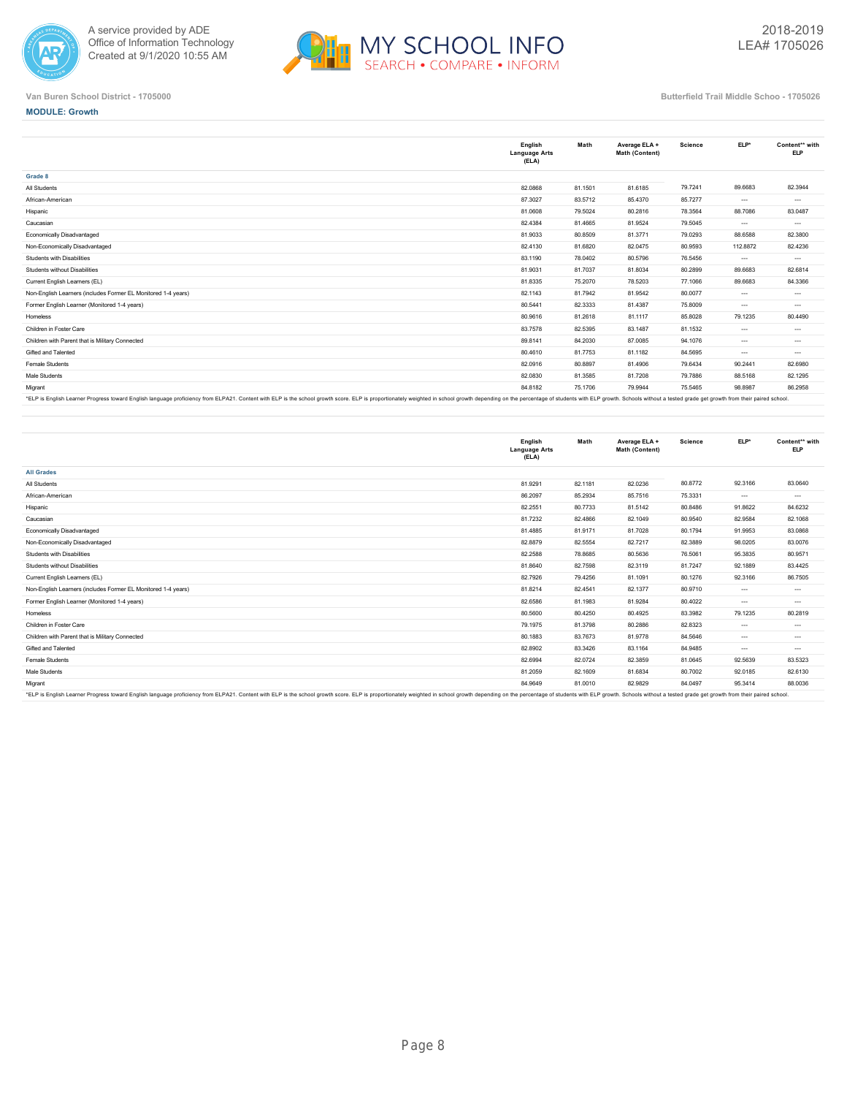



## **MODULE: Growth**

|                                                                                                                                                                                                                                | English<br><b>Language Arts</b><br>(ELA) | Math    | Average ELA +<br>Math (Content) | <b>Science</b> | ELP*     | Content** with<br><b>ELP</b> |
|--------------------------------------------------------------------------------------------------------------------------------------------------------------------------------------------------------------------------------|------------------------------------------|---------|---------------------------------|----------------|----------|------------------------------|
| Grade 8                                                                                                                                                                                                                        |                                          |         |                                 |                |          |                              |
| All Students                                                                                                                                                                                                                   | 82.0868                                  | 81.1501 | 81.6185                         | 79.7241        | 89.6683  | 82.3944                      |
| African-American                                                                                                                                                                                                               | 87.3027                                  | 83.5712 | 85.4370                         | 85.7277        | $\cdots$ | $\cdots$                     |
| Hispanic                                                                                                                                                                                                                       | 81.0608                                  | 79.5024 | 80.2816                         | 78.3564        | 88.7086  | 83.0487                      |
| Caucasian                                                                                                                                                                                                                      | 82.4384                                  | 81.4665 | 81.9524                         | 79,5045        | $---$    | $\cdots$                     |
| Economically Disadvantaged                                                                                                                                                                                                     | 81.9033                                  | 80.8509 | 81.3771                         | 79.0293        | 88.6588  | 82.3800                      |
| Non-Economically Disadvantaged                                                                                                                                                                                                 | 82.4130                                  | 81.6820 | 82.0475                         | 80.9593        | 112.8872 | 82.4236                      |
| Students with Disabilities                                                                                                                                                                                                     | 83.1190                                  | 78.0402 | 80.5796                         | 76.5456        | $---$    | $---$                        |
| Students without Disabilities                                                                                                                                                                                                  | 81.9031                                  | 81.7037 | 81.8034                         | 80.2899        | 89.6683  | 82.6814                      |
| Current English Learners (EL)                                                                                                                                                                                                  | 81.8335                                  | 75.2070 | 78.5203                         | 77.1066        | 89.6683  | 84.3366                      |
| Non-English Learners (includes Former EL Monitored 1-4 years)                                                                                                                                                                  | 82.1143                                  | 81.7942 | 81.9542                         | 80.0077        | $\cdots$ | $\cdots$                     |
| Former English Learner (Monitored 1-4 years)                                                                                                                                                                                   | 80.5441                                  | 82.3333 | 81.4387                         | 75.8009        | $---$    | $\cdots$                     |
| Homeless                                                                                                                                                                                                                       | 80.9616                                  | 81.2618 | 81.1117                         | 85.8028        | 79.1235  | 80.4490                      |
| Children in Foster Care                                                                                                                                                                                                        | 83.7578                                  | 82.5395 | 83.1487                         | 81.1532        | $\cdots$ | $\cdots$                     |
| Children with Parent that is Military Connected                                                                                                                                                                                | 89.8141                                  | 84.2030 | 87.0085                         | 94.1076        | $---$    | $\cdots$                     |
| Gifted and Talented                                                                                                                                                                                                            | 80.4610                                  | 81.7753 | 81.1182                         | 84.5695        | $\cdots$ | $\cdots$                     |
| Female Students                                                                                                                                                                                                                | 82.0916                                  | 80.8897 | 81.4906                         | 79.6434        | 90.2441  | 82.6980                      |
| Male Students                                                                                                                                                                                                                  | 82.0830                                  | 81.3585 | 81.7208                         | 79.7886        | 88.5168  | 82.1295                      |
| Migrant                                                                                                                                                                                                                        | 84.8182                                  | 75.1706 | 79.9944                         | 75.5465        | 98.8987  | 86.2958                      |
| *FLP is English Learner Progress toward English Janguage proficiency from ELPA21. Content with ELP is the school growth score. ELP is proportionately weighted in school growth depending on the perceptage of students with E |                                          |         |                                 |                |          |                              |

"ELP is English Learner Progress toward English language proficiency from ELPA21. Content with ELP is the school growth score. ELP is proportionately weighted in school growth depending on the percentage of students with E

|                                                                                                                                                                                                                                | English<br><b>Language Arts</b><br>(ELA) | Math    | Average ELA +<br>Math (Content) | Science | ELP*     | Content** with<br><b>ELP</b> |
|--------------------------------------------------------------------------------------------------------------------------------------------------------------------------------------------------------------------------------|------------------------------------------|---------|---------------------------------|---------|----------|------------------------------|
| <b>All Grades</b>                                                                                                                                                                                                              |                                          |         |                                 |         |          |                              |
| All Students                                                                                                                                                                                                                   | 81.9291                                  | 82.1181 | 82.0236                         | 80.8772 | 92.3166  | 83.0640                      |
| African-American                                                                                                                                                                                                               | 86.2097                                  | 85.2934 | 85.7516                         | 75.3331 | $\cdots$ | $\cdots$                     |
| Hispanic                                                                                                                                                                                                                       | 82.2551                                  | 80.7733 | 81.5142                         | 80.8486 | 91.8622  | 84.6232                      |
| Caucasian                                                                                                                                                                                                                      | 81.7232                                  | 82.4866 | 82.1049                         | 80.9540 | 82.9584  | 82.1068                      |
| Economically Disadvantaged                                                                                                                                                                                                     | 81.4885                                  | 81.9171 | 81.7028                         | 80.1794 | 91.9953  | 83.0868                      |
| Non-Economically Disadvantaged                                                                                                                                                                                                 | 82.8879                                  | 82.5554 | 82.7217                         | 82.3889 | 98.0205  | 83.0076                      |
| <b>Students with Disabilities</b>                                                                                                                                                                                              | 82.2588                                  | 78.8685 | 80.5636                         | 76.5061 | 95.3835  | 80.9571                      |
| Students without Disabilities                                                                                                                                                                                                  | 81.8640                                  | 82.7598 | 82.3119                         | 81.7247 | 92.1889  | 83.4425                      |
| Current English Learners (EL)                                                                                                                                                                                                  | 82.7926                                  | 79.4256 | 81.1091                         | 80.1276 | 92.3166  | 86.7505                      |
| Non-English Learners (includes Former EL Monitored 1-4 years)                                                                                                                                                                  | 81.8214                                  | 82.4541 | 82.1377                         | 80.9710 | $\cdots$ | $\cdots$                     |
| Former English Learner (Monitored 1-4 years)                                                                                                                                                                                   | 82.6586                                  | 81.1983 | 81.9284                         | 80.4022 | $\cdots$ | $\cdots$                     |
| Homeless                                                                                                                                                                                                                       | 80.5600                                  | 80.4250 | 80.4925                         | 83.3982 | 79.1235  | 80.2819                      |
| Children in Foster Care                                                                                                                                                                                                        | 79.1975                                  | 81.3798 | 80.2886                         | 82.8323 | $\cdots$ | $\cdots$                     |
| Children with Parent that is Military Connected                                                                                                                                                                                | 80.1883                                  | 83.7673 | 81.9778                         | 84.5646 | $\cdots$ | $\cdots$                     |
| Gifted and Talented                                                                                                                                                                                                            | 82.8902                                  | 83.3426 | 83.1164                         | 84.9485 | $\cdots$ | $\cdots$                     |
| Female Students                                                                                                                                                                                                                | 82.6994                                  | 82.0724 | 82.3859                         | 81.0645 | 92.5639  | 83.5323                      |
| Male Students                                                                                                                                                                                                                  | 81.2059                                  | 82.1609 | 81.6834                         | 80.7002 | 92.0185  | 82.6130                      |
| Migrant                                                                                                                                                                                                                        | 84.9649                                  | 81.0010 | 82.9829                         | 84.0497 | 95.3414  | 88.0036                      |
| *ELP is English Learner Progress toward English language proficiency from ELPA21. Content with ELP is the school growth score. ELP is proportionately weighted in school growth depending on the percentage of students with E |                                          |         |                                 |         |          |                              |

\*ELP is English Learner Progress toward English language proficiency from ELPA21. Content with ELP is the school growth score. ELP is proportionately weighted in school growth depending on the percentage of students with E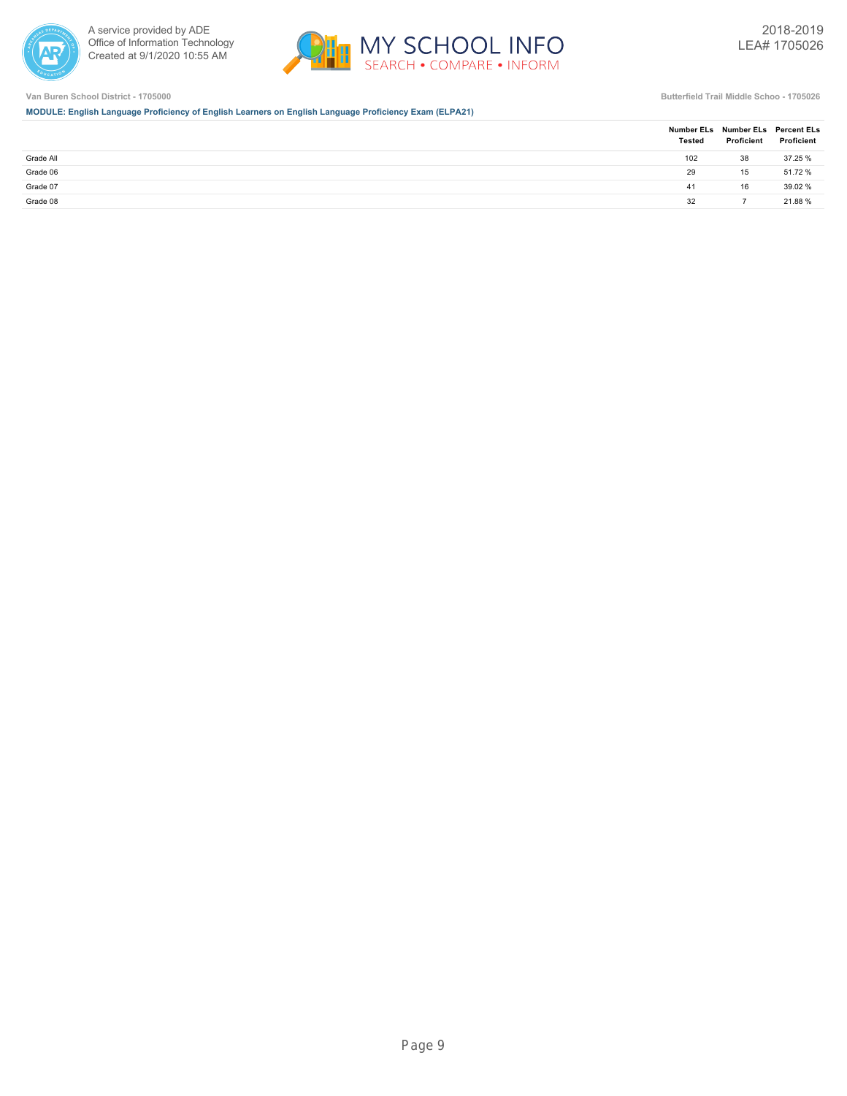



**MODULE: English Language Proficiency of English Learners on English Language Proficiency Exam (ELPA21)**

|           | <b>Tested</b> | Number ELs Number ELs Percent ELs<br>Proficient | Proficient |
|-----------|---------------|-------------------------------------------------|------------|
| Grade All | 102           | 38                                              | 37.25 %    |
| Grade 06  | 29            | 15                                              | 51.72 %    |
| Grade 07  | 41            | 16                                              | 39.02 %    |
| Grade 08  | 32            |                                                 | 21.88%     |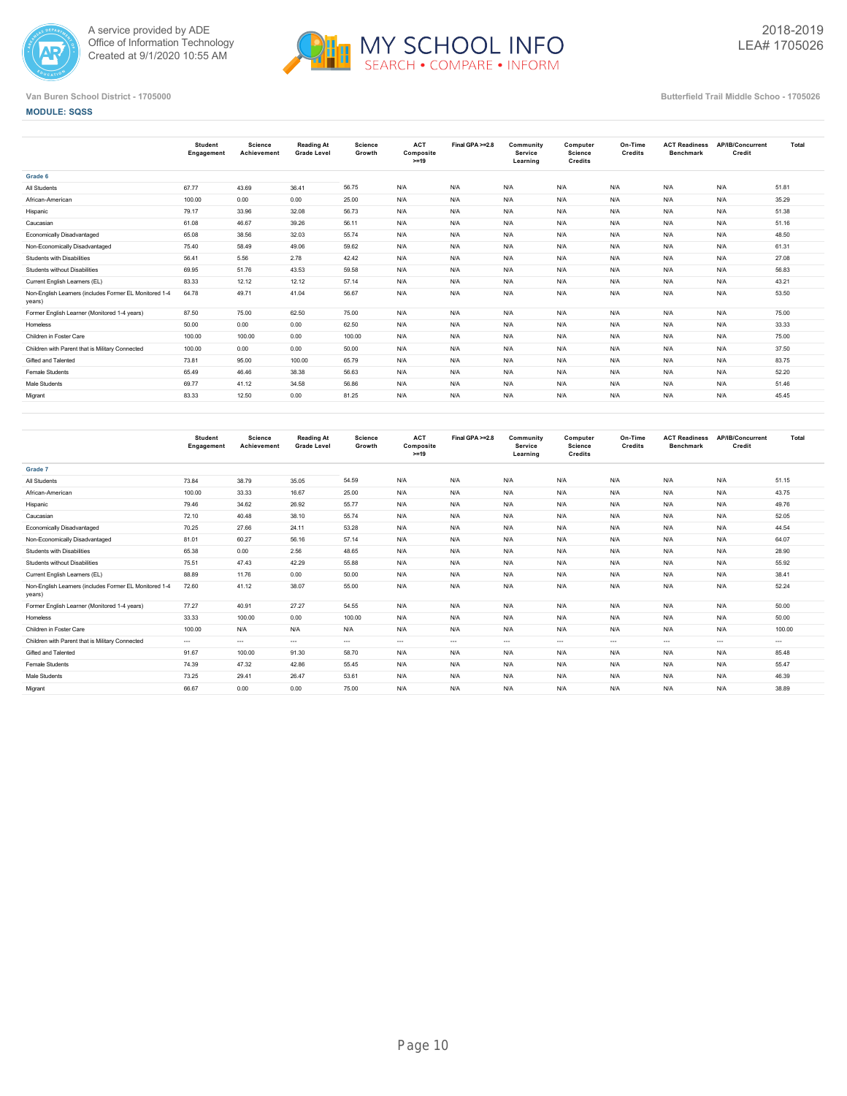



**MODULE: SQSS**

|                                                                  | <b>Student</b><br>Engagement | <b>Science</b><br>Achievement | <b>Reading At</b><br><b>Grade Level</b> | <b>Science</b><br>Growth | <b>ACT</b><br>Composite<br>$>=19$ | Final GPA >=2.8 | Community<br><b>Service</b><br>Learning | Computer<br>Science<br>Credits | On-Time<br>Credits | <b>ACT Readiness</b><br><b>Benchmark</b> | AP/IB/Concurrent<br>Credit | Total |
|------------------------------------------------------------------|------------------------------|-------------------------------|-----------------------------------------|--------------------------|-----------------------------------|-----------------|-----------------------------------------|--------------------------------|--------------------|------------------------------------------|----------------------------|-------|
| Grade 6                                                          |                              |                               |                                         |                          |                                   |                 |                                         |                                |                    |                                          |                            |       |
| All Students                                                     | 67.77                        | 43.69                         | 36.41                                   | 56.75                    | N/A                               | N/A             | N/A                                     | N/A                            | N/A                | N/A                                      | N/A                        | 51.81 |
| African-American                                                 | 100.00                       | 0.00                          | 0.00                                    | 25.00                    | N/A                               | N/A             | N/A                                     | N/A                            | N/A                | N/A                                      | N/A                        | 35.29 |
| Hispanic                                                         | 79.17                        | 33.96                         | 32.08                                   | 56.73                    | N/A                               | N/A             | N/A                                     | N/A                            | N/A                | N/A                                      | N/A                        | 51.38 |
| Caucasian                                                        | 61.08                        | 46.67                         | 39.26                                   | 56.11                    | N/A                               | N/A             | N/A                                     | N/A                            | N/A                | N/A                                      | N/A                        | 51.16 |
| Economically Disadvantaged                                       | 65.08                        | 38.56                         | 32.03                                   | 55.74                    | N/A                               | N/A             | N/A                                     | N/A                            | N/A                | N/A                                      | N/A                        | 48.50 |
| Non-Economically Disadvantaged                                   | 75.40                        | 58.49                         | 49.06                                   | 59.62                    | N/A                               | N/A             | N/A                                     | N/A                            | N/A                | N/A                                      | N/A                        | 61.31 |
| Students with Disabilities                                       | 56.41                        | 5.56                          | 2.78                                    | 42.42                    | N/A                               | N/A             | N/A                                     | N/A                            | N/A                | N/A                                      | N/A                        | 27.08 |
| Students without Disabilities                                    | 69.95                        | 51.76                         | 43.53                                   | 59.58                    | N/A                               | N/A             | N/A                                     | N/A                            | N/A                | N/A                                      | N/A                        | 56.83 |
| Current English Learners (EL)                                    | 83.33                        | 12.12                         | 12.12                                   | 57.14                    | N/A                               | N/A             | N/A                                     | N/A                            | N/A                | N/A                                      | N/A                        | 43.21 |
| Non-English Learners (includes Former EL Monitored 1-4<br>years) | 64.78                        | 49.71                         | 41.04                                   | 56.67                    | N/A                               | N/A             | N/A                                     | N/A                            | N/A                | N/A                                      | N/A                        | 53.50 |
| Former English Learner (Monitored 1-4 years)                     | 87.50                        | 75.00                         | 62.50                                   | 75.00                    | N/A                               | N/A             | N/A                                     | N/A                            | N/A                | N/A                                      | N/A                        | 75.00 |
| Homeless                                                         | 50.00                        | 0.00                          | 0.00                                    | 62.50                    | N/A                               | N/A             | N/A                                     | N/A                            | N/A                | N/A                                      | N/A                        | 33.33 |
| Children in Foster Care                                          | 100.00                       | 100.00                        | 0.00                                    | 100.00                   | N/A                               | N/A             | N/A                                     | N/A                            | N/A                | N/A                                      | N/A                        | 75.00 |
| Children with Parent that is Military Connected                  | 100.00                       | 0.00                          | 0.00                                    | 50.00                    | N/A                               | N/A             | N/A                                     | N/A                            | N/A                | N/A                                      | N/A                        | 37.50 |
| Gifted and Talented                                              | 73.81                        | 95.00                         | 100.00                                  | 65.79                    | N/A                               | N/A             | N/A                                     | N/A                            | N/A                | N/A                                      | N/A                        | 83.75 |
| <b>Female Students</b>                                           | 65.49                        | 46.46                         | 38.38                                   | 56.63                    | N/A                               | N/A             | N/A                                     | N/A                            | N/A                | N/A                                      | N/A                        | 52.20 |
| <b>Male Students</b>                                             | 69.77                        | 41.12                         | 34.58                                   | 56.86                    | N/A                               | N/A             | N/A                                     | N/A                            | N/A                | N/A                                      | N/A                        | 51.46 |
| Migrant                                                          | 83.33                        | 12.50                         | 0.00                                    | 81.25                    | N/A                               | N/A             | N/A                                     | N/A                            | N/A                | N/A                                      | N/A                        | 45.45 |
|                                                                  |                              |                               |                                         |                          |                                   |                 |                                         |                                |                    |                                          |                            |       |

|                                                                  | <b>Student</b><br>Engagement | Science<br>Achievement | <b>Reading At</b><br><b>Grade Level</b> | <b>Science</b><br>Growth | <b>ACT</b><br>Composite<br>$>=19$ | Final GPA >=2.8 | Community<br>Service<br>Learning | Computer<br><b>Science</b><br>Credits | On-Time<br>Credits | <b>ACT Readiness</b><br><b>Benchmark</b> | AP/IB/Concurrent<br>Credit | Total    |
|------------------------------------------------------------------|------------------------------|------------------------|-----------------------------------------|--------------------------|-----------------------------------|-----------------|----------------------------------|---------------------------------------|--------------------|------------------------------------------|----------------------------|----------|
| Grade 7                                                          |                              |                        |                                         |                          |                                   |                 |                                  |                                       |                    |                                          |                            |          |
| All Students                                                     | 73.84                        | 38.79                  | 35.05                                   | 54.59                    | N/A                               | N/A             | N/A                              | N/A                                   | N/A                | N/A                                      | N/A                        | 51.15    |
| African-American                                                 | 100.00                       | 33.33                  | 16.67                                   | 25.00                    | N/A                               | N/A             | N/A                              | N/A                                   | N/A                | N/A                                      | N/A                        | 43.75    |
| Hispanic                                                         | 79.46                        | 34.62                  | 26.92                                   | 55.77                    | N/A                               | N/A             | N/A                              | N/A                                   | N/A                | N/A                                      | N/A                        | 49.76    |
| Caucasian                                                        | 72.10                        | 40.48                  | 38.10                                   | 55.74                    | N/A                               | N/A             | N/A                              | N/A                                   | N/A                | N/A                                      | N/A                        | 52.05    |
| Economically Disadvantaged                                       | 70.25                        | 27.66                  | 24.11                                   | 53.28                    | N/A                               | N/A             | N/A                              | N/A                                   | N/A                | N/A                                      | N/A                        | 44.54    |
| Non-Economically Disadvantaged                                   | 81.01                        | 60.27                  | 56.16                                   | 57.14                    | N/A                               | N/A             | N/A                              | N/A                                   | N/A                | N/A                                      | N/A                        | 64.07    |
| Students with Disabilities                                       | 65.38                        | 0.00                   | 2.56                                    | 48.65                    | N/A                               | N/A             | N/A                              | N/A                                   | N/A                | N/A                                      | N/A                        | 28.90    |
| Students without Disabilities                                    | 75.51                        | 47.43                  | 42.29                                   | 55.88                    | N/A                               | N/A             | N/A                              | N/A                                   | N/A                | N/A                                      | N/A                        | 55.92    |
| Current English Learners (EL)                                    | 88.89                        | 11.76                  | 0.00                                    | 50.00                    | N/A                               | N/A             | N/A                              | N/A                                   | N/A                | N/A                                      | N/A                        | 38.41    |
| Non-English Learners (includes Former EL Monitored 1-4<br>years) | 72.60                        | 41.12                  | 38.07                                   | 55.00                    | N/A                               | N/A             | N/A                              | N/A                                   | N/A                | N/A                                      | N/A                        | 52.24    |
| Former English Learner (Monitored 1-4 years)                     | 77.27                        | 40.91                  | 27.27                                   | 54.55                    | N/A                               | N/A             | N/A                              | N/A                                   | N/A                | N/A                                      | N/A                        | 50.00    |
| Homeless                                                         | 33.33                        | 100.00                 | 0.00                                    | 100.00                   | N/A                               | N/A             | N/A                              | N/A                                   | N/A                | N/A                                      | N/A                        | 50.00    |
| Children in Foster Care                                          | 100.00                       | N/A                    | N/A                                     | N/A                      | N/A                               | N/A             | N/A                              | N/A                                   | N/A                | N/A                                      | N/A                        | 100.00   |
| Children with Parent that is Military Connected                  | $---$                        | $- - -$                | $\sim$                                  | $-1$                     | $\cdots$                          | $---$           | $\cdots$                         | $\cdots$                              | $\cdots$           | $\cdots$                                 | $\cdots$                   | $\cdots$ |
| Gifted and Talented                                              | 91.67                        | 100.00                 | 91.30                                   | 58.70                    | N/A                               | N/A             | N/A                              | N/A                                   | N/A                | N/A                                      | N/A                        | 85.48    |
| Female Students                                                  | 74.39                        | 47.32                  | 42.86                                   | 55.45                    | N/A                               | N/A             | N/A                              | N/A                                   | N/A                | N/A                                      | N/A                        | 55.47    |
| Male Students                                                    | 73.25                        | 29.41                  | 26.47                                   | 53.61                    | N/A                               | N/A             | N/A                              | N/A                                   | N/A                | N/A                                      | N/A                        | 46.39    |
| Migrant                                                          | 66.67                        | 0.00                   | 0.00                                    | 75.00                    | N/A                               | N/A             | N/A                              | N/A                                   | N/A                | N/A                                      | N/A                        | 38.89    |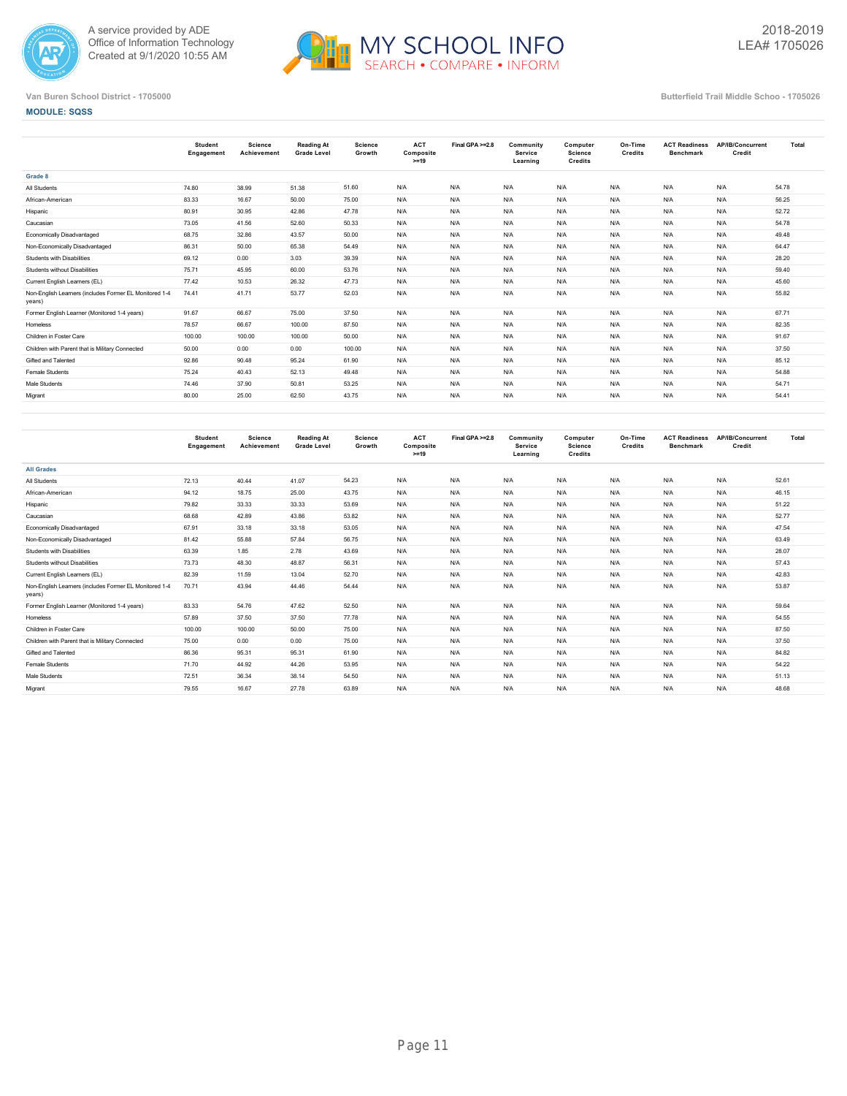



**MODULE: SQSS**

|                                                                  | Student<br>Engagement | Science<br>Achievement | <b>Reading At</b><br><b>Grade Level</b> | <b>Science</b><br>Growth | <b>ACT</b><br>Composite<br>$>=19$ | Final GPA >=2.8 | Community<br>Service<br>Learning | Computer<br>Science<br><b>Credits</b> | On-Time<br>Credits | <b>ACT Readiness</b><br><b>Benchmark</b> | AP/IB/Concurrent<br>Credit | Total |
|------------------------------------------------------------------|-----------------------|------------------------|-----------------------------------------|--------------------------|-----------------------------------|-----------------|----------------------------------|---------------------------------------|--------------------|------------------------------------------|----------------------------|-------|
| Grade 8                                                          |                       |                        |                                         |                          |                                   |                 |                                  |                                       |                    |                                          |                            |       |
| All Students                                                     | 74.80                 | 38.99                  | 51.38                                   | 51.60                    | N/A                               | N/A             | N/A                              | N/A                                   | N/A                | N/A                                      | N/A                        | 54.78 |
| African-American                                                 | 83.33                 | 16.67                  | 50.00                                   | 75.00                    | N/A                               | N/A             | N/A                              | N/A                                   | N/A                | N/A                                      | N/A                        | 56.25 |
| Hispanic                                                         | 80.91                 | 30.95                  | 42.86                                   | 47.78                    | N/A                               | N/A             | N/A                              | N/A                                   | N/A                | N/A                                      | N/A                        | 52.72 |
| Caucasian                                                        | 73.05                 | 41.56                  | 52.60                                   | 50.33                    | N/A                               | N/A             | N/A                              | N/A                                   | N/A                | N/A                                      | N/A                        | 54.78 |
| Economically Disadvantaged                                       | 68.75                 | 32.86                  | 43.57                                   | 50.00                    | N/A                               | N/A             | N/A                              | N/A                                   | N/A                | N/A                                      | N/A                        | 49.48 |
| Non-Economically Disadvantaged                                   | 86.31                 | 50.00                  | 65.38                                   | 54.49                    | N/A                               | N/A             | N/A                              | N/A                                   | N/A                | N/A                                      | N/A                        | 64.47 |
| Students with Disabilities                                       | 69.12                 | 0.00                   | 3.03                                    | 39.39                    | N/A                               | N/A             | N/A                              | N/A                                   | N/A                | N/A                                      | N/A                        | 28.20 |
| Students without Disabilities                                    | 75.71                 | 45.95                  | 60.00                                   | 53.76                    | N/A                               | N/A             | N/A                              | N/A                                   | N/A                | N/A                                      | N/A                        | 59.40 |
| Current English Learners (EL)                                    | 77.42                 | 10.53                  | 26.32                                   | 47.73                    | N/A                               | N/A             | N/A                              | N/A                                   | N/A                | N/A                                      | N/A                        | 45.60 |
| Non-English Learners (includes Former EL Monitored 1-4<br>years) | 74.41                 | 41.71                  | 53.77                                   | 52.03                    | N/A                               | N/A             | N/A                              | N/A                                   | N/A                | N/A                                      | N/A                        | 55.82 |
| Former English Learner (Monitored 1-4 years)                     | 91.67                 | 66.67                  | 75.00                                   | 37.50                    | N/A                               | N/A             | N/A                              | N/A                                   | N/A                | N/A                                      | N/A                        | 67.71 |
| Homeless                                                         | 78.57                 | 66.67                  | 100.00                                  | 87.50                    | N/A                               | N/A             | N/A                              | N/A                                   | N/A                | N/A                                      | N/A                        | 82.35 |
| Children in Foster Care                                          | 100.00                | 100.00                 | 100.00                                  | 50.00                    | N/A                               | N/A             | N/A                              | N/A                                   | N/A                | N/A                                      | N/A                        | 91.67 |
| Children with Parent that is Military Connected                  | 50.00                 | 0.00                   | 0.00                                    | 100.00                   | N/A                               | N/A             | N/A                              | N/A                                   | N/A                | N/A                                      | N/A                        | 37.50 |
| Gifted and Talented                                              | 92.86                 | 90.48                  | 95.24                                   | 61.90                    | N/A                               | N/A             | N/A                              | N/A                                   | N/A                | N/A                                      | N/A                        | 85.12 |
| Female Students                                                  | 75.24                 | 40.43                  | 52.13                                   | 49.48                    | N/A                               | N/A             | N/A                              | N/A                                   | N/A                | N/A                                      | N/A                        | 54.88 |
| Male Students                                                    | 74.46                 | 37.90                  | 50.81                                   | 53.25                    | N/A                               | N/A             | N/A                              | N/A                                   | N/A                | N/A                                      | N/A                        | 54.71 |
| Migrant                                                          | 80.00                 | 25.00                  | 62.50                                   | 43.75                    | N/A                               | N/A             | N/A                              | N/A                                   | N/A                | N/A                                      | N/A                        | 54.41 |
|                                                                  |                       |                        |                                         |                          |                                   |                 |                                  |                                       |                    |                                          |                            |       |

|                                                                  | <b>Student</b><br>Engagement | Science<br>Achievement | <b>Reading At</b><br><b>Grade Level</b> | <b>Science</b><br>Growth | <b>ACT</b><br>Composite<br>$>=19$ | Final GPA >=2.8 | Community<br>Service<br>Learning | Computer<br>Science<br>Credits | On-Time<br>Credits | <b>ACT Readiness</b><br><b>Benchmark</b> | AP/IB/Concurrent<br>Credit | Total |
|------------------------------------------------------------------|------------------------------|------------------------|-----------------------------------------|--------------------------|-----------------------------------|-----------------|----------------------------------|--------------------------------|--------------------|------------------------------------------|----------------------------|-------|
| <b>All Grades</b>                                                |                              |                        |                                         |                          |                                   |                 |                                  |                                |                    |                                          |                            |       |
| All Students                                                     | 72.13                        | 40.44                  | 41.07                                   | 54.23                    | N/A                               | N/A             | N/A                              | N/A                            | N/A                | N/A                                      | N/A                        | 52.61 |
| African-American                                                 | 94.12                        | 18.75                  | 25.00                                   | 43.75                    | N/A                               | N/A             | N/A                              | N/A                            | N/A                | N/A                                      | N/A                        | 46.15 |
| Hispanic                                                         | 79.82                        | 33.33                  | 33.33                                   | 53.69                    | N/A                               | N/A             | N/A                              | N/A                            | N/A                | N/A                                      | N/A                        | 51.22 |
| Caucasian                                                        | 68.68                        | 42.89                  | 43.86                                   | 53.82                    | N/A                               | N/A             | N/A                              | N/A                            | N/A                | N/A                                      | N/A                        | 52.77 |
| Economically Disadvantaged                                       | 67.91                        | 33.18                  | 33.18                                   | 53.05                    | N/A                               | N/A             | N/A                              | N/A                            | N/A                | N/A                                      | N/A                        | 47.54 |
| Non-Economically Disadvantaged                                   | 81.42                        | 55.88                  | 57.84                                   | 56.75                    | N/A                               | N/A             | N/A                              | N/A                            | N/A                | N/A                                      | N/A                        | 63.49 |
| Students with Disabilities                                       | 63.39                        | 1.85                   | 2.78                                    | 43.69                    | N/A                               | N/A             | N/A                              | N/A                            | N/A                | N/A                                      | N/A                        | 28.07 |
| Students without Disabilities                                    | 73.73                        | 48.30                  | 48.87                                   | 56.31                    | N/A                               | N/A             | N/A                              | N/A                            | N/A                | N/A                                      | N/A                        | 57.43 |
| Current English Learners (EL)                                    | 82.39                        | 11.59                  | 13.04                                   | 52.70                    | N/A                               | N/A             | N/A                              | N/A                            | N/A                | N/A                                      | N/A                        | 42.83 |
| Non-English Learners (includes Former EL Monitored 1-4<br>years) | 70.71                        | 43.94                  | 44.46                                   | 54.44                    | N/A                               | N/A             | N/A                              | N/A                            | N/A                | N/A                                      | N/A                        | 53.87 |
| Former English Learner (Monitored 1-4 years)                     | 83.33                        | 54.76                  | 47.62                                   | 52.50                    | N/A                               | N/A             | N/A                              | N/A                            | N/A                | N/A                                      | N/A                        | 59.64 |
| Homeless                                                         | 57.89                        | 37.50                  | 37.50                                   | 77.78                    | N/A                               | N/A             | N/A                              | N/A                            | N/A                | N/A                                      | N/A                        | 54.55 |
| Children in Foster Care                                          | 100.00                       | 100.00                 | 50.00                                   | 75.00                    | N/A                               | N/A             | N/A                              | N/A                            | N/A                | N/A                                      | N/A                        | 87.50 |
| Children with Parent that is Military Connected                  | 75.00                        | 0.00                   | 0.00                                    | 75.00                    | N/A                               | N/A             | N/A                              | N/A                            | N/A                | N/A                                      | N/A                        | 37.50 |
| Gifted and Talented                                              | 86.36                        | 95.31                  | 95.31                                   | 61.90                    | N/A                               | N/A             | N/A                              | N/A                            | N/A                | N/A                                      | N/A                        | 84.82 |
| Female Students                                                  | 71.70                        | 44.92                  | 44.26                                   | 53.95                    | N/A                               | N/A             | N/A                              | N/A                            | N/A                | N/A                                      | N/A                        | 54.22 |
| Male Students                                                    | 72.51                        | 36.34                  | 38.14                                   | 54.50                    | N/A                               | N/A             | N/A                              | N/A                            | N/A                | N/A                                      | N/A                        | 51.13 |
| Migrant                                                          | 79.55                        | 16.67                  | 27.78                                   | 63.89                    | N/A                               | N/A             | N/A                              | N/A                            | N/A                | N/A                                      | N/A                        | 48.68 |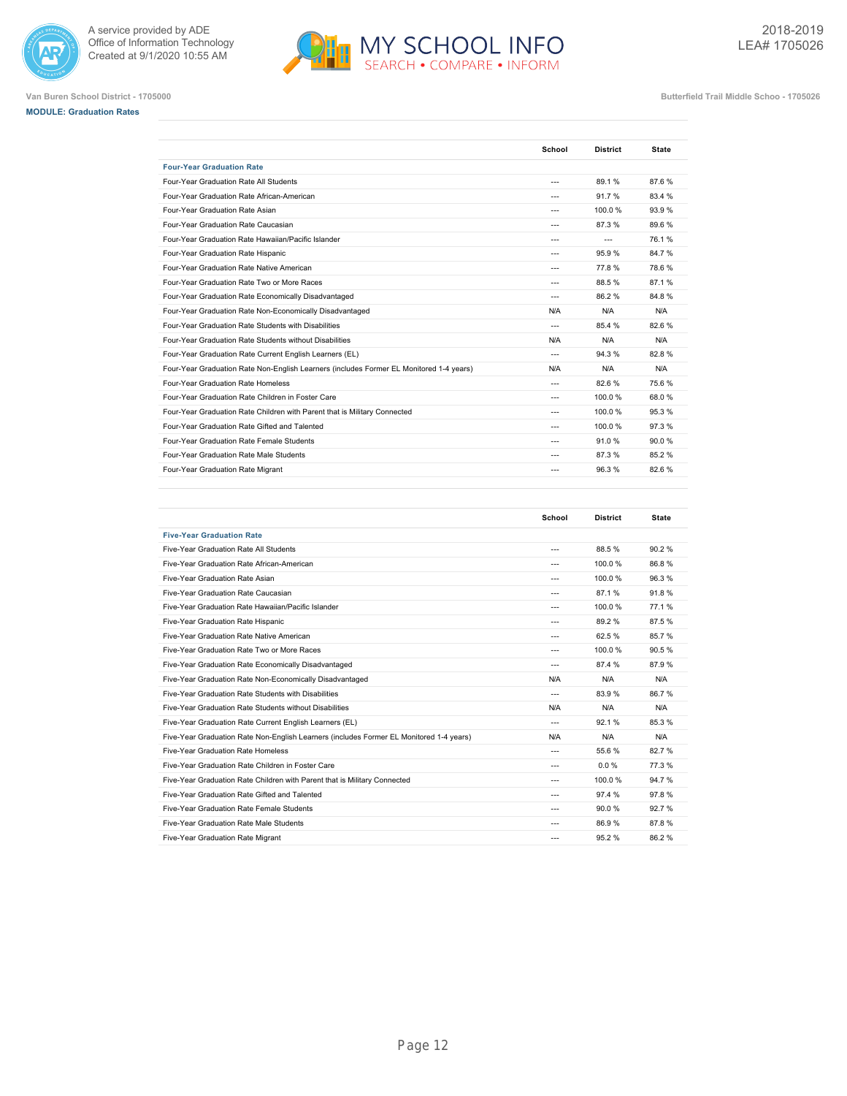







|                                                                                         | School         | <b>District</b> | <b>State</b> |
|-----------------------------------------------------------------------------------------|----------------|-----------------|--------------|
| <b>Four-Year Graduation Rate</b>                                                        |                |                 |              |
| Four-Year Graduation Rate All Students                                                  | $---$          | 89.1%           | 87.6%        |
| Four-Year Graduation Rate African-American                                              | $---$          | 91.7%           | 83.4 %       |
| Four-Year Graduation Rate Asian                                                         | $- - -$        | 100.0%          | 93.9%        |
| Four-Year Graduation Rate Caucasian                                                     | $\overline{a}$ | 87.3%           | 89.6%        |
| Four-Year Graduation Rate Hawaiian/Pacific Islander                                     | $\overline{a}$ | $---$           | 76.1%        |
| Four-Year Graduation Rate Hispanic                                                      | $- - -$        | 95.9%           | 84.7%        |
| Four-Year Graduation Rate Native American                                               | $---$          | 77.8%           | 78.6%        |
| Four-Year Graduation Rate Two or More Races                                             | $---$          | 88.5%           | 87.1%        |
| Four-Year Graduation Rate Economically Disadvantaged                                    | ---            | 86.2%           | 84.8%        |
| Four-Year Graduation Rate Non-Economically Disadvantaged                                | N/A            | N/A             | N/A          |
| Four-Year Graduation Rate Students with Disabilities                                    | $\overline{a}$ | 85.4 %          | 82.6%        |
| Four-Year Graduation Rate Students without Disabilities                                 | N/A            | N/A             | N/A          |
| Four-Year Graduation Rate Current English Learners (EL)                                 | $---$          | 94.3%           | 82.8%        |
| Four-Year Graduation Rate Non-English Learners (includes Former EL Monitored 1-4 years) | N/A            | N/A             | N/A          |
| Four-Year Graduation Rate Homeless                                                      | $---$          | 82.6%           | 75.6%        |
| Four-Year Graduation Rate Children in Foster Care                                       | $---$          | 100.0%          | 68.0%        |
| Four-Year Graduation Rate Children with Parent that is Military Connected               | $---$          | 100.0%          | 95.3%        |
| Four-Year Graduation Rate Gifted and Talented                                           | $---$          | 100.0%          | 97.3%        |
| Four-Year Graduation Rate Female Students                                               | $---$          | 91.0%           | 90.0%        |
| Four-Year Graduation Rate Male Students                                                 | $---$          | 87.3%           | 85.2%        |
| Four-Year Graduation Rate Migrant                                                       | $---$          | 96.3%           | 82.6%        |

|                                                                                         | School         | <b>District</b> | <b>State</b> |
|-----------------------------------------------------------------------------------------|----------------|-----------------|--------------|
| <b>Five-Year Graduation Rate</b>                                                        |                |                 |              |
| Five-Year Graduation Rate All Students                                                  | ---            | 88.5%           | 90.2%        |
| Five-Year Graduation Rate African-American                                              | ---            | 100.0%          | 86.8%        |
| Five-Year Graduation Rate Asian                                                         |                | 100.0%          | 96.3%        |
| Five-Year Graduation Rate Caucasian                                                     | ---            | 87.1%           | 91.8%        |
| Five-Year Graduation Rate Hawaiian/Pacific Islander                                     | $---$          | 100.0%          | 77.1%        |
| Five-Year Graduation Rate Hispanic                                                      | ---            | 89.2%           | 87.5%        |
| Five-Year Graduation Rate Native American                                               | ---            | 62.5%           | 85.7%        |
| Five-Year Graduation Rate Two or More Races                                             | ---            | 100.0%          | 90.5%        |
| Five-Year Graduation Rate Economically Disadvantaged                                    | $---$          | 87.4 %          | 87.9%        |
| Five-Year Graduation Rate Non-Economically Disadvantaged                                | N/A            | N/A             | N/A          |
| Five-Year Graduation Rate Students with Disabilities                                    | $---$          | 83.9%           | 86.7%        |
| Five-Year Graduation Rate Students without Disabilities                                 | N/A            | N/A             | N/A          |
| Five-Year Graduation Rate Current English Learners (EL)                                 | $\overline{a}$ | 92.1%           | 85.3%        |
| Five-Year Graduation Rate Non-English Learners (includes Former EL Monitored 1-4 years) | N/A            | N/A             | N/A          |
| Five-Year Graduation Rate Homeless                                                      | $- - -$        | 55.6%           | 82.7%        |
| Five-Year Graduation Rate Children in Foster Care                                       | $---$          | 0.0%            | 77.3%        |
| Five-Year Graduation Rate Children with Parent that is Military Connected               | $---$          | 100.0%          | 94.7%        |
| Five-Year Graduation Rate Gifted and Talented                                           | ---            | 97.4 %          | 97.8%        |
| Five-Year Graduation Rate Female Students                                               | $- - -$        | 90.0%           | 92.7%        |
| Five-Year Graduation Rate Male Students                                                 | $- - -$        | 86.9%           | 87.8%        |
| Five-Year Graduation Rate Migrant                                                       | $- - -$        | 95.2%           | 86.2%        |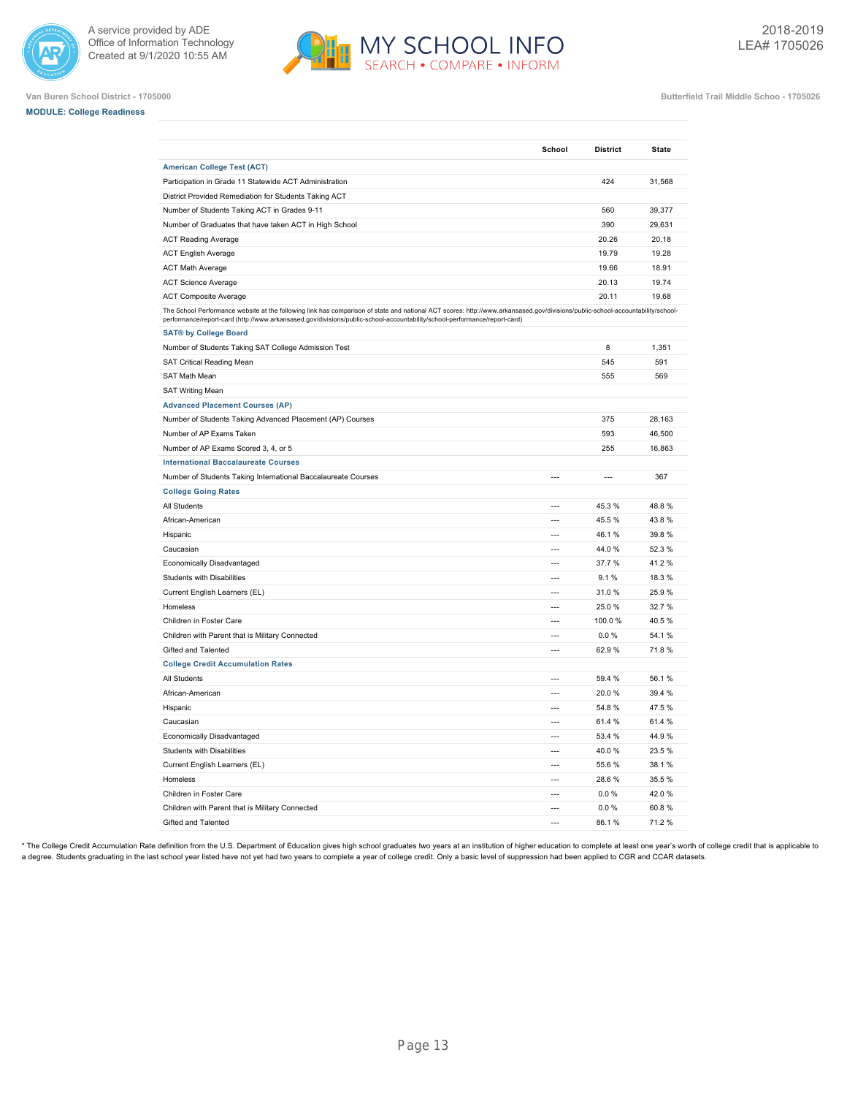



| <b>MODULE: College Readiness</b> |  |
|----------------------------------|--|
|----------------------------------|--|

|                                                                                                                                                                                                                                                                                                             | School         | <b>District</b> | <b>State</b> |
|-------------------------------------------------------------------------------------------------------------------------------------------------------------------------------------------------------------------------------------------------------------------------------------------------------------|----------------|-----------------|--------------|
| <b>American College Test (ACT)</b>                                                                                                                                                                                                                                                                          |                |                 |              |
| Participation in Grade 11 Statewide ACT Administration                                                                                                                                                                                                                                                      |                | 424             | 31,568       |
| District Provided Remediation for Students Taking ACT                                                                                                                                                                                                                                                       |                |                 |              |
| Number of Students Taking ACT in Grades 9-11                                                                                                                                                                                                                                                                |                | 560             | 39,377       |
| Number of Graduates that have taken ACT in High School                                                                                                                                                                                                                                                      |                | 390             | 29,631       |
| <b>ACT Reading Average</b>                                                                                                                                                                                                                                                                                  |                | 20.26           | 20.18        |
| <b>ACT English Average</b>                                                                                                                                                                                                                                                                                  |                | 19.79           | 19.28        |
| <b>ACT Math Average</b>                                                                                                                                                                                                                                                                                     |                | 19.66           | 18.91        |
| <b>ACT Science Average</b>                                                                                                                                                                                                                                                                                  |                | 20.13           | 19.74        |
| <b>ACT Composite Average</b>                                                                                                                                                                                                                                                                                |                | 20.11           | 19.68        |
| The School Performance website at the following link has comparison of state and national ACT scores: http://www.arkansased.gov/divisions/public-school-accountability/school-<br>performance/report-card (http://www.arkansased.gov/divisions/public-school-accountability/school-performance/report-card) |                |                 |              |
| <b>SAT® by College Board</b>                                                                                                                                                                                                                                                                                |                |                 |              |
| Number of Students Taking SAT College Admission Test                                                                                                                                                                                                                                                        |                | 8               | 1,351        |
| SAT Critical Reading Mean                                                                                                                                                                                                                                                                                   |                | 545             | 591          |
| SAT Math Mean                                                                                                                                                                                                                                                                                               |                | 555             | 569          |
| <b>SAT Writing Mean</b>                                                                                                                                                                                                                                                                                     |                |                 |              |
| <b>Advanced Placement Courses (AP)</b>                                                                                                                                                                                                                                                                      |                |                 |              |
| Number of Students Taking Advanced Placement (AP) Courses                                                                                                                                                                                                                                                   |                | 375             | 28,163       |
| Number of AP Exams Taken                                                                                                                                                                                                                                                                                    |                | 593             | 46,500       |
| Number of AP Exams Scored 3, 4, or 5                                                                                                                                                                                                                                                                        |                | 255             | 16,863       |
| <b>International Baccalaureate Courses</b>                                                                                                                                                                                                                                                                  |                |                 |              |
| Number of Students Taking International Baccalaureate Courses                                                                                                                                                                                                                                               | $\overline{a}$ | $\overline{a}$  | 367          |
| <b>College Going Rates</b>                                                                                                                                                                                                                                                                                  |                |                 |              |
| All Students                                                                                                                                                                                                                                                                                                | ---            | 45.3%           | 48.8%        |
| African-American                                                                                                                                                                                                                                                                                            | $\overline{a}$ | 45.5 %          | 43.8%        |
| Hispanic                                                                                                                                                                                                                                                                                                    | ---            | 46.1%           | 39.8%        |
| Caucasian                                                                                                                                                                                                                                                                                                   | ---            | 44.0%           | 52.3%        |
| Economically Disadvantaged                                                                                                                                                                                                                                                                                  | $---$          | 37.7%           | 41.2%        |
| Students with Disabilities                                                                                                                                                                                                                                                                                  | $\overline{a}$ | 9.1%            | 18.3%        |
| Current English Learners (EL)                                                                                                                                                                                                                                                                               |                | 31.0%           | 25.9%        |
| Homeless                                                                                                                                                                                                                                                                                                    | $\overline{a}$ | 25.0%           | 32.7%        |
| Children in Foster Care                                                                                                                                                                                                                                                                                     | $\overline{a}$ | 100.0%          | 40.5%        |
| Children with Parent that is Military Connected                                                                                                                                                                                                                                                             | ---            | 0.0%            | 54.1%        |
| Gifted and Talented                                                                                                                                                                                                                                                                                         | $\overline{a}$ | 62.9%           | 71.8%        |
| <b>College Credit Accumulation Rates</b>                                                                                                                                                                                                                                                                    |                |                 |              |
| All Students                                                                                                                                                                                                                                                                                                | $\overline{a}$ | 59.4 %          | 56.1%        |
| African-American                                                                                                                                                                                                                                                                                            |                | 20.0%           | 39.4 %       |
| Hispanic                                                                                                                                                                                                                                                                                                    | $\overline{a}$ | 54.8%           | 47.5%        |
| Caucasian                                                                                                                                                                                                                                                                                                   | $\overline{a}$ | 61.4%           | 61.4%        |
| Economically Disadvantaged                                                                                                                                                                                                                                                                                  | ---            | 53.4 %          | 44.9%        |
| <b>Students with Disabilities</b>                                                                                                                                                                                                                                                                           | $---$          | 40.0%           | 23.5%        |
| Current English Learners (EL)                                                                                                                                                                                                                                                                               | $\overline{a}$ | 55.6 %          | 38.1%        |
| Homeless                                                                                                                                                                                                                                                                                                    | $\overline{a}$ | 28.6%           | 35.5%        |
| Children in Foster Care                                                                                                                                                                                                                                                                                     |                | 0.0%            | 42.0%        |
| Children with Parent that is Military Connected                                                                                                                                                                                                                                                             | $\overline{a}$ | 0.0 %           | 60.8%        |
| Gifted and Talented                                                                                                                                                                                                                                                                                         | $\sim$         | 86.1%           | 71.2%        |

\* The College Credit Accumulation Rate definition from the U.S. Department of Education gives high school graduates two years at an institution of higher education to complete at least one year's worth of college credit th a degree. Students graduating in the last school year listed have not yet had two years to complete a year of college credit. Only a basic level of suppression had been applied to CGR and CCAR datasets.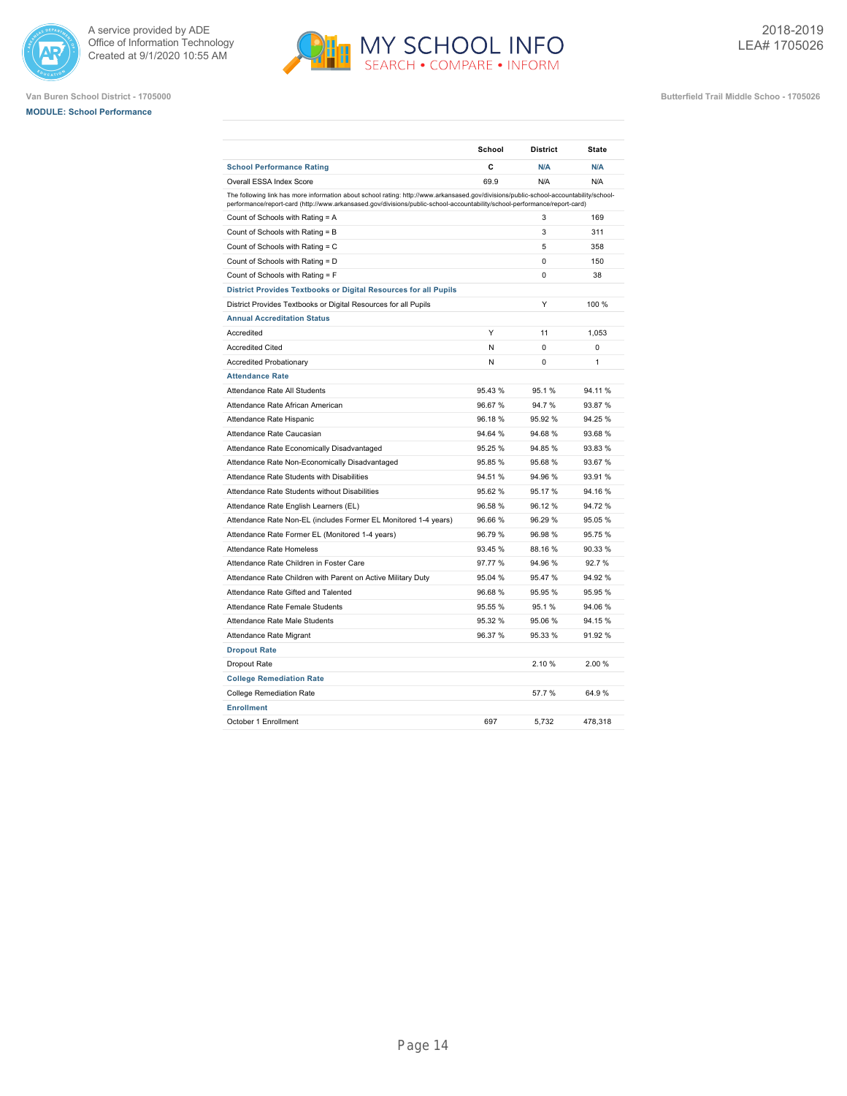





|                                                                                                                                                                                                                                                                    | School  | <b>District</b> | <b>State</b> |
|--------------------------------------------------------------------------------------------------------------------------------------------------------------------------------------------------------------------------------------------------------------------|---------|-----------------|--------------|
| <b>School Performance Rating</b>                                                                                                                                                                                                                                   | C       | N/A             | N/A          |
| Overall ESSA Index Score                                                                                                                                                                                                                                           | 69.9    | N/A             | N/A          |
| The following link has more information about school rating: http://www.arkansased.gov/divisions/public-school-accountability/school-<br>performance/report-card (http://www.arkansased.gov/divisions/public-school-accountability/school-performance/report-card) |         |                 |              |
| Count of Schools with Rating = A                                                                                                                                                                                                                                   |         | 3               | 169          |
| Count of Schools with Rating = B                                                                                                                                                                                                                                   |         | 3               | 311          |
| Count of Schools with Rating = C                                                                                                                                                                                                                                   |         | 5               | 358          |
| Count of Schools with Rating = D                                                                                                                                                                                                                                   |         | 0               | 150          |
| Count of Schools with Rating = F                                                                                                                                                                                                                                   |         | 0               | 38           |
| District Provides Textbooks or Digital Resources for all Pupils                                                                                                                                                                                                    |         |                 |              |
| District Provides Textbooks or Digital Resources for all Pupils                                                                                                                                                                                                    |         | Υ               | 100 %        |
| <b>Annual Accreditation Status</b>                                                                                                                                                                                                                                 |         |                 |              |
| Accredited                                                                                                                                                                                                                                                         | Y       | 11              | 1.053        |
| <b>Accredited Cited</b>                                                                                                                                                                                                                                            | N       | $\Omega$        | 0            |
| <b>Accredited Probationary</b>                                                                                                                                                                                                                                     | N       | 0               | 1            |
| <b>Attendance Rate</b>                                                                                                                                                                                                                                             |         |                 |              |
| Attendance Rate All Students                                                                                                                                                                                                                                       | 95.43 % | 95.1%           | 94.11%       |
| Attendance Rate African American                                                                                                                                                                                                                                   | 96.67%  | 94.7%           | 93.87%       |
| Attendance Rate Hispanic                                                                                                                                                                                                                                           | 96.18%  | 95.92%          | 94.25 %      |
| Attendance Rate Caucasian                                                                                                                                                                                                                                          | 94.64 % | 94.68%          | 93.68 %      |
| Attendance Rate Economically Disadvantaged                                                                                                                                                                                                                         | 95.25 % | 94.85%          | 93.83 %      |
| Attendance Rate Non-Economically Disadvantaged                                                                                                                                                                                                                     | 95.85 % | 95.68%          | 93.67%       |
| Attendance Rate Students with Disabilities                                                                                                                                                                                                                         | 94.51%  | 94.96%          | 93.91 %      |
| Attendance Rate Students without Disabilities                                                                                                                                                                                                                      | 95.62 % | 95.17 %         | 94.16 %      |
| Attendance Rate English Learners (EL)                                                                                                                                                                                                                              | 96.58 % | 96.12%          | 94.72 %      |
| Attendance Rate Non-EL (includes Former EL Monitored 1-4 years)                                                                                                                                                                                                    | 96.66%  | 96.29%          | 95.05 %      |
| Attendance Rate Former EL (Monitored 1-4 years)                                                                                                                                                                                                                    | 96.79%  | 96.98%          | 95.75 %      |
| Attendance Rate Homeless                                                                                                                                                                                                                                           | 93.45 % | 88.16%          | 90.33 %      |
| Attendance Rate Children in Foster Care                                                                                                                                                                                                                            | 97.77 % | 94.96%          | 92.7%        |
| Attendance Rate Children with Parent on Active Military Duty                                                                                                                                                                                                       | 95.04 % | 95.47%          | 94.92%       |
| Attendance Rate Gifted and Talented                                                                                                                                                                                                                                | 96.68%  | 95.95%          | 95.95 %      |
| Attendance Rate Female Students                                                                                                                                                                                                                                    | 95.55 % | 95.1%           | 94.06%       |
| Attendance Rate Male Students                                                                                                                                                                                                                                      | 95.32 % | 95.06 %         | 94.15%       |
| Attendance Rate Migrant                                                                                                                                                                                                                                            | 96.37 % | 95.33 %         | 91.92 %      |
| <b>Dropout Rate</b>                                                                                                                                                                                                                                                |         |                 |              |
| Dropout Rate                                                                                                                                                                                                                                                       |         | 2.10%           | 2.00%        |
| <b>College Remediation Rate</b>                                                                                                                                                                                                                                    |         |                 |              |
| <b>College Remediation Rate</b>                                                                                                                                                                                                                                    |         | 57.7 %          | 64.9%        |
| <b>Enrollment</b>                                                                                                                                                                                                                                                  |         |                 |              |
| October 1 Enrollment                                                                                                                                                                                                                                               | 697     | 5.732           | 478.318      |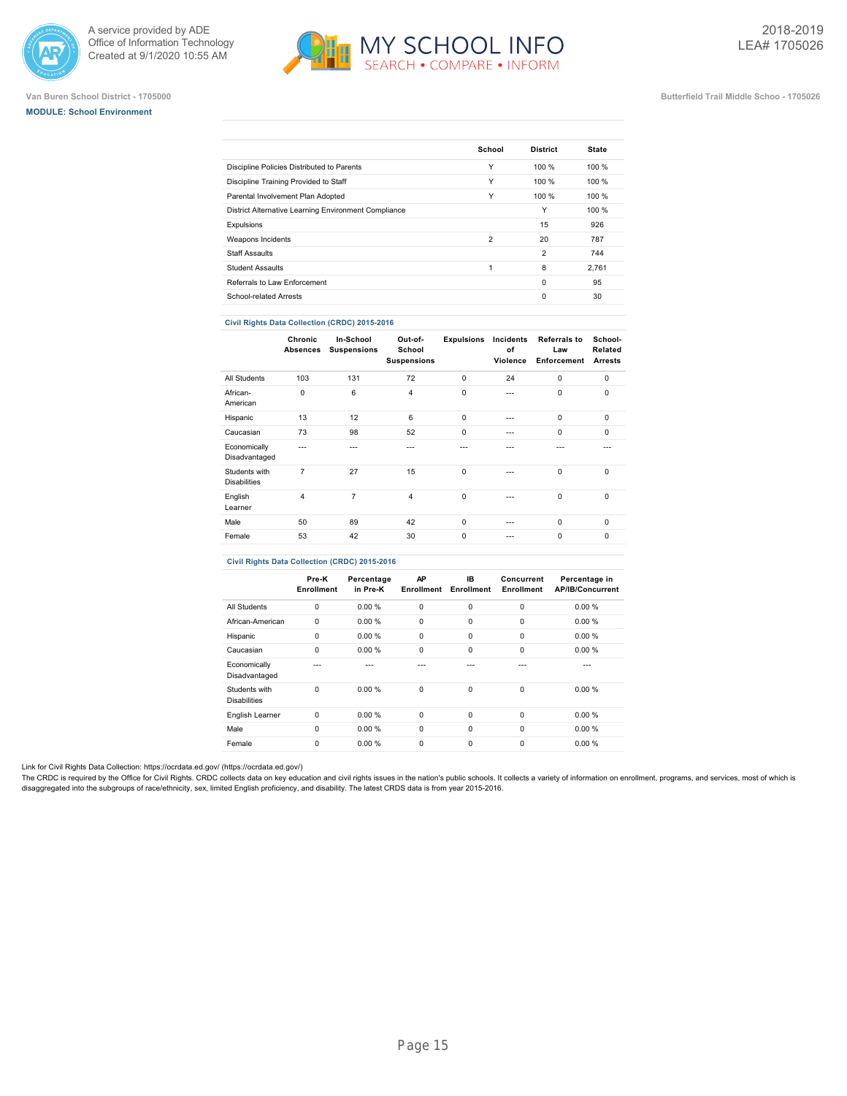





### **Van Buren School District - 1705000 Butterfield Trail Middle Schoo - 1705026**

|                                                      | School         | <b>District</b> | <b>State</b> |
|------------------------------------------------------|----------------|-----------------|--------------|
| Discipline Policies Distributed to Parents           | Υ              | 100 %           | 100 %        |
| Discipline Training Provided to Staff                | Υ              | 100%            | 100%         |
| Parental Involvement Plan Adopted                    | Υ              | 100 %           | 100%         |
| District Alternative Learning Environment Compliance |                | Y               | 100 %        |
| Expulsions                                           |                | 15              | 926          |
| Weapons Incidents                                    | $\overline{2}$ | 20              | 787          |
| <b>Staff Assaults</b>                                |                | $\overline{2}$  | 744          |
| <b>Student Assaults</b>                              | 1              | 8               | 2.761        |
| Referrals to Law Enforcement                         |                | $\Omega$        | 95           |
| School-related Arrests                               |                | $\Omega$        | 30           |
|                                                      |                |                 |              |

## **Civil Rights Data Collection (CRDC) 2015-2016**

|                                      | Chronic<br><b>Absences</b> | In-School<br><b>Suspensions</b> | Out-of-<br>School<br><b>Suspensions</b> | <b>Expulsions</b> | Incidents<br>оf<br>Violence | <b>Referrals to</b><br>Law<br>Enforcement | School-<br>Related<br><b>Arrests</b> |
|--------------------------------------|----------------------------|---------------------------------|-----------------------------------------|-------------------|-----------------------------|-------------------------------------------|--------------------------------------|
| All Students                         | 103                        | 131                             | 72                                      | 0                 | 24                          | $\mathbf 0$                               | $\mathbf 0$                          |
| African-<br>American                 | $\mathbf 0$                | 6                               | $\overline{4}$                          | 0                 | $\overline{a}$              | $\mathbf 0$                               | $\mathbf 0$                          |
| Hispanic                             | 13                         | 12                              | 6                                       | $\mathbf 0$       | $\overline{a}$              | $\mathbf 0$                               | $\mathbf 0$                          |
| Caucasian                            | 73                         | 98                              | 52                                      | 0                 | ---                         | $\Omega$                                  | $\mathbf 0$                          |
| Economically<br>Disadvantaged        |                            | ---                             | ---                                     | ---               |                             |                                           |                                      |
| Students with<br><b>Disabilities</b> | $\overline{7}$             | 27                              | 15                                      | 0                 |                             | $\mathbf 0$                               | $\mathbf 0$                          |
| English<br>Learner                   | $\overline{4}$             | 7                               | $\overline{4}$                          | 0                 | $\overline{a}$              | $\mathbf 0$                               | $\mathbf 0$                          |
| Male                                 | 50                         | 89                              | 42                                      | 0                 | ---                         | $\mathbf 0$                               | $\mathbf 0$                          |
| Female                               | 53                         | 42                              | 30                                      | 0                 |                             | $\mathbf 0$                               | $\mathbf 0$                          |
|                                      |                            |                                 |                                         |                   |                             |                                           |                                      |

## **Civil Rights Data Collection (CRDC) 2015-2016**

|                                      | Pre-K<br>Enrollment | Percentage<br>in Pre-K | AP<br><b>Enrollment</b> | IB.<br>Enrollment | Concurrent<br>Enrollment | Percentage in<br><b>AP/IB/Concurrent</b> |
|--------------------------------------|---------------------|------------------------|-------------------------|-------------------|--------------------------|------------------------------------------|
| All Students                         | 0                   | 0.00%                  | 0                       | 0                 | $\mathbf 0$              | 0.00%                                    |
| African-American                     | 0                   | 0.00%                  | $\mathbf 0$             | 0                 | $\mathbf 0$              | 0.00%                                    |
| Hispanic                             | 0                   | 0.00%                  | 0                       | 0                 | 0                        | 0.00%                                    |
| Caucasian                            | 0                   | 0.00%                  | 0                       | $\Omega$          | $\Omega$                 | 0.00%                                    |
| Economically<br>Disadvantaged        |                     |                        |                         |                   |                          |                                          |
| Students with<br><b>Disabilities</b> | $\Omega$            | 0.00%                  | 0                       | 0                 | $\Omega$                 | 0.00%                                    |
| English Learner                      | $\Omega$            | 0.00%                  | $\mathbf 0$             | $\Omega$          | $\Omega$                 | 0.00%                                    |
| Male                                 | $\Omega$            | 0.00%                  | $\mathbf 0$             | $\mathbf 0$       | $\Omega$                 | 0.00%                                    |
| Female                               | $\Omega$            | 0.00%                  | 0                       | 0                 | $\Omega$                 | 0.00%                                    |

Link for Civil Rights Data Collection: [https://ocrdata.ed.gov/ \(https://ocrdata.ed.gov/\)](https://ocrdata.ed.gov/)

The CRDC is required by the Office for Civil Rights. CRDC collects data on key education and civil rights issues in the nation's public schools. It collects a variety of information on enrollment, programs, and services, m disaggregated into the subgroups of race/ethnicity, sex, limited English proficiency, and disability. The latest CRDS data is from year 2015-2016.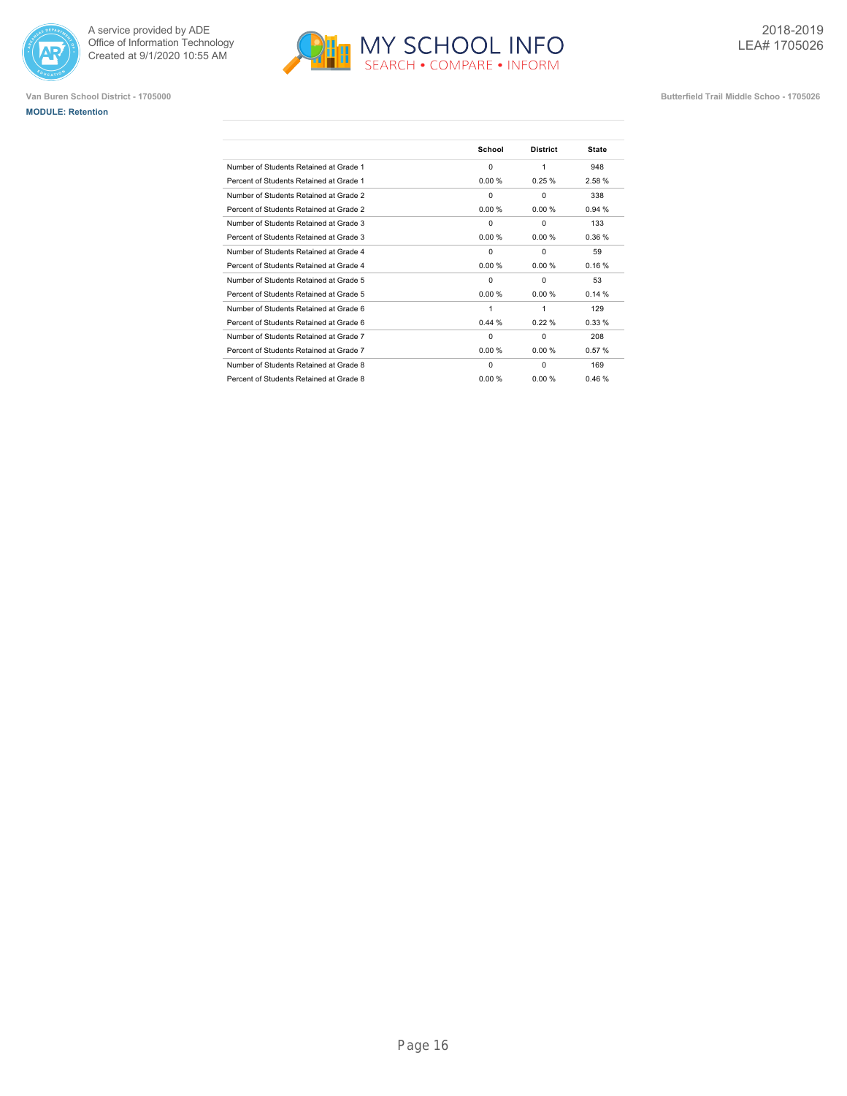





|                                         | School   | <b>District</b> | <b>State</b> |
|-----------------------------------------|----------|-----------------|--------------|
| Number of Students Retained at Grade 1  | $\Omega$ | 1               | 948          |
| Percent of Students Retained at Grade 1 | 0.00%    | 0.25%           | 2.58%        |
| Number of Students Retained at Grade 2  | $\Omega$ | $\Omega$        | 338          |
| Percent of Students Retained at Grade 2 | 0.00%    | 0.00%           | 0.94%        |
| Number of Students Retained at Grade 3  | $\Omega$ | $\Omega$        | 133          |
| Percent of Students Retained at Grade 3 | 0.00%    | 0.00%           | 0.36%        |
| Number of Students Retained at Grade 4  | 0        | $\Omega$        | 59           |
| Percent of Students Retained at Grade 4 | 0.00%    | 0.00%           | 0.16%        |
| Number of Students Retained at Grade 5  | 0        | $\Omega$        | 53           |
| Percent of Students Retained at Grade 5 | 0.00%    | 0.00%           | 0.14%        |
| Number of Students Retained at Grade 6  | 1        | 1               | 129          |
| Percent of Students Retained at Grade 6 | 0.44%    | 0.22%           | 0.33%        |
| Number of Students Retained at Grade 7  | $\Omega$ | $\Omega$        | 208          |
| Percent of Students Retained at Grade 7 | 0.00%    | 0.00%           | 0.57%        |
| Number of Students Retained at Grade 8  | $\Omega$ | $\Omega$        | 169          |
| Percent of Students Retained at Grade 8 | 0.00 %   | 0.00 %          | 0.46%        |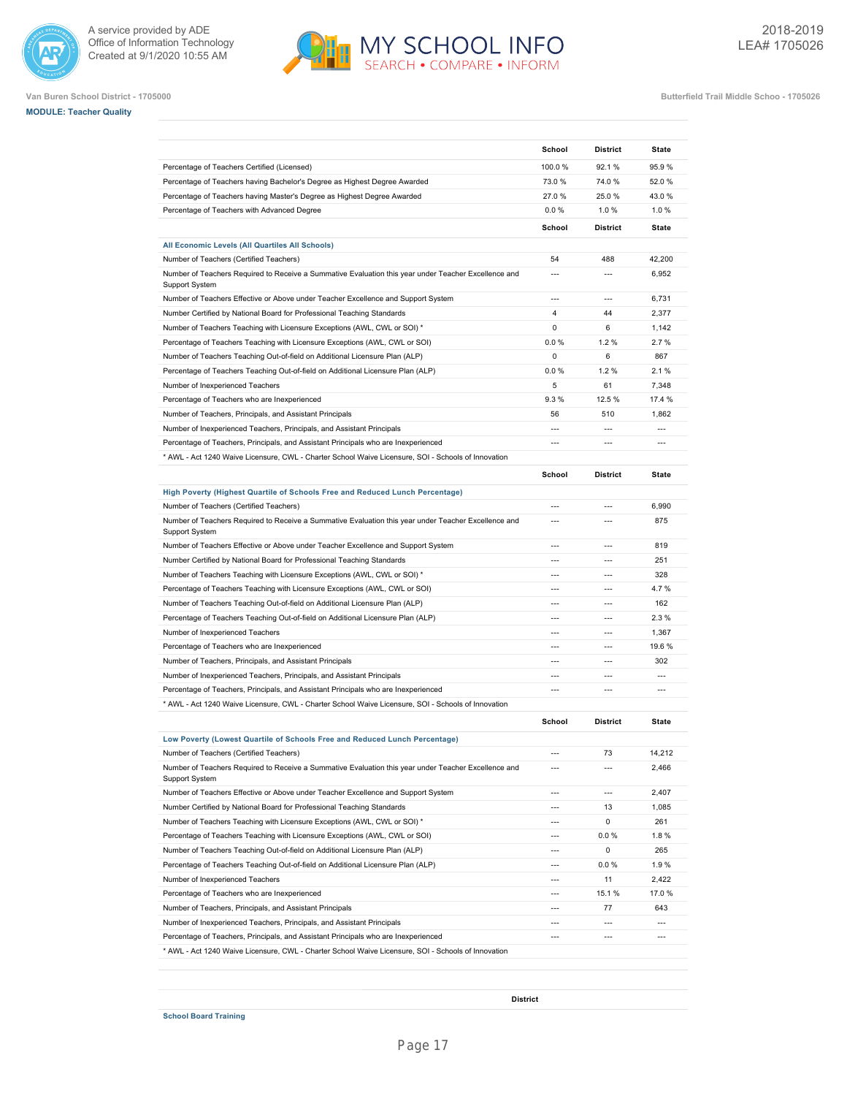







|                                                                                                                                                              | School                   | <b>District</b>                            | State                                      |
|--------------------------------------------------------------------------------------------------------------------------------------------------------------|--------------------------|--------------------------------------------|--------------------------------------------|
| Percentage of Teachers Certified (Licensed)                                                                                                                  | 100.0%                   | 92.1 %                                     | 95.9%                                      |
| Percentage of Teachers having Bachelor's Degree as Highest Degree Awarded                                                                                    | 73.0%                    | 74.0%                                      | 52.0%                                      |
| Percentage of Teachers having Master's Degree as Highest Degree Awarded                                                                                      | 27.0%                    | 25.0%                                      | 43.0%                                      |
| Percentage of Teachers with Advanced Degree                                                                                                                  | 0.0%                     | 1.0%                                       | 1.0%                                       |
|                                                                                                                                                              | School                   | <b>District</b>                            | State                                      |
| All Economic Levels (All Quartiles All Schools)                                                                                                              |                          |                                            |                                            |
| Number of Teachers (Certified Teachers)                                                                                                                      | 54                       | 488                                        | 42,200                                     |
| Number of Teachers Required to Receive a Summative Evaluation this year under Teacher Excellence and<br><b>Support System</b>                                | $\overline{a}$           | $\overline{a}$                             | 6,952                                      |
| Number of Teachers Effective or Above under Teacher Excellence and Support System                                                                            |                          | $\overline{a}$                             | 6,731                                      |
| Number Certified by National Board for Professional Teaching Standards                                                                                       | $\overline{4}$           | 44                                         | 2,377                                      |
| Number of Teachers Teaching with Licensure Exceptions (AWL, CWL or SOI) *                                                                                    | 0                        | 6                                          | 1,142                                      |
| Percentage of Teachers Teaching with Licensure Exceptions (AWL, CWL or SOI)                                                                                  | 0.0%                     | 1.2%                                       | 2.7%                                       |
| Number of Teachers Teaching Out-of-field on Additional Licensure Plan (ALP)                                                                                  | 0                        | 6                                          | 867                                        |
| Percentage of Teachers Teaching Out-of-field on Additional Licensure Plan (ALP)                                                                              | 0.0%                     | 1.2%                                       | 2.1%                                       |
| Number of Inexperienced Teachers                                                                                                                             | 5                        | 61                                         | 7,348                                      |
| Percentage of Teachers who are Inexperienced                                                                                                                 | 9.3%                     | 12.5 %                                     | 17.4 %                                     |
| Number of Teachers, Principals, and Assistant Principals                                                                                                     | 56                       | 510                                        | 1,862                                      |
| Number of Inexperienced Teachers, Principals, and Assistant Principals                                                                                       | $\overline{a}$           | $---$                                      | $---$                                      |
| Percentage of Teachers, Principals, and Assistant Principals who are Inexperienced                                                                           | $\overline{a}$           | $---$                                      | $\overline{a}$                             |
| * AWL - Act 1240 Waive Licensure, CWL - Charter School Waive Licensure, SOI - Schools of Innovation                                                          |                          |                                            |                                            |
|                                                                                                                                                              | School                   | <b>District</b>                            | State                                      |
| High Poverty (Highest Quartile of Schools Free and Reduced Lunch Percentage)                                                                                 |                          |                                            |                                            |
| Number of Teachers (Certified Teachers)                                                                                                                      | $\overline{a}$           | $\overline{a}$                             | 6,990                                      |
| Number of Teachers Required to Receive a Summative Evaluation this year under Teacher Excellence and<br>Support System                                       | $\overline{a}$           | $\overline{\phantom{a}}$                   | 875                                        |
| Number of Teachers Effective or Above under Teacher Excellence and Support System                                                                            | ---                      | $\overline{a}$                             | 819                                        |
| Number Certified by National Board for Professional Teaching Standards                                                                                       |                          | $\overline{a}$                             | 251                                        |
| Number of Teachers Teaching with Licensure Exceptions (AWL, CWL or SOI) *                                                                                    | $\overline{a}$           | $\overline{\phantom{a}}$                   | 328                                        |
| Percentage of Teachers Teaching with Licensure Exceptions (AWL, CWL or SOI)                                                                                  |                          | $\overline{a}$                             | 4.7%                                       |
| Number of Teachers Teaching Out-of-field on Additional Licensure Plan (ALP)                                                                                  | ---                      | $\overline{a}$                             | 162                                        |
| Percentage of Teachers Teaching Out-of-field on Additional Licensure Plan (ALP)                                                                              |                          | $\overline{a}$                             | 2.3%                                       |
| Number of Inexperienced Teachers                                                                                                                             | $\overline{\phantom{a}}$ | $\overline{a}$                             | 1,367                                      |
| Percentage of Teachers who are Inexperienced                                                                                                                 | $\overline{a}$           | $\overline{a}$                             | 19.6%                                      |
| Number of Teachers, Principals, and Assistant Principals                                                                                                     | ---                      | $---$                                      | 302                                        |
| Number of Inexperienced Teachers, Principals, and Assistant Principals                                                                                       | $\overline{a}$           | $---$                                      | $\overline{a}$                             |
| Percentage of Teachers, Principals, and Assistant Principals who are Inexperienced                                                                           | $\overline{a}$           | $\overline{a}$                             | $\overline{a}$                             |
| MWL - Act 1240 Waive Licensure, CWL - Charter School Waive Licensure, SOI - Schools of Innovation *                                                          |                          |                                            |                                            |
|                                                                                                                                                              | School                   | <b>District</b>                            | State                                      |
| Low Poverty (Lowest Quartile of Schools Free and Reduced Lunch Percentage)                                                                                   |                          |                                            |                                            |
| Number of Teachers (Certified Teachers)                                                                                                                      | ---                      | 73<br>$\overline{\phantom{a}}$             | 14,212                                     |
| Number of Teachers Required to Receive a Summative Evaluation this year under Teacher Excellence and<br>Support System                                       |                          |                                            | 2,466                                      |
| Number of Teachers Effective or Above under Teacher Excellence and Support System                                                                            | $\overline{a}$           | $\overline{\phantom{a}}$                   | 2,407                                      |
| Number Certified by National Board for Professional Teaching Standards                                                                                       | $\overline{a}$           | 13                                         | 1,085                                      |
| Number of Teachers Teaching with Licensure Exceptions (AWL, CWL or SOI) *                                                                                    | $\overline{a}$           | 0                                          | 261                                        |
| Percentage of Teachers Teaching with Licensure Exceptions (AWL, CWL or SOI)                                                                                  | ---                      | 0.0%                                       | 1.8%                                       |
| Number of Teachers Teaching Out-of-field on Additional Licensure Plan (ALP)                                                                                  |                          | 0                                          | 265                                        |
| Percentage of Teachers Teaching Out-of-field on Additional Licensure Plan (ALP)                                                                              | ---                      | 0.0%                                       | 1.9%                                       |
| Number of Inexperienced Teachers                                                                                                                             | ---                      | 11                                         | 2,422                                      |
| Percentage of Teachers who are Inexperienced                                                                                                                 | ---                      | 15.1 %                                     | 17.0%                                      |
|                                                                                                                                                              | ---                      | 77                                         | 643                                        |
| Number of Teachers, Principals, and Assistant Principals                                                                                                     |                          |                                            |                                            |
| Number of Inexperienced Teachers, Principals, and Assistant Principals<br>Percentage of Teachers, Principals, and Assistant Principals who are Inexperienced | ---<br>$\overline{a}$    | $\overline{\phantom{a}}$<br>$\overline{a}$ | $\overline{\phantom{a}}$<br>$\overline{a}$ |

**District**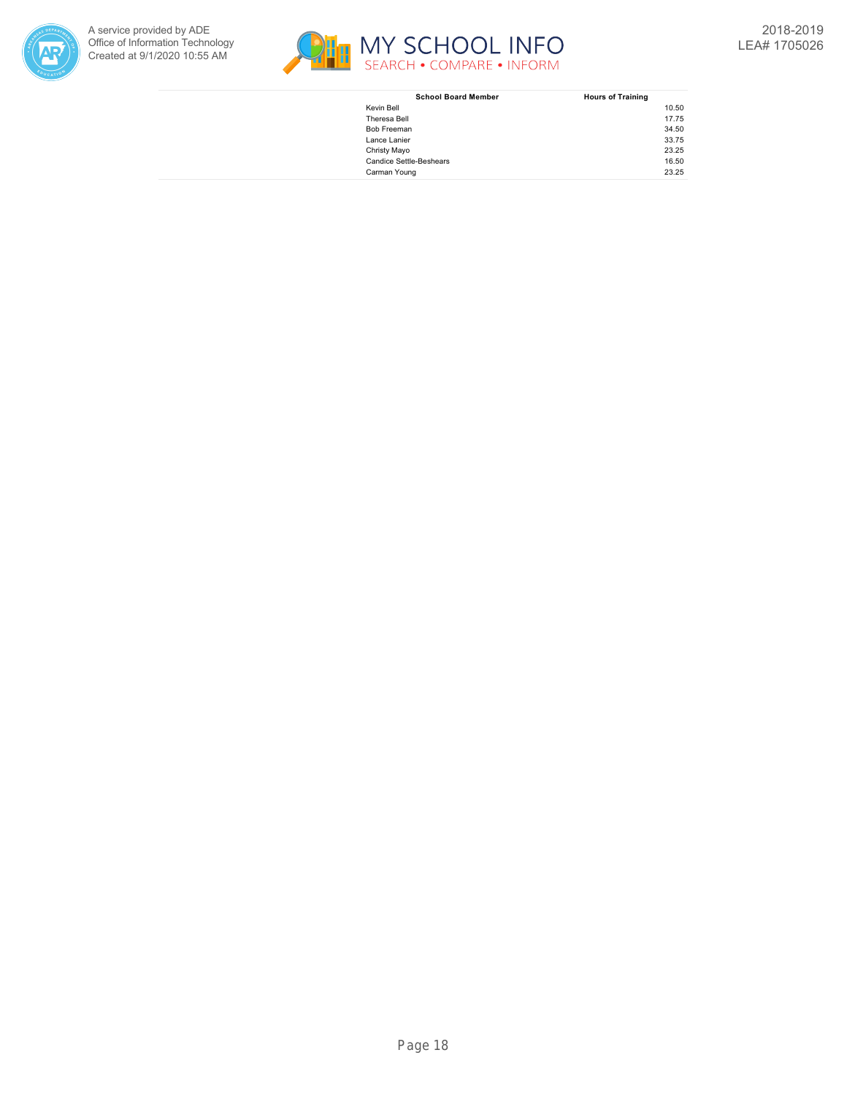



| <b>School Board Member</b>     | <b>Hours of Training</b> |
|--------------------------------|--------------------------|
| Kevin Bell                     | 10.50                    |
| Theresa Bell                   | 17.75                    |
| Bob Freeman                    | 34.50                    |
| Lance Lanier                   | 33.75                    |
| Christy Mayo                   | 23.25                    |
| <b>Candice Settle-Beshears</b> | 16.50                    |
| Carman Young                   | 23.25                    |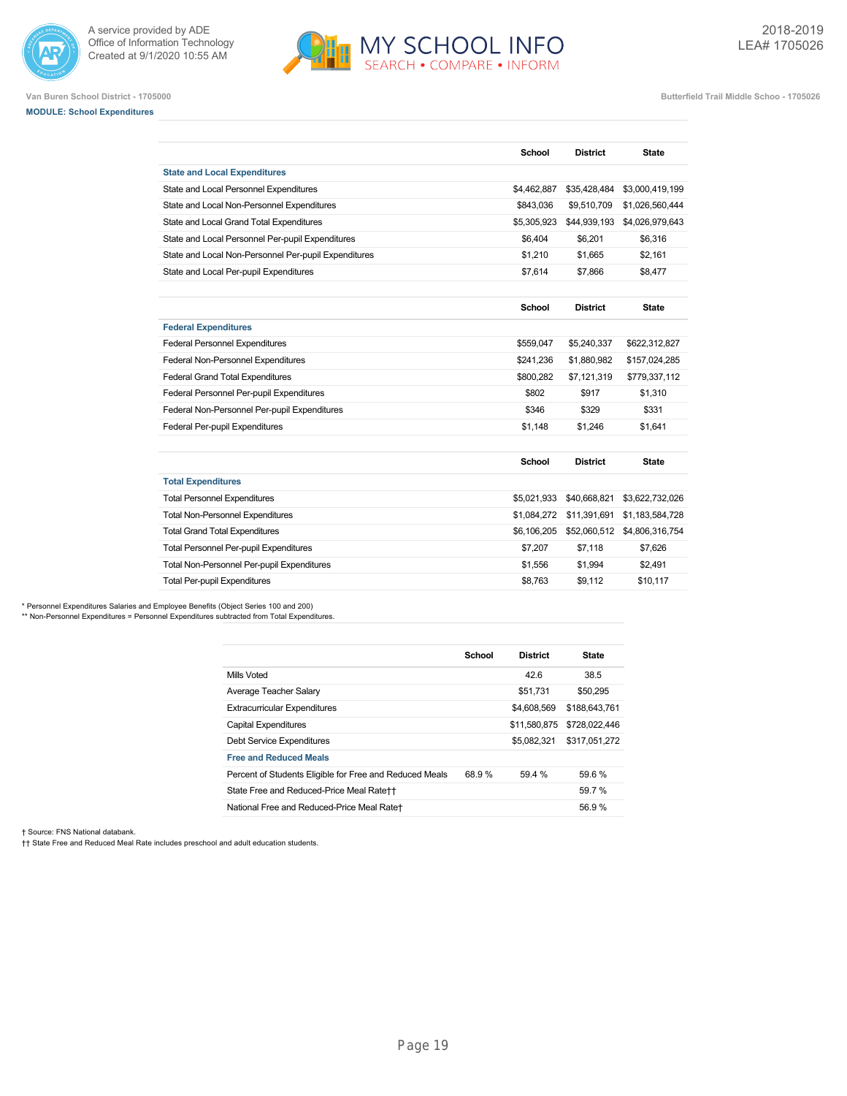



## **MODULE: School Expenditures**

|                                                      | School        | <b>District</b> | <b>State</b>    |
|------------------------------------------------------|---------------|-----------------|-----------------|
| <b>State and Local Expenditures</b>                  |               |                 |                 |
| State and Local Personnel Expenditures               | \$4,462,887   | \$35,428,484    | \$3,000,419,199 |
| State and Local Non-Personnel Expenditures           | \$843,036     | \$9,510,709     | \$1,026,560,444 |
| State and Local Grand Total Expenditures             | \$5,305,923   | \$44,939,193    | \$4,026,979,643 |
| State and Local Personnel Per-pupil Expenditures     | \$6,404       | \$6.201         | \$6,316         |
| State and Local Non-Personnel Per-pupil Expenditures | \$1,210       | \$1.665         | \$2,161         |
| State and Local Per-pupil Expenditures               | \$7,614       | \$7,866         | \$8,477         |
|                                                      |               |                 |                 |
|                                                      | <b>School</b> | <b>District</b> | <b>State</b>    |
| <b>Federal Expenditures</b>                          |               |                 |                 |
| <b>Federal Personnel Expenditures</b>                | \$559,047     | \$5,240,337     | \$622,312,827   |
| Federal Non-Personnel Expenditures                   | \$241,236     | \$1,880,982     | \$157,024,285   |
| <b>Federal Grand Total Expenditures</b>              | \$800,282     | \$7,121,319     | \$779,337,112   |
| Federal Personnel Per-pupil Expenditures             | \$802         | \$917           | \$1.310         |
| Federal Non-Personnel Per-pupil Expenditures         | \$346         | \$329           | \$331           |
| <b>Federal Per-pupil Expenditures</b>                | \$1,148       | \$1.246         | \$1.641         |
|                                                      | <b>School</b> | <b>District</b> | <b>State</b>    |
| <b>Total Expenditures</b>                            |               |                 |                 |
| <b>Total Personnel Expenditures</b>                  | \$5,021,933   | \$40,668,821    | \$3,622,732,026 |
| <b>Total Non-Personnel Expenditures</b>              | \$1,084,272   | \$11,391,691    | \$1,183,584,728 |
| <b>Total Grand Total Expenditures</b>                | \$6,106,205   | \$52,060,512    | \$4,806,316,754 |
| <b>Total Personnel Per-pupil Expenditures</b>        | \$7,207       | \$7,118         | \$7,626         |
| <b>Total Non-Personnel Per-pupil Expenditures</b>    | \$1,556       | \$1,994         | \$2,491         |
| <b>Total Per-pupil Expenditures</b>                  | \$8.763       | \$9.112         | \$10.117        |

\* Personnel Expenditures Salaries and Employee Benefits (Object Series 100 and 200)

\*\* Non-Personnel Expenditures = Personnel Expenditures subtracted from Total Expenditures.

|                                                         | School | <b>District</b> | <b>State</b>  |
|---------------------------------------------------------|--------|-----------------|---------------|
| Mills Voted                                             |        | 42.6            | 38.5          |
| Average Teacher Salary                                  |        | \$51.731        | \$50,295      |
| <b>Extracurricular Expenditures</b>                     |        | \$4,608,569     | \$188,643,761 |
| <b>Capital Expenditures</b>                             |        | \$11,580,875    | \$728,022,446 |
| Debt Service Expenditures                               |        | \$5,082,321     | \$317.051.272 |
| <b>Free and Reduced Meals</b>                           |        |                 |               |
| Percent of Students Eligible for Free and Reduced Meals | 68.9%  | 59.4 %          | 59.6%         |
| State Free and Reduced-Price Meal Rate++                |        |                 | 59.7%         |
| National Free and Reduced-Price Meal Rate+              |        |                 | 56.9%         |

† Source: FNS National databank.

†† State Free and Reduced Meal Rate includes preschool and adult education students.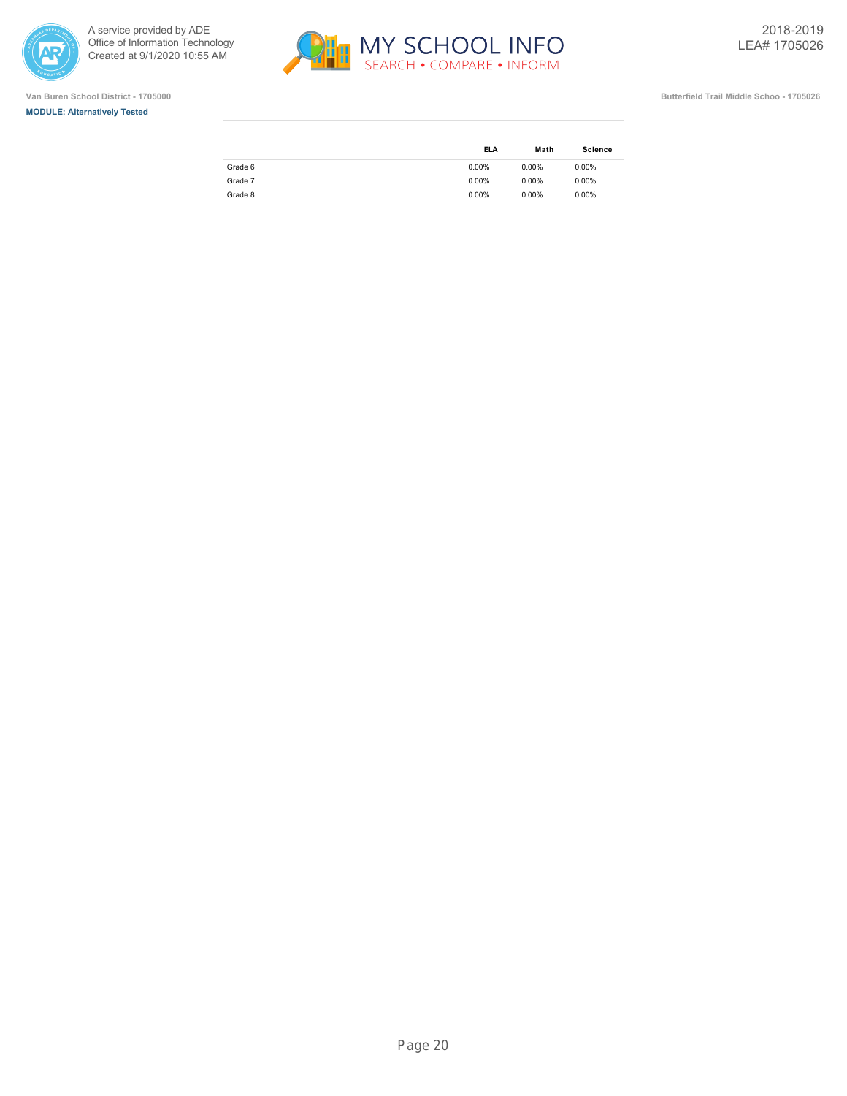







|         | <b>ELA</b> | Math     | <b>Science</b> |
|---------|------------|----------|----------------|
| Grade 6 | $0.00\%$   | $0.00\%$ | $0.00\%$       |
| Grade 7 | $0.00\%$   | $0.00\%$ | $0.00\%$       |
| Grade 8 | $0.00\%$   | $0.00\%$ | 0.00%          |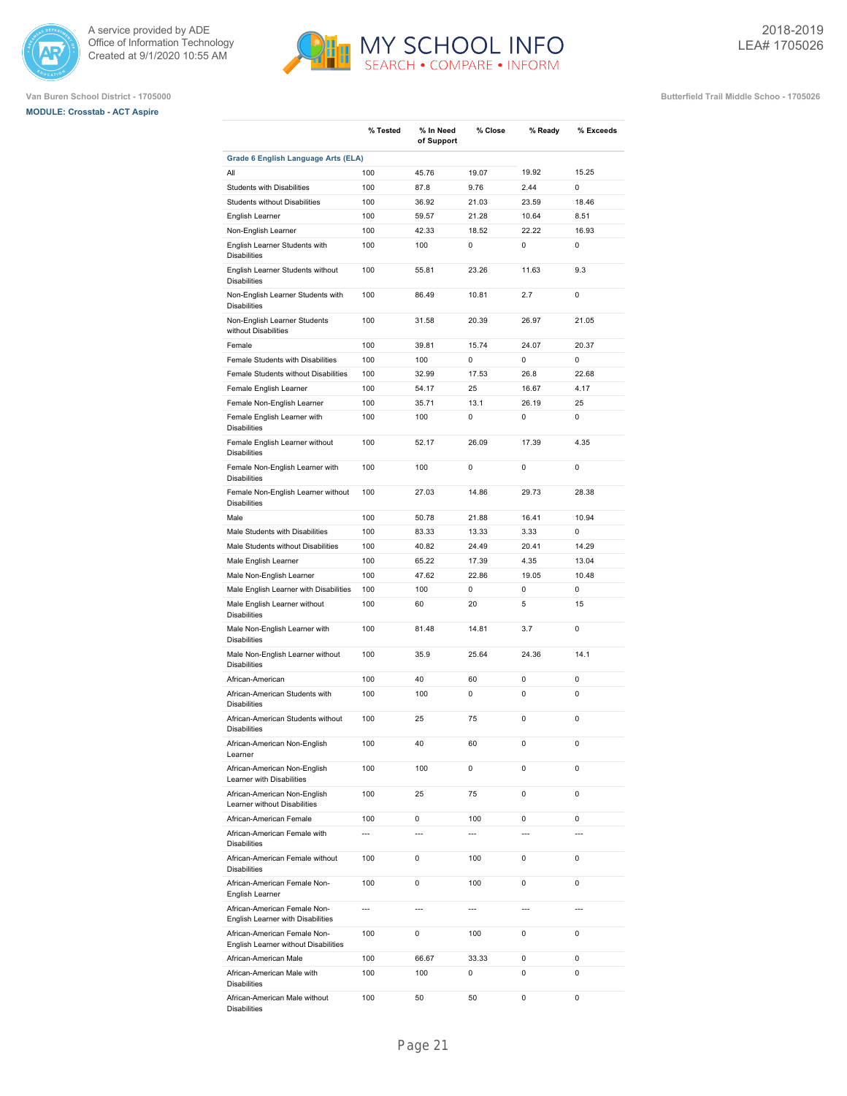

## **MODULE: Crosstab - ACT Aspire**



**Van Buren School District - 1705000 Butterfield Trail Middle Schoo - 1705026**

|                                                                      | % Tested                 | % In Need<br>of Support  | % Close        | % Ready        | % Exceeds      |
|----------------------------------------------------------------------|--------------------------|--------------------------|----------------|----------------|----------------|
| Grade 6 English Language Arts (ELA)                                  |                          |                          |                |                |                |
| All                                                                  | 100                      | 45.76                    | 19.07          | 19.92          | 15.25          |
| Students with Disabilities                                           | 100                      | 87.8                     | 9.76           | 2.44           | $\mathbf 0$    |
| Students without Disabilities                                        | 100                      | 36.92                    | 21.03          | 23.59          | 18.46          |
| English Learner                                                      | 100                      | 59.57                    | 21.28          | 10.64          | 8.51           |
| Non-English Learner<br>English Learner Students with                 | 100<br>100               | 42.33<br>100             | 18.52<br>0     | 22.22<br>0     | 16.93<br>0     |
| <b>Disabilities</b>                                                  |                          |                          |                |                |                |
| English Learner Students without<br><b>Disabilities</b>              | 100                      | 55.81                    | 23.26          | 11.63          | 9.3            |
| Non-English Learner Students with<br><b>Disabilities</b>             | 100                      | 86.49                    | 10.81          | 2.7            | 0              |
| Non-English Learner Students<br>without Disabilities                 | 100                      | 31.58                    | 20.39          | 26.97          | 21.05          |
| Female                                                               | 100                      | 39.81                    | 15.74          | 24.07          | 20.37          |
| Female Students with Disabilities                                    | 100                      | 100                      | 0              | 0              | 0              |
| Female Students without Disabilities                                 | 100                      | 32.99                    | 17.53          | 26.8           | 22.68          |
| Female English Learner                                               | 100                      | 54.17                    | 25             | 16.67          | 4.17           |
| Female Non-English Learner                                           | 100                      | 35.71                    | 13.1           | 26.19          | 25             |
| Female English Learner with<br><b>Disabilities</b>                   | 100                      | 100                      | 0              | 0              | 0              |
| Female English Learner without<br><b>Disabilities</b>                | 100                      | 52.17                    | 26.09          | 17.39          | 4.35           |
| Female Non-English Learner with<br><b>Disabilities</b>               | 100                      | 100                      | 0              | 0              | 0              |
| Female Non-English Learner without<br><b>Disabilities</b>            | 100                      | 27.03                    | 14.86          | 29.73          | 28.38          |
| Male                                                                 | 100                      | 50.78                    | 21.88          | 16.41          | 10.94          |
| Male Students with Disabilities                                      | 100                      | 83.33                    | 13.33          | 3.33           | 0              |
| Male Students without Disabilities                                   | 100                      | 40.82                    | 24.49          | 20.41          | 14.29          |
| Male English Learner                                                 | 100                      | 65.22                    | 17.39          | 4.35           | 13.04          |
| Male Non-English Learner                                             | 100                      | 47.62                    | 22.86          | 19.05          | 10.48          |
| Male English Learner with Disabilities                               | 100                      | 100                      | 0              | 0              | 0              |
| Male English Learner without<br><b>Disabilities</b>                  | 100                      | 60                       | 20             | 5              | 15             |
| Male Non-English Learner with<br><b>Disabilities</b>                 | 100                      | 81.48                    | 14.81          | 3.7            | $\mathbf 0$    |
| Male Non-English Learner without<br><b>Disabilities</b>              | 100                      | 35.9                     | 25.64          | 24.36          | 14.1           |
| African-American                                                     | 100                      | 40                       | 60             | 0              | $\mathbf 0$    |
| African-American Students with<br><b>Disabilities</b>                | 100                      | 100                      | 0              | 0              | 0              |
| African-American Students without<br><b>Disabilities</b>             | 100                      | 25                       | 75             | 0              | 0              |
| African-American Non-English<br>Learner                              | 100                      | 40                       | 60             | 0              | 0              |
| African-American Non-English<br>Learner with Disabilities            | 100                      | 100                      | 0              | 0              | 0              |
| African-American Non-English<br>Learner without Disabilities         | 100                      | 25                       | 75             | 0              | 0              |
| African-American Female                                              | 100                      | 0                        | 100            | 0              | 0              |
| African-American Female with<br><b>Disabilities</b>                  | $\overline{a}$           | ---                      | $\overline{a}$ | $\overline{a}$ | $\overline{a}$ |
| African-American Female without<br><b>Disabilities</b>               | 100                      | 0                        | 100            | 0              | 0              |
| African-American Female Non-<br>English Learner                      | 100                      | 0                        | 100            | 0              | 0              |
| African-American Female Non-<br>English Learner with Disabilities    | $\overline{\phantom{a}}$ | $\overline{\phantom{a}}$ | ---            | ---            | ---            |
| African-American Female Non-<br>English Learner without Disabilities | 100                      | 0                        | 100            | 0              | 0              |
| African-American Male                                                | 100                      | 66.67                    | 33.33          | $\mathbf 0$    | 0              |

African-American Male with

African-American Male without

Disabilities

Disabilities

100 100 0 0 0

100 50 50 0 0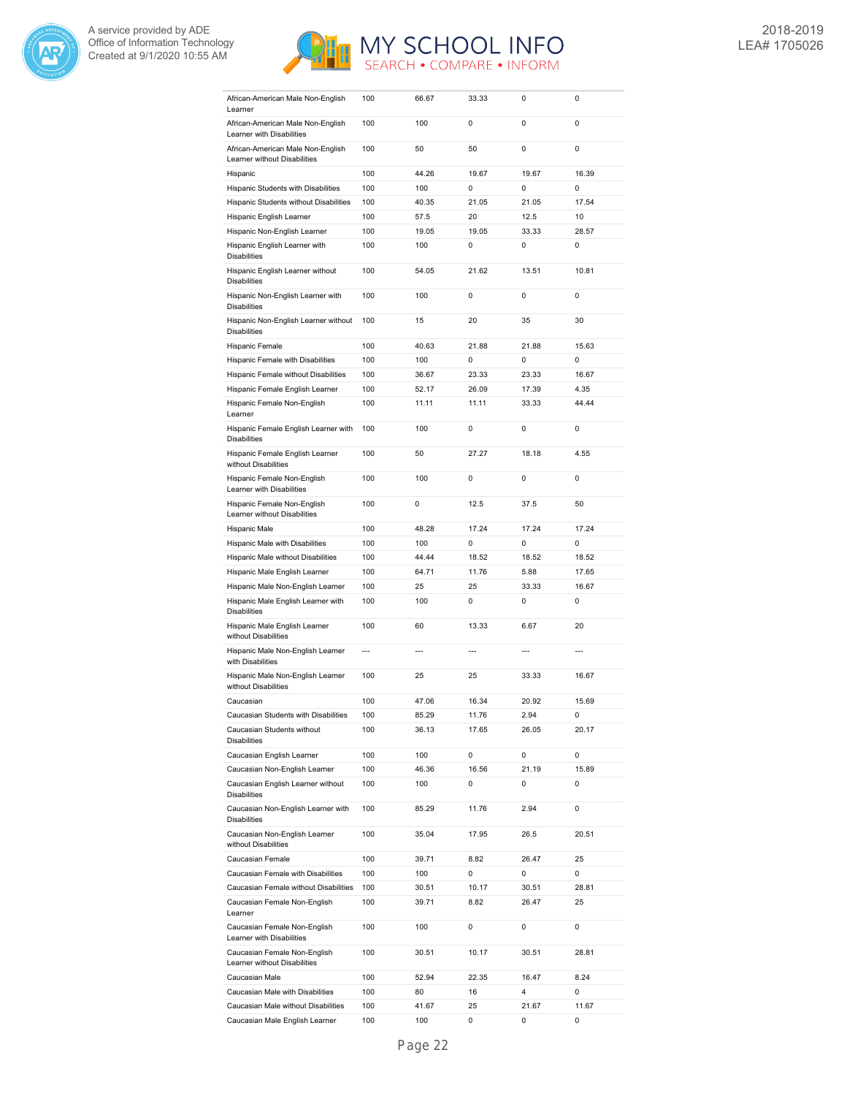



| African-American Male Non-English<br>Learner                          | 100        | 66.67          | 33.33          | 0                        | 0           |
|-----------------------------------------------------------------------|------------|----------------|----------------|--------------------------|-------------|
| African-American Male Non-English                                     | 100        | 100            | 0              | 0                        | 0           |
| Learner with Disabilities<br>African-American Male Non-English        | 100        | 50             | 50             | 0                        | 0           |
| Learner without Disabilities                                          |            |                |                |                          |             |
| Hispanic                                                              | 100        | 44.26          | 19.67          | 19.67                    | 16.39       |
| Hispanic Students with Disabilities                                   | 100        | 100            | 0              | 0                        | 0           |
| Hispanic Students without Disabilities                                | 100        | 40.35          | 21.05          | 21.05                    | 17.54       |
| Hispanic English Learner                                              | 100        | 57.5           | 20             | 12.5                     | 10          |
| Hispanic Non-English Learner                                          | 100        | 19.05          | 19.05          | 33.33                    | 28.57       |
| Hispanic English Learner with<br><b>Disabilities</b>                  | 100        | 100            | 0              | 0                        | 0           |
| Hispanic English Learner without<br><b>Disabilities</b>               | 100        | 54.05          | 21.62          | 13.51                    | 10.81       |
| Hispanic Non-English Learner with<br><b>Disabilities</b>              | 100        | 100            | 0              | 0                        | 0           |
| Hispanic Non-English Learner without<br><b>Disabilities</b>           | 100        | 15             | 20             | 35                       | 30          |
| Hispanic Female                                                       | 100        | 40.63          | 21.88          | 21.88                    | 15.63       |
| Hispanic Female with Disabilities                                     | 100        | 100            | 0              | 0                        | 0           |
| Hispanic Female without Disabilities                                  | 100        | 36.67          | 23.33          | 23.33                    | 16.67       |
| Hispanic Female English Learner                                       | 100        | 52.17          | 26.09          | 17.39                    | 4.35        |
| Hispanic Female Non-English                                           | 100        | 11.11          | 11.11          | 33.33                    | 44.44       |
| Learner                                                               |            |                |                |                          |             |
| Hispanic Female English Learner with<br><b>Disabilities</b>           | 100        | 100            | 0              | 0                        | 0           |
| Hispanic Female English Learner<br>without Disabilities               | 100        | 50             | 27.27          | 18.18                    | 4.55        |
| Hispanic Female Non-English<br>Learner with Disabilities              | 100        | 100            | 0              | 0                        | 0           |
| Hispanic Female Non-English<br>Learner without Disabilities           | 100        | 0              | 12.5           | 37.5                     | 50          |
| Hispanic Male                                                         | 100        | 48.28          | 17.24          | 17.24                    | 17.24       |
| Hispanic Male with Disabilities                                       | 100        | 100            | 0              | 0                        | 0           |
| Hispanic Male without Disabilities                                    | 100        | 44.44          | 18.52          | 18.52                    | 18.52       |
| Hispanic Male English Learner                                         | 100        | 64.71          | 11.76          | 5.88                     | 17.65       |
| Hispanic Male Non-English Learner                                     | 100        | 25             | 25             | 33.33                    | 16.67       |
| Hispanic Male English Learner with                                    |            | 100            | 0              | 0                        | 0           |
| <b>Disabilities</b>                                                   | 100        |                |                |                          |             |
| Hispanic Male English Learner<br>without Disabilities                 | 100        | 60             | 13.33          | 6.67                     | 20          |
| Hispanic Male Non-English Learner<br>with Disabilities                | ---        | $---$          | $\overline{a}$ | $\overline{\phantom{a}}$ | ---         |
| Hispanic Male Non-English Learner<br>without Disabilities             | 100        | 25             | 25             | 33.33                    | 16.67       |
| Caucasian                                                             | 100        | 47.06          | 16.34          | 20.92                    | 15.69       |
| Caucasian Students with Disabilities                                  | 100        | 85.29          | 11.76          | 2.94                     | 0           |
| Caucasian Students without<br><b>Disabilities</b>                     | 100        | 36.13          | 17.65          | 26.05                    | 20.17       |
| Caucasian English Learner                                             | 100        | 100            | 0              | 0                        | 0           |
|                                                                       |            |                |                |                          |             |
| Caucasian Non-English Learner<br>Caucasian English Learner without    | 100<br>100 | 46.36<br>100   | 16.56<br>0     | 21.19<br>0               | 15.89<br>0  |
| <b>Disabilities</b><br>Caucasian Non-English Learner with             | 100        | 85.29          | 11.76          | 2.94                     | 0           |
| <b>Disabilities</b><br>Caucasian Non-English Learner                  | 100        | 35.04          | 17.95          | 26.5                     | 20.51       |
| without Disabilities                                                  |            |                |                |                          |             |
| Caucasian Female                                                      | 100        | 39.71          | 8.82           | 26.47                    | 25          |
| Caucasian Female with Disabilities                                    | 100        | 100            | 0              | 0                        | 0           |
| Caucasian Female without Disabilities<br>Caucasian Female Non-English | 100<br>100 | 30.51<br>39.71 | 10.17<br>8.82  | 30.51<br>26.47           | 28.81<br>25 |
| Learner<br>Caucasian Female Non-English                               | 100        | 100            | 0              | 0                        | 0           |
| Learner with Disabilities                                             |            |                |                |                          |             |
| Caucasian Female Non-English<br>Learner without Disabilities          | 100        | 30.51          | 10.17          | 30.51                    | 28.81       |
| Caucasian Male                                                        | 100        | 52.94          | 22.35          | 16.47                    | 8.24        |
| Caucasian Male with Disabilities                                      | 100        | 80             | 16             | 4                        | 0           |
| Caucasian Male without Disabilities<br>Caucasian Male English Learner | 100<br>100 | 41.67<br>100   | 25<br>0        | 21.67<br>0               | 11.67<br>0  |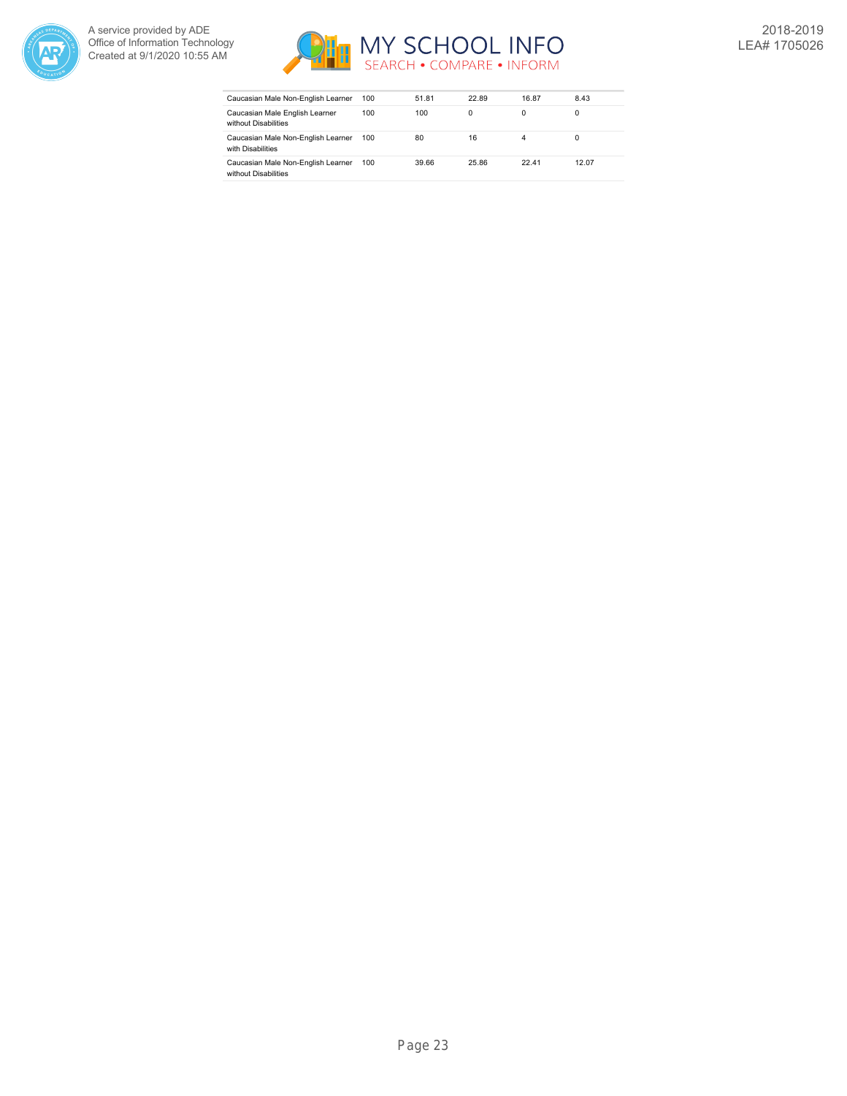



| Caucasian Male Non-English Learner                         | 100 | 51.81 | 22.89    | 16.87 | 8.43  |
|------------------------------------------------------------|-----|-------|----------|-------|-------|
| Caucasian Male English Learner<br>without Disabilities     | 100 | 100   | $\Omega$ | 0     |       |
| Caucasian Male Non-English Learner<br>with Disabilities    | 100 | 80    | 16       |       |       |
| Caucasian Male Non-English Learner<br>without Disabilities | 100 | 39.66 | 25.86    | 22.41 | 12.07 |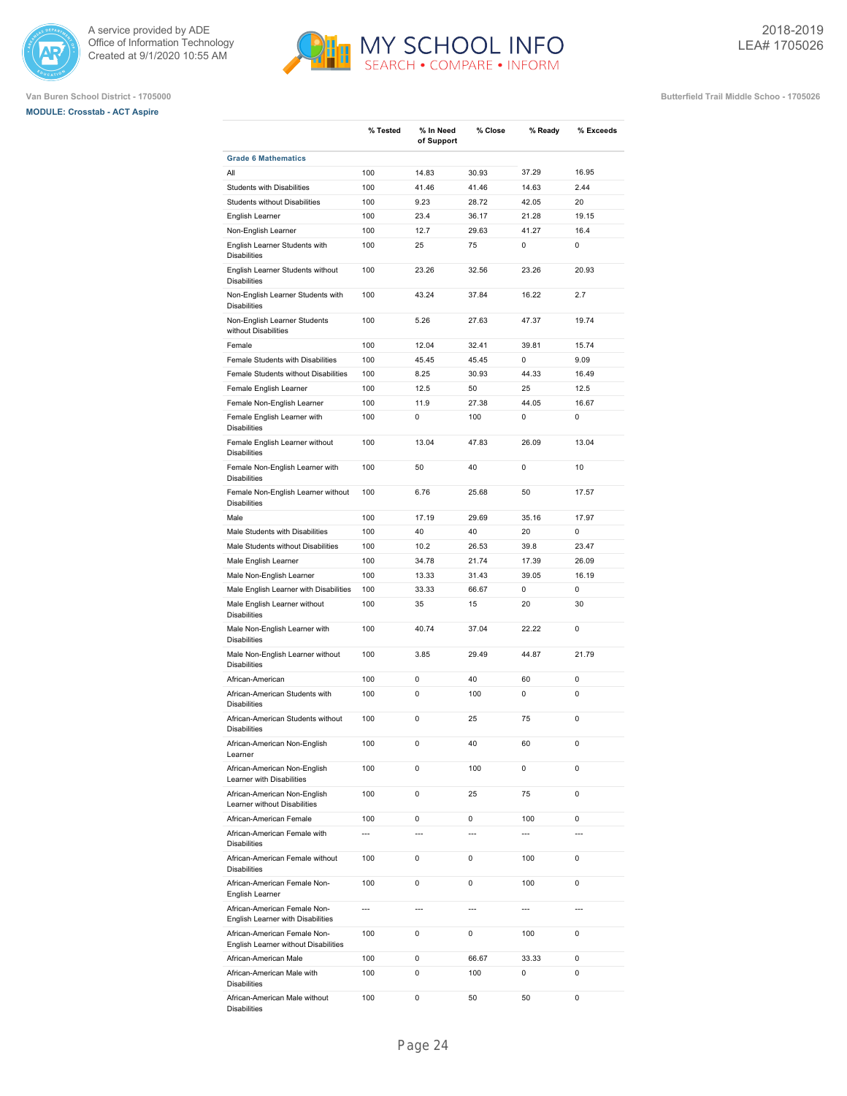





|                                                                   | % Tested              | % In Need<br>of Support | % Close             | % Ready               | % Exceeds                     |
|-------------------------------------------------------------------|-----------------------|-------------------------|---------------------|-----------------------|-------------------------------|
| <b>Grade 6 Mathematics</b>                                        |                       |                         |                     |                       |                               |
| All                                                               | 100                   | 14.83                   | 30.93               | 37.29                 | 16.95                         |
| <b>Students with Disabilities</b>                                 | 100                   | 41.46                   | 41.46               | 14.63                 | 2.44                          |
| Students without Disabilities                                     | 100                   | 9.23                    | 28.72               | 42.05                 | 20                            |
| English Learner                                                   | 100                   | 23.4                    | 36.17               | 21.28                 | 19.15                         |
| Non-English Learner                                               | 100                   | 12.7                    | 29.63               | 41.27                 | 16.4                          |
| English Learner Students with<br><b>Disabilities</b>              | 100                   | 25                      | 75                  | 0                     | $\mathbf 0$                   |
| English Learner Students without<br><b>Disabilities</b>           | 100                   | 23.26                   | 32.56               | 23.26                 | 20.93                         |
| Non-English Learner Students with<br><b>Disabilities</b>          | 100                   | 43.24                   | 37.84               | 16.22                 | 2.7                           |
| Non-English Learner Students<br>without Disabilities              | 100                   | 5.26                    | 27.63               | 47.37                 | 19.74                         |
| Female                                                            | 100                   | 12.04                   | 32.41               | 39.81                 | 15.74                         |
| Female Students with Disabilities                                 | 100                   | 45.45                   | 45.45               | 0                     | 9.09                          |
| Female Students without Disabilities                              | 100                   | 8.25                    | 30.93               | 44.33                 | 16.49                         |
| Female English Learner                                            | 100                   | 12.5                    | 50                  | 25                    | 12.5                          |
| Female Non-English Learner                                        | 100                   | 11.9                    | 27.38               | 44.05                 | 16.67                         |
| Female English Learner with<br><b>Disabilities</b>                | 100                   | 0                       | 100                 | $\mathbf 0$           | $\mathbf 0$                   |
| Female English Learner without<br><b>Disabilities</b>             | 100                   | 13.04                   | 47.83               | 26.09                 | 13.04                         |
| Female Non-English Learner with<br><b>Disabilities</b>            | 100                   | 50                      | 40                  | $\mathbf 0$           | 10                            |
| Female Non-English Learner without<br><b>Disabilities</b>         | 100                   | 6.76                    | 25.68               | 50                    | 17.57                         |
| Male                                                              | 100                   | 17.19                   | 29.69               | 35.16                 | 17.97                         |
| Male Students with Disabilities                                   | 100                   | 40                      | 40                  | 20                    | $\mathbf 0$                   |
| Male Students without Disabilities                                | 100                   | 10.2                    | 26.53               | 39.8                  | 23.47                         |
| Male English Learner                                              | 100                   | 34.78                   | 21.74               | 17.39                 | 26.09                         |
| Male Non-English Learner                                          | 100                   | 13.33                   | 31.43               | 39.05                 | 16.19                         |
| Male English Learner with Disabilities                            | 100                   | 33.33                   | 66.67               | 0                     | $\mathbf 0$                   |
| Male English Learner without<br><b>Disabilities</b>               | 100                   | 35                      | 15                  | 20                    | 30                            |
| Male Non-English Learner with<br><b>Disabilities</b>              | 100                   | 40.74                   | 37.04               | 22.22                 | $\mathbf 0$                   |
| Male Non-English Learner without<br><b>Disabilities</b>           | 100                   | 3.85                    | 29.49               | 44.87                 | 21.79                         |
| African-American                                                  | 100                   | 0                       | 40                  | 60                    | $\mathbf 0$                   |
| African-American Students with<br><b>Disabilities</b>             | 100                   | 0                       | 100                 | 0                     | $\mathbf 0$                   |
| African-American Students without<br><b>Disabilities</b>          | 100                   | 0                       | 25                  | 75                    | $\mathbf 0$                   |
| African-American Non-English<br>Learner                           | 100                   | 0                       | 40                  | 60                    | 0                             |
| African-American Non-English<br>Learner with Disabilities         | 100                   | 0                       | 100                 | 0                     | $\mathbf 0$                   |
| African-American Non-English<br>Learner without Disabilities      | 100                   | 0                       | 25                  | 75                    | $\mathbf 0$                   |
| African-American Female<br>African-American Female with           | 100<br>$\overline{a}$ | 0<br>$\overline{a}$     | 0<br>$\overline{a}$ | 100<br>$\overline{a}$ | $\mathbf 0$<br>$\overline{a}$ |
| <b>Disabilities</b><br>African-American Female without            | 100                   | 0                       | 0                   | 100                   | $\mathbf 0$                   |
| <b>Disabilities</b><br>African-American Female Non-               | 100                   | 0                       | 0                   | 100                   | $\mathbf 0$                   |
| English Learner<br>African-American Female Non-                   | $\overline{a}$        | $\overline{a}$          | $\overline{a}$      | $\overline{a}$        | $\overline{a}$                |
| English Learner with Disabilities<br>African-American Female Non- | 100                   | 0                       | 0                   | 100                   | $\mathbf 0$                   |
| English Learner without Disabilities                              |                       |                         |                     |                       |                               |
| African-American Male                                             | 100                   | 0                       | 66.67               | 33.33                 | 0                             |
| African-American Male with<br><b>Disabilities</b>                 | 100                   | 0                       | 100                 | 0                     | $\mathbf 0$                   |
| African-American Male without<br>Disabilities                     | 100                   | 0                       | 50                  | 50                    | 0                             |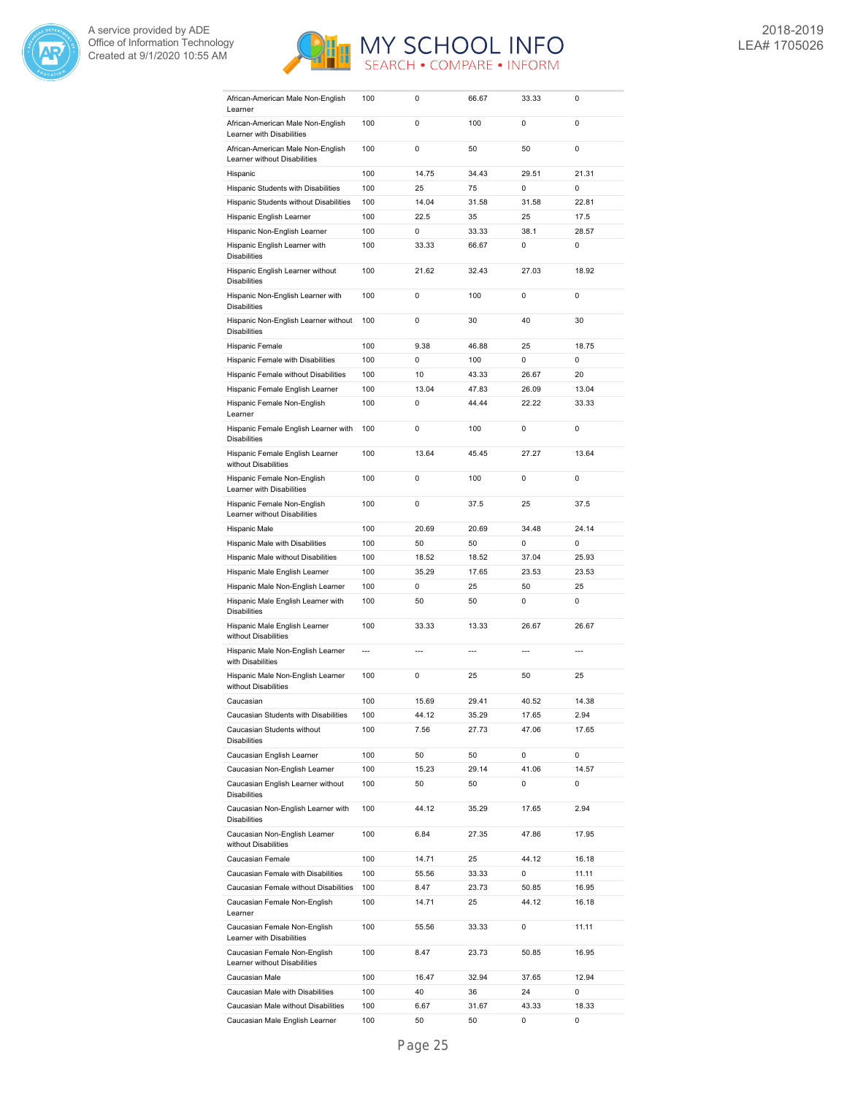



| African-American Male Non-English<br>Learner                      | 100            | 0     | 66.67          | 33.33 | 0              |
|-------------------------------------------------------------------|----------------|-------|----------------|-------|----------------|
| African-American Male Non-English                                 | 100            | 0     | 100            | 0     | 0              |
| Learner with Disabilities                                         |                |       |                |       |                |
| African-American Male Non-English<br>Learner without Disabilities | 100            | 0     | 50             | 50    | 0              |
| Hispanic                                                          | 100            | 14.75 | 34.43          | 29.51 | 21.31          |
| Hispanic Students with Disabilities                               | 100            | 25    | 75             | 0     | $\mathbf 0$    |
| Hispanic Students without Disabilities                            | 100            | 14.04 | 31.58          | 31.58 | 22.81          |
| Hispanic English Learner                                          | 100            | 22.5  | 35             | 25    | 17.5           |
| Hispanic Non-English Learner                                      | 100            | 0     | 33.33          | 38.1  | 28.57          |
|                                                                   |                |       |                |       |                |
| Hispanic English Learner with<br><b>Disabilities</b>              | 100            | 33.33 | 66.67          | 0     | 0              |
| Hispanic English Learner without<br><b>Disabilities</b>           | 100            | 21.62 | 32.43          | 27.03 | 18.92          |
| Hispanic Non-English Learner with<br><b>Disabilities</b>          | 100            | 0     | 100            | 0     | 0              |
| Hispanic Non-English Learner without<br><b>Disabilities</b>       | 100            | 0     | 30             | 40    | 30             |
| Hispanic Female                                                   | 100            | 9.38  | 46.88          | 25    | 18.75          |
| Hispanic Female with Disabilities                                 | 100            | 0     | 100            | 0     | 0              |
| Hispanic Female without Disabilities                              | 100            | 10    | 43.33          | 26.67 | 20             |
|                                                                   |                |       |                |       |                |
| Hispanic Female English Learner                                   | 100            | 13.04 | 47.83          | 26.09 | 13.04          |
| Hispanic Female Non-English<br>Learner                            | 100            | 0     | 44.44          | 22.22 | 33.33          |
| Hispanic Female English Learner with<br><b>Disabilities</b>       | 100            | 0     | 100            | 0     | 0              |
| Hispanic Female English Learner<br>without Disabilities           | 100            | 13.64 | 45.45          | 27.27 | 13.64          |
| Hispanic Female Non-English<br>Learner with Disabilities          | 100            | 0     | 100            | 0     | 0              |
| Hispanic Female Non-English<br>Learner without Disabilities       | 100            | 0     | 37.5           | 25    | 37.5           |
| Hispanic Male                                                     | 100            | 20.69 | 20.69          | 34.48 | 24.14          |
| Hispanic Male with Disabilities                                   | 100            | 50    | 50             | 0     | 0              |
| Hispanic Male without Disabilities                                | 100            | 18.52 | 18.52          | 37.04 | 25.93          |
| Hispanic Male English Learner                                     | 100            | 35.29 | 17.65          | 23.53 | 23.53          |
|                                                                   |                |       |                |       |                |
| Hispanic Male Non-English Learner                                 | 100            | 0     | 25             | 50    | 25             |
| Hispanic Male English Learner with<br><b>Disabilities</b>         | 100            | 50    | 50             | 0     | 0              |
| Hispanic Male English Learner<br>without Disabilities             | 100            | 33.33 | 13.33          | 26.67 | 26.67          |
| Hispanic Male Non-English Learner<br>with Disabilities            | $\overline{a}$ | ---   | $\overline{a}$ | ---   | $\overline{a}$ |
| Hispanic Male Non-English Learner<br>without Disabilities         | 100            | 0     | 25             | 50    | 25             |
| Caucasian                                                         | 100            | 15.69 | 29.41          | 40.52 | 14.38          |
| Caucasian Students with Disabilities                              |                |       |                |       |                |
|                                                                   | 100            | 44.12 | 35.29          | 17.65 | 2.94           |
| Caucasian Students without<br><b>Disabilities</b>                 | 100            | 7.56  | 27.73          | 47.06 | 17.65          |
|                                                                   |                |       |                |       |                |
| Caucasian English Learner                                         | 100            | 50    | 50             | 0     | 0              |
| Caucasian Non-English Learner                                     | 100            | 15.23 | 29.14          | 41.06 | 14.57          |
| Caucasian English Learner without<br><b>Disabilities</b>          | 100            | 50    | 50             | 0     | 0              |
| Caucasian Non-English Learner with<br><b>Disabilities</b>         | 100            | 44.12 | 35.29          | 17.65 | 2.94           |
| Caucasian Non-English Learner<br>without Disabilities             | 100            | 6.84  | 27.35          | 47.86 | 17.95          |
| Caucasian Female                                                  | 100            | 14.71 | 25             | 44.12 | 16.18          |
| Caucasian Female with Disabilities                                | 100            | 55.56 | 33.33          | 0     | 11.11          |
| Caucasian Female without Disabilities                             | 100            | 8.47  | 23.73          | 50.85 | 16.95          |
| Caucasian Female Non-English<br>Learner                           | 100            | 14.71 | 25             | 44.12 | 16.18          |
| Caucasian Female Non-English<br>Learner with Disabilities         | 100            | 55.56 | 33.33          | 0     | 11.11          |
| Caucasian Female Non-English<br>Learner without Disabilities      | 100            | 8.47  | 23.73          | 50.85 | 16.95          |
| Caucasian Male                                                    | 100            | 16.47 | 32.94          | 37.65 | 12.94          |
| Caucasian Male with Disabilities                                  | 100            | 40    | 36             | 24    | 0              |
| Caucasian Male without Disabilities                               | 100            | 6.67  | 31.67          | 43.33 | 18.33          |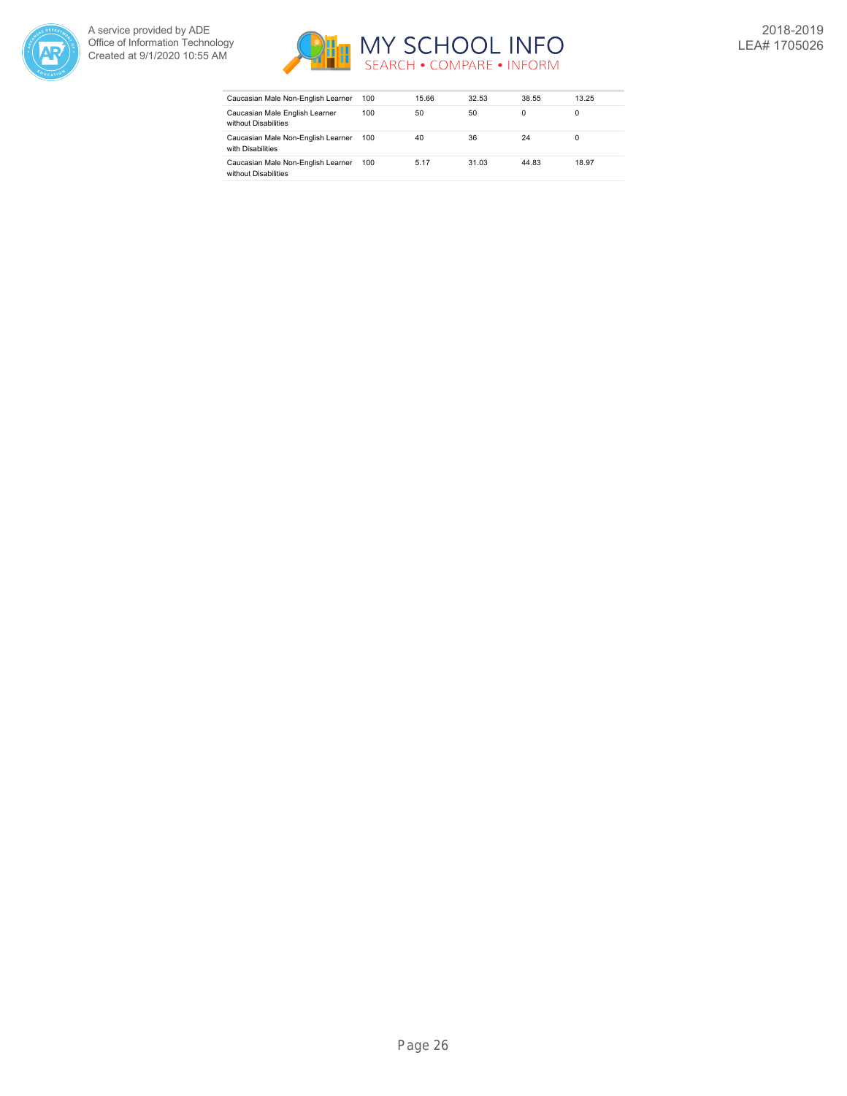



| Caucasian Male Non-English Learner                         | 100 | 15.66 | 32.53 | 38.55 | 13.25 |
|------------------------------------------------------------|-----|-------|-------|-------|-------|
| Caucasian Male English Learner<br>without Disabilities     | 100 | 50    | 50    | 0     | 0     |
| Caucasian Male Non-English Learner<br>with Disabilities    | 100 | 40    | 36    | 24    | 0     |
| Caucasian Male Non-English Learner<br>without Disabilities | 100 | 5.17  | 31.03 | 44.83 | 18.97 |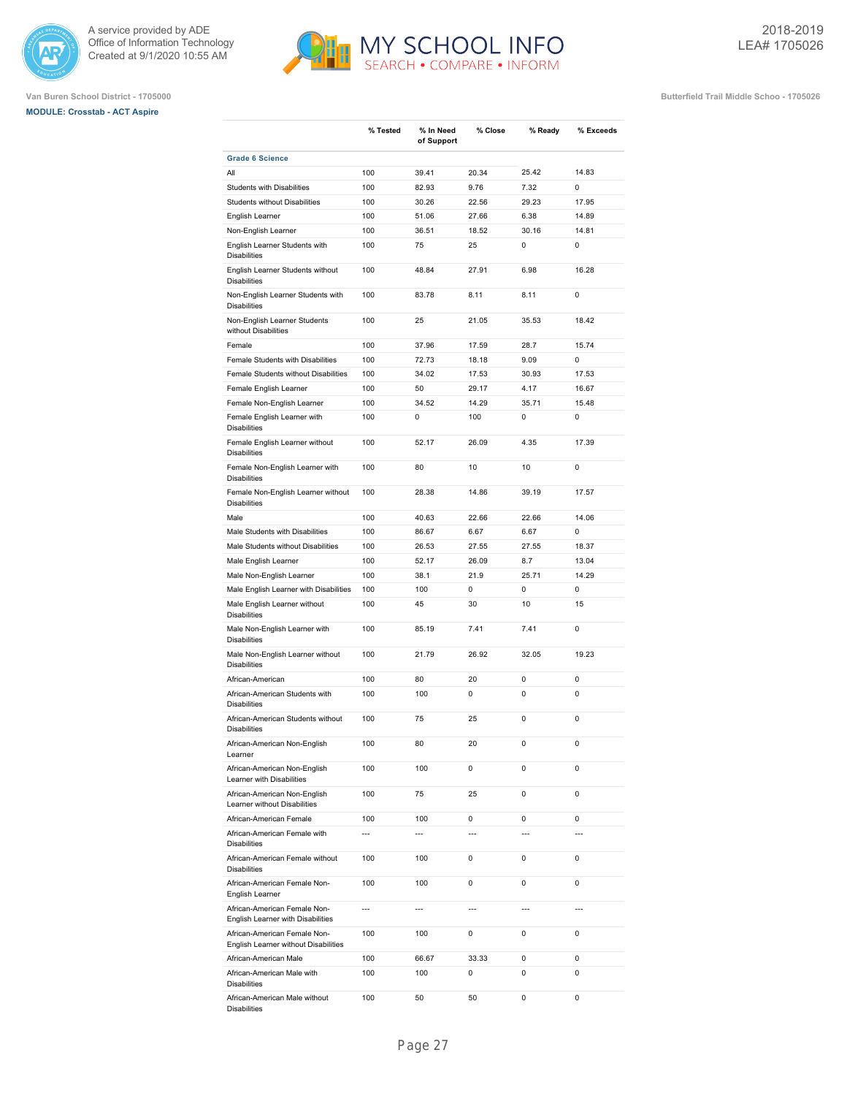

# **MODULE: Crosstab - ACT Aspire**



**% Close % Ready % Exceeds**

**Van Buren School District - 1705000 Butterfield Trail Middle Schoo - 1705026**

|                                                                      |                | of Support     |                |                |             |
|----------------------------------------------------------------------|----------------|----------------|----------------|----------------|-------------|
| <b>Grade 6 Science</b>                                               |                |                |                |                |             |
| All                                                                  | 100            | 39.41          | 20.34          | 25.42          | 14.83       |
| Students with Disabilities                                           | 100            | 82.93          | 9.76           | 7.32           | 0           |
| Students without Disabilities                                        | 100            | 30.26          | 22.56          | 29.23          | 17.95       |
| English Learner                                                      | 100            | 51.06          | 27.66          | 6.38           | 14.89       |
| Non-English Learner                                                  | 100            | 36.51          | 18.52          | 30.16          | 14.81       |
| English Learner Students with<br><b>Disabilities</b>                 | 100            | 75             | 25             | 0              | 0           |
| English Learner Students without<br><b>Disabilities</b>              | 100            | 48.84          | 27.91          | 6.98           | 16.28       |
| Non-English Learner Students with<br><b>Disabilities</b>             | 100            | 83.78          | 8.11           | 8.11           | $\pmb{0}$   |
| Non-English Learner Students<br>without Disabilities                 | 100            | 25             | 21.05          | 35.53          | 18.42       |
| Female                                                               | 100            | 37.96          | 17.59          | 28.7           | 15.74       |
| Female Students with Disabilities                                    | 100            | 72.73          | 18.18          | 9.09           | 0           |
| Female Students without Disabilities                                 | 100            | 34.02          | 17.53          | 30.93          | 17.53       |
| Female English Learner                                               | 100            | 50             | 29.17          | 4.17           | 16.67       |
| Female Non-English Learner                                           | 100            | 34.52          | 14.29          | 35.71          | 15.48       |
| Female English Learner with<br><b>Disabilities</b>                   | 100            | 0              | 100            | 0              | 0           |
| Female English Learner without<br><b>Disabilities</b>                | 100            | 52.17          | 26.09          | 4.35           | 17.39       |
| Female Non-English Learner with<br><b>Disabilities</b>               | 100            | 80             | 10             | 10             | 0           |
| Female Non-English Learner without<br><b>Disabilities</b>            | 100            | 28.38          | 14.86          | 39.19          | 17.57       |
| Male                                                                 | 100            | 40.63          | 22.66          | 22.66          | 14.06       |
| Male Students with Disabilities                                      | 100            | 86.67          | 6.67           | 6.67           | 0           |
| Male Students without Disabilities                                   | 100            | 26.53          | 27.55          | 27.55          | 18.37       |
| Male English Learner                                                 | 100            | 52.17          | 26.09          | 8.7            | 13.04       |
| Male Non-English Learner                                             | 100            | 38.1           | 21.9           | 25.71          | 14.29       |
| Male English Learner with Disabilities                               | 100            | 100            | 0              | 0              | $\mathbf 0$ |
| Male English Learner without<br><b>Disabilities</b>                  | 100            | 45             | 30             | 10             | 15          |
| Male Non-English Learner with<br><b>Disabilities</b>                 | 100            | 85.19          | 7.41           | 7.41           | 0           |
| Male Non-English Learner without<br><b>Disabilities</b>              | 100            | 21.79          | 26.92          | 32.05          | 19.23       |
| African-American                                                     | 100            | 80             | 20             | 0              | 0           |
| African-American Students with<br><b>Disabilities</b>                | 100            | 100            | 0              | 0              | 0           |
| African-American Students without<br><b>Disabilities</b>             | 100            | 75             | 25             | 0              | 0           |
| African-American Non-English<br>Learner                              | 100            | 80             | 20             | 0              | $\mathbf 0$ |
| African-American Non-English<br>Learner with Disabilities            | 100            | 100            | 0              | 0              | 0           |
| African-American Non-English<br>Learner without Disabilities         | 100            | 75             | 25             | 0              | 0           |
| African-American Female                                              | 100            | 100            | 0              | 0              | 0           |
| African-American Female with<br><b>Disabilities</b>                  | ---            | ---            | $\overline{a}$ | ---            |             |
| African-American Female without<br><b>Disabilities</b>               | 100            | 100            | 0              | 0              | 0           |
| African-American Female Non-<br>English Learner                      | 100            | 100            | 0              | 0              | 0           |
| African-American Female Non-<br>English Learner with Disabilities    | $\overline{a}$ | $\overline{a}$ | $\overline{a}$ | $\overline{a}$ |             |
| African-American Female Non-<br>English Learner without Disabilities | 100            | 100            | 0              | 0              | 0           |
| African-American Male                                                | 100            | 66.67          | 33.33          | 0              | 0           |
| African-American Male with<br><b>Disabilities</b>                    | 100            | 100            | 0              | 0              | 0           |

**% Tested % In Need**

100 50 50 0 0

African-American Male without

Disabilities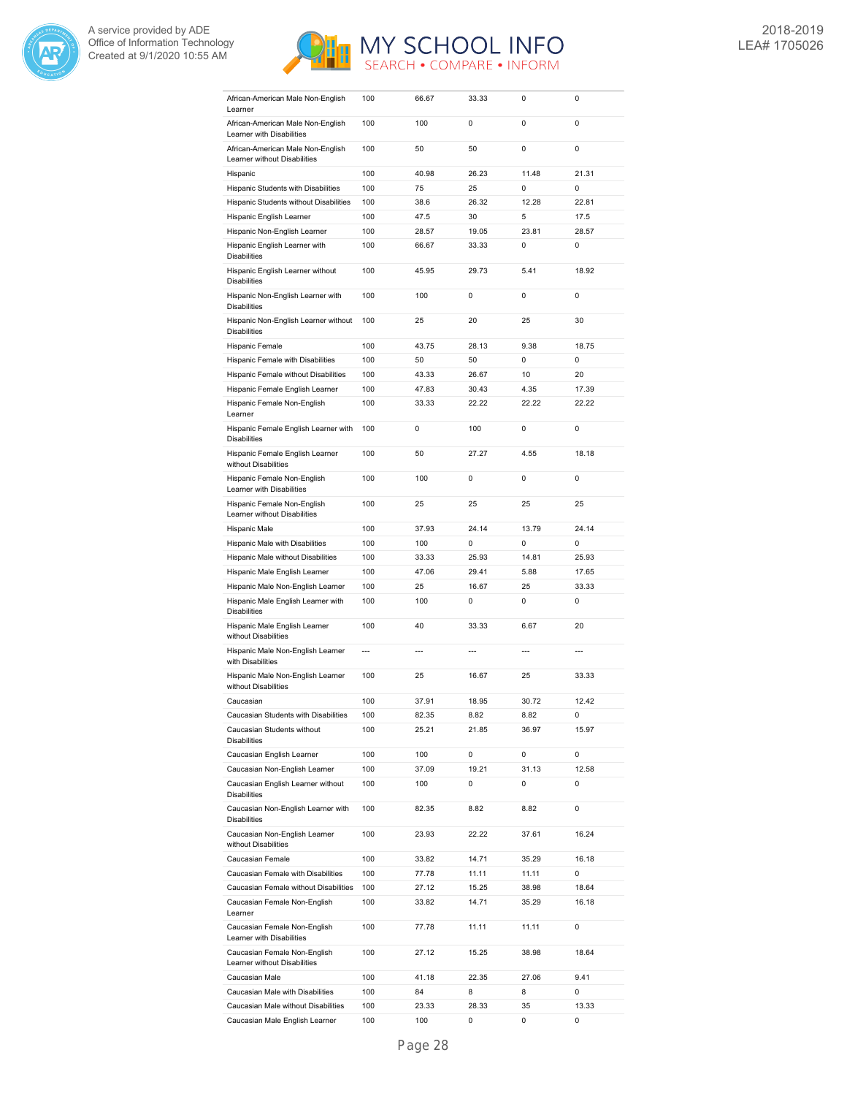



| African-American Male Non-English<br>Learner                      | 100 | 66.67          | 33.33 | 0     | 0     |
|-------------------------------------------------------------------|-----|----------------|-------|-------|-------|
| African-American Male Non-English                                 | 100 | 100            | 0     | 0     | 0     |
| Learner with Disabilities                                         |     |                |       |       |       |
| African-American Male Non-English<br>Learner without Disabilities | 100 | 50             | 50    | 0     | 0     |
| Hispanic                                                          | 100 | 40.98          | 26.23 | 11.48 | 21.31 |
| Hispanic Students with Disabilities                               | 100 | 75             | 25    | 0     | 0     |
| Hispanic Students without Disabilities                            | 100 | 38.6           | 26.32 | 12.28 | 22.81 |
| Hispanic English Learner                                          | 100 | 47.5           | 30    | 5     | 17.5  |
| Hispanic Non-English Learner                                      | 100 | 28.57          | 19.05 | 23.81 | 28.57 |
| Hispanic English Learner with<br><b>Disabilities</b>              | 100 | 66.67          | 33.33 | 0     | 0     |
| Hispanic English Learner without<br><b>Disabilities</b>           | 100 | 45.95          | 29.73 | 5.41  | 18.92 |
| Hispanic Non-English Learner with<br><b>Disabilities</b>          | 100 | 100            | 0     | 0     | 0     |
| Hispanic Non-English Learner without<br><b>Disabilities</b>       | 100 | 25             | 20    | 25    | 30    |
| Hispanic Female                                                   | 100 | 43.75          | 28.13 | 9.38  | 18.75 |
| Hispanic Female with Disabilities                                 | 100 | 50             | 50    | 0     | 0     |
| Hispanic Female without Disabilities                              | 100 | 43.33          | 26.67 | 10    | 20    |
| Hispanic Female English Learner                                   | 100 | 47.83          | 30.43 | 4.35  | 17.39 |
| Hispanic Female Non-English                                       | 100 | 33.33          | 22.22 | 22.22 | 22.22 |
| Learner<br>Hispanic Female English Learner with                   | 100 | 0              | 100   | 0     | 0     |
| <b>Disabilities</b>                                               | 100 | 50             | 27.27 | 4.55  | 18.18 |
| Hispanic Female English Learner<br>without Disabilities           |     |                |       |       |       |
| Hispanic Female Non-English<br>Learner with Disabilities          | 100 | 100            | 0     | 0     | 0     |
| Hispanic Female Non-English<br>Learner without Disabilities       | 100 | 25             | 25    | 25    | 25    |
| Hispanic Male                                                     | 100 | 37.93          | 24.14 | 13.79 | 24.14 |
| Hispanic Male with Disabilities                                   | 100 | 100            | 0     | 0     | 0     |
|                                                                   |     |                |       |       |       |
| Hispanic Male without Disabilities                                | 100 | 33.33          | 25.93 | 14.81 | 25.93 |
| Hispanic Male English Learner                                     | 100 | 47.06          | 29.41 | 5.88  | 17.65 |
| Hispanic Male Non-English Learner                                 | 100 | 25             | 16.67 | 25    | 33.33 |
| Hispanic Male English Learner with<br><b>Disabilities</b>         | 100 | 100            | 0     | 0     | 0     |
| Hispanic Male English Learner<br>without Disabilities             | 100 | 40             | 33.33 | 6.67  | 20    |
| Hispanic Male Non-English Learner<br>with Disabilities            | --- | $\overline{a}$ | ---   | ---   | ---   |
| Hispanic Male Non-English Learner<br>without Disabilities         | 100 | 25             | 16.67 | 25    | 33.33 |
| Caucasian                                                         | 100 | 37.91          | 18.95 | 30.72 | 12.42 |
| Caucasian Students with Disabilities                              | 100 | 82.35          | 8.82  | 8.82  | 0     |
| Caucasian Students without<br><b>Disabilities</b>                 | 100 | 25.21          | 21.85 | 36.97 | 15.97 |
| Caucasian English Learner                                         | 100 | 100            | 0     | 0     | 0     |
| Caucasian Non-English Learner                                     | 100 | 37.09          | 19.21 | 31.13 | 12.58 |
| Caucasian English Learner without<br><b>Disabilities</b>          | 100 | 100            | 0     | 0     | 0     |
| Caucasian Non-English Learner with<br><b>Disabilities</b>         | 100 | 82.35          | 8.82  | 8.82  | 0     |
| Caucasian Non-English Learner<br>without Disabilities             | 100 | 23.93          | 22.22 | 37.61 | 16.24 |
| Caucasian Female                                                  | 100 | 33.82          | 14.71 | 35.29 | 16.18 |
| Caucasian Female with Disabilities                                | 100 | 77.78          | 11.11 | 11.11 | 0     |
| Caucasian Female without Disabilities                             | 100 | 27.12          | 15.25 | 38.98 | 18.64 |
| Caucasian Female Non-English<br>Learner                           | 100 | 33.82          | 14.71 | 35.29 | 16.18 |
| Caucasian Female Non-English<br>Learner with Disabilities         | 100 | 77.78          | 11.11 | 11.11 | 0     |
| Caucasian Female Non-English<br>Learner without Disabilities      | 100 | 27.12          | 15.25 | 38.98 | 18.64 |
| Caucasian Male                                                    | 100 | 41.18          | 22.35 | 27.06 | 9.41  |
| Caucasian Male with Disabilities                                  | 100 | 84             | 8     | 8     | 0     |
| Caucasian Male without Disabilities                               | 100 | 23.33          | 28.33 | 35    | 13.33 |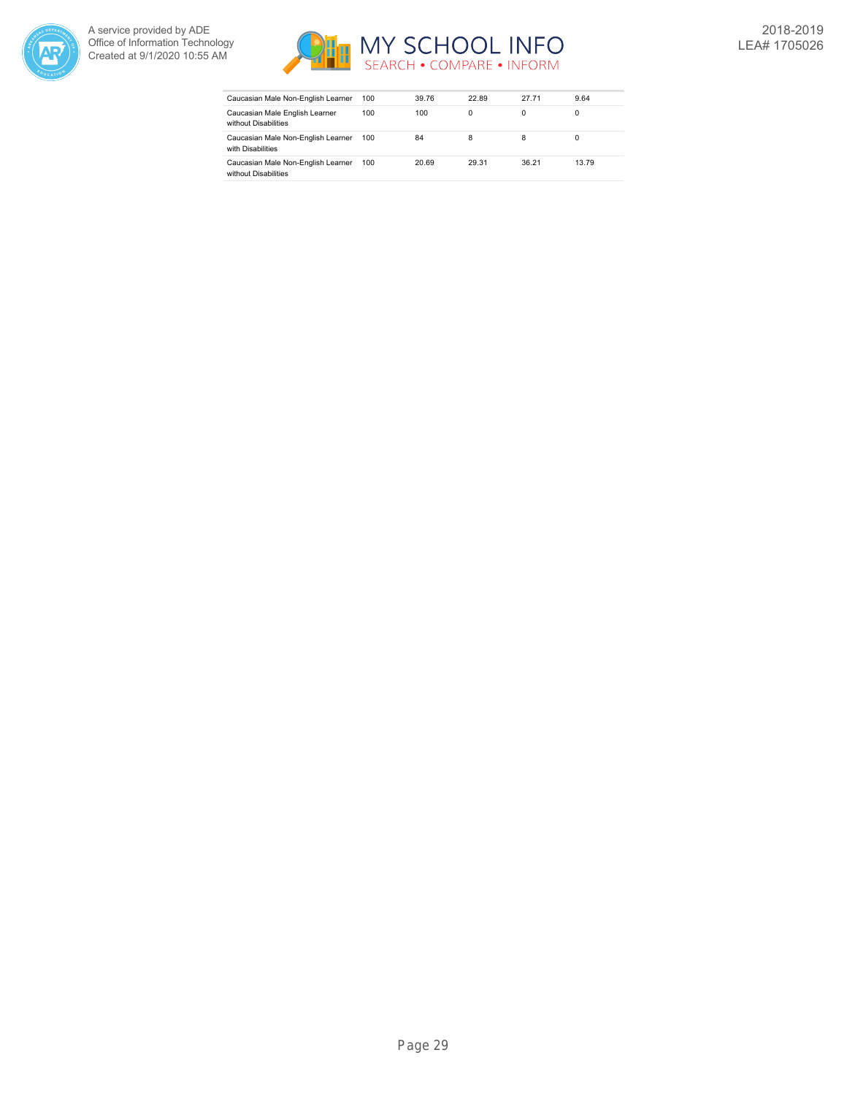



| Caucasian Male Non-English Learner                         | 100 | 39.76 | 22.89 | 27.71 | 9.64  |
|------------------------------------------------------------|-----|-------|-------|-------|-------|
| Caucasian Male English Learner<br>without Disabilities     | 100 | 100   | 0     | 0     | 0     |
| Caucasian Male Non-English Learner<br>with Disabilities    | 100 | 84    | 8     | 8     | 0     |
| Caucasian Male Non-English Learner<br>without Disabilities | 100 | 20.69 | 29.31 | 36.21 | 13.79 |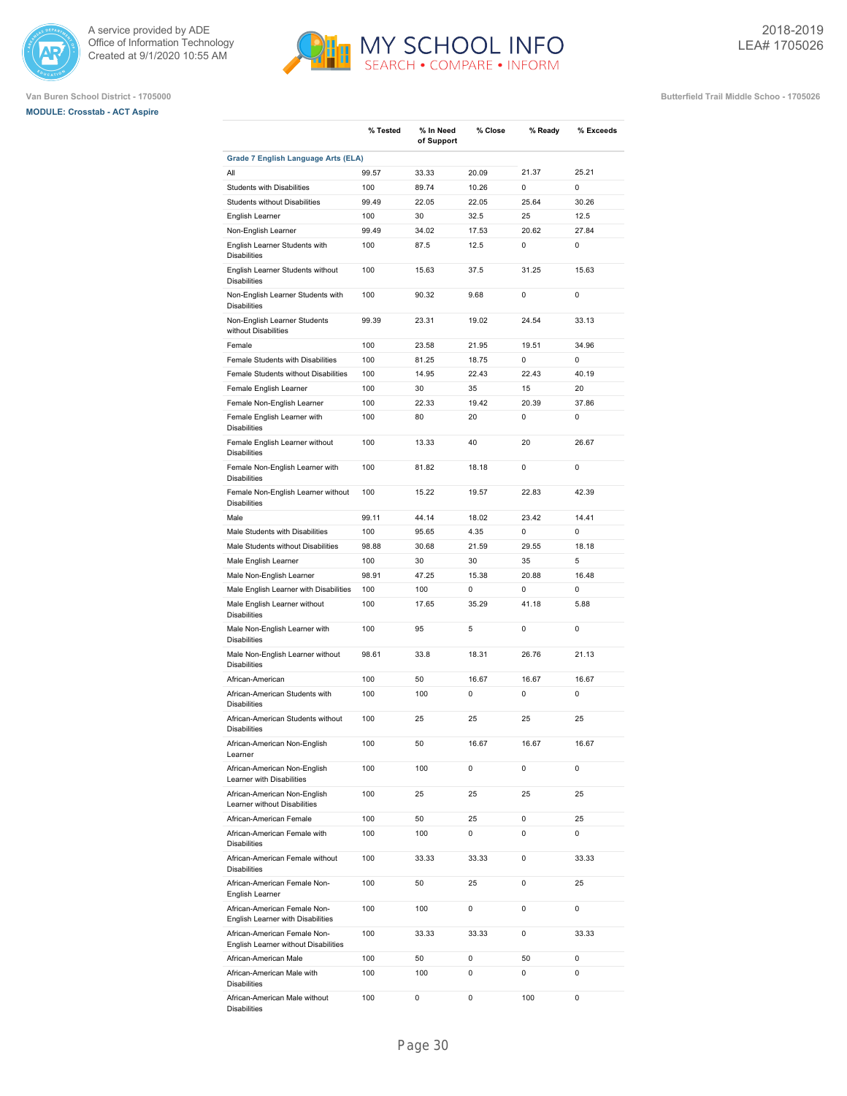





|                                                                              | % Tested | % In Need<br>of Support | % Close | % Ready     | % Exceeds   |
|------------------------------------------------------------------------------|----------|-------------------------|---------|-------------|-------------|
| <b>Grade 7 English Language Arts (ELA)</b>                                   |          |                         |         |             |             |
| All                                                                          | 99.57    | 33.33                   | 20.09   | 21.37       | 25.21       |
| <b>Students with Disabilities</b>                                            | 100      | 89.74                   | 10.26   | 0           | $\Omega$    |
| Students without Disabilities                                                | 99.49    | 22.05                   | 22.05   | 25.64       | 30.26       |
| English Learner                                                              | 100      | 30                      | 32.5    | 25          | 12.5        |
| Non-English Learner                                                          | 99.49    | 34.02                   | 17.53   | 20.62       | 27.84       |
| English Learner Students with<br><b>Disabilities</b>                         | 100      | 87.5                    | 12.5    | 0           | 0           |
| English Learner Students without<br><b>Disabilities</b>                      | 100      | 15.63                   | 37.5    | 31.25       | 15.63       |
| Non-English Learner Students with<br><b>Disabilities</b>                     | 100      | 90.32                   | 9.68    | 0           | $\mathbf 0$ |
| Non-English Learner Students<br>without Disabilities                         | 99.39    | 23.31                   | 19.02   | 24.54       | 33.13       |
| Female                                                                       | 100      | 23.58                   | 21.95   | 19.51       | 34.96       |
| Female Students with Disabilities                                            | 100      | 81.25                   | 18.75   | 0           | 0           |
| Female Students without Disabilities                                         | 100      | 14.95                   | 22.43   | 22.43       | 40.19       |
| Female English Learner                                                       | 100      | 30                      | 35      | 15          | 20          |
| Female Non-English Learner                                                   | 100      | 22.33                   | 19.42   | 20.39       | 37.86       |
| Female English Learner with                                                  | 100      | 80                      | 20      | 0           | 0           |
| <b>Disabilities</b><br>Female English Learner without<br><b>Disabilities</b> | 100      | 13.33                   | 40      | 20          | 26.67       |
| Female Non-English Learner with<br><b>Disabilities</b>                       | 100      | 81.82                   | 18.18   | 0           | 0           |
| Female Non-English Learner without<br><b>Disabilities</b>                    | 100      | 15.22                   | 19.57   | 22.83       | 42.39       |
| Male                                                                         | 99.11    | 44.14                   | 18.02   | 23.42       | 14.41       |
| Male Students with Disabilities                                              | 100      | 95.65                   | 4.35    | 0           | 0           |
| Male Students without Disabilities                                           | 98.88    | 30.68                   | 21.59   | 29.55       | 18.18       |
| Male English Learner                                                         | 100      | 30                      | 30      | 35          | 5           |
| Male Non-English Learner                                                     | 98.91    | 47.25                   | 15.38   | 20.88       | 16.48       |
| Male English Learner with Disabilities                                       | 100      | 100                     | 0       | 0           | $\mathbf 0$ |
| Male English Learner without<br><b>Disabilities</b>                          | 100      | 17.65                   | 35.29   | 41.18       | 5.88        |
| Male Non-English Learner with<br><b>Disabilities</b>                         | 100      | 95                      | 5       | 0           | 0           |
| Male Non-English Learner without<br><b>Disabilities</b>                      | 98.61    | 33.8                    | 18.31   | 26.76       | 21.13       |
| African-American                                                             | 100      | 50                      | 16.67   | 16.67       | 16.67       |
| African-American Students with<br><b>Disabilities</b>                        | 100      | 100                     | 0       | 0           | 0           |
| African-American Students without<br><b>Disabilities</b>                     | 100      | 25                      | 25      | 25          | 25          |
| African-American Non-English<br>Learner                                      | 100      | 50                      | 16.67   | 16.67       | 16.67       |
| African-American Non-English<br>Learner with Disabilities                    | 100      | 100                     | 0       | 0           | $\mathbf 0$ |
| African-American Non-English<br>Learner without Disabilities                 | 100      | 25                      | 25      | 25          | 25          |
| African-American Female                                                      | 100      | 50                      | 25      | 0           | 25          |
| African-American Female with<br><b>Disabilities</b>                          | 100      | 100                     | 0       | 0           | 0           |
| African-American Female without<br><b>Disabilities</b>                       | 100      | 33.33                   | 33.33   | $\mathbf 0$ | 33.33       |
| African-American Female Non-<br>English Learner                              | 100      | 50                      | 25      | 0           | 25          |
| African-American Female Non-<br>English Learner with Disabilities            | 100      | 100                     | 0       | 0           | $\mathbf 0$ |
| African-American Female Non-<br>English Learner without Disabilities         | 100      | 33.33                   | 33.33   | 0           | 33.33       |
| African-American Male                                                        | 100      | 50                      | 0       | 50          | 0           |
| African-American Male with<br><b>Disabilities</b>                            | 100      | 100                     | 0       | 0           | 0           |
| African-American Male without<br><b>Disabilities</b>                         | 100      | 0                       | 0       | 100         | 0           |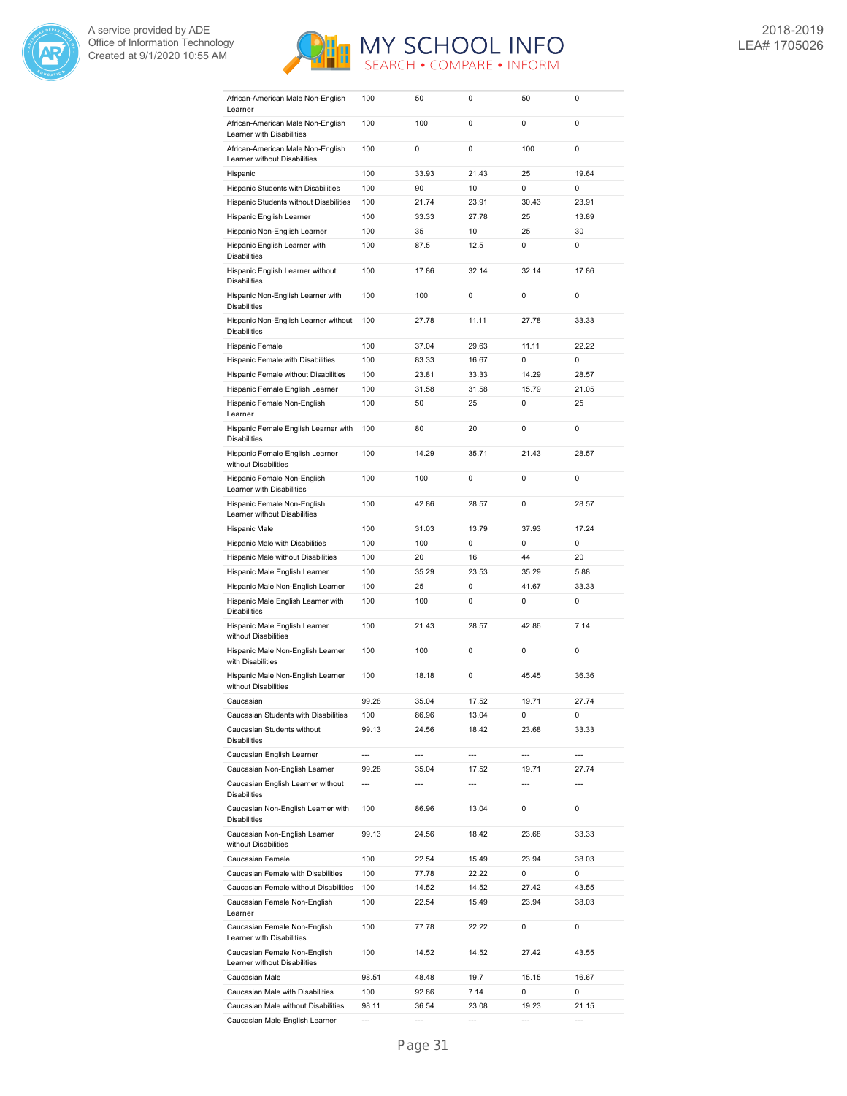



| African-American Male Non-English<br>Learner                      | 100   | 50             | 0     | 50                       | 0     |
|-------------------------------------------------------------------|-------|----------------|-------|--------------------------|-------|
| African-American Male Non-English                                 | 100   | 100            | 0     | 0                        | 0     |
| Learner with Disabilities                                         |       |                |       |                          |       |
| African-American Male Non-English<br>Learner without Disabilities | 100   | 0              | 0     | 100                      | 0     |
| Hispanic                                                          | 100   | 33.93          | 21.43 | 25                       | 19.64 |
| Hispanic Students with Disabilities                               | 100   | 90             | 10    | 0                        | 0     |
| Hispanic Students without Disabilities                            | 100   | 21.74          | 23.91 | 30.43                    | 23.91 |
| Hispanic English Learner                                          | 100   | 33.33          | 27.78 | 25                       | 13.89 |
| Hispanic Non-English Learner                                      | 100   | 35             | 10    | 25                       | 30    |
| Hispanic English Learner with<br><b>Disabilities</b>              | 100   | 87.5           | 12.5  | 0                        | 0     |
| Hispanic English Learner without<br><b>Disabilities</b>           | 100   | 17.86          | 32.14 | 32.14                    | 17.86 |
| Hispanic Non-English Learner with<br><b>Disabilities</b>          | 100   | 100            | 0     | 0                        | 0     |
| Hispanic Non-English Learner without<br><b>Disabilities</b>       | 100   | 27.78          | 11.11 | 27.78                    | 33.33 |
| Hispanic Female                                                   | 100   | 37.04          | 29.63 | 11.11                    | 22.22 |
| Hispanic Female with Disabilities                                 | 100   | 83.33          | 16.67 | 0                        | 0     |
| Hispanic Female without Disabilities                              | 100   | 23.81          | 33.33 | 14.29                    | 28.57 |
| Hispanic Female English Learner                                   | 100   | 31.58          | 31.58 | 15.79                    | 21.05 |
| Hispanic Female Non-English<br>Learner                            | 100   | 50             | 25    | 0                        | 25    |
| Hispanic Female English Learner with<br><b>Disabilities</b>       | 100   | 80             | 20    | 0                        | 0     |
| Hispanic Female English Learner<br>without Disabilities           | 100   | 14.29          | 35.71 | 21.43                    | 28.57 |
| Hispanic Female Non-English<br>Learner with Disabilities          | 100   | 100            | 0     | 0                        | 0     |
| Hispanic Female Non-English<br>Learner without Disabilities       | 100   | 42.86          | 28.57 | 0                        | 28.57 |
| Hispanic Male                                                     | 100   | 31.03          | 13.79 | 37.93                    | 17.24 |
| Hispanic Male with Disabilities                                   | 100   | 100            | 0     | 0                        | 0     |
|                                                                   |       |                |       |                          |       |
| Hispanic Male without Disabilities                                | 100   | 20             | 16    | 44                       | 20    |
| Hispanic Male English Learner                                     | 100   | 35.29          | 23.53 | 35.29                    | 5.88  |
| Hispanic Male Non-English Learner                                 | 100   | 25             | 0     | 41.67                    | 33.33 |
| Hispanic Male English Learner with<br><b>Disabilities</b>         | 100   | 100            | 0     | 0                        | 0     |
| Hispanic Male English Learner<br>without Disabilities             | 100   | 21.43          | 28.57 | 42.86                    | 7.14  |
| Hispanic Male Non-English Learner<br>with Disabilities            | 100   | 100            | 0     | 0                        | 0     |
| Hispanic Male Non-English Learner<br>without Disabilities         | 100   | 18.18          | 0     | 45.45                    | 36.36 |
| Caucasian                                                         | 99.28 | 35.04          | 17.52 | 19.71                    | 27.74 |
| Caucasian Students with Disabilities                              | 100   | 86.96          | 13.04 | 0                        | 0     |
| Caucasian Students without<br><b>Disabilities</b>                 | 99.13 | 24.56          | 18.42 | 23.68                    | 33.33 |
| Caucasian English Learner                                         | ---   | ---            | ---   | $\overline{\phantom{a}}$ | ---   |
| Caucasian Non-English Learner                                     | 99.28 | 35.04          | 17.52 | 19.71                    | 27.74 |
| Caucasian English Learner without<br><b>Disabilities</b>          | ---   | $\overline{a}$ | ---   | ---                      | ---   |
| Caucasian Non-English Learner with<br><b>Disabilities</b>         | 100   | 86.96          | 13.04 | 0                        | 0     |
| Caucasian Non-English Learner<br>without Disabilities             | 99.13 | 24.56          | 18.42 | 23.68                    | 33.33 |
| Caucasian Female                                                  | 100   | 22.54          | 15.49 | 23.94                    | 38.03 |
| Caucasian Female with Disabilities                                | 100   | 77.78          | 22.22 | 0                        | 0     |
| Caucasian Female without Disabilities                             | 100   | 14.52          | 14.52 | 27.42                    | 43.55 |
| Caucasian Female Non-English<br>Learner                           | 100   | 22.54          | 15.49 | 23.94                    | 38.03 |
| Caucasian Female Non-English<br>Learner with Disabilities         | 100   | 77.78          | 22.22 | 0                        | 0     |
| Caucasian Female Non-English<br>Learner without Disabilities      | 100   | 14.52          | 14.52 | 27.42                    | 43.55 |
| Caucasian Male                                                    | 98.51 | 48.48          | 19.7  | 15.15                    | 16.67 |
| Caucasian Male with Disabilities                                  | 100   | 92.86          | 7.14  | 0                        | 0     |
| Caucasian Male without Disabilities                               | 98.11 | 36.54          | 23.08 | 19.23                    | 21.15 |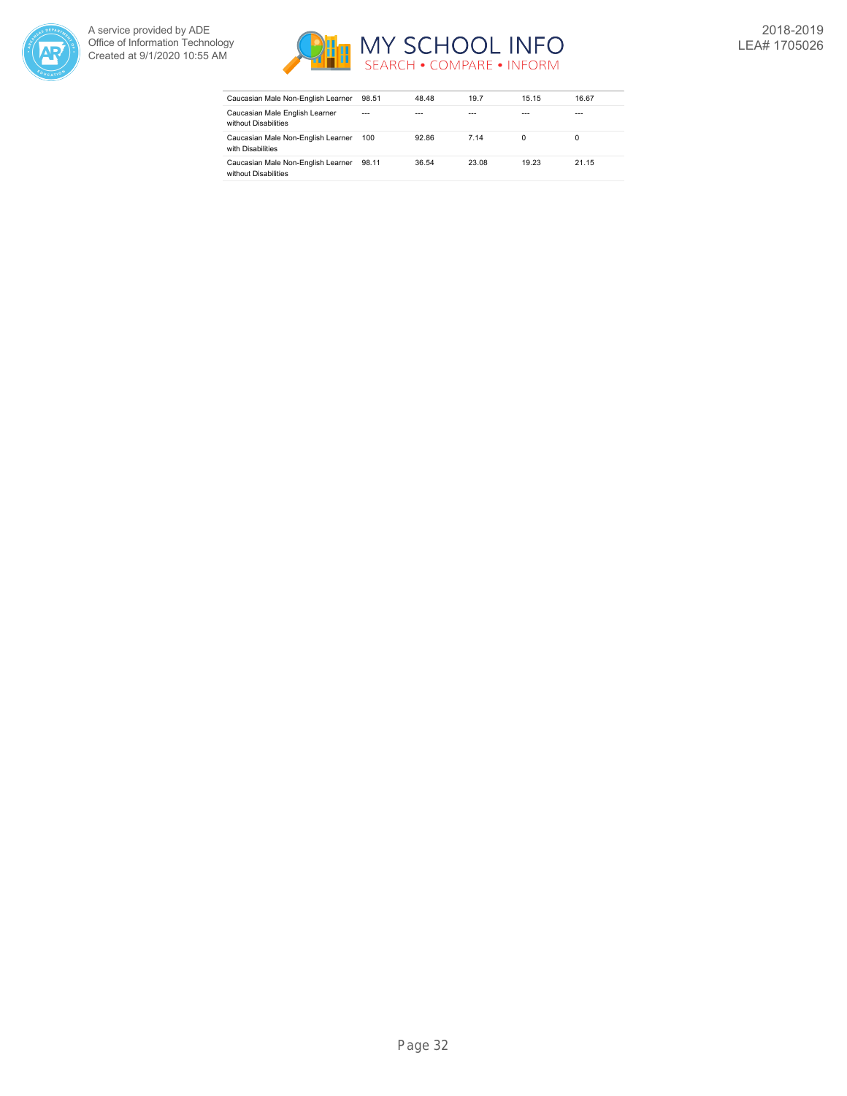



| Caucasian Male Non-English Learner                         | 98.51   | 48.48 | 19.7  | 15.15 | 16.67 |
|------------------------------------------------------------|---------|-------|-------|-------|-------|
| Caucasian Male English Learner<br>without Disabilities     | $- - -$ |       |       |       | ---   |
| Caucasian Male Non-English Learner<br>with Disabilities    | 100     | 92.86 | 7 14  |       | 0     |
| Caucasian Male Non-English Learner<br>without Disabilities | 98.11   | 36.54 | 23.08 | 19.23 | 21.15 |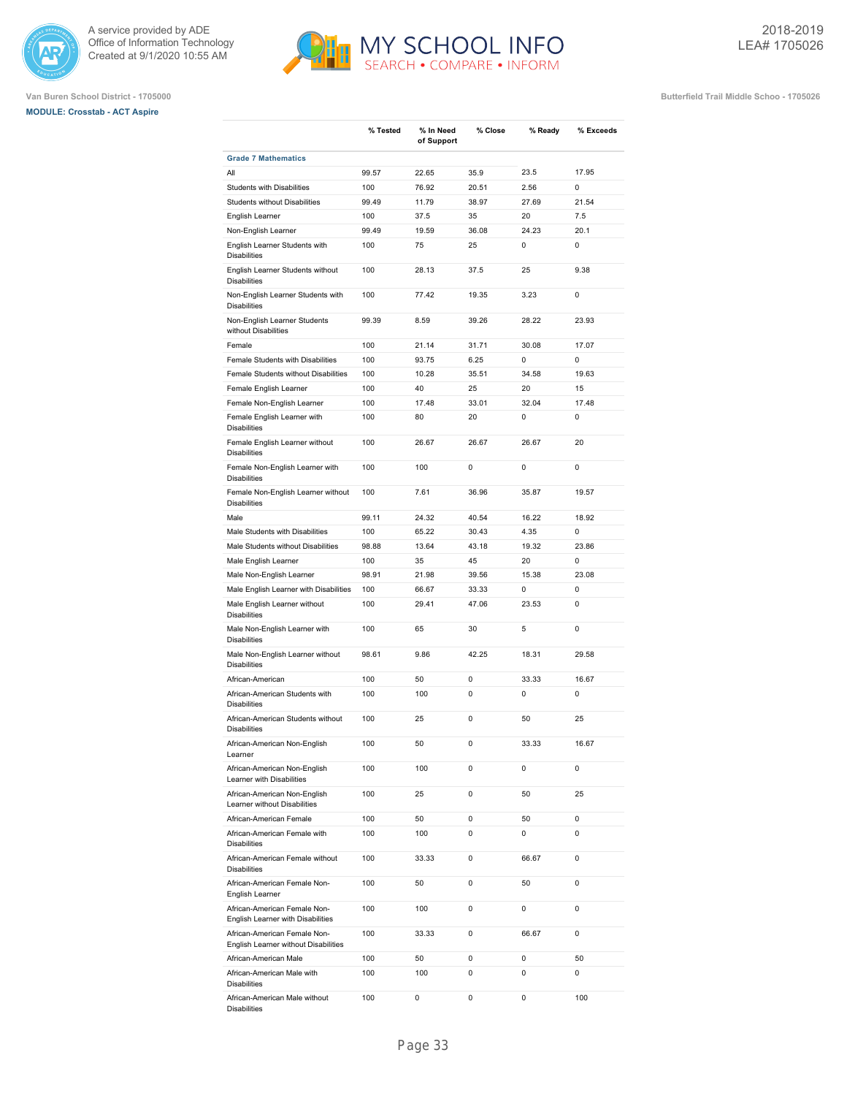





|                                                                      | % Tested | % In Need  | % Close | % Ready | % Exceeds   |
|----------------------------------------------------------------------|----------|------------|---------|---------|-------------|
|                                                                      |          | of Support |         |         |             |
| <b>Grade 7 Mathematics</b>                                           |          |            |         |         |             |
| All                                                                  | 99.57    | 22.65      | 35.9    | 23.5    | 17.95       |
| <b>Students with Disabilities</b>                                    | 100      | 76.92      | 20.51   | 2.56    | 0           |
| <b>Students without Disabilities</b>                                 | 99.49    | 11.79      | 38.97   | 27.69   | 21.54       |
| English Learner                                                      | 100      | 37.5       | 35      | 20      | 7.5         |
| Non-English Learner                                                  | 99.49    | 19.59      | 36.08   | 24.23   | 20.1        |
| English Learner Students with<br><b>Disabilities</b>                 | 100      | 75         | 25      | 0       | $\mathbf 0$ |
| English Learner Students without<br><b>Disabilities</b>              | 100      | 28.13      | 37.5    | 25      | 9.38        |
| Non-English Learner Students with<br><b>Disabilities</b>             | 100      | 77.42      | 19.35   | 3.23    | $\mathbf 0$ |
| Non-English Learner Students<br>without Disabilities                 | 99.39    | 8.59       | 39.26   | 28.22   | 23.93       |
| Female                                                               | 100      | 21.14      | 31.71   | 30.08   | 17.07       |
| Female Students with Disabilities                                    | 100      | 93.75      | 6.25    | 0       | 0           |
| Female Students without Disabilities                                 | 100      | 10.28      | 35.51   | 34.58   | 19.63       |
| Female English Learner                                               | 100      | 40         | 25      | 20      | 15          |
| Female Non-English Learner                                           | 100      | 17.48      | 33.01   | 32.04   | 17.48       |
| Female English Learner with<br><b>Disabilities</b>                   | 100      | 80         | 20      | 0       | 0           |
| Female English Learner without<br><b>Disabilities</b>                | 100      | 26.67      | 26.67   | 26.67   | 20          |
| Female Non-English Learner with<br><b>Disabilities</b>               | 100      | 100        | 0       | 0       | 0           |
| Female Non-English Learner without<br><b>Disabilities</b>            | 100      | 7.61       | 36.96   | 35.87   | 19.57       |
| Male                                                                 | 99.11    | 24.32      | 40.54   | 16.22   | 18.92       |
| Male Students with Disabilities                                      | 100      | 65.22      | 30.43   | 4.35    | 0           |
| Male Students without Disabilities                                   | 98.88    | 13.64      | 43.18   | 19.32   | 23.86       |
| Male English Learner                                                 | 100      | 35         | 45      | 20      | 0           |
| Male Non-English Learner                                             | 98.91    | 21.98      | 39.56   | 15.38   | 23.08       |
| Male English Learner with Disabilities                               | 100      | 66.67      | 33.33   | 0       | 0           |
| Male English Learner without<br><b>Disabilities</b>                  | 100      | 29.41      | 47.06   | 23.53   | $\mathbf 0$ |
| Male Non-English Learner with<br><b>Disabilities</b>                 | 100      | 65         | 30      | 5       | $\mathbf 0$ |
| Male Non-English Learner without<br><b>Disabilities</b>              | 98.61    | 9.86       | 42.25   | 18.31   | 29.58       |
| African-American                                                     | 100      | 50         | 0       | 33.33   | 16.67       |
| African-American Students with<br><b>Disabilities</b>                | 100      | 100        | 0       | 0       | 0           |
| African-American Students without<br><b>Disabilities</b>             | 100      | 25         | 0       | 50      | 25          |
| African-American Non-English<br>Learner                              | 100      | 50         | 0       | 33.33   | 16.67       |
| African-American Non-English<br>Learner with Disabilities            | 100      | 100        | 0       | 0       | 0           |
| African-American Non-English<br>Learner without Disabilities         | 100      | 25         | 0       | 50      | 25          |
| African-American Female                                              | 100      | 50         | 0       | 50      | $\mathbf 0$ |
| African-American Female with<br><b>Disabilities</b>                  | 100      | 100        | 0       | 0       | 0           |
| African-American Female without<br><b>Disabilities</b>               | 100      | 33.33      | 0       | 66.67   | $\mathbf 0$ |
| African-American Female Non-<br>English Learner                      | 100      | 50         | 0       | 50      | $\mathbf 0$ |
| African-American Female Non-<br>English Learner with Disabilities    | 100      | 100        | 0       | 0       | 0           |
| African-American Female Non-<br>English Learner without Disabilities | 100      | 33.33      | 0       | 66.67   | 0           |
| African-American Male                                                | 100      | 50         | 0       | 0       | 50          |
| African-American Male with<br><b>Disabilities</b>                    | 100      | 100        | 0       | 0       | 0           |
| African-American Male without<br><b>Disabilities</b>                 | 100      | 0          | 0       | 0       | 100         |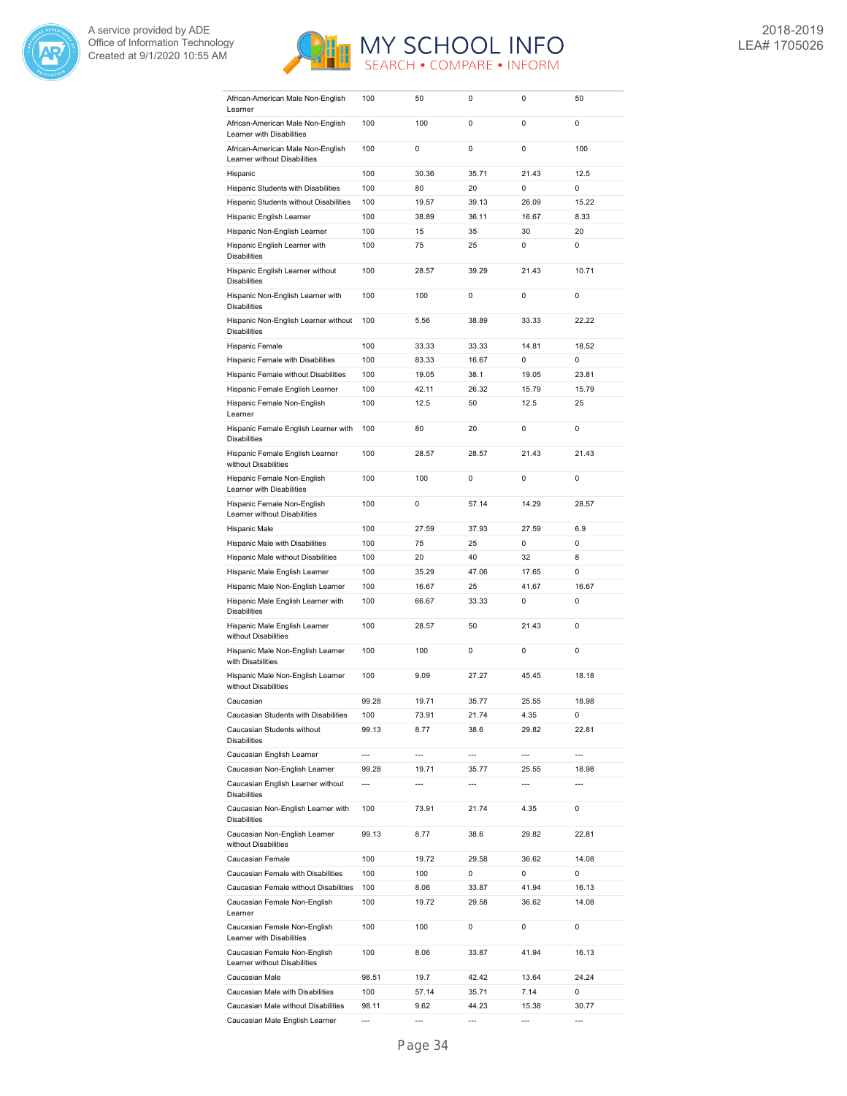



| African-American Male Non-English<br>Learner                   | 100            | 50             | 0              | 0              | 50             |
|----------------------------------------------------------------|----------------|----------------|----------------|----------------|----------------|
| African-American Male Non-English                              | 100            | 100            | 0              | 0              | $\mathbf 0$    |
| Learner with Disabilities<br>African-American Male Non-English | 100            | 0              | 0              | 0              | 100            |
| Learner without Disabilities                                   |                |                |                | 21.43          | 12.5           |
| Hispanic                                                       | 100            | 30.36          | 35.71          |                |                |
| Hispanic Students with Disabilities                            | 100            | 80             | 20             | 0              | 0              |
| Hispanic Students without Disabilities                         | 100            | 19.57          | 39.13          | 26.09          | 15.22          |
| Hispanic English Learner                                       | 100            | 38.89          | 36.11          | 16.67          | 8.33           |
| Hispanic Non-English Learner                                   | 100            | 15             | 35             | 30             | 20             |
| Hispanic English Learner with<br><b>Disabilities</b>           | 100            | 75             | 25             | 0              | 0              |
| Hispanic English Learner without<br><b>Disabilities</b>        | 100            | 28.57          | 39.29          | 21.43          | 10.71          |
| Hispanic Non-English Learner with<br><b>Disabilities</b>       | 100            | 100            | 0              | 0              | $\mathbf 0$    |
| Hispanic Non-English Learner without<br><b>Disabilities</b>    | 100            | 5.56           | 38.89          | 33.33          | 22.22          |
| Hispanic Female                                                | 100            | 33.33          | 33.33          | 14.81          | 18.52          |
| Hispanic Female with Disabilities                              | 100            | 83.33          | 16.67          | 0              | $\mathbf 0$    |
| Hispanic Female without Disabilities                           | 100            | 19.05          | 38.1           | 19.05          | 23.81          |
| Hispanic Female English Learner                                | 100            | 42.11          | 26.32          | 15.79          | 15.79          |
|                                                                | 100            |                | 50             | 12.5           | 25             |
| Hispanic Female Non-English<br>Learner                         |                | 12.5           |                |                |                |
| Hispanic Female English Learner with<br><b>Disabilities</b>    | 100            | 80             | 20             | 0              | 0              |
| Hispanic Female English Learner<br>without Disabilities        | 100            | 28.57          | 28.57          | 21.43          | 21.43          |
| Hispanic Female Non-English<br>Learner with Disabilities       | 100            | 100            | 0              | 0              | $\mathbf 0$    |
| Hispanic Female Non-English<br>Learner without Disabilities    | 100            | 0              | 57.14          | 14.29          | 28.57          |
| Hispanic Male                                                  | 100            | 27.59          | 37.93          | 27.59          | 6.9            |
| Hispanic Male with Disabilities                                | 100            | 75             | 25             | 0              | 0              |
| Hispanic Male without Disabilities                             | 100            | 20             | 40             | 32             | 8              |
| Hispanic Male English Learner                                  | 100            | 35.29          | 47.06          | 17.65          | $\mathbf 0$    |
| Hispanic Male Non-English Learner                              | 100            | 16.67          | 25             | 41.67          | 16.67          |
| Hispanic Male English Learner with                             | 100            | 66.67          | 33.33          | 0              | $\mathbf 0$    |
| <b>Disabilities</b><br>Hispanic Male English Learner           | 100            | 28.57          | 50             | 21.43          | 0              |
| without Disabilities                                           |                |                |                |                | $\mathbf 0$    |
| Hispanic Male Non-English Learner<br>with Disabilities         | 100            | 100            | 0              | 0              |                |
| Hispanic Male Non-English Learner<br>without Disabilities      | 100            | 9.09           | 27.27          | 45.45          | 18.18          |
| Caucasian                                                      | 99.28          | 19.71          | 35.77          | 25.55          | 18.98          |
| Caucasian Students with Disabilities                           | 100            | 73.91          | 21.74          | 4.35           | 0              |
| Caucasian Students without<br><b>Disabilities</b>              | 99.13          | 8.77           | 38.6           | 29.82          | 22.81          |
| Caucasian English Learner                                      | ---            | $\overline{a}$ | $\overline{a}$ | ---            | $\overline{a}$ |
| Caucasian Non-English Learner                                  | 99.28          | 19.71          | 35.77          | 25.55          | 18.98          |
| Caucasian English Learner without<br><b>Disabilities</b>       | $\overline{a}$ | $\overline{a}$ | $\overline{a}$ | $\overline{a}$ | $\overline{a}$ |
| Caucasian Non-English Learner with<br><b>Disabilities</b>      | 100            | 73.91          |                |                | 0              |
| Caucasian Non-English Learner                                  |                |                | 21.74          | 4.35           |                |
| without Disabilities                                           | 99.13          | 8.77           | 38.6           | 29.82          | 22.81          |
| Caucasian Female                                               | 100            | 19.72          | 29.58          | 36.62          | 14.08          |
|                                                                |                |                | 0              | 0              | 0              |
| Caucasian Female with Disabilities                             | 100            | 100            |                |                |                |
| Caucasian Female without Disabilities                          | 100            | 8.06           | 33.87          | 41.94          | 16.13          |
| Caucasian Female Non-English<br>Learner                        | 100            | 19.72          | 29.58          | 36.62          | 14.08          |
| Caucasian Female Non-English<br>Learner with Disabilities      | 100            | 100            | 0              | 0              | $\mathbf 0$    |
| Caucasian Female Non-English<br>Learner without Disabilities   | 100            | 8.06           | 33.87          | 41.94          | 16.13          |
| Caucasian Male                                                 | 98.51          | 19.7           | 42.42          | 13.64          | 24.24          |
| Caucasian Male with Disabilities                               | 100            | 57.14          | 35.71          | 7.14           | 0              |
| Caucasian Male without Disabilities                            | 98.11          | 9.62           | 44.23          | 15.38          | 30.77          |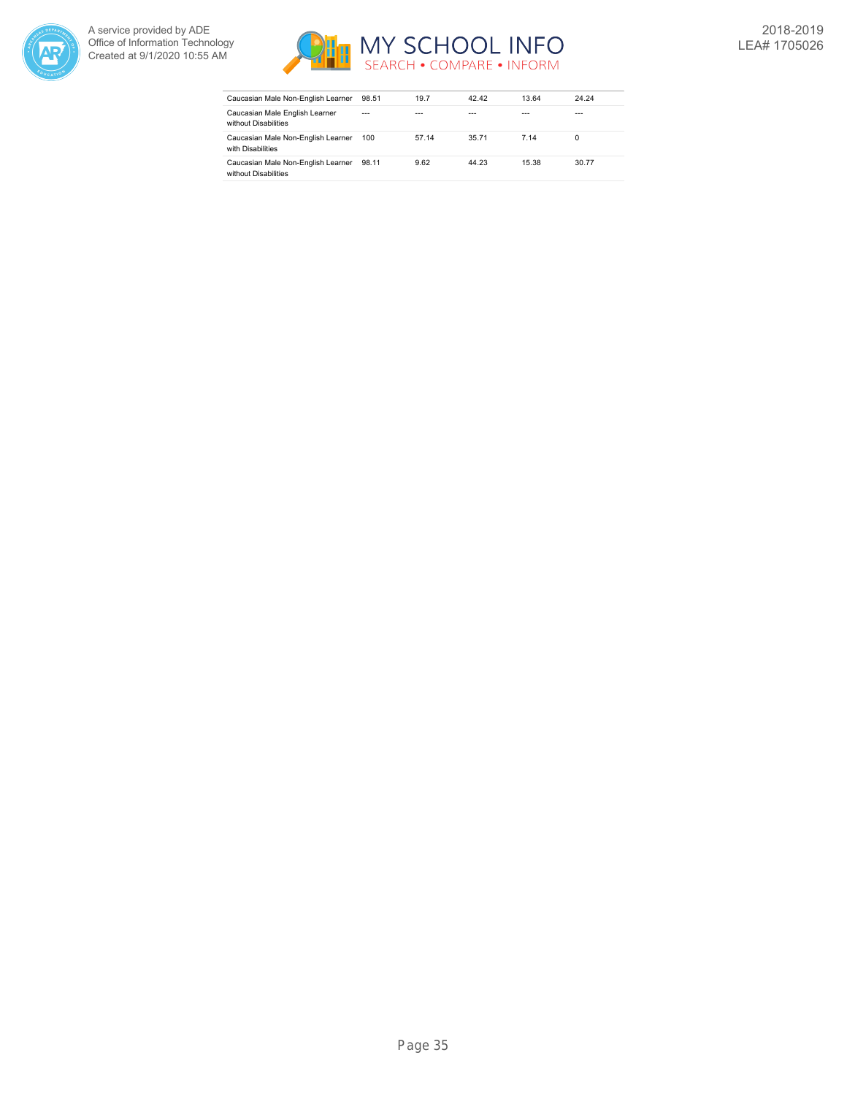



| Caucasian Male Non-English Learner                         | 98.51   | 19.7  | 42.42 | 13.64 | 24.24 |
|------------------------------------------------------------|---------|-------|-------|-------|-------|
| Caucasian Male English Learner<br>without Disabilities     | $- - -$ |       |       |       | ---   |
| Caucasian Male Non-English Learner<br>with Disabilities    | 100     | 57.14 | 35.71 | 7 14  | 0     |
| Caucasian Male Non-English Learner<br>without Disabilities | 98.11   | 9.62  | 44.23 | 15.38 | 30.77 |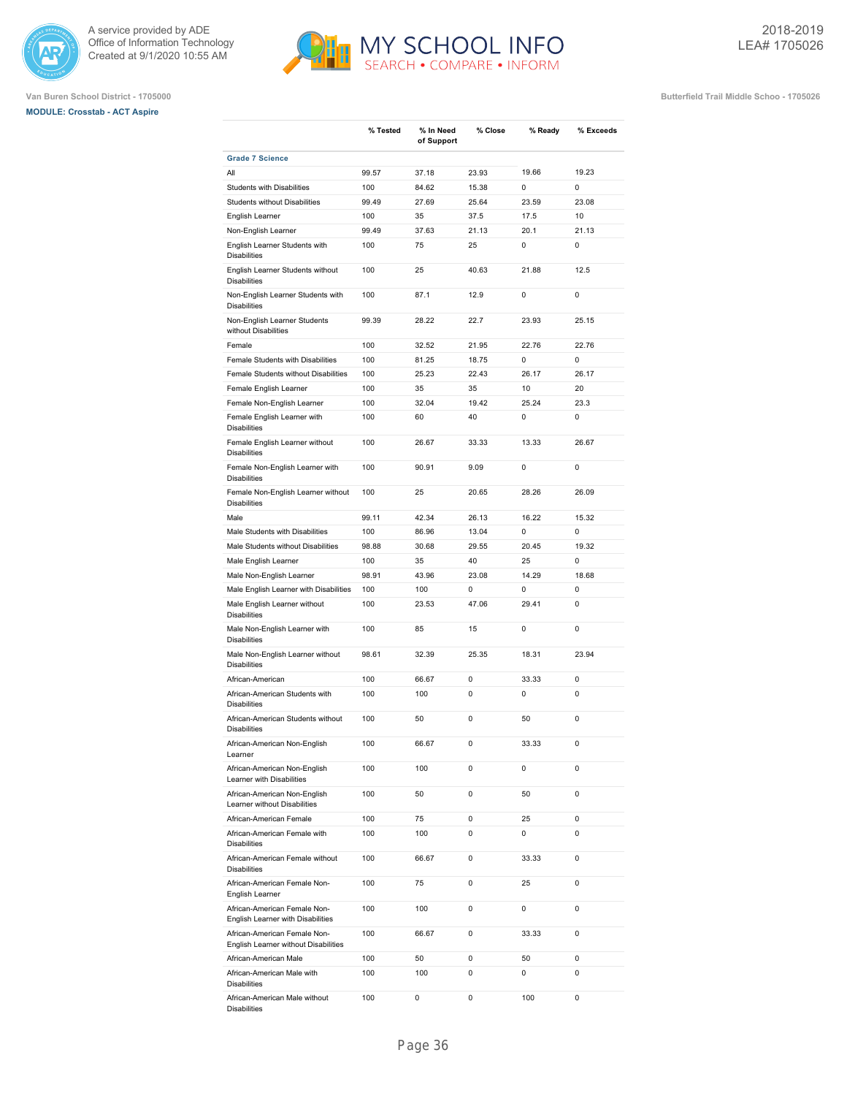

# **MODULE: Crosstab - ACT Aspire**



**% Close % Ready % Exceeds**

**% Tested % In Need**

**Van Buren School District - 1705000 Butterfield Trail Middle Schoo - 1705026**

|                                                                      |       | of Support |       |       |             |
|----------------------------------------------------------------------|-------|------------|-------|-------|-------------|
| <b>Grade 7 Science</b>                                               |       |            |       |       |             |
| All                                                                  | 99.57 | 37.18      | 23.93 | 19.66 | 19.23       |
| <b>Students with Disabilities</b>                                    | 100   | 84.62      | 15.38 | 0     | 0           |
| Students without Disabilities                                        | 99.49 | 27.69      | 25.64 | 23.59 | 23.08       |
| English Learner                                                      | 100   | 35         | 37.5  | 17.5  | 10          |
| Non-English Learner                                                  | 99.49 | 37.63      | 21.13 | 20.1  | 21.13       |
| English Learner Students with<br><b>Disabilities</b>                 | 100   | 75         | 25    | 0     | 0           |
| English Learner Students without<br><b>Disabilities</b>              | 100   | 25         | 40.63 | 21.88 | 12.5        |
| Non-English Learner Students with<br><b>Disabilities</b>             | 100   | 87.1       | 12.9  | 0     | $\pmb{0}$   |
| Non-English Learner Students<br>without Disabilities                 | 99.39 | 28.22      | 22.7  | 23.93 | 25.15       |
| Female                                                               | 100   | 32.52      | 21.95 | 22.76 | 22.76       |
| Female Students with Disabilities                                    | 100   | 81.25      | 18.75 | 0     | 0           |
| Female Students without Disabilities                                 | 100   | 25.23      | 22.43 | 26.17 | 26.17       |
| Female English Learner                                               | 100   | 35         | 35    | 10    | 20          |
| Female Non-English Learner                                           | 100   | 32.04      | 19.42 | 25.24 | 23.3        |
| Female English Learner with                                          | 100   | 60         | 40    | 0     | 0           |
| <b>Disabilities</b>                                                  | 100   | 26.67      | 33.33 | 13.33 | 26.67       |
| Female English Learner without<br><b>Disabilities</b>                |       |            |       |       |             |
| Female Non-English Learner with<br><b>Disabilities</b>               | 100   | 90.91      | 9.09  | 0     | 0           |
| Female Non-English Learner without<br><b>Disabilities</b>            | 100   | 25         | 20.65 | 28.26 | 26.09       |
| Male                                                                 | 99.11 | 42.34      | 26.13 | 16.22 | 15.32       |
| Male Students with Disabilities                                      | 100   | 86.96      | 13.04 | 0     | 0           |
| Male Students without Disabilities                                   | 98.88 | 30.68      | 29.55 | 20.45 | 19.32       |
| Male English Learner                                                 | 100   | 35         | 40    | 25    | 0           |
| Male Non-English Learner                                             | 98.91 | 43.96      | 23.08 | 14.29 | 18.68       |
| Male English Learner with Disabilities                               | 100   | 100        | 0     | 0     | $\mathbf 0$ |
| Male English Learner without<br><b>Disabilities</b>                  | 100   | 23.53      | 47.06 | 29.41 | 0           |
| Male Non-English Learner with<br><b>Disabilities</b>                 | 100   | 85         | 15    | 0     | 0           |
| Male Non-English Learner without<br><b>Disabilities</b>              | 98.61 | 32.39      | 25.35 | 18.31 | 23.94       |
| African-American                                                     | 100   | 66.67      | 0     | 33.33 | 0           |
| African-American Students with<br><b>Disabilities</b>                | 100   | 100        | 0     | 0     | 0           |
| African-American Students without<br><b>Disabilities</b>             | 100   | 50         | 0     | 50    | 0           |
| African-American Non-English<br>Learner                              | 100   | 66.67      | 0     | 33.33 | 0           |
| African-American Non-English<br>Learner with Disabilities            | 100   | 100        | 0     | 0     | 0           |
| African-American Non-English<br>Learner without Disabilities         | 100   | 50         | 0     | 50    | 0           |
| African-American Female                                              | 100   | 75         | 0     | 25    | 0           |
| African-American Female with<br><b>Disabilities</b>                  | 100   | 100        | 0     | 0     | 0           |
| African-American Female without<br><b>Disabilities</b>               | 100   | 66.67      | 0     | 33.33 | 0           |
| African-American Female Non-<br>English Learner                      | 100   | 75         | 0     | 25    | 0           |
| African-American Female Non-<br>English Learner with Disabilities    | 100   | 100        | 0     | 0     | 0           |
| African-American Female Non-<br>English Learner without Disabilities | 100   | 66.67      | 0     | 33.33 | 0           |
| African-American Male                                                | 100   | 50         | 0     | 50    | 0           |
| African-American Male with<br><b>Disabilities</b>                    | 100   | 100        | 0     | 0     | 0           |

African-American Male without Disabilities

100 0 0 100 0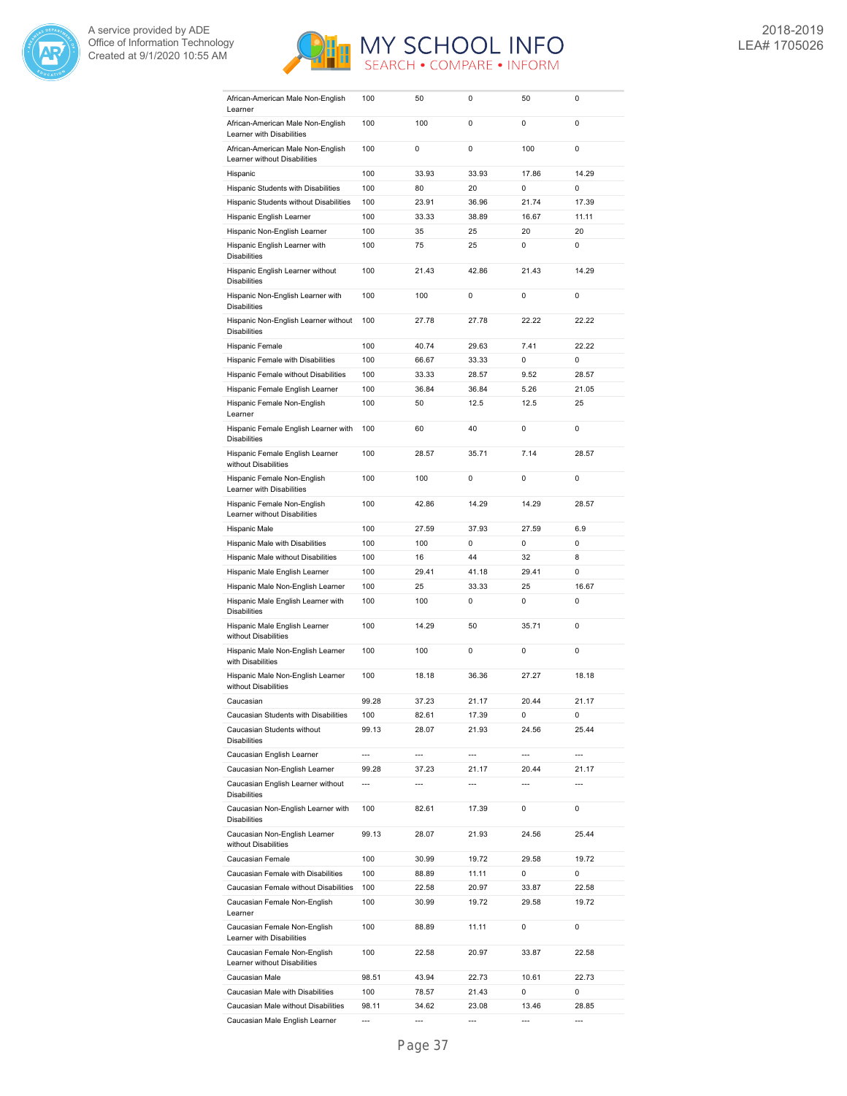



| African-American Male Non-English<br>Learner                      | 100            | 50             | 0              | 50             | 0              |
|-------------------------------------------------------------------|----------------|----------------|----------------|----------------|----------------|
| African-American Male Non-English                                 | 100            | 100            | 0              | 0              | 0              |
| Learner with Disabilities                                         |                |                |                |                |                |
| African-American Male Non-English<br>Learner without Disabilities | 100            | 0              | 0              | 100            | 0              |
| Hispanic                                                          | 100            | 33.93          | 33.93          | 17.86          | 14.29          |
| Hispanic Students with Disabilities                               | 100            | 80             | 20             | 0              | 0              |
| Hispanic Students without Disabilities                            | 100            | 23.91          | 36.96          | 21.74          | 17.39          |
| Hispanic English Learner                                          | 100            | 33.33          | 38.89          | 16.67          | 11.11          |
| Hispanic Non-English Learner                                      | 100            | 35             | 25             | 20             | 20             |
| Hispanic English Learner with<br><b>Disabilities</b>              | 100            | 75             | 25             | 0              | 0              |
| Hispanic English Learner without<br><b>Disabilities</b>           | 100            | 21.43          | 42.86          | 21.43          | 14.29          |
| Hispanic Non-English Learner with<br><b>Disabilities</b>          | 100            | 100            | 0              | 0              | 0              |
| Hispanic Non-English Learner without<br><b>Disabilities</b>       | 100            | 27.78          | 27.78          | 22.22          | 22.22          |
| Hispanic Female                                                   | 100            | 40.74          | 29.63          | 7.41           | 22.22          |
| Hispanic Female with Disabilities                                 | 100            | 66.67          | 33.33          | 0              | 0              |
| Hispanic Female without Disabilities                              | 100            | 33.33          | 28.57          | 9.52           | 28.57          |
| Hispanic Female English Learner                                   | 100            | 36.84          | 36.84          | 5.26           | 21.05          |
| Hispanic Female Non-English<br>Learner                            | 100            | 50             | 12.5           | 12.5           | 25             |
| Hispanic Female English Learner with<br><b>Disabilities</b>       | 100            | 60             | 40             | 0              | 0              |
| Hispanic Female English Learner<br>without Disabilities           | 100            | 28.57          | 35.71          | 7.14           | 28.57          |
| Hispanic Female Non-English<br>Learner with Disabilities          | 100            | 100            | 0              | 0              | 0              |
| Hispanic Female Non-English<br>Learner without Disabilities       | 100            | 42.86          | 14.29          | 14.29          | 28.57          |
| Hispanic Male                                                     | 100            | 27.59          | 37.93          | 27.59          | 6.9            |
| Hispanic Male with Disabilities                                   | 100            | 100            | 0              | 0              | 0              |
|                                                                   |                |                |                |                |                |
| Hispanic Male without Disabilities                                | 100            | 16             | 44             | 32             | 8              |
| Hispanic Male English Learner                                     | 100            | 29.41          | 41.18          | 29.41          | 0              |
| Hispanic Male Non-English Learner                                 | 100            | 25             | 33.33          | 25             | 16.67          |
| Hispanic Male English Learner with<br><b>Disabilities</b>         | 100            | 100            | 0              | 0              | 0              |
| Hispanic Male English Learner<br>without Disabilities             | 100            | 14.29          | 50             | 35.71          | 0              |
| Hispanic Male Non-English Learner<br>with Disabilities            | 100            | 100            | 0              | 0              | 0              |
| Hispanic Male Non-English Learner<br>without Disabilities         | 100            | 18.18          | 36.36          | 27.27          | 18.18          |
| Caucasian                                                         | 99.28          | 37.23          | 21.17          | 20.44          | 21.17          |
| Caucasian Students with Disabilities                              | 100            | 82.61          | 17.39          | 0              | 0              |
| Caucasian Students without<br><b>Disabilities</b>                 | 99.13          | 28.07          | 21.93          | 24.56          | 25.44          |
| Caucasian English Learner                                         | $\overline{a}$ | $\overline{a}$ | $\overline{a}$ | ---            | $\overline{a}$ |
| Caucasian Non-English Learner                                     | 99.28          | 37.23          | 21.17          | 20.44          | 21.17          |
| Caucasian English Learner without<br><b>Disabilities</b>          | $\overline{a}$ | $---$          | $\overline{a}$ | $\overline{a}$ | $\overline{a}$ |
| Caucasian Non-English Learner with<br><b>Disabilities</b>         | 100            | 82.61          | 17.39          | 0              | 0              |
| Caucasian Non-English Learner<br>without Disabilities             | 99.13          | 28.07          | 21.93          | 24.56          | 25.44          |
| Caucasian Female                                                  | 100            | 30.99          | 19.72          | 29.58          | 19.72          |
| Caucasian Female with Disabilities                                | 100            | 88.89          | 11.11          | 0              | 0              |
| Caucasian Female without Disabilities                             | 100            | 22.58          | 20.97          | 33.87          | 22.58          |
| Caucasian Female Non-English<br>Learner                           | 100            | 30.99          | 19.72          | 29.58          | 19.72          |
| Caucasian Female Non-English<br>Learner with Disabilities         | 100            | 88.89          | 11.11          | 0              | 0              |
| Caucasian Female Non-English<br>Learner without Disabilities      | 100            | 22.58          | 20.97          | 33.87          | 22.58          |
| Caucasian Male                                                    | 98.51          | 43.94          | 22.73          | 10.61          | 22.73          |
| Caucasian Male with Disabilities                                  | 100            | 78.57          | 21.43          | 0              | 0              |
| Caucasian Male without Disabilities                               | 98.11          | 34.62          | 23.08          | 13.46          | 28.85          |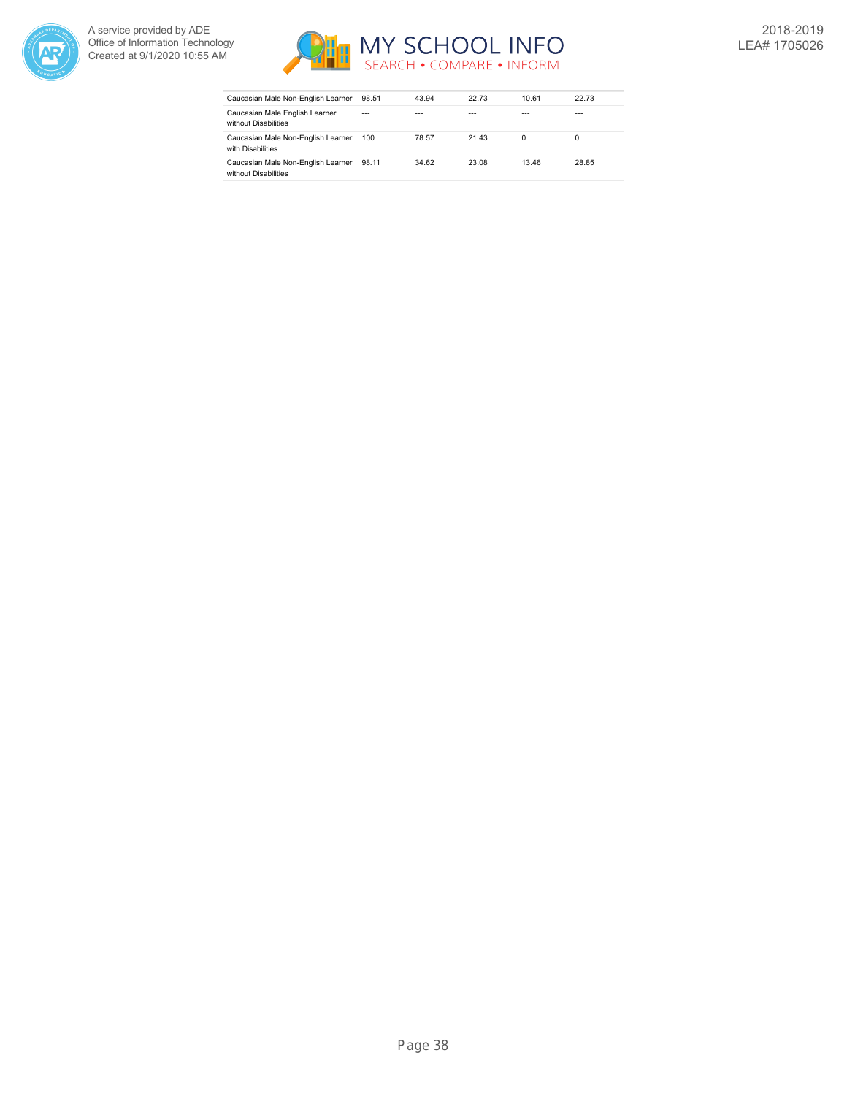



| Caucasian Male Non-English Learner                         | 98.51   | 43.94 | 22.73 | 10.61        | 22.73 |
|------------------------------------------------------------|---------|-------|-------|--------------|-------|
| Caucasian Male English Learner<br>without Disabilities     | $- - -$ |       |       |              | ---   |
| Caucasian Male Non-English Learner<br>with Disabilities    | 100     | 78.57 | 21.43 | <sup>0</sup> |       |
| Caucasian Male Non-English Learner<br>without Disabilities | 98.11   | 34.62 | 23.08 | 13.46        | 28.85 |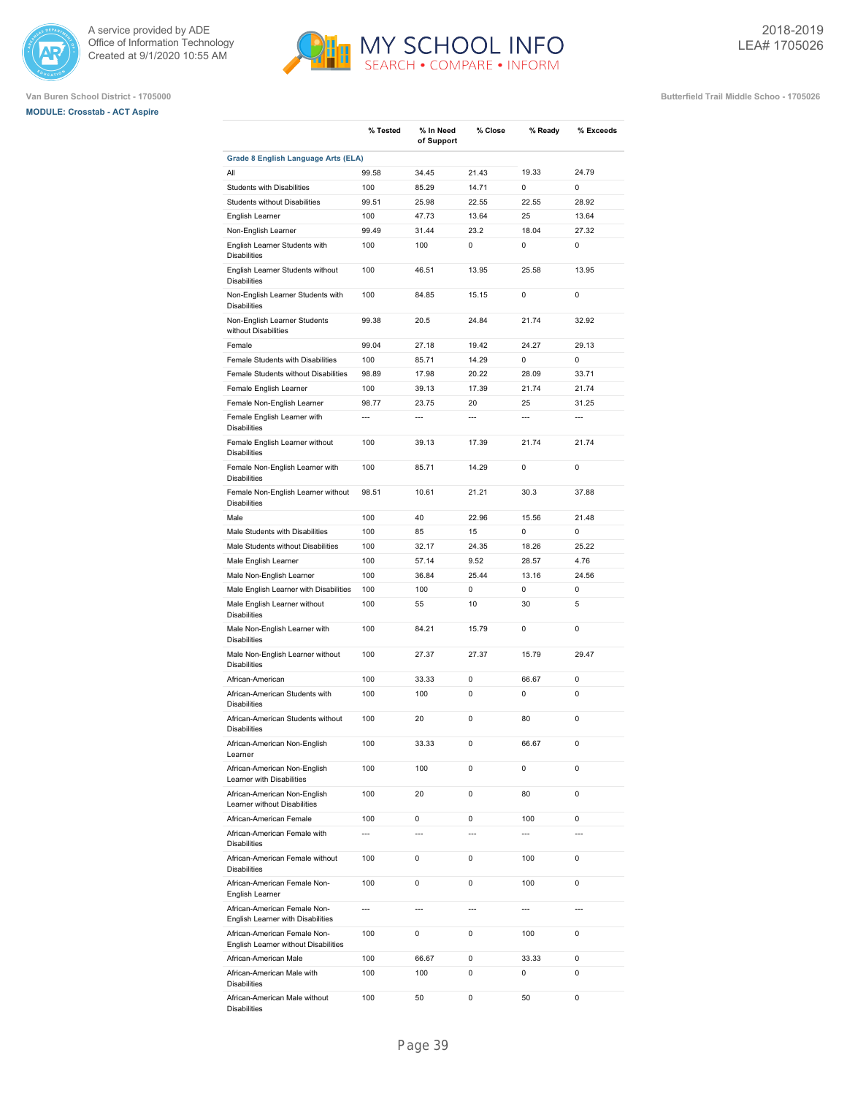





|                                                                      | % Tested       | % In Need<br>of Support | % Close | % Ready        | % Exceeds      |
|----------------------------------------------------------------------|----------------|-------------------------|---------|----------------|----------------|
| Grade 8 English Language Arts (ELA)                                  |                |                         |         |                |                |
| All                                                                  | 99.58          | 34.45                   | 21.43   | 19.33          | 24.79          |
| <b>Students with Disabilities</b>                                    | 100            | 85.29                   | 14.71   | 0              | $\mathbf 0$    |
| <b>Students without Disabilities</b>                                 | 99.51          | 25.98                   | 22.55   | 22.55          | 28.92          |
| English Learner                                                      | 100            | 47.73                   | 13.64   | 25             | 13.64          |
| Non-English Learner                                                  | 99.49          | 31.44                   | 23.2    | 18.04          | 27.32          |
| English Learner Students with<br><b>Disabilities</b>                 | 100            | 100                     | 0       | 0              | $\mathbf 0$    |
| English Learner Students without<br><b>Disabilities</b>              | 100            | 46.51                   | 13.95   | 25.58          | 13.95          |
| Non-English Learner Students with<br><b>Disabilities</b>             | 100            | 84.85                   | 15.15   | 0              | $\mathbf 0$    |
| Non-English Learner Students<br>without Disabilities                 | 99.38          | 20.5                    | 24.84   | 21.74          | 32.92          |
| Female                                                               | 99.04          | 27.18                   | 19.42   | 24.27          | 29.13          |
| Female Students with Disabilities                                    | 100            | 85.71                   | 14.29   | 0              | 0              |
| Female Students without Disabilities                                 | 98.89          | 17.98                   | 20.22   | 28.09          | 33.71          |
| Female English Learner                                               | 100            | 39.13                   | 17.39   | 21.74          | 21.74          |
| Female Non-English Learner                                           | 98.77          | 23.75                   | 20      | 25             | 31.25          |
| Female English Learner with                                          | ---            | $\overline{a}$          | ---     | $\overline{a}$ | $\overline{a}$ |
| <b>Disabilities</b>                                                  |                |                         |         |                |                |
| Female English Learner without<br><b>Disabilities</b>                | 100            | 39.13                   | 17.39   | 21.74          | 21.74          |
| Female Non-English Learner with<br><b>Disabilities</b>               | 100            | 85.71                   | 14.29   | $\mathbf 0$    | 0              |
| Female Non-English Learner without<br><b>Disabilities</b>            | 98.51          | 10.61                   | 21.21   | 30.3           | 37.88          |
| Male                                                                 | 100            | 40                      | 22.96   | 15.56          | 21.48          |
| Male Students with Disabilities                                      | 100            | 85                      | 15      | 0              | $\mathbf 0$    |
| Male Students without Disabilities                                   | 100            | 32.17                   | 24.35   | 18.26          | 25.22          |
| Male English Learner                                                 | 100            | 57.14                   | 9.52    | 28.57          | 4.76           |
| Male Non-English Learner                                             | 100            | 36.84                   | 25.44   | 13.16          | 24.56          |
| Male English Learner with Disabilities                               | 100            | 100                     | 0       | 0              | $\mathbf 0$    |
| Male English Learner without<br><b>Disabilities</b>                  | 100            | 55                      | 10      | 30             | 5              |
| Male Non-English Learner with<br><b>Disabilities</b>                 | 100            | 84.21                   | 15.79   | 0              | $\mathbf 0$    |
| Male Non-English Learner without<br><b>Disabilities</b>              | 100            | 27.37                   | 27.37   | 15.79          | 29.47          |
| African-American                                                     | 100            | 33.33                   | 0       | 66.67          | 0              |
| African-American Students with<br><b>Disabilities</b>                | 100            | 100                     | 0       | 0              | $\mathbf 0$    |
| African-American Students without<br><b>Disabilities</b>             | 100            | 20                      | 0       | 80             | 0              |
| African-American Non-English<br>Learner                              | 100            | 33.33                   | 0       | 66.67          | 0              |
| African-American Non-English<br>Learner with Disabilities            | 100            | 100                     | 0       | 0              | 0              |
| African-American Non-English<br>Learner without Disabilities         | 100            | 20                      | 0       | 80             | 0              |
| African-American Female                                              | 100            | 0                       | 0       | 100            | $\mathbf 0$    |
| African-American Female with<br><b>Disabilities</b>                  | ---            | $\overline{a}$          | ---     | $\overline{a}$ |                |
| African-American Female without<br><b>Disabilities</b>               | 100            | 0                       | 0       | 100            | $\mathbf 0$    |
| African-American Female Non-<br>English Learner                      | 100            | 0                       | 0       | 100            | $\mathbf 0$    |
| African-American Female Non-<br>English Learner with Disabilities    | $\overline{a}$ | $\overline{a}$          | ---     | $\overline{a}$ | $\overline{a}$ |
| African-American Female Non-<br>English Learner without Disabilities | 100            | 0                       | 0       | 100            | $\mathbf 0$    |
| African-American Male                                                | 100            | 66.67                   | 0       | 33.33          | $\mathbf 0$    |
| African-American Male with<br><b>Disabilities</b>                    | 100            | 100                     | 0       | 0              | $\mathbf 0$    |
| African-American Male without<br><b>Disabilities</b>                 | 100            | 50                      | 0       | 50             | 0              |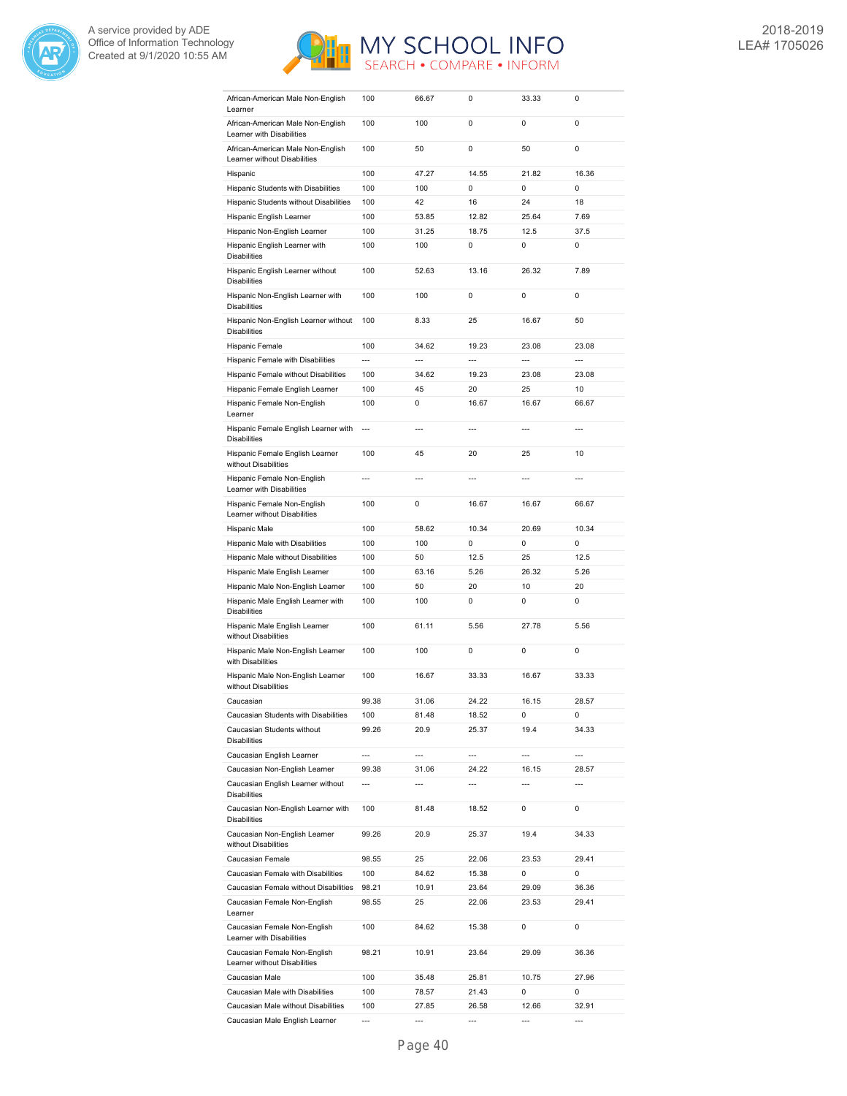



| African-American Male Non-English<br>Learner                      | 100            | 66.67          | 0     | 33.33 | 0              |
|-------------------------------------------------------------------|----------------|----------------|-------|-------|----------------|
| African-American Male Non-English                                 | 100            | 100            | 0     | 0     | 0              |
| Learner with Disabilities                                         |                |                |       |       |                |
| African-American Male Non-English<br>Learner without Disabilities | 100            | 50             | 0     | 50    | $\mathbf 0$    |
| Hispanic                                                          | 100            | 47.27          | 14.55 | 21.82 | 16.36          |
| Hispanic Students with Disabilities                               | 100            | 100            | 0     | 0     | $\mathbf 0$    |
| Hispanic Students without Disabilities                            | 100            | 42             | 16    | 24    | 18             |
| Hispanic English Learner                                          | 100            | 53.85          | 12.82 | 25.64 | 7.69           |
| Hispanic Non-English Learner                                      | 100            | 31.25          | 18.75 | 12.5  | 37.5           |
| Hispanic English Learner with<br><b>Disabilities</b>              | 100            | 100            | 0     | 0     | 0              |
| Hispanic English Learner without<br><b>Disabilities</b>           | 100            | 52.63          | 13.16 | 26.32 | 7.89           |
| Hispanic Non-English Learner with<br><b>Disabilities</b>          | 100            | 100            | 0     | 0     | 0              |
| Hispanic Non-English Learner without<br><b>Disabilities</b>       | 100            | 8.33           | 25    | 16.67 | 50             |
| Hispanic Female                                                   | 100            | 34.62          | 19.23 | 23.08 | 23.08          |
| Hispanic Female with Disabilities                                 | ---            | ---            | ---   | ---   | ---            |
| Hispanic Female without Disabilities                              | 100            | 34.62          | 19.23 | 23.08 | 23.08          |
| Hispanic Female English Learner                                   | 100            | 45             | 20    | 25    | 10             |
| Hispanic Female Non-English<br>Learner                            | 100            | 0              | 16.67 | 16.67 | 66.67          |
| Hispanic Female English Learner with<br><b>Disabilities</b>       | $\overline{a}$ | $\overline{a}$ | ---   | ---   | $\overline{a}$ |
| Hispanic Female English Learner<br>without Disabilities           | 100            | 45             | 20    | 25    | 10             |
| Hispanic Female Non-English<br>Learner with Disabilities          | $\overline{a}$ | $\overline{a}$ | ---   | ---   | ---            |
| Hispanic Female Non-English<br>Learner without Disabilities       | 100            | 0              | 16.67 | 16.67 | 66.67          |
| Hispanic Male                                                     | 100            | 58.62          | 10.34 | 20.69 | 10.34          |
| Hispanic Male with Disabilities                                   | 100            | 100            | 0     | 0     | $\mathbf 0$    |
| Hispanic Male without Disabilities                                | 100            | 50             | 12.5  | 25    | 12.5           |
| Hispanic Male English Learner                                     | 100            | 63.16          | 5.26  | 26.32 | 5.26           |
| Hispanic Male Non-English Learner                                 | 100            | 50             | 20    | 10    | 20             |
| Hispanic Male English Learner with<br><b>Disabilities</b>         | 100            | 100            | 0     | 0     | 0              |
| Hispanic Male English Learner<br>without Disabilities             | 100            | 61.11          | 5.56  | 27.78 | 5.56           |
| Hispanic Male Non-English Learner<br>with Disabilities            | 100            | 100            | 0     | 0     | $\mathbf 0$    |
| Hispanic Male Non-English Learner<br>without Disabilities         | 100            | 16.67          | 33.33 | 16.67 | 33.33          |
| Caucasian                                                         | 99.38          | 31.06          | 24.22 | 16.15 | 28.57          |
| Caucasian Students with Disabilities                              | 100            | 81.48          | 18.52 | 0     | 0              |
| Caucasian Students without<br><b>Disabilities</b>                 | 99.26          | 20.9           | 25.37 | 19.4  | 34.33          |
| Caucasian English Learner                                         | ---            | $\overline{a}$ | ---   | ---   | ---            |
| Caucasian Non-English Learner                                     | 99.38          | 31.06          | 24.22 | 16.15 | 28.57          |
| Caucasian English Learner without<br><b>Disabilities</b>          | ---            | ---            | ---   | ---   | ---            |
| Caucasian Non-English Learner with<br><b>Disabilities</b>         | 100            | 81.48          | 18.52 | 0     | 0              |
| Caucasian Non-English Learner<br>without Disabilities             | 99.26          | 20.9           | 25.37 | 19.4  | 34.33          |
| Caucasian Female                                                  | 98.55          | 25             | 22.06 | 23.53 | 29.41          |
| Caucasian Female with Disabilities                                | 100            | 84.62          | 15.38 | 0     | 0              |
| Caucasian Female without Disabilities                             | 98.21          | 10.91          | 23.64 | 29.09 | 36.36          |
| Caucasian Female Non-English<br>Learner                           | 98.55          | 25             | 22.06 | 23.53 | 29.41          |
| Caucasian Female Non-English<br>Learner with Disabilities         | 100            | 84.62          | 15.38 | 0     | 0              |
| Caucasian Female Non-English<br>Learner without Disabilities      | 98.21          | 10.91          | 23.64 | 29.09 | 36.36          |
| Caucasian Male                                                    | 100            | 35.48          | 25.81 | 10.75 | 27.96          |
| Caucasian Male with Disabilities                                  | 100            | 78.57          | 21.43 | 0     | 0              |
| Caucasian Male without Disabilities                               | 100            | 27.85          | 26.58 | 12.66 | 32.91          |
| Caucasian Male English Learner                                    |                |                |       |       |                |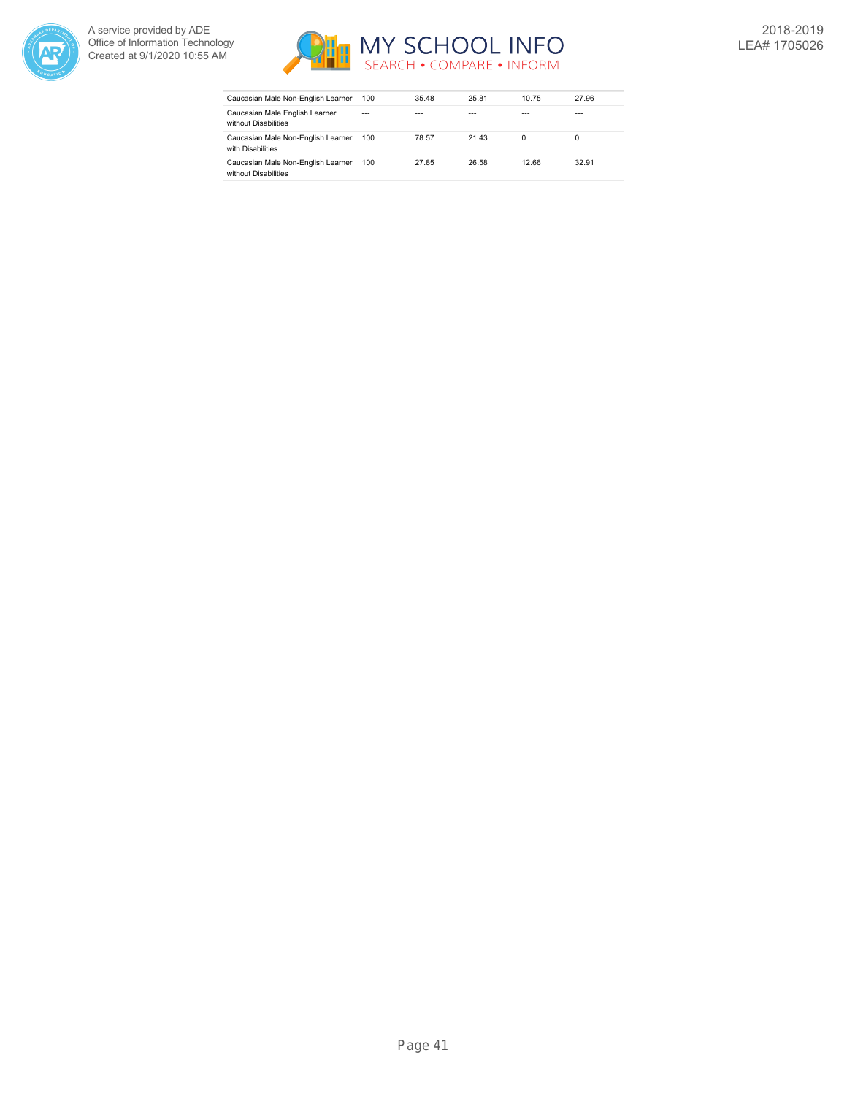



| Caucasian Male Non-English Learner                         | 100     | 35.48 | 25.81 | 10.75 | 27.96 |
|------------------------------------------------------------|---------|-------|-------|-------|-------|
| Caucasian Male English Learner<br>without Disabilities     | $- - -$ | ---   | ---   |       | ---   |
| Caucasian Male Non-English Learner<br>with Disabilities    | 100     | 78.57 | 21.43 | 0     | 0     |
| Caucasian Male Non-English Learner<br>without Disabilities | 100     | 27.85 | 26.58 | 12.66 | 32.91 |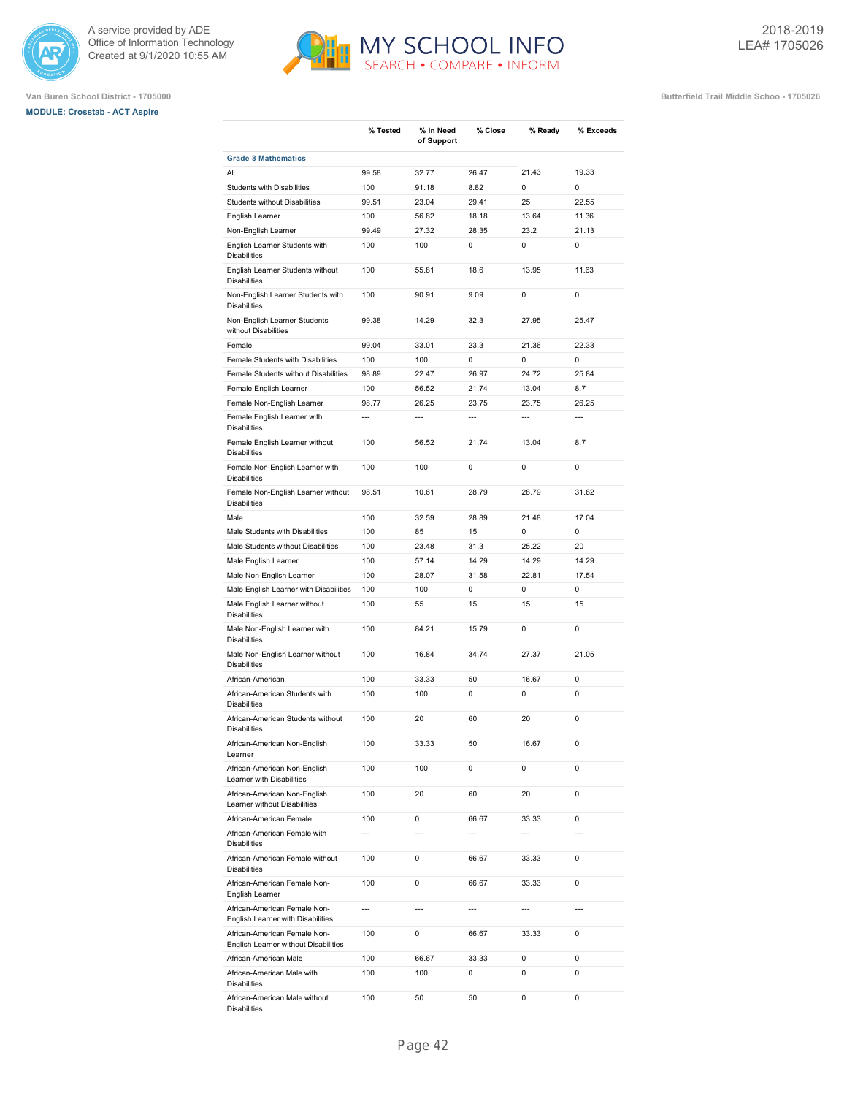





|                                                                      | % Tested       | % In Need<br>of Support | % Close        | % Ready        | % Exceeds      |
|----------------------------------------------------------------------|----------------|-------------------------|----------------|----------------|----------------|
| <b>Grade 8 Mathematics</b>                                           |                |                         |                |                |                |
| All                                                                  | 99.58          | 32.77                   | 26.47          | 21.43          | 19.33          |
| Students with Disabilities                                           | 100            | 91.18                   | 8.82           | $\Omega$       | $\Omega$       |
| Students without Disabilities                                        | 99.51          | 23.04                   | 29.41          | 25             | 22.55          |
| English Learner                                                      | 100            | 56.82                   | 18.18          | 13.64          | 11.36          |
| Non-English Learner                                                  | 99.49          | 27.32                   | 28.35          | 23.2           | 21.13          |
| English Learner Students with<br><b>Disabilities</b>                 | 100            | 100                     | 0              | 0              | $\mathbf 0$    |
| English Learner Students without<br><b>Disabilities</b>              | 100            | 55.81                   | 18.6           | 13.95          | 11.63          |
| Non-English Learner Students with<br><b>Disabilities</b>             | 100            | 90.91                   | 9.09           | $\mathbf 0$    | $\mathbf 0$    |
| Non-English Learner Students<br>without Disabilities                 | 99.38          | 14.29                   | 32.3           | 27.95          | 25.47          |
| Female                                                               | 99.04          | 33.01                   | 23.3           | 21.36          | 22.33          |
| Female Students with Disabilities                                    | 100            | 100                     | 0              | $\Omega$       | $\Omega$       |
| Female Students without Disabilities                                 | 98.89          | 22.47                   | 26.97          | 24.72          | 25.84          |
| Female English Learner                                               | 100            | 56.52                   | 21.74          | 13.04          | 8.7            |
| Female Non-English Learner                                           | 98.77          | 26.25                   | 23.75          | 23.75          | 26.25          |
| Female English Learner with<br><b>Disabilities</b>                   | $\overline{a}$ | $\overline{a}$          | $\overline{a}$ | $\overline{a}$ | $\overline{a}$ |
| Female English Learner without<br><b>Disabilities</b>                | 100            | 56.52                   | 21.74          | 13.04          | 8.7            |
| Female Non-English Learner with<br><b>Disabilities</b>               | 100            | 100                     | 0              | $\mathbf 0$    | $\mathbf 0$    |
| Female Non-English Learner without<br><b>Disabilities</b>            | 98.51          | 10.61                   | 28.79          | 28.79          | 31.82          |
| Male                                                                 | 100            | 32.59                   | 28.89          | 21.48          | 17.04          |
| Male Students with Disabilities                                      | 100            | 85                      | 15             | 0              | 0              |
| Male Students without Disabilities                                   | 100            | 23.48                   | 31.3           | 25.22          | 20             |
| Male English Learner                                                 | 100            | 57.14                   | 14.29          | 14.29          | 14.29          |
| Male Non-English Learner                                             | 100            | 28.07                   | 31.58          | 22.81          | 17.54          |
| Male English Learner with Disabilities                               | 100            | 100                     | 0              | 0              | $\mathbf 0$    |
| Male English Learner without<br><b>Disabilities</b>                  | 100            | 55                      | 15             | 15             | 15             |
| Male Non-English Learner with<br><b>Disabilities</b>                 | 100            | 84.21                   | 15.79          | $\mathbf 0$    | $\mathbf 0$    |
| Male Non-English Learner without<br><b>Disabilities</b>              | 100            | 16.84                   | 34.74          | 27.37          | 21.05          |
| African-American                                                     | 100            | 33.33                   | 50             | 16.67          | $\mathbf 0$    |
| African-American Students with<br><b>Disabilities</b>                | 100            | 100                     | 0              | 0              | $\mathbf 0$    |
| African-American Students without<br><b>Disabilities</b>             | 100            | 20                      | 60             | 20             | $\mathbf 0$    |
| African-American Non-English<br>Learner                              | 100            | 33.33                   | 50             | 16.67          | 0              |
| African-American Non-English<br>Learner with Disabilities            | 100            | 100                     | 0              | $\mathbf 0$    | 0              |
| African-American Non-English<br>Learner without Disabilities         | 100            | 20                      | 60             | 20             | 0              |
| African-American Female                                              | 100            | 0                       | 66.67          | 33.33          | $\mathbf 0$    |
| African-American Female with<br><b>Disabilities</b>                  | $\overline{a}$ | $\overline{a}$          | $\overline{a}$ |                | $\overline{a}$ |
| African-American Female without<br><b>Disabilities</b>               | 100            | 0                       | 66.67          | 33.33          | $\mathbf 0$    |
| African-American Female Non-<br>English Learner                      | 100            | 0                       | 66.67          | 33.33          | $\mathbf 0$    |
| African-American Female Non-<br>English Learner with Disabilities    | $\overline{a}$ | $\overline{a}$          | $\overline{a}$ | $\overline{a}$ | $\overline{a}$ |
| African-American Female Non-<br>English Learner without Disabilities | 100            | 0                       | 66.67          | 33.33          | 0              |
| African-American Male                                                | 100            | 66.67                   | 33.33          | $\mathbf 0$    | $\mathbf 0$    |
| African-American Male with<br><b>Disabilities</b>                    | 100            | 100                     | 0              | 0              | 0              |
| African-American Male without                                        | 100            | 50                      | 50             | 0              | 0              |

Disabilities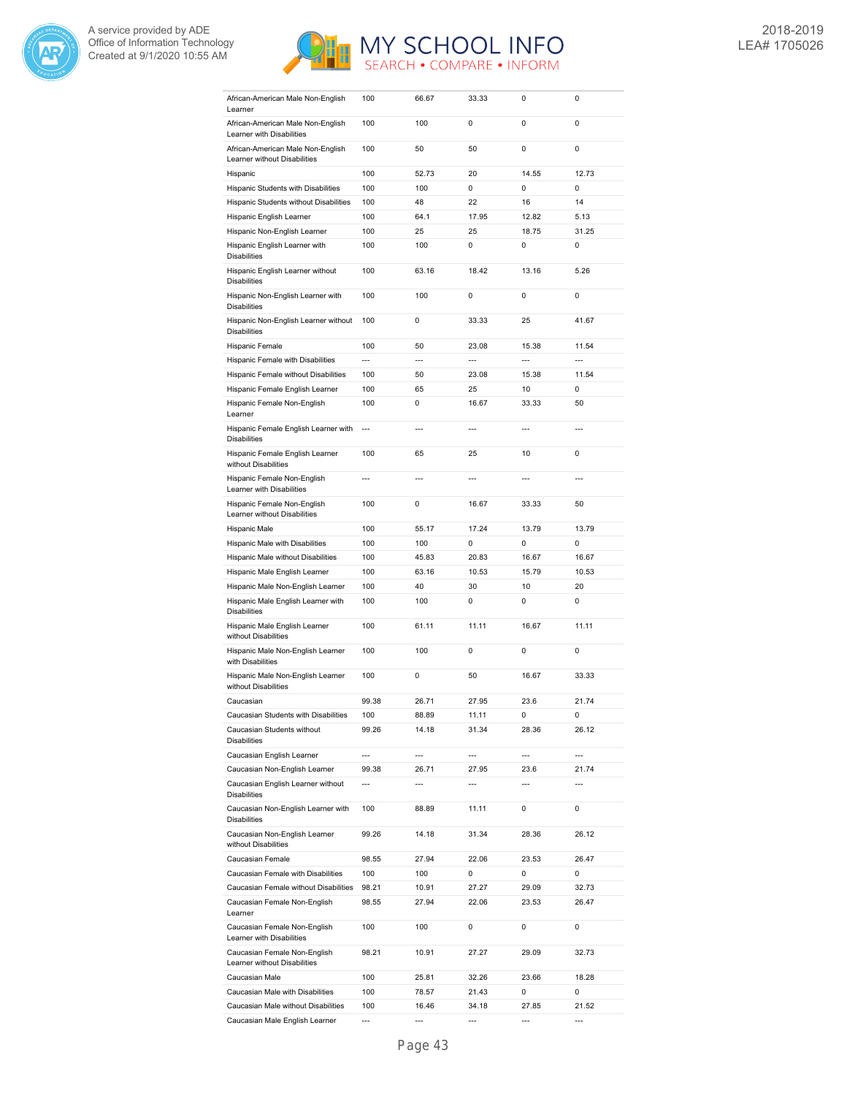



| African-American Male Non-English<br>Learner                          | 100            | 66.67          | 33.33          | 0                        | 0              |
|-----------------------------------------------------------------------|----------------|----------------|----------------|--------------------------|----------------|
| African-American Male Non-English                                     | 100            | 100            | 0              | 0                        | 0              |
| Learner with Disabilities                                             |                |                |                |                          |                |
| African-American Male Non-English<br>Learner without Disabilities     | 100            | 50             | 50             | 0                        | 0              |
| Hispanic                                                              | 100            | 52.73          | 20             | 14.55                    | 12.73          |
| Hispanic Students with Disabilities                                   | 100            | 100            | 0              | 0                        | 0              |
| Hispanic Students without Disabilities                                | 100            | 48             | 22             | 16                       | 14             |
| Hispanic English Learner                                              | 100            | 64.1           | 17.95          | 12.82                    | 5.13           |
| Hispanic Non-English Learner                                          | 100            | 25             | 25             | 18.75                    | 31.25          |
| Hispanic English Learner with<br><b>Disabilities</b>                  | 100            | 100            | 0              | 0                        | 0              |
| Hispanic English Learner without<br><b>Disabilities</b>               | 100            | 63.16          | 18.42          | 13.16                    | 5.26           |
| Hispanic Non-English Learner with<br><b>Disabilities</b>              | 100            | 100            | 0              | 0                        | 0              |
| Hispanic Non-English Learner without<br><b>Disabilities</b>           | 100            | 0              | 33.33          | 25                       | 41.67          |
| Hispanic Female                                                       | 100            | 50             | 23.08          | 15.38                    | 11.54          |
| Hispanic Female with Disabilities                                     | $\overline{a}$ | $\overline{a}$ | $\overline{a}$ | $\overline{a}$           | $\overline{a}$ |
| Hispanic Female without Disabilities                                  | 100            | 50             | 23.08          | 15.38                    | 11.54          |
| Hispanic Female English Learner                                       | 100            | 65             | 25             | 10                       | 0              |
| Hispanic Female Non-English<br>Learner                                | 100            | 0              | 16.67          | 33.33                    | 50             |
| Hispanic Female English Learner with<br><b>Disabilities</b>           | ---            | $\overline{a}$ | $\overline{a}$ | $\overline{a}$           | $\overline{a}$ |
| Hispanic Female English Learner<br>without Disabilities               | 100            | 65             | 25             | 10                       | 0              |
| Hispanic Female Non-English<br>Learner with Disabilities              | $\overline{a}$ | $\overline{a}$ | $\overline{a}$ | $\overline{a}$           | $---$          |
| Hispanic Female Non-English<br>Learner without Disabilities           | 100            | 0              | 16.67          | 33.33                    | 50             |
| Hispanic Male                                                         | 100            | 55.17          | 17.24          | 13.79                    | 13.79          |
| Hispanic Male with Disabilities                                       | 100            | 100            | 0              | 0                        | 0              |
| Hispanic Male without Disabilities                                    | 100            | 45.83          | 20.83          | 16.67                    | 16.67          |
|                                                                       |                |                |                |                          |                |
| Hispanic Male English Learner                                         | 100            | 63.16          | 10.53          | 15.79                    | 10.53          |
| Hispanic Male Non-English Learner                                     | 100            | 40             | 30             | 10                       | 20             |
| Hispanic Male English Learner with<br><b>Disabilities</b>             | 100            | 100            | 0              | 0                        | 0              |
| Hispanic Male English Learner<br>without Disabilities                 | 100            | 61.11          | 11.11          | 16.67                    | 11.11          |
| Hispanic Male Non-English Learner<br>with Disabilities                | 100            | 100            | 0              | 0                        | 0              |
| Hispanic Male Non-English Learner<br>without Disabilities             | 100            | 0              | 50             | 16.67                    | 33.33          |
| Caucasian                                                             | 99.38          | 26.71          | 27.95          | 23.6                     | 21.74          |
| Caucasian Students with Disabilities                                  | 100            | 88.89          | 11.11          | 0                        | 0              |
| Caucasian Students without<br><b>Disabilities</b>                     | 99.26          | 14.18          | 31.34          | 28.36                    | 26.12          |
| Caucasian English Learner                                             | $\overline{a}$ | $\overline{a}$ | $\overline{a}$ | $\overline{\phantom{a}}$ | ---            |
| Caucasian Non-English Learner                                         | 99.38          | 26.71          | 27.95          | 23.6                     | 21.74          |
| Caucasian English Learner without<br><b>Disabilities</b>              | $\overline{a}$ | $---$          | $\overline{a}$ | $\overline{a}$           | $\overline{a}$ |
| Caucasian Non-English Learner with<br><b>Disabilities</b>             | 100            | 88.89          | 11.11          | 0                        | 0              |
| Caucasian Non-English Learner<br>without Disabilities                 | 99.26          | 14.18          | 31.34          | 28.36                    | 26.12          |
| Caucasian Female                                                      | 98.55          | 27.94          | 22.06          | 23.53                    | 26.47          |
| Caucasian Female with Disabilities                                    | 100            | 100            | 0              | 0                        | 0              |
| Caucasian Female without Disabilities                                 | 98.21          | 10.91          | 27.27          | 29.09                    | 32.73          |
| Caucasian Female Non-English<br>Learner                               | 98.55          | 27.94          | 22.06          | 23.53                    | 26.47          |
| Caucasian Female Non-English<br>Learner with Disabilities             | 100            | 100            | 0              | 0                        | 0              |
| Caucasian Female Non-English<br>Learner without Disabilities          | 98.21          | 10.91          | 27.27          | 29.09                    | 32.73          |
| Caucasian Male                                                        | 100            | 25.81          | 32.26          | 23.66                    | 18.28          |
| Caucasian Male with Disabilities                                      | 100            | 78.57          | 21.43          | 0                        | 0              |
| Caucasian Male without Disabilities<br>Caucasian Male English Learner | 100            | 16.46          | 34.18          | 27.85                    | 21.52          |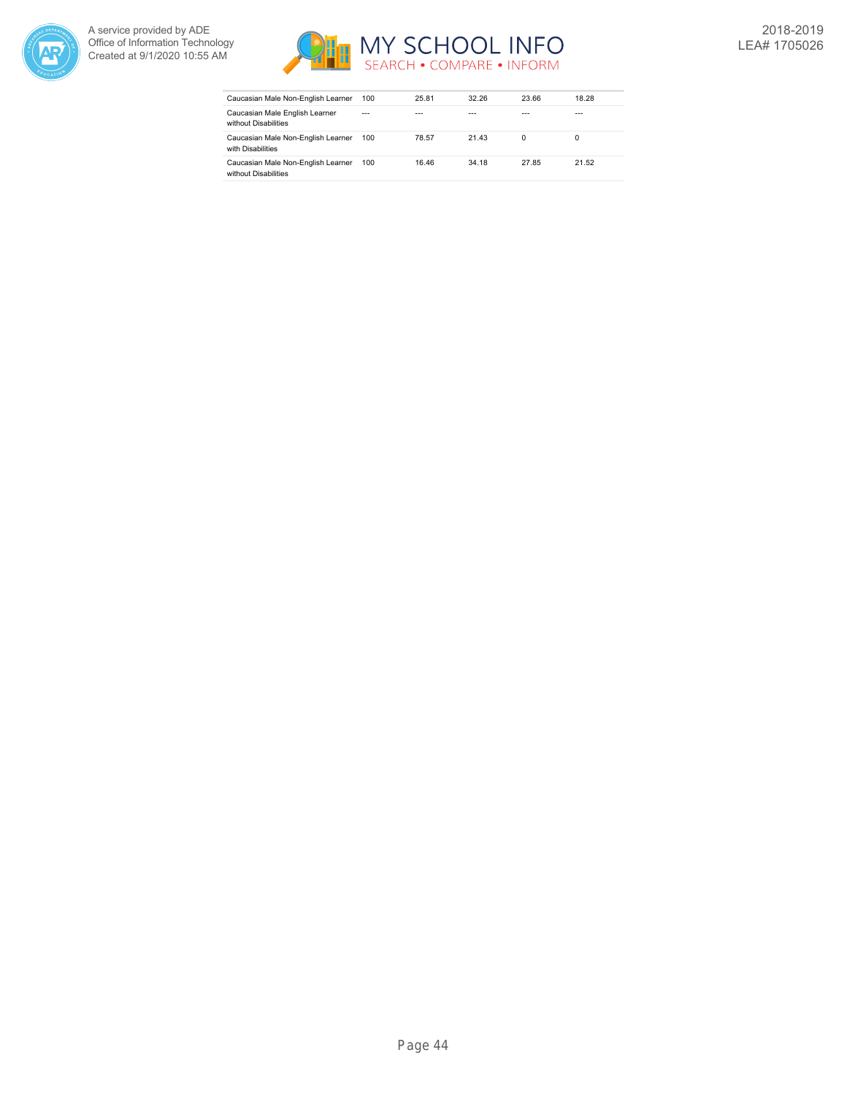



| Caucasian Male Non-English Learner                         | 100     | 25.81 | 32.26 | 23.66 | 18.28   |
|------------------------------------------------------------|---------|-------|-------|-------|---------|
| Caucasian Male English Learner<br>without Disabilities     | $- - -$ |       | ---   | ---   | $- - -$ |
| Caucasian Male Non-English Learner<br>with Disabilities    | 100     | 78.57 | 21.43 | 0     | 0       |
| Caucasian Male Non-English Learner<br>without Disabilities | 100     | 16.46 | 34.18 | 27.85 | 21.52   |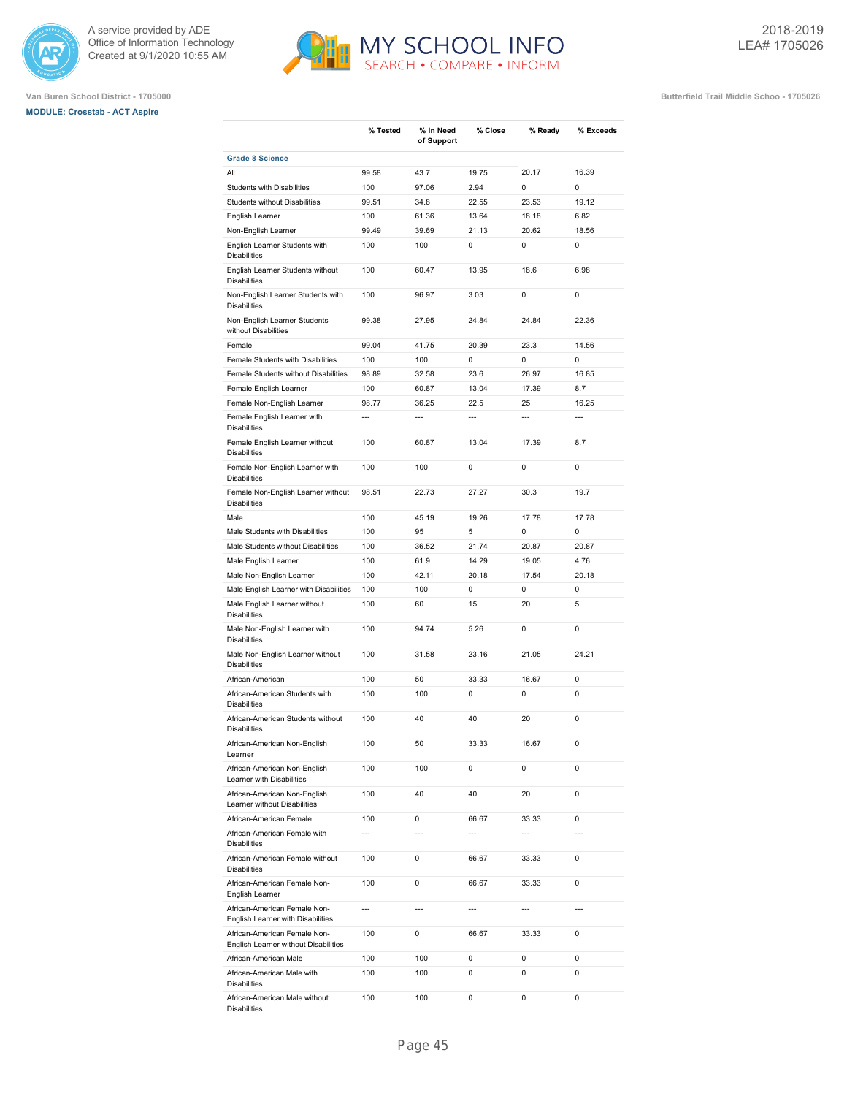

## **MODULE: Crosstab - ACT Aspire**



**% Close % Ready % Exceeds**

**% Tested % In Need**

**of Support**

**Van Buren School District - 1705000 Butterfield Trail Middle Schoo - 1705026**

**Grade 8 Science** All 99.58 43.7 19.75 20.17 16.39 Students with Disabilities 100 97.06 2.94 0 0 Students without Disabilities 99.51 34.8 22.55 23.53 19.12 English Learner 100 61.36 13.64 18.18 6.82 Non-English Learner 99.49 39.69 21.13 20.62 18.56 English Learner Students with Disabilities 100 100 0 0 0 English Learner Students without Disabilities 100 60.47 13.95 18.6 6.98 Non-English Learner Students with Disabilities 100 96.97 3.03 0 0 Non-English Learner Students without Disabilities 99.38 27.95 24.84 24.84 22.36 Female 99.04 41.75 20.39 23.3 14.56 Female Students with Disabilities  $100$  100 0 0 0 0 0 Female Students without Disabilities 98.89 32.58 23.6 26.97 16.85 Female English Learner 100 60.87 13.04 17.39 8.7 Female Non-English Learner 98.77 36.25 22.5 25 16.25 Female English Learner with Disabilities --- --- --- --- --- Female English Learner without **Disabilities** 100 60.87 13.04 17.39 8.7 Female Non-English Learner with Disabilities 100 100 0 0 0 Female Non-English Learner without Disabilities 98.51 22.73 27.27 30.3 19.7 Male 100 45.19 19.26 17.78 17.78 Male Students with Disabilities  $100$  95 5 0 0 0 Male Students without Disabilities 100 36.52 21.74 20.87 20.87 Male English Learner 100 61.9 14.29 19.05 4.76 Male Non-English Learner 100 42.11 20.18 17.54 20.18 Male English Learner with Disabilities 100 100 0 0 0 0 0 0 Male English Learner without Disabilities 100 60 15 20 5 Male Non-English Learner with Disabilities 100 94.74 5.26 0 0 Male Non-English Learner without Disabilities 100 31.58 23.16 21.05 24.21 African-American 100 50 33.33 16.67 0 African-American Students with Disabilities 100 100 0 0 0 African-American Students without Disabilities 100 40 40 20 0 African-American Non-English Learner 100 50 33.33 16.67 0 African-American Non-English Learner with Disabilities 100 100 0 0 0 African-American Non-English Learner without Disabilities 100 40 40 20 0 African-American Female 100 0 66.67 33.33 0 African-American Female with Disabilities --- --- --- --- --- African-American Female without Disabilities 100 0 66.67 33.33 0 African-American Female Non-English Learner 100 0 66.67 33.33 0 African-American Female Non-English Learner with Disabilities --- --- --- --- --- African-American Female Non-English Learner without Disabilities 100 0 66.67 33.33 0 African-American Male 100 100 0 0 0 African-American Male with

100 100 0 0 0

100 100 0 0 0

Disabilities

Disabilities

African-American Male without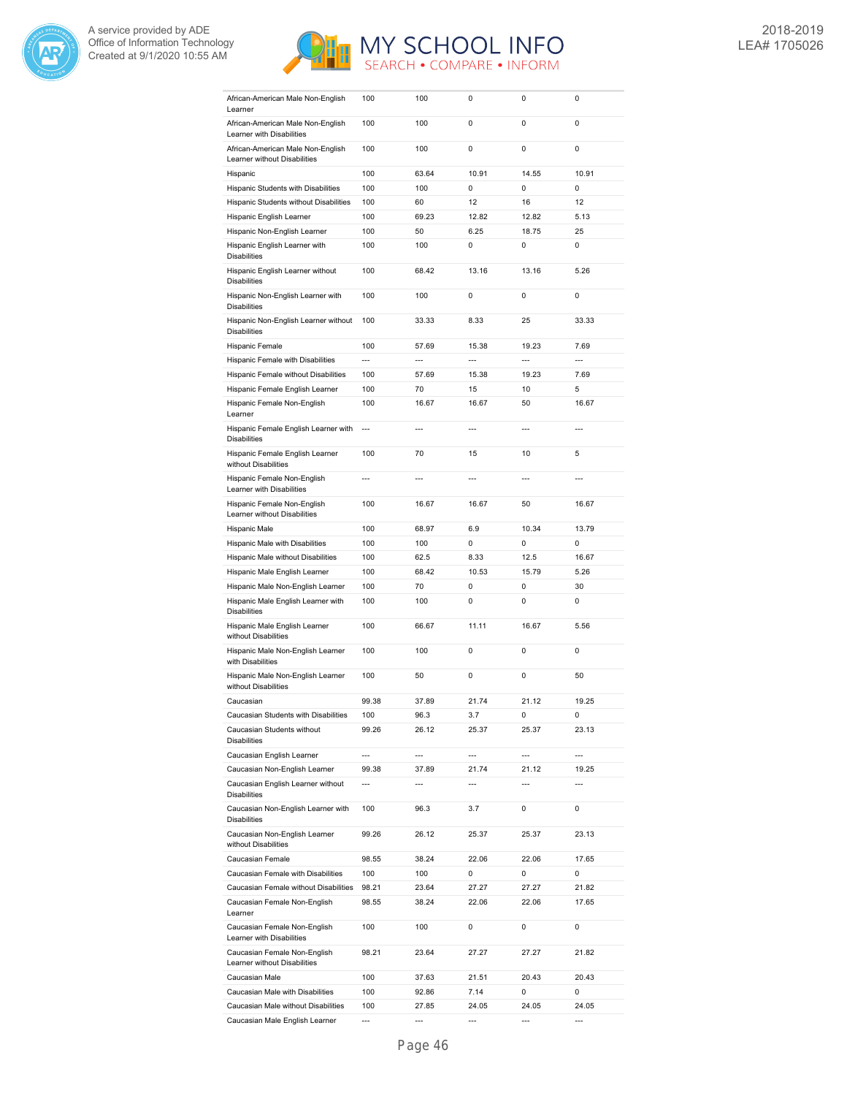



| African-American Male Non-English<br>Learner                   | 100                      | 100            | 0                        | 0              | 0              |
|----------------------------------------------------------------|--------------------------|----------------|--------------------------|----------------|----------------|
| African-American Male Non-English                              | 100                      | 100            | 0                        | 0              | 0              |
| Learner with Disabilities<br>African-American Male Non-English | 100                      | 100            | 0                        | 0              | 0              |
| Learner without Disabilities                                   |                          |                |                          |                |                |
| Hispanic                                                       | 100                      | 63.64          | 10.91                    | 14.55          | 10.91          |
| Hispanic Students with Disabilities                            | 100                      | 100            | 0                        | 0              | 0              |
| Hispanic Students without Disabilities                         | 100                      | 60             | 12                       | 16             | 12             |
| Hispanic English Learner                                       | 100                      | 69.23          | 12.82                    | 12.82          | 5.13           |
| Hispanic Non-English Learner                                   | 100                      | 50             | 6.25                     | 18.75          | 25             |
| Hispanic English Learner with<br><b>Disabilities</b>           | 100                      | 100            | 0                        | 0              | 0              |
| Hispanic English Learner without<br><b>Disabilities</b>        | 100                      | 68.42          | 13.16                    | 13.16          | 5.26           |
| Hispanic Non-English Learner with<br><b>Disabilities</b>       | 100                      | 100            | 0                        | 0              | $\mathbf 0$    |
| Hispanic Non-English Learner without<br><b>Disabilities</b>    | 100                      | 33.33          | 8.33                     | 25             | 33.33          |
| Hispanic Female                                                | 100                      | 57.69          | 15.38                    | 19.23          | 7.69           |
| Hispanic Female with Disabilities                              | ---                      | ---            | ---                      | ---            | $\overline{a}$ |
| Hispanic Female without Disabilities                           | 100                      | 57.69          | 15.38                    | 19.23          | 7.69           |
| Hispanic Female English Learner                                | 100                      | 70             | 15                       | 10             | 5              |
| Hispanic Female Non-English                                    | 100                      | 16.67          | 16.67                    | 50             | 16.67          |
| Learner                                                        |                          |                |                          |                |                |
| Hispanic Female English Learner with<br><b>Disabilities</b>    | $\overline{a}$           | $\overline{a}$ | ---                      | $\overline{a}$ | ---            |
| Hispanic Female English Learner<br>without Disabilities        | 100                      | 70             | 15                       | 10             | 5              |
| Hispanic Female Non-English<br>Learner with Disabilities       | ---                      | $\overline{a}$ | ---                      | ---            | ---            |
| Hispanic Female Non-English<br>Learner without Disabilities    | 100                      | 16.67          | 16.67                    | 50             | 16.67          |
| Hispanic Male                                                  | 100                      | 68.97          | 6.9                      | 10.34          | 13.79          |
| Hispanic Male with Disabilities                                | 100                      | 100            | 0                        | 0              | 0              |
| Hispanic Male without Disabilities                             | 100                      | 62.5           | 8.33                     | 12.5           | 16.67          |
| Hispanic Male English Learner                                  | 100                      | 68.42          | 10.53                    | 15.79          | 5.26           |
| Hispanic Male Non-English Learner                              | 100                      | 70             | 0                        | 0              | 30             |
| Hispanic Male English Learner with                             | 100                      | 100            | 0                        | 0              | 0              |
| <b>Disabilities</b>                                            |                          |                |                          |                |                |
| Hispanic Male English Learner<br>without Disabilities          | 100                      | 66.67          | 11.11                    | 16.67          | 5.56           |
| Hispanic Male Non-English Learner<br>with Disabilities         | 100                      | 100            | 0                        | 0              | 0              |
| Hispanic Male Non-English Learner<br>without Disabilities      | 100                      | 50             | 0                        | 0              | 50             |
| Caucasian                                                      | 99.38                    | 37.89          | 21.74                    | 21.12          | 19.25          |
| Caucasian Students with Disabilities                           | 100                      | 96.3           | 3.7                      | 0              | 0              |
| Caucasian Students without                                     | 99.26                    | 26.12          | 25.37                    | 25.37          | 23.13          |
| <b>Disabilities</b>                                            |                          |                |                          |                |                |
| Caucasian English Learner                                      | $\overline{\phantom{a}}$ | $\overline{a}$ | $\overline{a}$           | ---            | ---            |
| Caucasian Non-English Learner                                  | 99.38                    | 37.89          | 21.74                    | 21.12          | 19.25          |
| Caucasian English Learner without<br><b>Disabilities</b>       | $\overline{a}$           | $\overline{a}$ | $\overline{a}$           | ---            | ---            |
| Caucasian Non-English Learner with<br><b>Disabilities</b>      | 100                      | 96.3           | 3.7                      | 0              | 0              |
| Caucasian Non-English Learner<br>without Disabilities          | 99.26                    | 26.12          | 25.37                    | 25.37          | 23.13          |
| Caucasian Female                                               | 98.55                    | 38.24          | 22.06                    | 22.06          | 17.65          |
| Caucasian Female with Disabilities                             | 100                      | 100            | 0                        | 0              | 0              |
| Caucasian Female without Disabilities                          | 98.21                    | 23.64          | 27.27                    | 27.27          | 21.82          |
| Caucasian Female Non-English<br>Learner                        | 98.55                    | 38.24          | 22.06                    | 22.06          | 17.65          |
| Caucasian Female Non-English<br>Learner with Disabilities      | 100                      | 100            | 0                        | 0              | 0              |
| Caucasian Female Non-English<br>Learner without Disabilities   | 98.21                    | 23.64          | 27.27                    | 27.27          | 21.82          |
| Caucasian Male                                                 | 100                      | 37.63          | 21.51                    | 20.43          | 20.43          |
| Caucasian Male with Disabilities                               | 100                      | 92.86          | 7.14                     | 0              | 0              |
| Caucasian Male without Disabilities                            | 100                      | 27.85          | 24.05                    | 24.05          | 24.05          |
| Caucasian Male English Learner                                 | ---                      | ---            | $\overline{\phantom{a}}$ | ---            | ---            |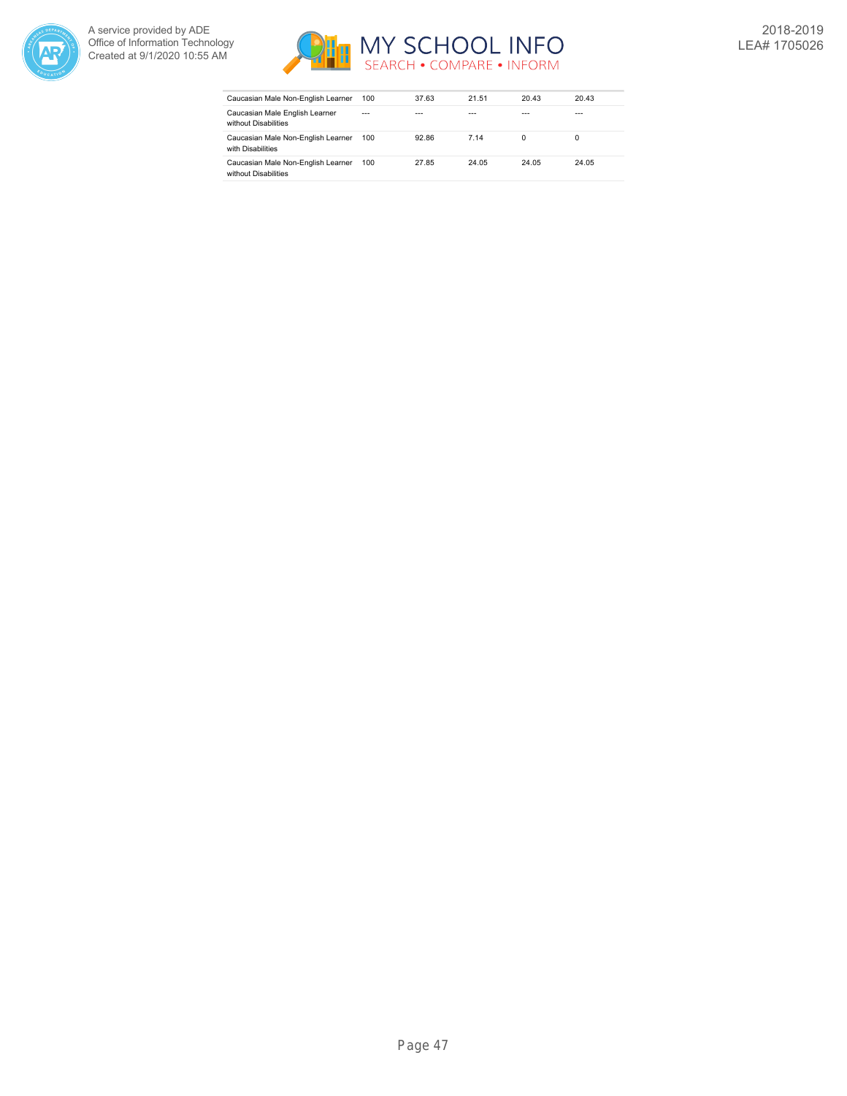



| Caucasian Male Non-English Learner                         | 100     | 37.63 | 21.51 | 20.43 | 20.43   |
|------------------------------------------------------------|---------|-------|-------|-------|---------|
| Caucasian Male English Learner<br>without Disabilities     | $- - -$ | ---   | ---   | ---   | $- - -$ |
| Caucasian Male Non-English Learner<br>with Disabilities    | 100     | 92.86 | 7 14  | 0     | 0       |
| Caucasian Male Non-English Learner<br>without Disabilities | 100     | 27.85 | 24.05 | 24.05 | 24.05   |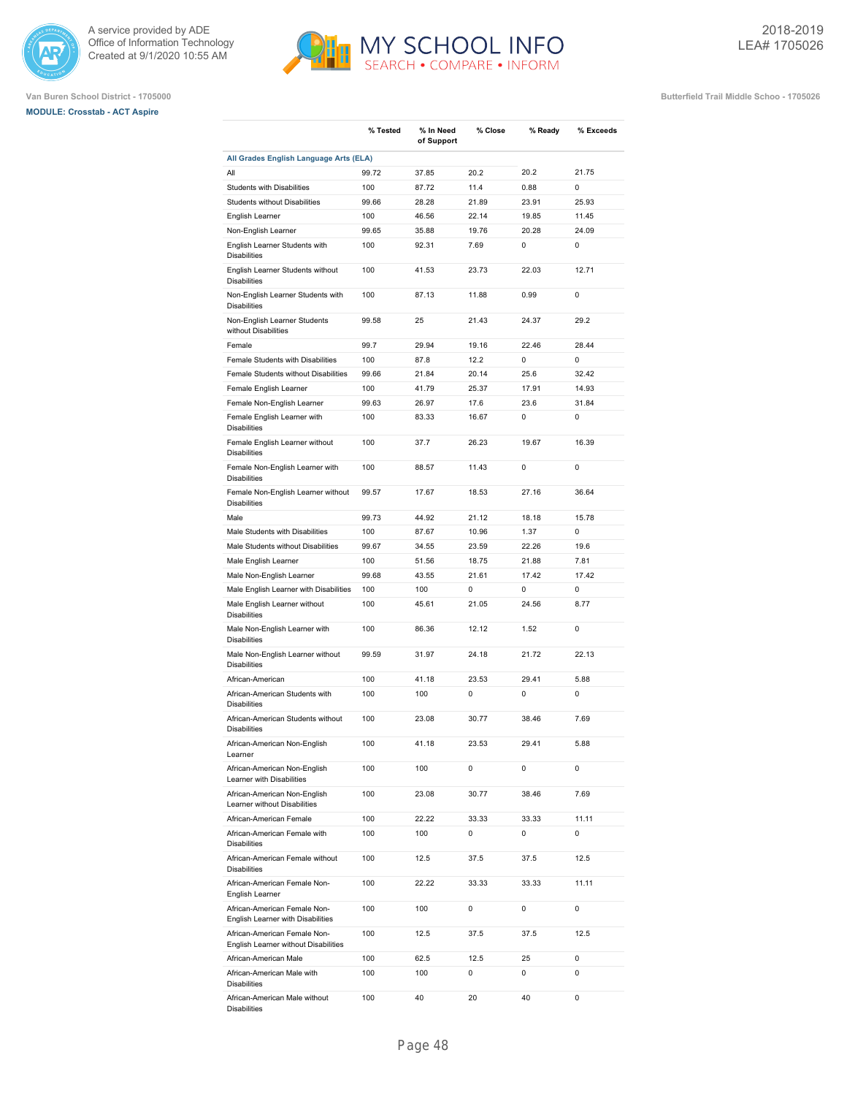





**Van Buren School District - 1705000 Butterfield Trail Middle Schoo - 1705026**

|                                                                               | % Tested     | % In Need<br>of Support | % Close       | % Ready   | % Exceeds  |
|-------------------------------------------------------------------------------|--------------|-------------------------|---------------|-----------|------------|
| All Grades English Language Arts (ELA)                                        |              |                         |               |           |            |
| All                                                                           | 99.72        | 37.85                   | 20.2          | 20.2      | 21.75      |
| <b>Students with Disabilities</b>                                             | 100          | 87.72                   | 11.4          | 0.88      | 0          |
| <b>Students without Disabilities</b>                                          | 99.66        | 28.28                   | 21.89         | 23.91     | 25.93      |
| English Learner                                                               | 100          | 46.56                   | 22.14         | 19.85     | 11.45      |
| Non-English Learner                                                           | 99.65        | 35.88                   | 19.76         | 20.28     | 24.09      |
| English Learner Students with<br><b>Disabilities</b>                          | 100          | 92.31                   | 7.69          | 0         | 0          |
| English Learner Students without<br><b>Disabilities</b>                       | 100          | 41.53                   | 23.73         | 22.03     | 12.71      |
| Non-English Learner Students with<br><b>Disabilities</b>                      | 100          | 87.13                   | 11.88         | 0.99      | 0          |
| Non-English Learner Students<br>without Disabilities                          | 99.58        | 25                      | 21.43         | 24.37     | 29.2       |
| Female                                                                        | 99.7         | 29.94                   | 19.16         | 22.46     | 28.44      |
| Female Students with Disabilities                                             | 100          | 87.8                    | 12.2          | 0         | 0          |
| Female Students without Disabilities                                          | 99.66        | 21.84                   | 20.14         | 25.6      | 32.42      |
| Female English Learner                                                        | 100          | 41.79                   | 25.37         | 17.91     | 14.93      |
|                                                                               |              |                         |               |           |            |
| Female Non-English Learner<br>Female English Learner with                     | 99.63<br>100 | 26.97<br>83.33          | 17.6<br>16.67 | 23.6<br>0 | 31.84<br>0 |
| <b>Disabilities</b><br>Female English Learner without                         | 100          | 37.7                    | 26.23         | 19.67     | 16.39      |
| <b>Disabilities</b><br>Female Non-English Learner with<br><b>Disabilities</b> | 100          | 88.57                   | 11.43         | 0         | 0          |
| Female Non-English Learner without<br><b>Disabilities</b>                     | 99.57        | 17.67                   | 18.53         | 27.16     | 36.64      |
| Male                                                                          | 99.73        | 44.92                   | 21.12         | 18.18     | 15.78      |
| Male Students with Disabilities                                               | 100          | 87.67                   | 10.96         | 1.37      | 0          |
| Male Students without Disabilities                                            | 99.67        | 34.55                   | 23.59         | 22.26     | 19.6       |
| Male English Learner                                                          | 100          | 51.56                   | 18.75         | 21.88     | 7.81       |
| Male Non-English Learner                                                      | 99.68        | 43.55                   | 21.61         | 17.42     | 17.42      |
| Male English Learner with Disabilities                                        | 100          | 100                     | 0             | 0         | 0          |
|                                                                               | 100          | 45.61                   | 21.05         | 24.56     | 8.77       |
| Male English Learner without<br><b>Disabilities</b>                           |              |                         |               |           |            |
| Male Non-English Learner with<br><b>Disabilities</b>                          | 100          | 86.36                   | 12.12         | 1.52      | 0          |
| Male Non-English Learner without<br><b>Disabilities</b>                       | 99.59        | 31.97                   | 24.18         | 21.72     | 22.13      |
| African-American                                                              | 100          | 41.18                   | 23.53         | 29.41     | 5.88       |
| African-American Students with<br><b>Disabilities</b>                         | 100          | 100                     | 0             | 0         | 0          |
| African-American Students without<br><b>Disabilities</b>                      | 100          | 23.08                   | 30.77         | 38.46     | 7.69       |
| African-American Non-English<br>Learner                                       | 100          | 41.18                   | 23.53         | 29.41     | 5.88       |
| African-American Non-English<br>Learner with Disabilities                     | 100          | 100                     | 0             | 0         | 0          |
| African-American Non-English<br>Learner without Disabilities                  | 100          | 23.08                   | 30.77         | 38.46     | 7.69       |
| African-American Female                                                       | 100          | 22.22                   | 33.33         | 33.33     | 11.11      |
| African-American Female with<br><b>Disabilities</b>                           | 100          | 100                     | 0             | 0         | 0          |
| African-American Female without<br><b>Disabilities</b>                        | 100          | 12.5                    | 37.5          | 37.5      | 12.5       |
| African-American Female Non-<br>English Learner                               | 100          | 22.22                   | 33.33         | 33.33     | 11.11      |
| African-American Female Non-<br>English Learner with Disabilities             | 100          | 100                     | 0             | 0         | 0          |
| African-American Female Non-<br>English Learner without Disabilities          | 100          | 12.5                    | 37.5          | 37.5      | 12.5       |
| African-American Male                                                         | 100          | 62.5                    | 12.5          | 25        | 0          |
| African-American Male with<br><b>Disabilities</b>                             | 100          | 100                     | 0             | 0         | 0          |
| African-American Male without                                                 | 100          | 40                      | 20            | 40        | 0          |

Disabilities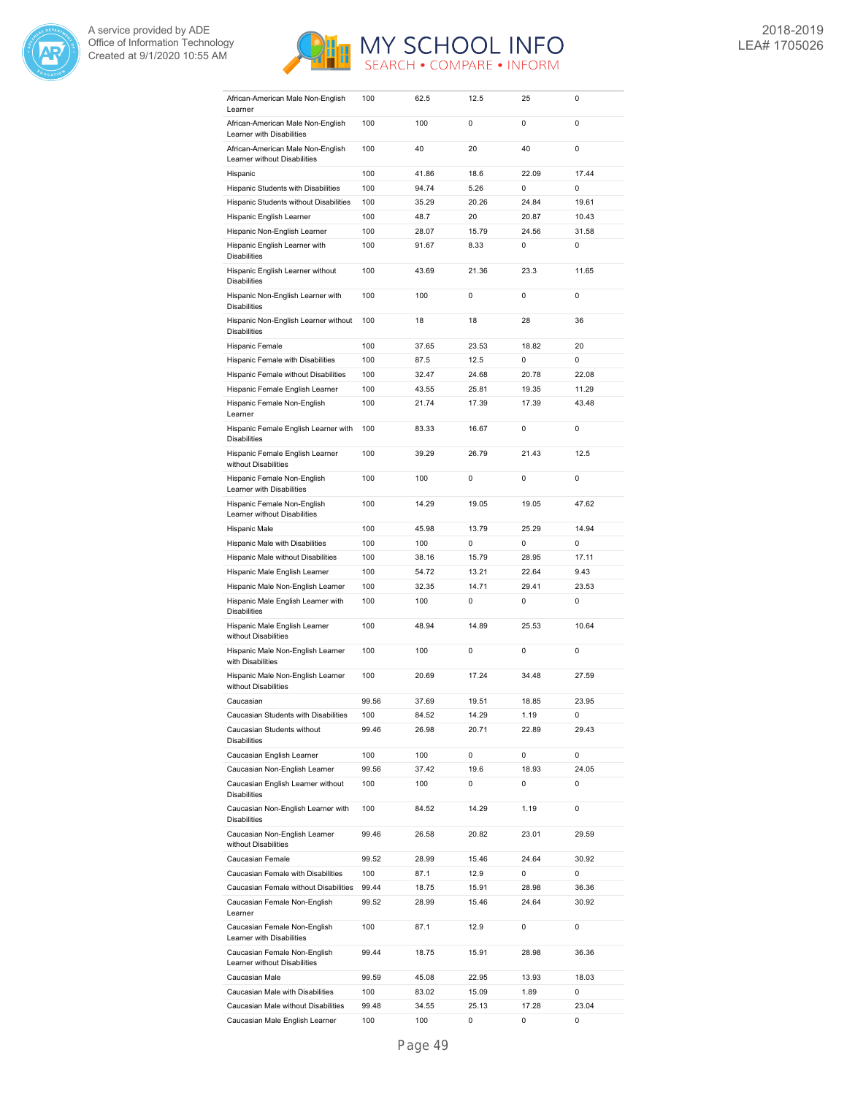



| African-American Male Non-English<br>Learner                   | 100   | 62.5  | 12.5  | 25          | 0           |
|----------------------------------------------------------------|-------|-------|-------|-------------|-------------|
| African-American Male Non-English                              | 100   | 100   | 0     | 0           | 0           |
| Learner with Disabilities<br>African-American Male Non-English | 100   | 40    | 20    | 40          | 0           |
| Learner without Disabilities                                   |       |       |       |             |             |
| Hispanic                                                       | 100   | 41.86 | 18.6  | 22.09       | 17.44       |
| Hispanic Students with Disabilities                            | 100   | 94.74 | 5.26  | 0           | 0           |
| Hispanic Students without Disabilities                         | 100   | 35.29 | 20.26 | 24.84       | 19.61       |
| Hispanic English Learner                                       | 100   | 48.7  | 20    | 20.87       | 10.43       |
| Hispanic Non-English Learner                                   | 100   | 28.07 | 15.79 | 24.56       | 31.58       |
| Hispanic English Learner with<br><b>Disabilities</b>           | 100   | 91.67 | 8.33  | 0           | $\mathbf 0$ |
| Hispanic English Learner without<br><b>Disabilities</b>        | 100   | 43.69 | 21.36 | 23.3        | 11.65       |
| Hispanic Non-English Learner with<br><b>Disabilities</b>       | 100   | 100   | 0     | $\mathbf 0$ | 0           |
| Hispanic Non-English Learner without<br><b>Disabilities</b>    | 100   | 18    | 18    | 28          | 36          |
| Hispanic Female                                                | 100   | 37.65 | 23.53 | 18.82       | 20          |
| Hispanic Female with Disabilities                              | 100   | 87.5  | 12.5  | 0           | 0           |
| Hispanic Female without Disabilities                           | 100   | 32.47 | 24.68 | 20.78       | 22.08       |
| Hispanic Female English Learner                                | 100   | 43.55 | 25.81 | 19.35       | 11.29       |
|                                                                |       |       |       |             |             |
| Hispanic Female Non-English<br>Learner                         | 100   | 21.74 | 17.39 | 17.39       | 43.48       |
| Hispanic Female English Learner with<br><b>Disabilities</b>    | 100   | 83.33 | 16.67 | $\mathbf 0$ | 0           |
| Hispanic Female English Learner<br>without Disabilities        | 100   | 39.29 | 26.79 | 21.43       | 12.5        |
| Hispanic Female Non-English<br>Learner with Disabilities       | 100   | 100   | 0     | $\mathbf 0$ | 0           |
| Hispanic Female Non-English<br>Learner without Disabilities    | 100   | 14.29 | 19.05 | 19.05       | 47.62       |
| Hispanic Male                                                  | 100   | 45.98 | 13.79 | 25.29       | 14.94       |
| Hispanic Male with Disabilities                                | 100   | 100   | 0     | 0           | 0           |
| Hispanic Male without Disabilities                             | 100   | 38.16 | 15.79 | 28.95       | 17.11       |
| Hispanic Male English Learner                                  | 100   | 54.72 | 13.21 | 22.64       | 9.43        |
| Hispanic Male Non-English Learner                              | 100   | 32.35 | 14.71 | 29.41       | 23.53       |
| Hispanic Male English Learner with<br><b>Disabilities</b>      | 100   | 100   | 0     | 0           | 0           |
| Hispanic Male English Learner<br>without Disabilities          | 100   | 48.94 | 14.89 | 25.53       | 10.64       |
| Hispanic Male Non-English Learner<br>with Disabilities         | 100   | 100   | 0     | 0           | 0           |
| Hispanic Male Non-English Learner<br>without Disabilities      | 100   | 20.69 | 17.24 | 34.48       | 27.59       |
| Caucasian                                                      | 99.56 | 37.69 | 19.51 | 18.85       | 23.95       |
| Caucasian Students with Disabilities                           | 100   | 84.52 | 14.29 | 1.19        | 0           |
| Caucasian Students without<br><b>Disabilities</b>              | 99.46 | 26.98 | 20.71 | 22.89       | 29.43       |
| Caucasian English Learner                                      | 100   | 100   | 0     | 0           | 0           |
| Caucasian Non-English Learner                                  | 99.56 | 37.42 | 19.6  | 18.93       | 24.05       |
| Caucasian English Learner without<br><b>Disabilities</b>       | 100   | 100   | 0     | 0           | 0           |
| Caucasian Non-English Learner with<br><b>Disabilities</b>      | 100   | 84.52 | 14.29 | 1.19        | 0           |
| Caucasian Non-English Learner<br>without Disabilities          | 99.46 | 26.58 | 20.82 | 23.01       | 29.59       |
| Caucasian Female                                               | 99.52 | 28.99 | 15.46 | 24.64       | 30.92       |
| Caucasian Female with Disabilities                             | 100   | 87.1  | 12.9  | 0           | 0           |
| Caucasian Female without Disabilities                          | 99.44 | 18.75 | 15.91 | 28.98       | 36.36       |
| Caucasian Female Non-English<br>Learner                        | 99.52 | 28.99 | 15.46 | 24.64       | 30.92       |
| Caucasian Female Non-English<br>Learner with Disabilities      | 100   | 87.1  | 12.9  | 0           | 0           |
| Caucasian Female Non-English<br>Learner without Disabilities   | 99.44 | 18.75 | 15.91 | 28.98       | 36.36       |
| Caucasian Male                                                 | 99.59 | 45.08 | 22.95 | 13.93       | 18.03       |
| Caucasian Male with Disabilities                               | 100   | 83.02 | 15.09 | 1.89        | 0           |
| Caucasian Male without Disabilities                            | 99.48 | 34.55 | 25.13 | 17.28       | 23.04       |
| Caucasian Male English Learner                                 | 100   | 100   | 0     | 0           | 0           |
|                                                                |       |       |       |             |             |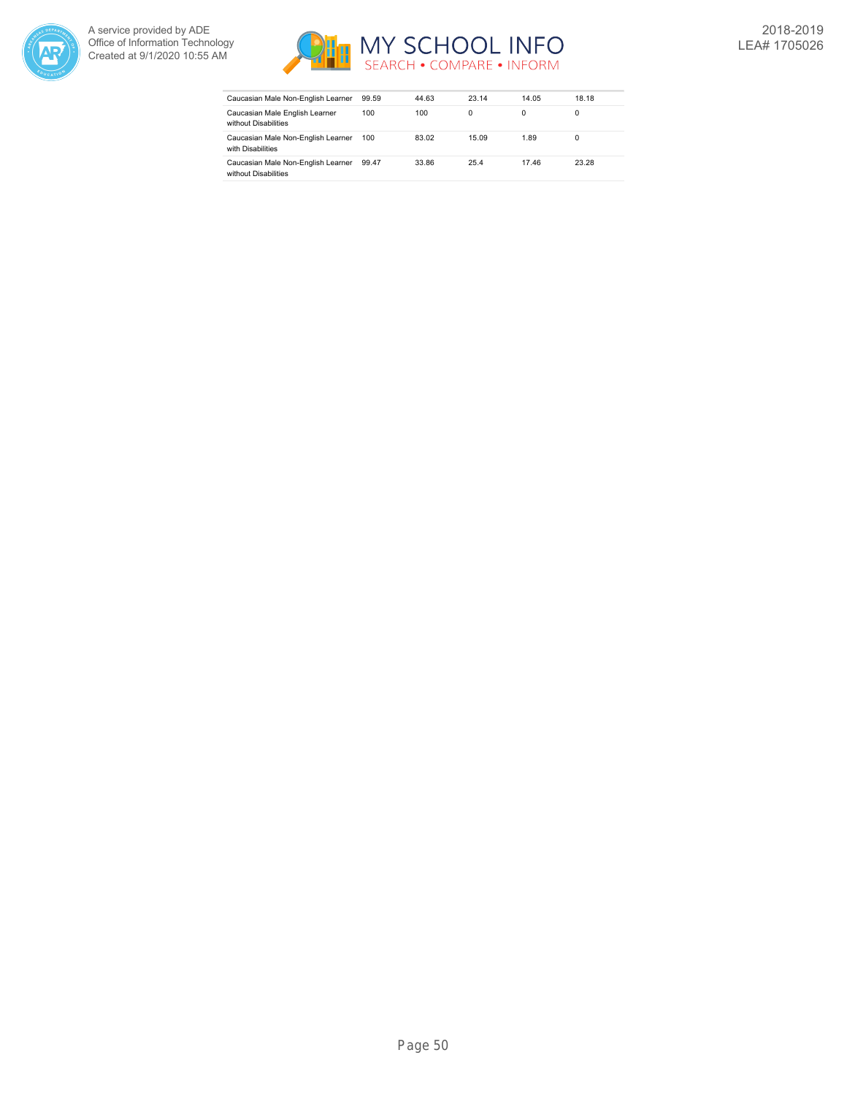



| Caucasian Male Non-English Learner                         | 99.59 | 44.63 | 23.14 | 14.05 | 18.18 |
|------------------------------------------------------------|-------|-------|-------|-------|-------|
| Caucasian Male English Learner<br>without Disabilities     | 100   | 100   | 0     | 0     |       |
| Caucasian Male Non-English Learner<br>with Disabilities    | 100   | 83.02 | 15.09 | 1.89  | 0     |
| Caucasian Male Non-English Learner<br>without Disabilities | 99.47 | 33.86 | 25.4  | 17.46 | 23.28 |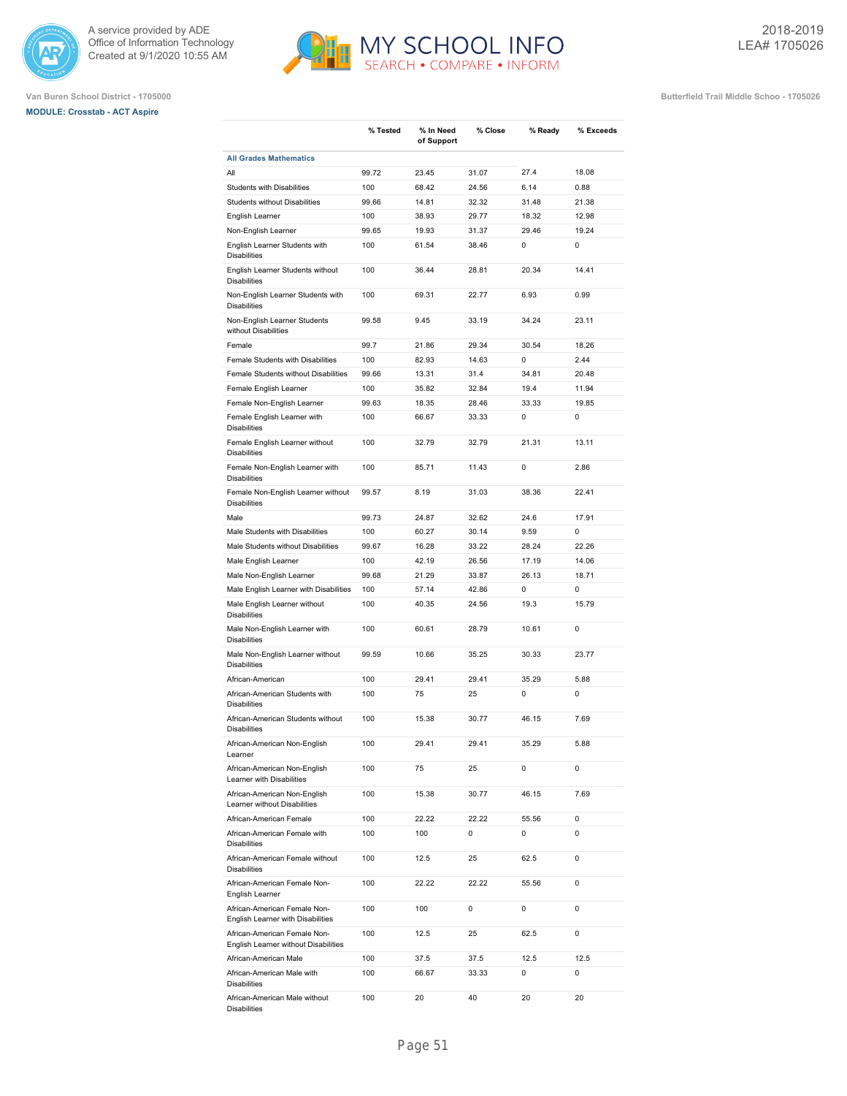



|                                                                      | % Tested | % In Need<br>of Support | % Close | % Ready | % Exceeds   |
|----------------------------------------------------------------------|----------|-------------------------|---------|---------|-------------|
| <b>All Grades Mathematics</b>                                        |          |                         |         |         |             |
| All                                                                  | 99.72    | 23.45                   | 31.07   | 27.4    | 18.08       |
| <b>Students with Disabilities</b>                                    | 100      | 68.42                   | 24.56   | 6.14    | 0.88        |
| Students without Disabilities                                        | 99.66    | 14.81                   | 32.32   | 31.48   | 21.38       |
| English Learner                                                      | 100      | 38.93                   | 29.77   | 18.32   | 12.98       |
| Non-English Learner                                                  | 99.65    | 19.93                   | 31.37   | 29.46   | 19.24       |
| English Learner Students with<br><b>Disabilities</b>                 | 100      | 61.54                   | 38.46   | 0       | 0           |
| English Learner Students without<br><b>Disabilities</b>              | 100      | 36.44                   | 28.81   | 20.34   | 14.41       |
| Non-English Learner Students with<br><b>Disabilities</b>             | 100      | 69.31                   | 22.77   | 6.93    | 0.99        |
| Non-English Learner Students<br>without Disabilities                 | 99.58    | 9.45                    | 33.19   | 34.24   | 23.11       |
| Female                                                               | 99.7     | 21.86                   | 29.34   | 30.54   | 18.26       |
| Female Students with Disabilities                                    | 100      | 82.93                   | 14.63   | 0       | 2.44        |
| Female Students without Disabilities                                 | 99.66    | 13.31                   | 31.4    | 34.81   | 20.48       |
| Female English Learner                                               | 100      | 35.82                   | 32.84   | 19.4    | 11.94       |
| Female Non-English Learner                                           | 99.63    | 18.35                   | 28.46   | 33.33   | 19.85       |
| Female English Learner with<br><b>Disabilities</b>                   | 100      | 66.67                   | 33.33   | 0       | 0           |
| Female English Learner without<br><b>Disabilities</b>                | 100      | 32.79                   | 32.79   | 21.31   | 13.11       |
| Female Non-English Learner with<br><b>Disabilities</b>               | 100      | 85.71                   | 11.43   | 0       | 2.86        |
| Female Non-English Learner without<br><b>Disabilities</b>            | 99.57    | 8.19                    | 31.03   | 38.36   | 22.41       |
| Male                                                                 | 99.73    | 24.87                   | 32.62   | 24.6    | 17.91       |
| Male Students with Disabilities                                      | 100      | 60.27                   | 30.14   | 9.59    | 0           |
| Male Students without Disabilities                                   | 99.67    | 16.28                   | 33.22   | 28.24   | 22.26       |
| Male English Learner                                                 | 100      | 42.19                   | 26.56   | 17.19   | 14.06       |
| Male Non-English Learner                                             | 99.68    | 21.29                   | 33.87   | 26.13   | 18.71       |
| Male English Learner with Disabilities                               | 100      | 57.14                   | 42.86   | 0       | 0           |
| Male English Learner without<br><b>Disabilities</b>                  | 100      | 40.35                   | 24.56   | 19.3    | 15.79       |
| Male Non-English Learner with<br><b>Disabilities</b>                 | 100      | 60.61                   | 28.79   | 10.61   | 0           |
| Male Non-English Learner without<br><b>Disabilities</b>              | 99.59    | 10.66                   | 35.25   | 30.33   | 23.77       |
| African-American                                                     | 100      | 29.41                   | 29.41   | 35.29   | 5.88        |
| African-American Students with<br><b>Disabilities</b>                | 100      | 75                      | 25      | 0       | 0           |
| African-American Students without<br><b>Disabilities</b>             | 100      | 15.38                   | 30.77   | 46.15   | 7.69        |
| African-American Non-English<br>Learner                              | 100      | 29.41                   | 29.41   | 35.29   | 5.88        |
| African-American Non-English<br>Learner with Disabilities            | 100      | 75                      | 25      | 0       | $\mathbf 0$ |
| African-American Non-English<br>Learner without Disabilities         | 100      | 15.38                   | 30.77   | 46.15   | 7.69        |
| African-American Female                                              | 100      | 22.22                   | 22.22   | 55.56   | 0           |
| African-American Female with<br><b>Disabilities</b>                  | 100      | 100                     | 0       | 0       | 0           |
| African-American Female without<br><b>Disabilities</b>               | 100      | 12.5                    | 25      | 62.5    | 0           |
| African-American Female Non-<br>English Learner                      | 100      | 22.22                   | 22.22   | 55.56   | $\mathbf 0$ |
| African-American Female Non-<br>English Learner with Disabilities    | 100      | 100                     | 0       | 0       | 0           |
| African-American Female Non-<br>English Learner without Disabilities | 100      | 12.5                    | 25      | 62.5    | $\mathbf 0$ |
| African-American Male                                                | 100      | 37.5                    | 37.5    | 12.5    | 12.5        |
| African-American Male with<br><b>Disabilities</b>                    | 100      | 66.67                   | 33.33   | 0       | 0           |
| African-American Male without                                        | 100      | 20                      | 40      | 20      | 20          |

MY SCHOOL INFO

Disabilities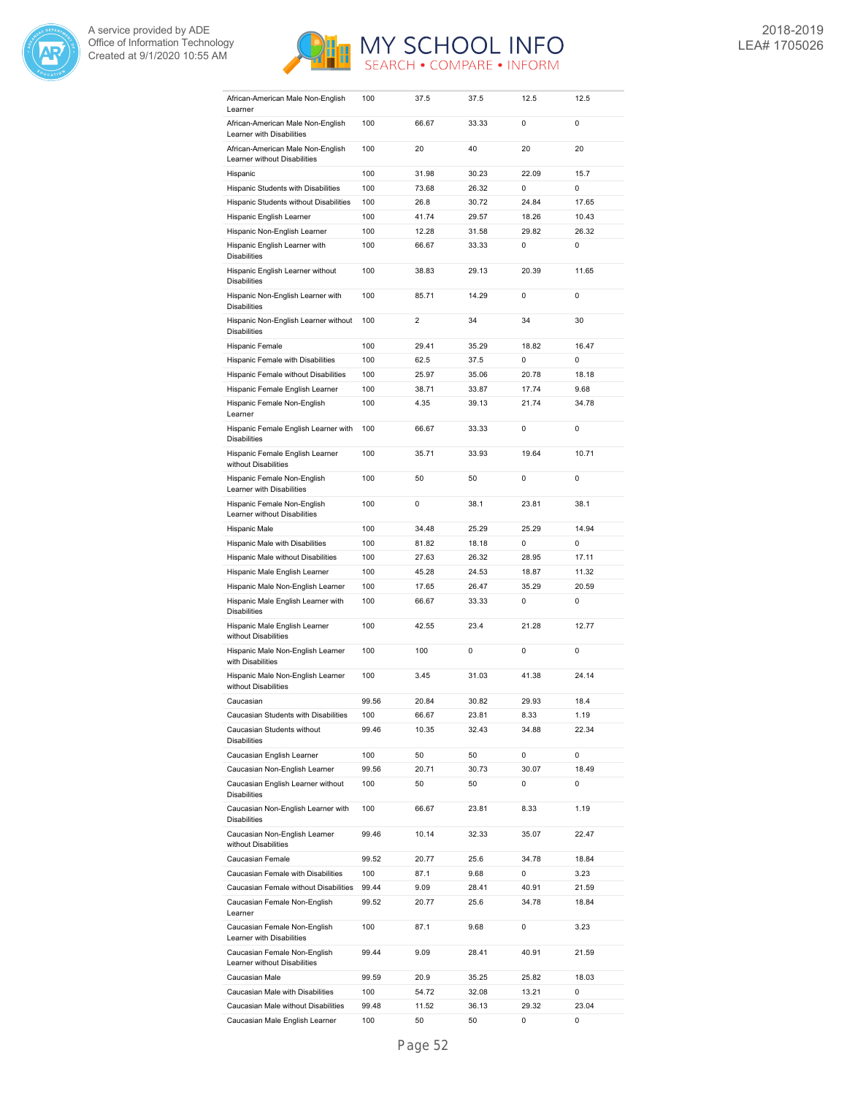



| African-American Male Non-English<br>Learner                      | 100   | 37.5           | 37.5  | 12.5  | 12.5        |
|-------------------------------------------------------------------|-------|----------------|-------|-------|-------------|
| African-American Male Non-English<br>Learner with Disabilities    | 100   | 66.67          | 33.33 | 0     | 0           |
| African-American Male Non-English<br>Learner without Disabilities | 100   | 20             | 40    | 20    | 20          |
| Hispanic                                                          | 100   | 31.98          | 30.23 | 22.09 | 15.7        |
| Hispanic Students with Disabilities                               | 100   | 73.68          | 26.32 | 0     | $\mathbf 0$ |
| Hispanic Students without Disabilities                            | 100   | 26.8           | 30.72 | 24.84 | 17.65       |
| Hispanic English Learner                                          | 100   | 41.74          | 29.57 | 18.26 | 10.43       |
| Hispanic Non-English Learner                                      | 100   | 12.28          | 31.58 | 29.82 | 26.32       |
| Hispanic English Learner with<br><b>Disabilities</b>              | 100   | 66.67          | 33.33 | 0     | 0           |
| Hispanic English Learner without<br><b>Disabilities</b>           | 100   | 38.83          | 29.13 | 20.39 | 11.65       |
| Hispanic Non-English Learner with<br><b>Disabilities</b>          | 100   | 85.71          | 14.29 | 0     | 0           |
| Hispanic Non-English Learner without<br><b>Disabilities</b>       | 100   | $\overline{2}$ | 34    | 34    | 30          |
| Hispanic Female                                                   | 100   | 29.41          | 35.29 | 18.82 | 16.47       |
| Hispanic Female with Disabilities                                 | 100   | 62.5           | 37.5  | 0     | 0           |
| Hispanic Female without Disabilities                              | 100   | 25.97          | 35.06 | 20.78 | 18.18       |
| Hispanic Female English Learner                                   | 100   | 38.71          | 33.87 | 17.74 | 9.68        |
| Hispanic Female Non-English                                       | 100   | 4.35           | 39.13 | 21.74 | 34.78       |
| Learner<br>Hispanic Female English Learner with                   | 100   | 66.67          | 33.33 | 0     | 0           |
| <b>Disabilities</b>                                               |       |                |       |       |             |
| Hispanic Female English Learner<br>without Disabilities           | 100   | 35.71          | 33.93 | 19.64 | 10.71       |
| Hispanic Female Non-English<br>Learner with Disabilities          | 100   | 50             | 50    | 0     | 0           |
| Hispanic Female Non-English<br>Learner without Disabilities       | 100   | 0              | 38.1  | 23.81 | 38.1        |
| Hispanic Male                                                     | 100   | 34.48          | 25.29 | 25.29 | 14.94       |
| Hispanic Male with Disabilities                                   | 100   | 81.82          | 18.18 | 0     | 0           |
| Hispanic Male without Disabilities                                | 100   | 27.63          | 26.32 | 28.95 | 17.11       |
| Hispanic Male English Learner                                     | 100   | 45.28          | 24.53 | 18.87 | 11.32       |
|                                                                   |       |                |       |       | 20.59       |
| Hispanic Male Non-English Learner                                 | 100   | 17.65          | 26.47 | 35.29 |             |
| Hispanic Male English Learner with<br><b>Disabilities</b>         | 100   | 66.67          | 33.33 | 0     | $\mathsf 0$ |
| Hispanic Male English Learner<br>without Disabilities             | 100   | 42.55          | 23.4  | 21.28 | 12.77       |
| Hispanic Male Non-English Learner<br>with Disabilities            | 100   | 100            | 0     | 0     | 0           |
| Hispanic Male Non-English Learner<br>without Disabilities         | 100   | 3.45           | 31.03 | 41.38 | 24.14       |
| Caucasian                                                         | 99.56 | 20.84          | 30.82 | 29.93 | 18.4        |
| Caucasian Students with Disabilities                              | 100   | 66.67          | 23.81 | 8.33  | 1.19        |
| Caucasian Students without<br><b>Disabilities</b>                 | 99.46 | 10.35          | 32.43 | 34.88 | 22.34       |
| Caucasian English Learner                                         | 100   | 50             | 50    | 0     | 0           |
| Caucasian Non-English Learner                                     | 99.56 | 20.71          | 30.73 | 30.07 | 18.49       |
| Caucasian English Learner without<br><b>Disabilities</b>          | 100   | 50             | 50    | 0     | 0           |
| Caucasian Non-English Learner with<br><b>Disabilities</b>         | 100   | 66.67          | 23.81 | 8.33  | 1.19        |
| Caucasian Non-English Learner<br>without Disabilities             | 99.46 | 10.14          | 32.33 | 35.07 | 22.47       |
| Caucasian Female                                                  | 99.52 | 20.77          | 25.6  | 34.78 | 18.84       |
| Caucasian Female with Disabilities                                | 100   | 87.1           | 9.68  | 0     | 3.23        |
| Caucasian Female without Disabilities                             | 99.44 | 9.09           | 28.41 | 40.91 | 21.59       |
| Caucasian Female Non-English<br>Learner                           | 99.52 | 20.77          | 25.6  | 34.78 | 18.84       |
| Caucasian Female Non-English<br>Learner with Disabilities         | 100   | 87.1           | 9.68  | 0     | 3.23        |
| Caucasian Female Non-English<br>Learner without Disabilities      | 99.44 | 9.09           | 28.41 | 40.91 | 21.59       |
| Caucasian Male                                                    | 99.59 | 20.9           | 35.25 | 25.82 | 18.03       |
| Caucasian Male with Disabilities                                  | 100   | 54.72          | 32.08 | 13.21 | 0           |
| Caucasian Male without Disabilities                               | 99.48 | 11.52          | 36.13 | 29.32 | 23.04       |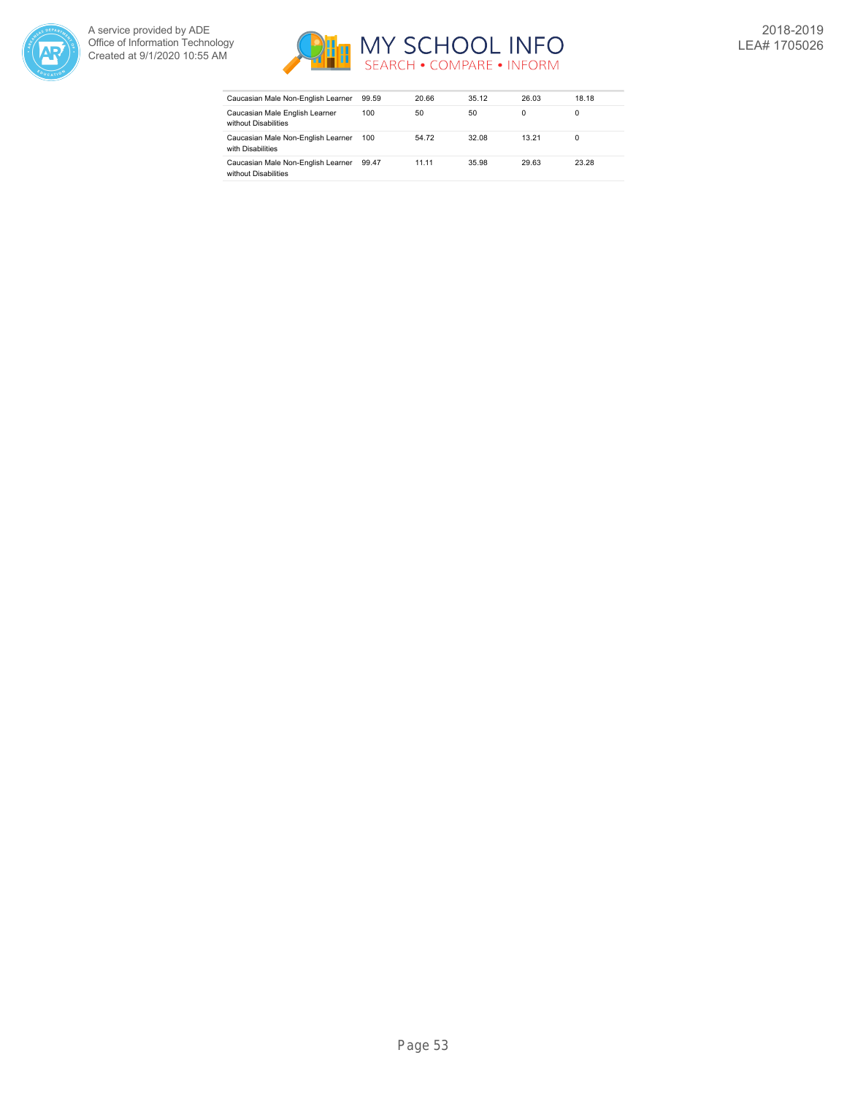



| Caucasian Male Non-English Learner                         | 99.59 | 20.66 | 35.12 | 26.03 | 18.18 |
|------------------------------------------------------------|-------|-------|-------|-------|-------|
| Caucasian Male English Learner<br>without Disabilities     | 100   | 50    | 50    | 0     | 0     |
| Caucasian Male Non-English Learner<br>with Disabilities    | 100   | 54.72 | 32.08 | 13.21 | 0     |
| Caucasian Male Non-English Learner<br>without Disabilities | 99.47 | 11.11 | 35.98 | 29.63 | 23.28 |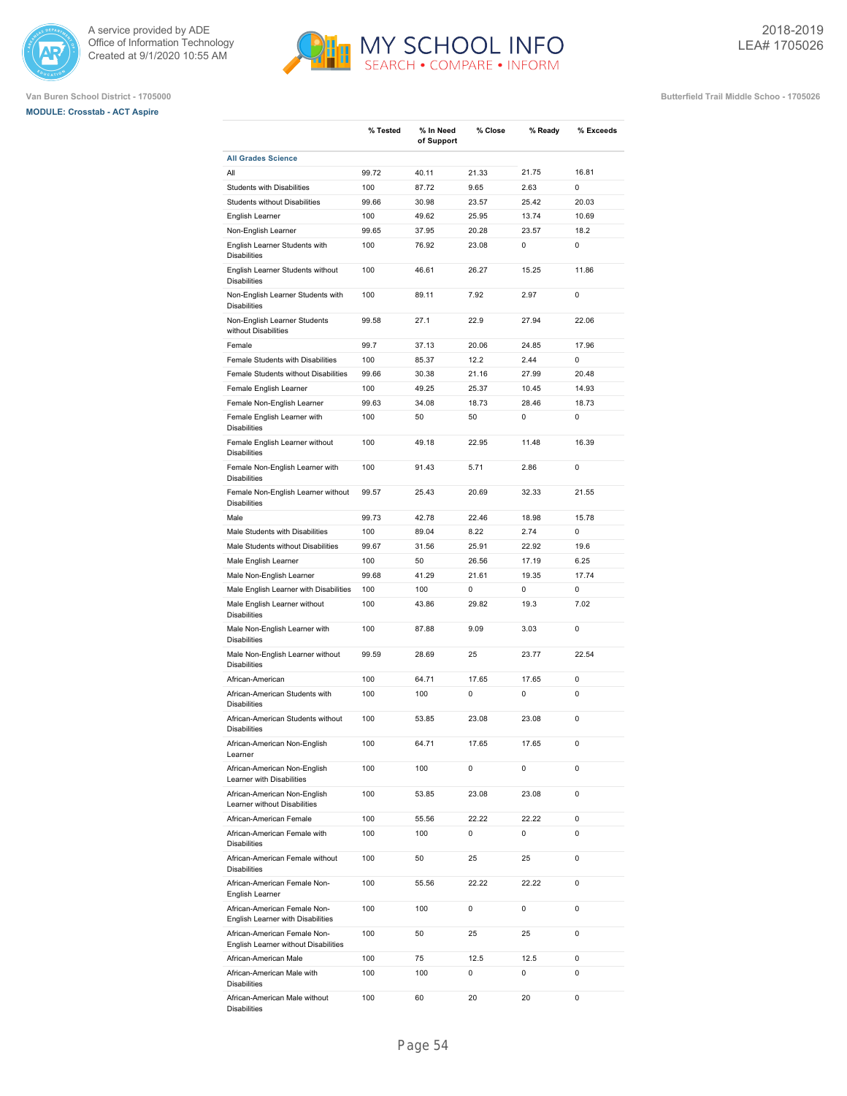

# **MODULE: Crosstab - ACT Aspire**



**% Tested % In Need**

**% Close % Ready % Exceeds**

**Van Buren School District - 1705000 Butterfield Trail Middle Schoo - 1705026**

|                                                                      |       | of Support |       |       |       |
|----------------------------------------------------------------------|-------|------------|-------|-------|-------|
| <b>All Grades Science</b>                                            |       |            |       |       |       |
| All                                                                  | 99.72 | 40.11      | 21.33 | 21.75 | 16.81 |
| <b>Students with Disabilities</b>                                    | 100   | 87.72      | 9.65  | 2.63  | 0     |
| Students without Disabilities                                        | 99.66 | 30.98      | 23.57 | 25.42 | 20.03 |
| English Learner                                                      | 100   | 49.62      | 25.95 | 13.74 | 10.69 |
| Non-English Learner                                                  | 99.65 | 37.95      | 20.28 | 23.57 | 18.2  |
| English Learner Students with<br><b>Disabilities</b>                 | 100   | 76.92      | 23.08 | 0     | 0     |
| English Learner Students without<br><b>Disabilities</b>              | 100   | 46.61      | 26.27 | 15.25 | 11.86 |
| Non-English Learner Students with<br><b>Disabilities</b>             | 100   | 89.11      | 7.92  | 2.97  | 0     |
| Non-English Learner Students<br>without Disabilities                 | 99.58 | 27.1       | 22.9  | 27.94 | 22.06 |
| Female                                                               | 99.7  | 37.13      | 20.06 | 24.85 | 17.96 |
| Female Students with Disabilities                                    | 100   | 85.37      | 12.2  | 2.44  | 0     |
| Female Students without Disabilities                                 | 99.66 | 30.38      | 21.16 | 27.99 | 20.48 |
| Female English Learner                                               | 100   | 49.25      | 25.37 | 10.45 | 14.93 |
| Female Non-English Learner                                           | 99.63 | 34.08      | 18.73 | 28.46 | 18.73 |
| Female English Learner with<br><b>Disabilities</b>                   | 100   | 50         | 50    | 0     | 0     |
| Female English Learner without<br><b>Disabilities</b>                | 100   | 49.18      | 22.95 | 11.48 | 16.39 |
| Female Non-English Learner with<br><b>Disabilities</b>               | 100   | 91.43      | 5.71  | 2.86  | 0     |
| Female Non-English Learner without<br><b>Disabilities</b>            | 99.57 | 25.43      | 20.69 | 32.33 | 21.55 |
| Male                                                                 | 99.73 | 42.78      | 22.46 | 18.98 | 15.78 |
| Male Students with Disabilities                                      | 100   | 89.04      | 8.22  | 2.74  | 0     |
| Male Students without Disabilities                                   | 99.67 | 31.56      | 25.91 | 22.92 | 19.6  |
| Male English Learner                                                 | 100   | 50         | 26.56 | 17.19 | 6.25  |
| Male Non-English Learner                                             | 99.68 | 41.29      | 21.61 | 19.35 | 17.74 |
| Male English Learner with Disabilities                               | 100   | 100        | 0     | 0     | 0     |
| Male English Learner without<br><b>Disabilities</b>                  | 100   | 43.86      | 29.82 | 19.3  | 7.02  |
| Male Non-English Learner with<br><b>Disabilities</b>                 | 100   | 87.88      | 9.09  | 3.03  | 0     |
| Male Non-English Learner without<br><b>Disabilities</b>              | 99.59 | 28.69      | 25    | 23.77 | 22.54 |
| African-American                                                     | 100   | 64.71      | 17.65 | 17.65 | 0     |
| African-American Students with<br><b>Disabilities</b>                | 100   | 100        | 0     | 0     | 0     |
| African-American Students without<br><b>Disabilities</b>             | 100   | 53.85      | 23.08 | 23.08 | 0     |
| African-American Non-English<br>Learner                              | 100   | 64.71      | 17.65 | 17.65 | 0     |
| African-American Non-English<br>Learner with Disabilities            | 100   | 100        | 0     | 0     | 0     |
| African-American Non-English<br>Learner without Disabilities         | 100   | 53.85      | 23.08 | 23.08 | 0     |
| African-American Female                                              | 100   | 55.56      | 22.22 | 22.22 | 0     |
| African-American Female with<br><b>Disabilities</b>                  | 100   | 100        | 0     | 0     | 0     |
| African-American Female without<br><b>Disabilities</b>               | 100   | 50         | 25    | 25    | 0     |
| African-American Female Non-<br>English Learner                      | 100   | 55.56      | 22.22 | 22.22 | 0     |
| African-American Female Non-<br>English Learner with Disabilities    | 100   | 100        | 0     | 0     | 0     |
| African-American Female Non-<br>English Learner without Disabilities | 100   | 50         | 25    | 25    | 0     |
| African-American Male                                                | 100   | 75         | 12.5  | 12.5  | 0     |
| African-American Male with                                           | 100   | 100        | 0     | 0     | 0     |

100 100 0 0 0

100 60 20 20 0

Disabilities

Disabilities

African-American Male without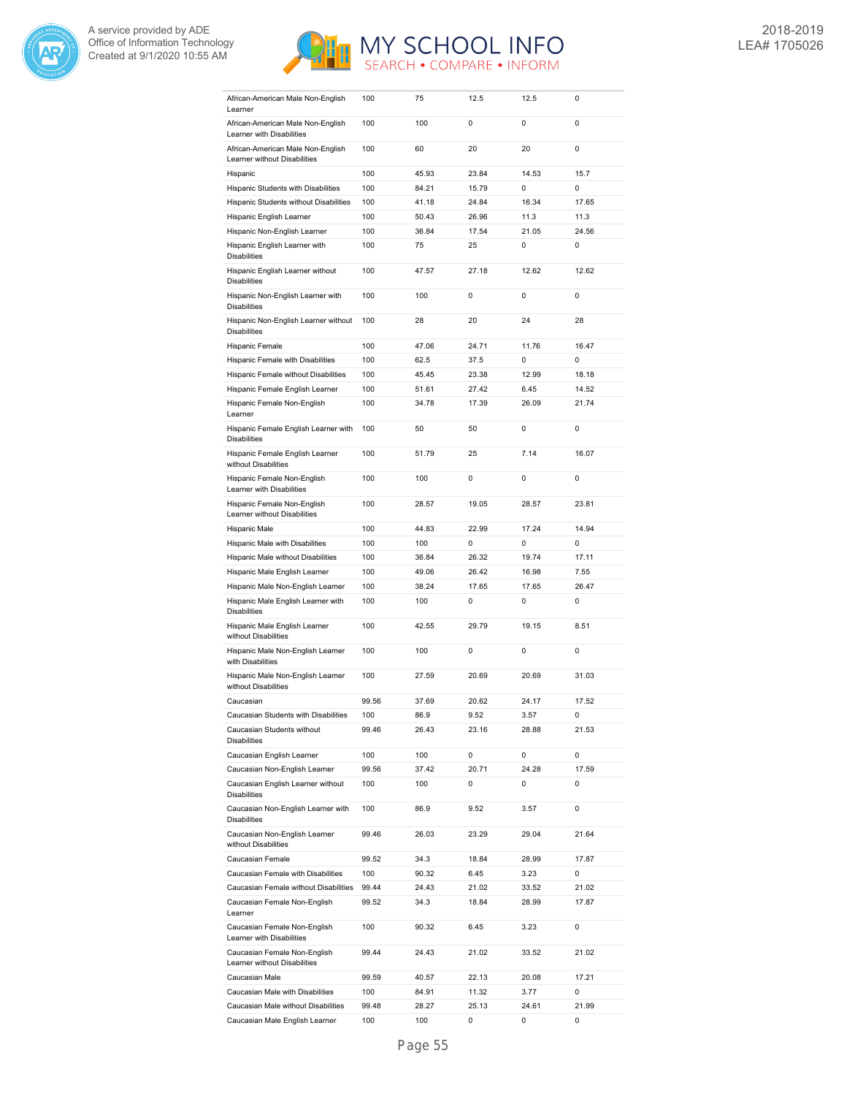



| African-American Male Non-English<br>Learner                   | 100   | 75    | 12.5  | 12.5  | 0           |
|----------------------------------------------------------------|-------|-------|-------|-------|-------------|
| African-American Male Non-English                              | 100   | 100   | 0     | 0     | 0           |
| Learner with Disabilities<br>African-American Male Non-English | 100   | 60    | 20    | 20    | 0           |
| Learner without Disabilities                                   |       |       |       |       |             |
| Hispanic                                                       | 100   | 45.93 | 23.84 | 14.53 | 15.7        |
| Hispanic Students with Disabilities                            | 100   | 84.21 | 15.79 | 0     | 0           |
| Hispanic Students without Disabilities                         | 100   | 41.18 | 24.84 | 16.34 | 17.65       |
| Hispanic English Learner                                       | 100   | 50.43 | 26.96 | 11.3  | 11.3        |
| Hispanic Non-English Learner                                   | 100   | 36.84 | 17.54 | 21.05 | 24.56       |
| Hispanic English Learner with<br><b>Disabilities</b>           | 100   | 75    | 25    | 0     | 0           |
| Hispanic English Learner without<br><b>Disabilities</b>        | 100   | 47.57 | 27.18 | 12.62 | 12.62       |
| Hispanic Non-English Learner with<br><b>Disabilities</b>       | 100   | 100   | 0     | 0     | 0           |
| Hispanic Non-English Learner without<br><b>Disabilities</b>    | 100   | 28    | 20    | 24    | 28          |
| Hispanic Female                                                | 100   | 47.06 | 24.71 | 11.76 | 16.47       |
| Hispanic Female with Disabilities                              | 100   | 62.5  | 37.5  | 0     | $\mathbf 0$ |
| Hispanic Female without Disabilities                           | 100   | 45.45 | 23.38 | 12.99 | 18.18       |
|                                                                |       |       | 27.42 |       |             |
| Hispanic Female English Learner                                | 100   | 51.61 |       | 6.45  | 14.52       |
| Hispanic Female Non-English<br>Learner                         | 100   | 34.78 | 17.39 | 26.09 | 21.74       |
| Hispanic Female English Learner with<br><b>Disabilities</b>    | 100   | 50    | 50    | 0     | 0           |
| Hispanic Female English Learner<br>without Disabilities        | 100   | 51.79 | 25    | 7.14  | 16.07       |
| Hispanic Female Non-English<br>Learner with Disabilities       | 100   | 100   | 0     | 0     | 0           |
| Hispanic Female Non-English<br>Learner without Disabilities    | 100   | 28.57 | 19.05 | 28.57 | 23.81       |
| Hispanic Male                                                  | 100   | 44.83 | 22.99 | 17.24 | 14.94       |
| Hispanic Male with Disabilities                                | 100   | 100   | 0     | 0     | $\mathbf 0$ |
| Hispanic Male without Disabilities                             | 100   | 36.84 | 26.32 | 19.74 | 17.11       |
| Hispanic Male English Learner                                  | 100   | 49.06 | 26.42 | 16.98 | 7.55        |
| Hispanic Male Non-English Learner                              | 100   | 38.24 | 17.65 | 17.65 | 26.47       |
| Hispanic Male English Learner with<br><b>Disabilities</b>      | 100   | 100   | 0     | 0     | 0           |
| Hispanic Male English Learner<br>without Disabilities          | 100   | 42.55 | 29.79 | 19.15 | 8.51        |
| Hispanic Male Non-English Learner<br>with Disabilities         | 100   | 100   | 0     | 0     | $\mathbf 0$ |
| Hispanic Male Non-English Learner<br>without Disabilities      | 100   | 27.59 | 20.69 | 20.69 | 31.03       |
| Caucasian                                                      | 99.56 | 37.69 | 20.62 | 24.17 | 17.52       |
| Caucasian Students with Disabilities                           | 100   | 86.9  | 9.52  | 3.57  | 0           |
| Caucasian Students without<br><b>Disabilities</b>              | 99.46 | 26.43 | 23.16 | 28.88 | 21.53       |
| Caucasian English Learner                                      | 100   | 100   | 0     | 0     | 0           |
| Caucasian Non-English Learner                                  | 99.56 | 37.42 | 20.71 | 24.28 | 17.59       |
| Caucasian English Learner without<br><b>Disabilities</b>       | 100   | 100   | 0     | 0     | 0           |
| Caucasian Non-English Learner with<br><b>Disabilities</b>      | 100   | 86.9  | 9.52  | 3.57  | 0           |
| Caucasian Non-English Learner<br>without Disabilities          | 99.46 | 26.03 | 23.29 | 29.04 | 21.64       |
| Caucasian Female                                               | 99.52 | 34.3  | 18.84 | 28.99 | 17.87       |
| Caucasian Female with Disabilities                             | 100   | 90.32 | 6.45  | 3.23  | 0           |
| Caucasian Female without Disabilities                          | 99.44 | 24.43 | 21.02 | 33.52 | 21.02       |
| Caucasian Female Non-English<br>Learner                        | 99.52 | 34.3  | 18.84 | 28.99 | 17.87       |
| Caucasian Female Non-English<br>Learner with Disabilities      | 100   | 90.32 | 6.45  | 3.23  | 0           |
| Caucasian Female Non-English<br>Learner without Disabilities   | 99.44 | 24.43 | 21.02 | 33.52 | 21.02       |
| Caucasian Male                                                 | 99.59 | 40.57 | 22.13 | 20.08 | 17.21       |
| Caucasian Male with Disabilities                               | 100   | 84.91 | 11.32 | 3.77  | 0           |
| Caucasian Male without Disabilities                            | 99.48 | 28.27 | 25.13 | 24.61 | 21.99       |
| Caucasian Male English Learner                                 | 100   | 100   | 0     | 0     | 0           |
|                                                                |       |       |       |       |             |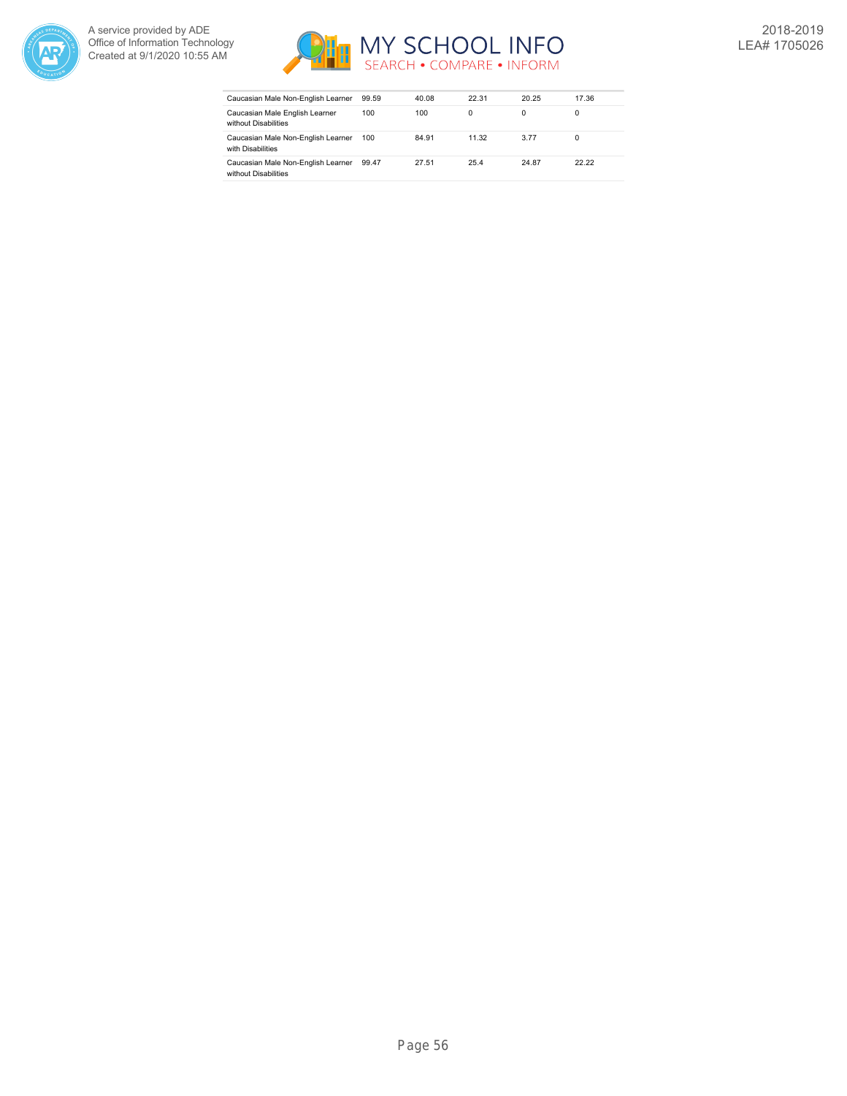



| Caucasian Male Non-English Learner                         | 99.59 | 40.08 | 22.31    | 20.25 | 17.36 |
|------------------------------------------------------------|-------|-------|----------|-------|-------|
| Caucasian Male English Learner<br>without Disabilities     | 100   | 100   | $\Omega$ |       | 0     |
| Caucasian Male Non-English Learner<br>with Disabilities    | 100   | 84.91 | 11.32    | 3.77  | 0     |
| Caucasian Male Non-English Learner<br>without Disabilities | 99.47 | 27.51 | 25.4     | 24.87 | 22.22 |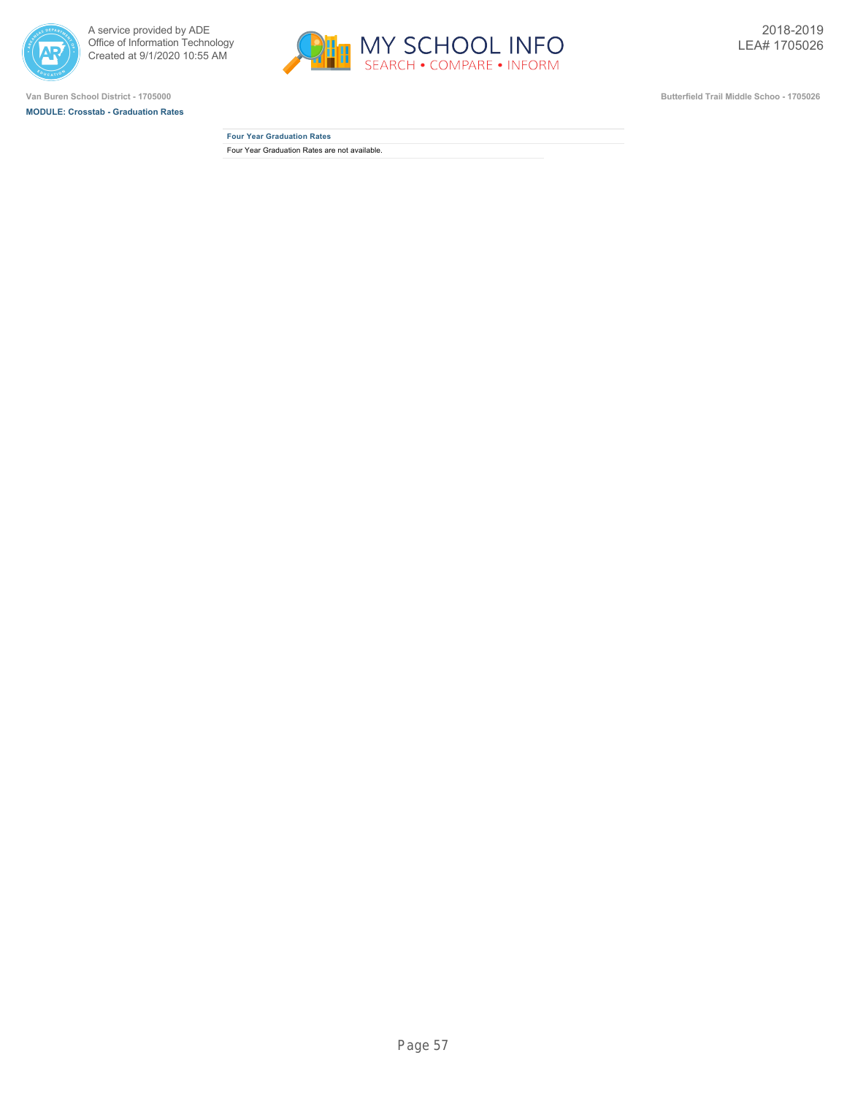



**MODULE: Crosstab - Graduation Rates**



**Van Buren School District - 1705000 Butterfield Trail Middle Schoo - 1705026**

**Four Year Graduation Rates** Four Year Graduation Rates are not available.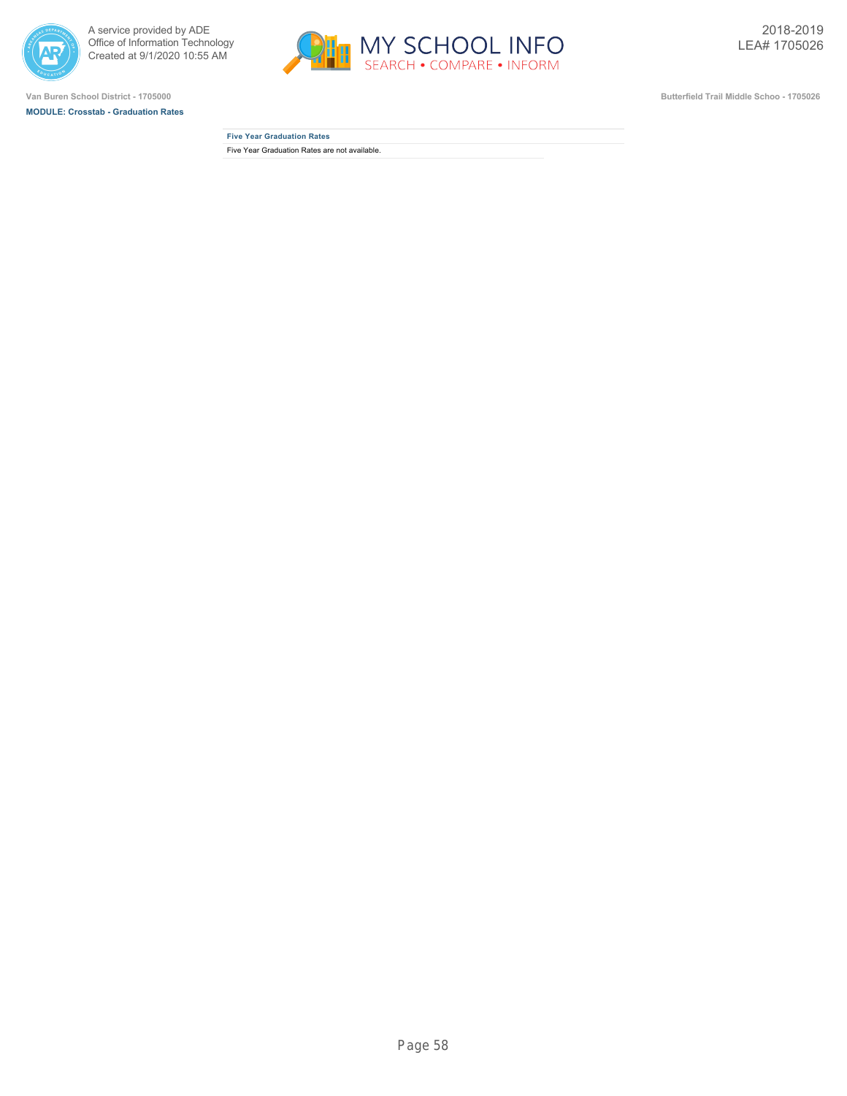



**MODULE: Crosstab - Graduation Rates**



**Van Buren School District - 1705000 Butterfield Trail Middle Schoo - 1705026**

**Five Year Graduation Rates** Five Year Graduation Rates are not available.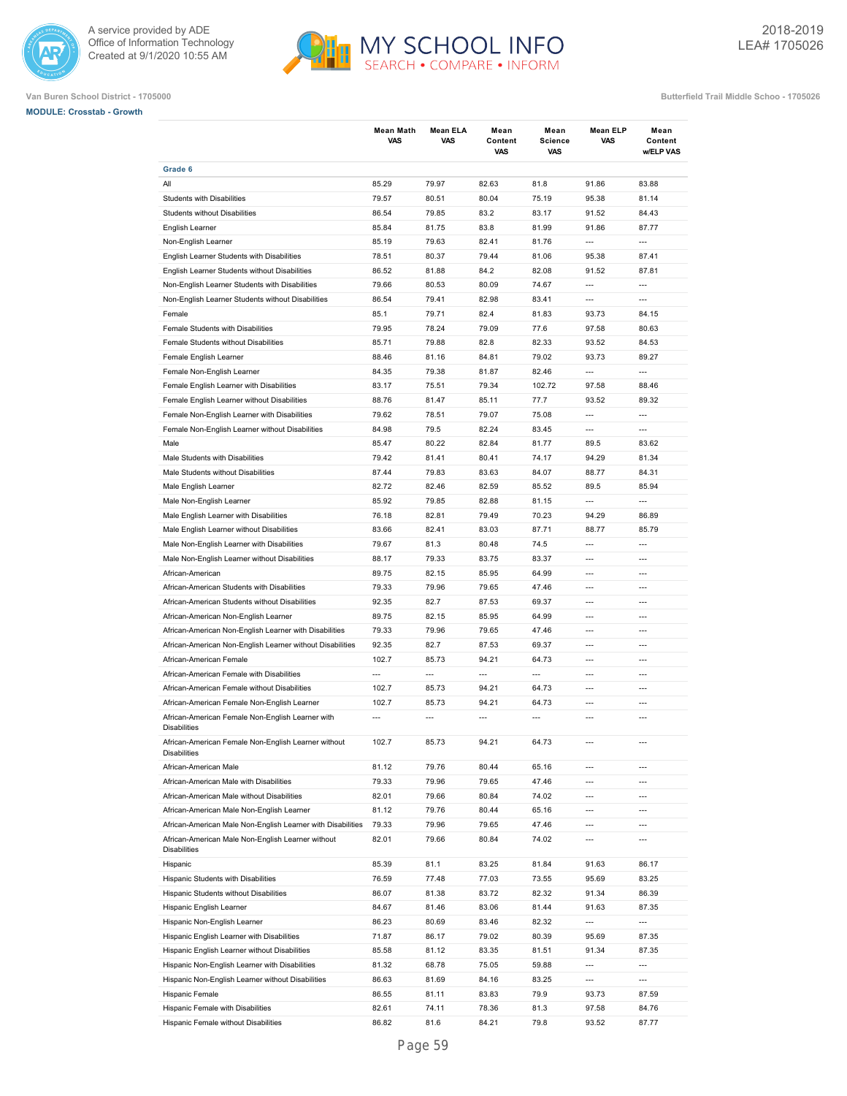



## **Van Buren School District - 1705000 Butterfield Trail Middle Schoo - 1705026**

**MODULE: Crosstab - Growth**

|                                                                          | <b>Mean Math</b><br><b>VAS</b> | Mean ELA<br><b>VAS</b> | Mean<br>Content<br>VAS | Mean<br><b>Science</b><br>VAS | <b>Mean ELP</b><br><b>VAS</b> | Mean<br>Content<br>w/ELP VAS |
|--------------------------------------------------------------------------|--------------------------------|------------------------|------------------------|-------------------------------|-------------------------------|------------------------------|
| Grade 6                                                                  |                                |                        |                        |                               |                               |                              |
| All                                                                      | 85.29                          | 79.97                  | 82.63                  | 81.8                          | 91.86                         | 83.88                        |
| Students with Disabilities                                               | 79.57                          | 80.51                  | 80.04                  | 75.19                         | 95.38                         | 81.14                        |
| <b>Students without Disabilities</b>                                     | 86.54                          | 79.85                  | 83.2                   | 83.17                         | 91.52                         | 84.43                        |
| English Learner                                                          | 85.84                          | 81.75                  | 83.8                   | 81.99                         | 91.86                         | 87.77                        |
| Non-English Learner                                                      | 85.19                          | 79.63                  | 82.41                  | 81.76                         | $\overline{\phantom{a}}$      | ---                          |
| English Learner Students with Disabilities                               | 78.51                          | 80.37                  | 79.44                  | 81.06                         | 95.38                         | 87.41                        |
| English Learner Students without Disabilities                            | 86.52                          | 81.88                  | 84.2                   | 82.08                         | 91.52                         | 87.81                        |
| Non-English Learner Students with Disabilities                           | 79.66                          | 80.53                  | 80.09                  | 74.67                         | ---                           | ---                          |
| Non-English Learner Students without Disabilities                        | 86.54                          | 79.41                  | 82.98                  | 83.41                         | $\overline{\phantom{a}}$      | $\overline{a}$               |
| Female                                                                   | 85.1                           | 79.71                  | 82.4                   | 81.83                         | 93.73                         | 84.15                        |
| Female Students with Disabilities                                        | 79.95                          | 78.24                  | 79.09                  | 77.6                          | 97.58                         | 80.63                        |
| Female Students without Disabilities                                     | 85.71                          | 79.88                  | 82.8                   | 82.33                         | 93.52                         | 84.53                        |
| Female English Learner                                                   | 88.46                          | 81.16                  | 84.81                  | 79.02                         | 93.73                         | 89.27                        |
| Female Non-English Learner                                               | 84.35                          | 79.38                  | 81.87                  | 82.46                         | $\overline{a}$                | $\overline{a}$               |
| Female English Learner with Disabilities                                 | 83.17                          | 75.51                  | 79.34                  | 102.72                        | 97.58                         | 88.46                        |
| Female English Learner without Disabilities                              | 88.76                          | 81.47                  | 85.11                  | 77.7                          | 93.52                         | 89.32                        |
| Female Non-English Learner with Disabilities                             | 79.62                          | 78.51                  | 79.07                  | 75.08                         | $\overline{a}$                | $\overline{a}$               |
| Female Non-English Learner without Disabilities                          | 84.98                          | 79.5                   | 82.24                  | 83.45                         | ---                           | $\overline{a}$               |
| Male                                                                     | 85.47                          | 80.22                  | 82.84                  | 81.77                         | 89.5                          | 83.62                        |
| Male Students with Disabilities                                          | 79.42                          | 81.41                  | 80.41                  | 74.17                         | 94.29                         | 81.34                        |
| Male Students without Disabilities                                       | 87.44                          | 79.83                  | 83.63                  | 84.07                         | 88.77                         | 84.31                        |
| Male English Learner                                                     | 82.72                          | 82.46                  | 82.59                  | 85.52                         | 89.5                          | 85.94                        |
| Male Non-English Learner                                                 | 85.92                          | 79.85                  | 82.88                  | 81.15                         | ---                           | ---                          |
| Male English Learner with Disabilities                                   | 76.18                          | 82.81                  | 79.49                  | 70.23                         | 94.29                         | 86.89                        |
| Male English Learner without Disabilities                                | 83.66                          | 82.41                  | 83.03                  | 87.71                         | 88.77                         | 85.79                        |
| Male Non-English Learner with Disabilities                               | 79.67                          | 81.3                   | 80.48                  | 74.5                          | $\overline{a}$                | $\overline{a}$               |
| Male Non-English Learner without Disabilities                            | 88.17                          | 79.33                  | 83.75                  | 83.37                         | $\overline{a}$                | $\overline{a}$               |
| African-American                                                         | 89.75                          | 82.15                  | 85.95                  | 64.99                         | $\overline{a}$                | $\overline{a}$               |
| African-American Students with Disabilities                              | 79.33                          | 79.96                  | 79.65                  | 47.46                         | $---$                         | $---$                        |
| African-American Students without Disabilities                           | 92.35                          | 82.7                   | 87.53                  | 69.37                         | $---$                         | $---$                        |
| African-American Non-English Learner                                     | 89.75                          | 82.15                  | 85.95                  | 64.99                         | $\overline{a}$                | $---$                        |
| African-American Non-English Learner with Disabilities                   | 79.33                          | 79.96                  | 79.65                  | 47.46                         | $---$                         | $---$                        |
| African-American Non-English Learner without Disabilities                | 92.35                          | 82.7                   | 87.53                  | 69.37                         | $\overline{a}$                | $\overline{a}$               |
| African-American Female                                                  | 102.7                          | 85.73                  | 94.21                  | 64.73                         | $\overline{a}$                | $\overline{a}$               |
| African-American Female with Disabilities                                | ---                            | $\overline{a}$         | $\overline{a}$         | $\overline{a}$                | $\overline{a}$                | $\overline{a}$               |
| African-American Female without Disabilities                             | 102.7                          | 85.73                  | 94.21                  | 64.73                         | $\overline{a}$                | $\overline{a}$               |
| African-American Female Non-English Learner                              | 102.7                          | 85.73                  | 94.21                  | 64.73                         | $\overline{a}$                | ---                          |
| African-American Female Non-English Learner with                         |                                |                        |                        | ---                           |                               |                              |
| <b>Disabilities</b>                                                      |                                |                        |                        |                               |                               |                              |
| African-American Female Non-English Learner without<br>Disabilities      | 102.7                          | 85.73                  | 94.21                  | 64.73                         |                               |                              |
| African-American Male                                                    | 81.12                          | 79.76                  | 80.44                  | 65.16                         | ---                           | ---                          |
| African-American Male with Disabilities                                  | 79.33                          | 79.96                  | 79.65                  | 47.46                         | $---$                         | ---                          |
| African-American Male without Disabilities                               | 82.01                          | 79.66                  | 80.84                  | 74.02                         | ---                           | ---                          |
| African-American Male Non-English Learner                                | 81.12                          | 79.76                  | 80.44                  | 65.16                         | $---$                         | ---                          |
| African-American Male Non-English Learner with Disabilities              | 79.33                          | 79.96                  | 79.65                  | 47.46                         | ---                           | ---                          |
| African-American Male Non-English Learner without<br><b>Disabilities</b> | 82.01                          | 79.66                  | 80.84                  | 74.02                         | ---                           | ---                          |
| Hispanic                                                                 | 85.39                          | 81.1                   | 83.25                  | 81.84                         | 91.63                         | 86.17                        |
| Hispanic Students with Disabilities                                      | 76.59                          | 77.48                  | 77.03                  | 73.55                         | 95.69                         | 83.25                        |
| Hispanic Students without Disabilities                                   | 86.07                          | 81.38                  | 83.72                  | 82.32                         | 91.34                         | 86.39                        |
| Hispanic English Learner                                                 | 84.67                          | 81.46                  | 83.06                  | 81.44                         | 91.63                         | 87.35                        |
| Hispanic Non-English Learner                                             | 86.23                          | 80.69                  | 83.46                  | 82.32                         | ---                           | ---                          |
| Hispanic English Learner with Disabilities                               | 71.87                          | 86.17                  | 79.02                  | 80.39                         | 95.69                         | 87.35                        |
| Hispanic English Learner without Disabilities                            | 85.58                          | 81.12                  | 83.35                  | 81.51                         | 91.34                         | 87.35                        |
| Hispanic Non-English Learner with Disabilities                           | 81.32                          | 68.78                  | 75.05                  | 59.88                         | ---                           | ---                          |
| Hispanic Non-English Learner without Disabilities                        | 86.63                          | 81.69                  | 84.16                  | 83.25                         | ---                           | ---                          |
| Hispanic Female                                                          | 86.55                          | 81.11                  | 83.83                  | 79.9                          | 93.73                         | 87.59                        |
| Hispanic Female with Disabilities                                        | 82.61                          | 74.11                  | 78.36                  | 81.3                          | 97.58                         | 84.76                        |
| Hispanic Female without Disabilities                                     | 86.82                          | 81.6                   | 84.21                  | 79.8                          | 93.52                         | 87.77                        |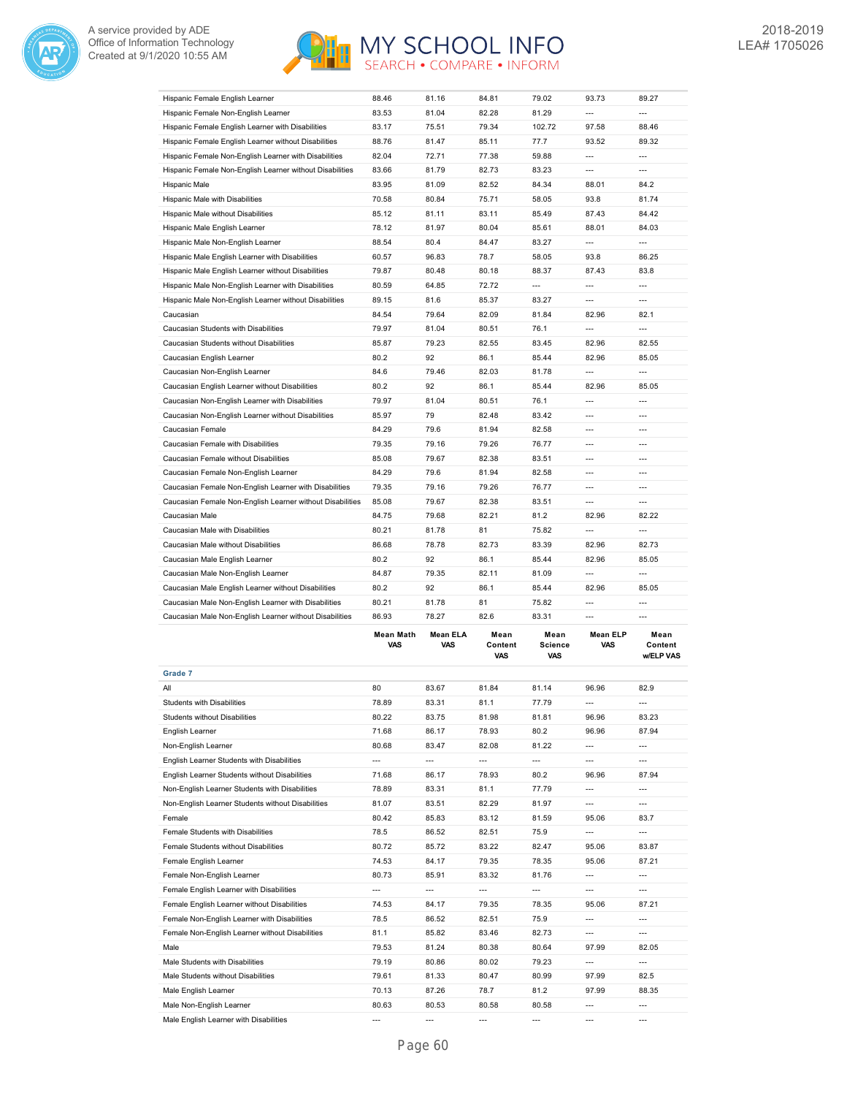



|                                                           | <b>Mean Math</b> | <b>Mean ELA</b> | Mean  | Mean                     | <b>Mean ELP</b>          | Mean           |
|-----------------------------------------------------------|------------------|-----------------|-------|--------------------------|--------------------------|----------------|
| Caucasian Male Non-English Learner without Disabilities   | 86.93            | 78.27           | 82.6  | 83.31                    | $\overline{a}$           | ---            |
| Caucasian Male Non-English Learner with Disabilities      | 80.21            | 81.78           | 81    | 75.82                    | $\overline{a}$           | $\overline{a}$ |
| Caucasian Male English Learner without Disabilities       | 80.2             | 92              | 86.1  | 85.44                    | 82.96                    | 85.05          |
| Caucasian Male Non-English Learner                        | 84.87            | 79.35           | 82.11 | 81.09                    | $\overline{a}$           | ---            |
| Caucasian Male English Learner                            | 80.2             | 92              | 86.1  | 85.44                    | 82.96                    | 85.05          |
| Caucasian Male without Disabilities                       | 86.68            | 78.78           | 82.73 | 83.39                    | 82.96                    | 82.73          |
| Caucasian Male with Disabilities                          | 80.21            | 81.78           | 81    | 75.82                    | $\overline{a}$           | ---            |
| Caucasian Male                                            | 84.75            | 79.68           | 82.21 | 81.2                     | 82.96                    | 82.22          |
| Caucasian Female Non-English Learner without Disabilities | 85.08            | 79.67           | 82.38 | 83.51                    | $\overline{\phantom{a}}$ | ---            |
| Caucasian Female Non-English Learner with Disabilities    | 79.35            | 79.16           | 79.26 | 76.77                    | $\overline{a}$           | ---            |
| Caucasian Female Non-English Learner                      | 84.29            | 79.6            | 81.94 | 82.58                    | $\overline{a}$           | ---            |
| Caucasian Female without Disabilities                     | 85.08            | 79.67           | 82.38 | 83.51                    | ---                      | ---            |
| Caucasian Female with Disabilities                        | 79.35            | 79.16           | 79.26 | 76.77                    | $---$                    | ---            |
| Caucasian Female                                          | 84.29            | 79.6            | 81.94 | 82.58                    | ---                      | ---            |
| Caucasian Non-English Learner without Disabilities        | 85.97            | 79              | 82.48 | 83.42                    | ---                      | ---            |
| Caucasian Non-English Learner with Disabilities           | 79.97            | 81.04           | 80.51 | 76.1                     | $\overline{a}$           | ---            |
| Caucasian English Learner without Disabilities            | 80.2             | 92              | 86.1  | 85.44                    | 82.96                    | 85.05          |
| Caucasian Non-English Learner                             | 84.6             | 79.46           | 82.03 | 81.78                    | ---                      | ---            |
| Caucasian English Learner                                 | 80.2             | 92              | 86.1  | 85.44                    | 82.96                    | 85.05          |
| Caucasian Students without Disabilities                   | 85.87            | 79.23           | 82.55 | 83.45                    | 82.96                    | 82.55          |
| Caucasian Students with Disabilities                      | 79.97            | 81.04           | 80.51 | 76.1                     | ---                      | ---            |
| Caucasian                                                 | 84.54            | 79.64           | 82.09 | 81.84                    | 82.96                    | 82.1           |
| Hispanic Male Non-English Learner without Disabilities    | 89.15            | 81.6            | 85.37 | 83.27                    | $\overline{a}$           | ---            |
| Hispanic Male Non-English Learner with Disabilities       | 80.59            | 64.85           | 72.72 | $\overline{\phantom{a}}$ | $\overline{\phantom{a}}$ | ---            |
| Hispanic Male English Learner without Disabilities        | 79.87            | 80.48           | 80.18 | 88.37                    | 87.43                    | 83.8           |
| Hispanic Male English Learner with Disabilities           | 60.57            | 96.83           | 78.7  | 58.05                    | 93.8                     | 86.25          |
| Hispanic Male Non-English Learner                         | 88.54            | 80.4            | 84.47 | 83.27                    | ---                      | ---            |
| Hispanic Male English Learner                             | 78.12            | 81.97           | 80.04 | 85.61                    | 88.01                    | 84.03          |
| Hispanic Male without Disabilities                        | 85.12            | 81.11           | 83.11 | 85.49                    | 87.43                    | 84.42          |
| Hispanic Male with Disabilities                           | 70.58            | 80.84           | 75.71 | 58.05                    | 93.8                     | 81.74          |
| Hispanic Male                                             | 83.95            | 81.09           | 82.52 | 84.34                    | 88.01                    | 84.2           |
| Hispanic Female Non-English Learner without Disabilities  | 83.66            | 81.79           | 82.73 | 83.23                    | ---                      | ---            |
| Hispanic Female Non-English Learner with Disabilities     | 82.04            | 72.71           | 77.38 | 59.88                    | $\overline{\phantom{a}}$ | ---            |
| Hispanic Female English Learner without Disabilities      | 88.76            | 81.47           | 85.11 | 77.7                     | 93.52                    | 89.32          |
| Hispanic Female English Learner with Disabilities         | 83.17            | 75.51           | 79.34 | 102.72                   | 97.58                    | 88.46          |
| Hispanic Female Non-English Learner                       | 83.53            | 81.04           | 82.28 | 81.29                    | $\overline{\phantom{a}}$ | ---            |
| Hispanic Female English Learner                           | 88.46            | 81.16           | 84.81 | 79.02                    | 93.73                    | 89.27          |

|                                                   | mean math<br><b>VAS</b> | IVICAII ELM<br><b>VAS</b> | меан<br>Content<br><b>VAS</b> | меан<br><b>Science</b><br><b>VAS</b> | MEAN ELF<br>VAS | меан<br>Content<br><b>w/ELP VAS</b> |
|---------------------------------------------------|-------------------------|---------------------------|-------------------------------|--------------------------------------|-----------------|-------------------------------------|
| Grade 7                                           |                         |                           |                               |                                      |                 |                                     |
| All                                               | 80                      | 83.67                     | 81.84                         | 81.14                                | 96.96           | 82.9                                |
| <b>Students with Disabilities</b>                 | 78.89                   | 83.31                     | 81.1                          | 77.79                                | ---             | $---$                               |
| <b>Students without Disabilities</b>              | 80.22                   | 83.75                     | 81.98                         | 81.81                                | 96.96           | 83.23                               |
| English Learner                                   | 71.68                   | 86.17                     | 78.93                         | 80.2                                 | 96.96           | 87.94                               |
| Non-English Learner                               | 80.68                   | 83.47                     | 82.08                         | 81.22                                | $---$           | $---$                               |
| English Learner Students with Disabilities        | ---                     | ---                       | $---$                         | $---$                                | ---             | $---$                               |
| English Learner Students without Disabilities     | 71.68                   | 86.17                     | 78.93                         | 80.2                                 | 96.96           | 87.94                               |
| Non-English Learner Students with Disabilities    | 78.89                   | 83.31                     | 81.1                          | 77.79                                | $---$           | ---                                 |
| Non-English Learner Students without Disabilities | 81.07                   | 83.51                     | 82.29                         | 81.97                                | ---             | $---$                               |
| Female                                            | 80.42                   | 85.83                     | 83.12                         | 81.59                                | 95.06           | 83.7                                |
| Female Students with Disabilities                 | 78.5                    | 86.52                     | 82.51                         | 75.9                                 | ---             | $---$                               |
| Female Students without Disabilities              | 80.72                   | 85.72                     | 83.22                         | 82.47                                | 95.06           | 83.87                               |
| Female English Learner                            | 74.53                   | 84.17                     | 79.35                         | 78.35                                | 95.06           | 87.21                               |
| Female Non-English Learner                        | 80.73                   | 85.91                     | 83.32                         | 81.76                                | ---             | ---                                 |
| Female English Learner with Disabilities          | ---                     | ---                       | ---                           | ---                                  | ---             | $---$                               |
| Female English Learner without Disabilities       | 74.53                   | 84.17                     | 79.35                         | 78.35                                | 95.06           | 87.21                               |
| Female Non-English Learner with Disabilities      | 78.5                    | 86.52                     | 82.51                         | 75.9                                 | $---$           | ---                                 |
| Female Non-English Learner without Disabilities   | 81.1                    | 85.82                     | 83.46                         | 82.73                                | $---$           | $---$                               |
| Male                                              | 79.53                   | 81.24                     | 80.38                         | 80.64                                | 97.99           | 82.05                               |
| Male Students with Disabilities                   | 79.19                   | 80.86                     | 80.02                         | 79.23                                | $---$           | $---$                               |
| Male Students without Disabilities                | 79.61                   | 81.33                     | 80.47                         | 80.99                                | 97.99           | 82.5                                |
| Male English Learner                              | 70.13                   | 87.26                     | 78.7                          | 81.2                                 | 97.99           | 88.35                               |
| Male Non-English Learner                          | 80.63                   | 80.53                     | 80.58                         | 80.58                                | ---             | ---                                 |
| Male English Learner with Disabilities            | $---$                   |                           | $---$                         | ---                                  | ---             |                                     |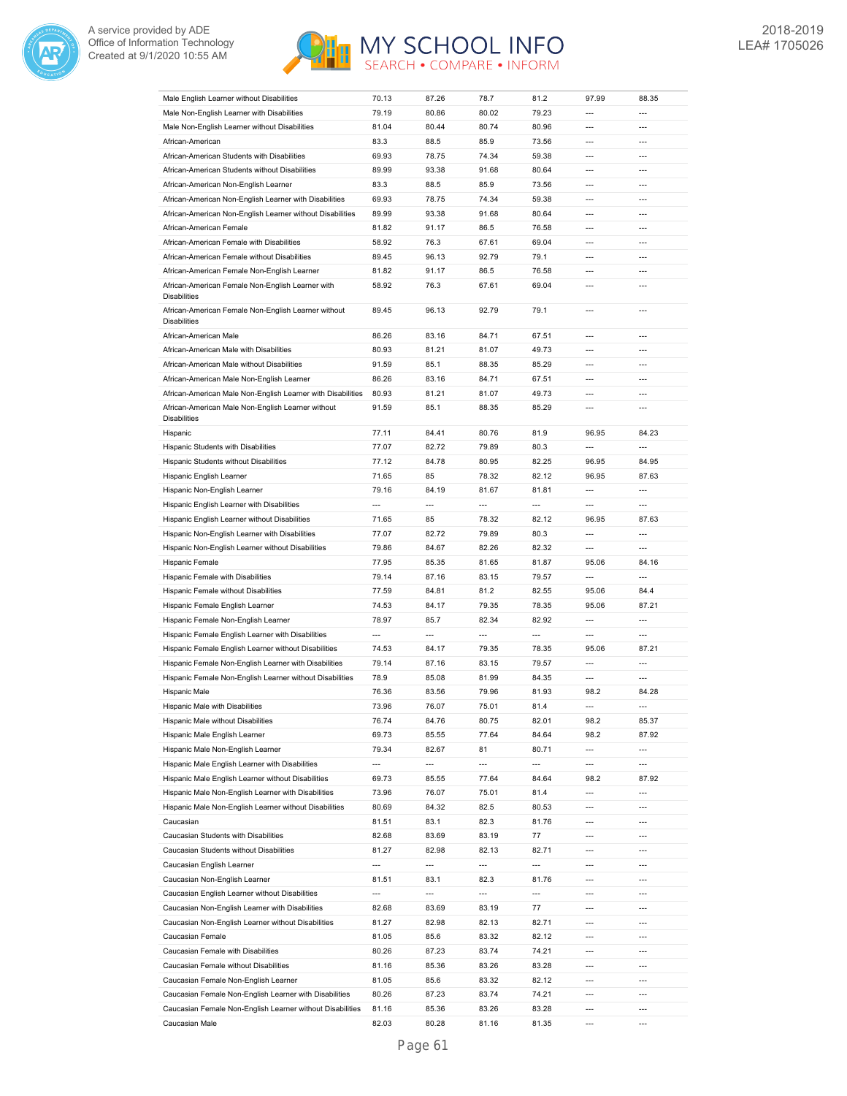



| Male English Learner without Disabilities                                  | 70.13                    | 87.26                    | 78.7           | 81.2                     | 97.99                    | 88.35                    |
|----------------------------------------------------------------------------|--------------------------|--------------------------|----------------|--------------------------|--------------------------|--------------------------|
| Male Non-English Learner with Disabilities                                 | 79.19                    | 80.86                    | 80.02          | 79.23                    | $\overline{\phantom{a}}$ | ---                      |
| Male Non-English Learner without Disabilities                              | 81.04                    | 80.44                    | 80.74          | 80.96                    | $---$                    | $---$                    |
| African-American                                                           | 83.3                     | 88.5                     | 85.9           | 73.56                    | ---                      | ---                      |
| African-American Students with Disabilities                                | 69.93                    | 78.75                    | 74.34          | 59.38                    | $---$                    | $---$                    |
| African-American Students without Disabilities                             | 89.99                    | 93.38                    | 91.68          | 80.64                    | ---                      | ---                      |
| African-American Non-English Learner                                       | 83.3                     | 88.5                     | 85.9           | 73.56                    | $\overline{a}$           | ---                      |
| African-American Non-English Learner with Disabilities                     | 69.93                    | 78.75                    | 74.34          | 59.38                    | $\overline{a}$           | $\overline{a}$           |
|                                                                            |                          |                          |                |                          |                          | $\overline{a}$           |
| African-American Non-English Learner without Disabilities                  | 89.99                    | 93.38                    | 91.68          | 80.64                    | $\overline{a}$           |                          |
| African-American Female                                                    | 81.82                    | 91.17                    | 86.5           | 76.58                    | $\overline{a}$           | $\overline{a}$           |
| African-American Female with Disabilities                                  | 58.92                    | 76.3                     | 67.61          | 69.04                    | ---                      | ---                      |
| African-American Female without Disabilities                               | 89.45                    | 96.13                    | 92.79          | 79.1                     | $\overline{a}$           | ---                      |
| African-American Female Non-English Learner                                | 81.82                    | 91.17                    | 86.5           | 76.58                    | $---$                    | $\overline{a}$           |
| African-American Female Non-English Learner with<br><b>Disabilities</b>    | 58.92                    | 76.3                     | 67.61          | 69.04                    | $\overline{a}$           | ---                      |
| African-American Female Non-English Learner without<br><b>Disabilities</b> | 89.45                    | 96.13                    | 92.79          | 79.1                     | $\overline{a}$           | ---                      |
| African-American Male                                                      | 86.26                    | 83.16                    | 84.71          | 67.51                    | $\overline{a}$           | ---                      |
| African-American Male with Disabilities                                    | 80.93                    | 81.21                    | 81.07          | 49.73                    | $---$                    | ---                      |
| African-American Male without Disabilities                                 | 91.59                    | 85.1                     | 88.35          | 85.29                    | $\overline{a}$           | ---                      |
| African-American Male Non-English Learner                                  | 86.26                    | 83.16                    | 84.71          | 67.51                    | ---                      | $\overline{\phantom{a}}$ |
|                                                                            |                          |                          |                |                          |                          | $\overline{a}$           |
| African-American Male Non-English Learner with Disabilities                | 80.93                    | 81.21                    | 81.07          | 49.73                    | $\overline{a}$           |                          |
| African-American Male Non-English Learner without<br><b>Disabilities</b>   | 91.59                    | 85.1                     | 88.35          | 85.29                    | ---                      | $\overline{a}$           |
| Hispanic                                                                   | 77.11                    | 84.41                    | 80.76          | 81.9                     | 96.95                    | 84.23                    |
| Hispanic Students with Disabilities                                        | 77.07                    | 82.72                    | 79.89          | 80.3                     | ---                      | $\overline{a}$           |
| Hispanic Students without Disabilities                                     | 77.12                    | 84.78                    | 80.95          | 82.25                    | 96.95                    | 84.95                    |
| Hispanic English Learner                                                   | 71.65                    | 85                       | 78.32          | 82.12                    | 96.95                    | 87.63                    |
| Hispanic Non-English Learner                                               | 79.16                    | 84.19                    | 81.67          | 81.81                    | ---                      | ---                      |
| Hispanic English Learner with Disabilities                                 | $\overline{a}$           | $\overline{a}$           | $\overline{a}$ | ---                      | $\overline{a}$           | $\overline{a}$           |
| Hispanic English Learner without Disabilities                              | 71.65                    | 85                       | 78.32          | 82.12                    | 96.95                    | 87.63                    |
|                                                                            |                          |                          |                |                          | $\overline{a}$           | ---                      |
| Hispanic Non-English Learner with Disabilities                             | 77.07                    | 82.72                    | 79.89          | 80.3                     |                          |                          |
| Hispanic Non-English Learner without Disabilities                          | 79.86                    | 84.67                    | 82.26          | 82.32                    | ---                      | ---                      |
| Hispanic Female                                                            | 77.95                    | 85.35                    | 81.65          | 81.87                    | 95.06                    | 84.16                    |
| Hispanic Female with Disabilities                                          | 79.14                    | 87.16                    | 83.15          | 79.57                    | ---                      | ---                      |
| Hispanic Female without Disabilities                                       | 77.59                    | 84.81                    | 81.2           | 82.55                    | 95.06                    | 84.4                     |
| Hispanic Female English Learner                                            | 74.53                    | 84.17                    | 79.35          | 78.35                    | 95.06                    | 87.21                    |
| Hispanic Female Non-English Learner                                        | 78.97                    | 85.7                     | 82.34          | 82.92                    | $\overline{\phantom{a}}$ | ---                      |
| Hispanic Female English Learner with Disabilities                          | $\overline{\phantom{a}}$ | ---                      | ---            | ---                      | $\overline{\phantom{a}}$ | ---                      |
| Hispanic Female English Learner without Disabilities                       | 74.53                    | 84.17                    | 79.35          | 78.35                    | 95.06                    | 87.21                    |
| Hispanic Female Non-English Learner with Disabilities                      | 79.14                    | 87.16                    | 83.15          | 79.57                    | $\overline{a}$           | $\overline{a}$           |
| Hispanic Female Non-English Learner without Disabilities                   | 78.9                     | 85.08                    | 81.99          | 84.35                    | $\overline{\phantom{a}}$ | $\overline{\phantom{a}}$ |
| Hispanic Male                                                              | 76.36                    | 83.56                    | 79.96          | 81.93                    | 98.2                     | 84.28                    |
| Hispanic Male with Disabilities                                            | 73.96                    | 76.07                    | 75.01          | 81.4                     | $\overline{a}$           | $---$                    |
| Hispanic Male without Disabilities                                         | 76.74                    | 84.76                    | 80.75          | 82.01                    | 98.2                     | 85.37                    |
|                                                                            |                          |                          |                |                          |                          |                          |
| Hispanic Male English Learner                                              | 69.73                    | 85.55                    | 77.64          | 84.64                    | 98.2                     | 87.92                    |
| Hispanic Male Non-English Learner                                          | 79.34                    | 82.67                    | 81             | 80.71                    | $\overline{a}$           | ---                      |
| Hispanic Male English Learner with Disabilities                            | ---                      | $\overline{\phantom{a}}$ | ---            | $\overline{\phantom{a}}$ | ---                      | ---                      |
| Hispanic Male English Learner without Disabilities                         | 69.73                    | 85.55                    | 77.64          | 84.64                    | 98.2                     | 87.92                    |
| Hispanic Male Non-English Learner with Disabilities                        | 73.96                    | 76.07                    | 75.01          | 81.4                     | ---                      | $\overline{a}$           |
| Hispanic Male Non-English Learner without Disabilities                     | 80.69                    | 84.32                    | 82.5           | 80.53                    | $\overline{a}$           | ---                      |
| Caucasian                                                                  | 81.51                    | 83.1                     | 82.3           | 81.76                    | $\overline{a}$           | ---                      |
| Caucasian Students with Disabilities                                       | 82.68                    | 83.69                    | 83.19          | 77                       | $---$                    | $\overline{\phantom{a}}$ |
| Caucasian Students without Disabilities                                    | 81.27                    | 82.98                    | 82.13          | 82.71                    | ---                      | ---                      |
| Caucasian English Learner                                                  | ---                      | ---                      | ---            | $\overline{\phantom{a}}$ | $---$                    | ---                      |
| Caucasian Non-English Learner                                              | 81.51                    | 83.1                     | 82.3           | 81.76                    | ---                      | ---                      |
| Caucasian English Learner without Disabilities                             | ---                      | ---                      | ---            | $\overline{\phantom{a}}$ | $---$                    | $\overline{a}$           |
| Caucasian Non-English Learner with Disabilities                            | 82.68                    | 83.69                    | 83.19          | 77                       | ---                      | ---                      |
| Caucasian Non-English Learner without Disabilities                         | 81.27                    | 82.98                    | 82.13          | 82.71                    | $---$                    | ---                      |
|                                                                            |                          |                          |                |                          | $\overline{a}$           | $\overline{a}$           |
| Caucasian Female                                                           | 81.05                    | 85.6                     | 83.32          | 82.12                    |                          |                          |
| Caucasian Female with Disabilities                                         | 80.26                    | 87.23                    | 83.74          | 74.21                    | $---$                    | ---                      |
| Caucasian Female without Disabilities                                      | 81.16                    | 85.36                    | 83.26          | 83.28                    | ---                      | $---$                    |
| Caucasian Female Non-English Learner                                       | 81.05                    | 85.6                     | 83.32          | 82.12                    | $---$                    | ---                      |
| Caucasian Female Non-English Learner with Disabilities                     | 80.26                    | 87.23                    | 83.74          | 74.21                    | ---                      | $---$                    |
|                                                                            |                          |                          |                |                          |                          |                          |
| Caucasian Female Non-English Learner without Disabilities                  | 81.16                    | 85.36                    | 83.26          | 83.28                    | $\overline{a}$           | $\overline{a}$           |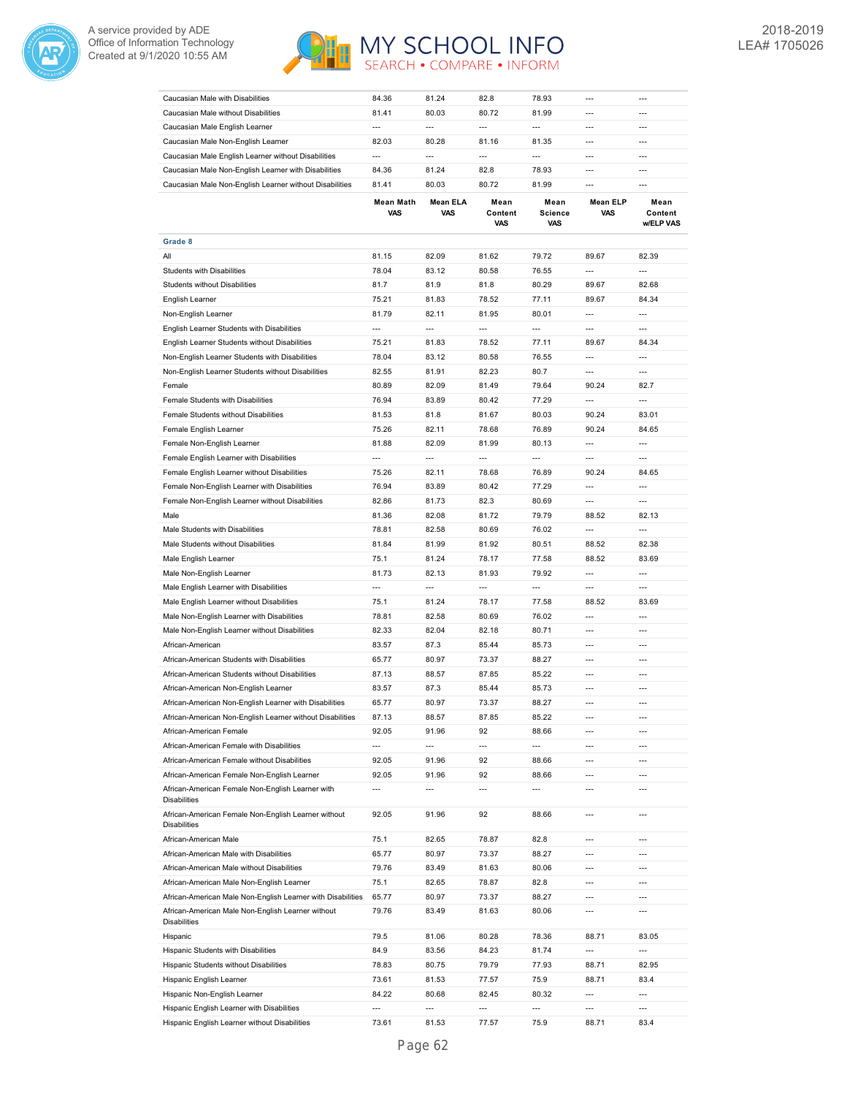



| Caucasian Male with Disabilities                                           | 84.36                    | 81.24           | 82.8                   | 78.93                         |                               |                              |
|----------------------------------------------------------------------------|--------------------------|-----------------|------------------------|-------------------------------|-------------------------------|------------------------------|
| Caucasian Male without Disabilities                                        | 81.41                    | 80.03           | 80.72                  | 81.99                         | $---$                         | ---                          |
| Caucasian Male English Learner                                             | $\overline{a}$           | $\overline{a}$  | $\overline{a}$         | ---                           | $\overline{a}$                | $\overline{a}$               |
| Caucasian Male Non-English Learner                                         | 82.03                    | 80.28           | 81.16                  | 81.35                         | ---                           | ---                          |
| Caucasian Male English Learner without Disabilities                        | $\overline{a}$           | $\overline{a}$  | $\overline{a}$         | ---                           | $\overline{a}$                | $\overline{a}$               |
| Caucasian Male Non-English Learner with Disabilities                       | 84.36                    | 81.24           | 82.8                   | 78.93                         | ---                           | ---                          |
| Caucasian Male Non-English Learner without Disabilities                    | 81.41                    | 80.03           | 80.72                  | 81.99                         | $---$                         | $---$                        |
|                                                                            |                          |                 |                        |                               |                               |                              |
|                                                                            | Mean Math<br><b>VAS</b>  | Mean ELA<br>VAS | Mean<br>Content<br>VAS | Mean<br><b>Science</b><br>VAS | <b>Mean ELP</b><br><b>VAS</b> | Mean<br>Content<br>w/ELP VAS |
| Grade 8                                                                    |                          |                 |                        |                               |                               |                              |
| All                                                                        | 81.15                    | 82.09           | 81.62                  | 79.72                         | 89.67                         | 82.39                        |
| <b>Students with Disabilities</b>                                          | 78.04                    | 83.12           | 80.58                  | 76.55                         | ---                           | ---                          |
| <b>Students without Disabilities</b>                                       |                          | 81.9            |                        |                               |                               | 82.68                        |
|                                                                            | 81.7                     |                 | 81.8                   | 80.29                         | 89.67                         |                              |
| English Learner                                                            | 75.21                    | 81.83           | 78.52                  | 77.11                         | 89.67                         | 84.34                        |
| Non-English Learner                                                        | 81.79                    | 82.11           | 81.95                  | 80.01                         | $\overline{a}$                | ---                          |
| English Learner Students with Disabilities                                 | $\overline{\phantom{a}}$ | $\overline{a}$  | ---                    | $\overline{\phantom{a}}$      | $\overline{\phantom{a}}$      | $\overline{\phantom{a}}$     |
| English Learner Students without Disabilities                              | 75.21                    | 81.83           | 78.52                  | 77.11                         | 89.67                         | 84.34                        |
| Non-English Learner Students with Disabilities                             | 78.04                    | 83.12           | 80.58                  | 76.55                         | ---                           | ---                          |
| Non-English Learner Students without Disabilities                          | 82.55                    | 81.91           | 82.23                  | 80.7                          | $\overline{a}$                | $\overline{a}$               |
| Female                                                                     | 80.89                    | 82.09           | 81.49                  | 79.64                         | 90.24                         | 82.7                         |
| Female Students with Disabilities                                          | 76.94                    | 83.89           | 80.42                  | 77.29                         | $\overline{a}$                | $\overline{a}$               |
| Female Students without Disabilities                                       | 81.53                    | 81.8            | 81.67                  | 80.03                         | 90.24                         | 83.01                        |
| Female English Learner                                                     | 75.26                    | 82.11           | 78.68                  | 76.89                         | 90.24                         | 84.65                        |
| Female Non-English Learner                                                 | 81.88                    | 82.09           | 81.99                  | 80.13                         | $\overline{a}$                | $\overline{a}$               |
| Female English Learner with Disabilities                                   | ---                      | ---             | ---                    | ---                           | ---                           | $\overline{a}$               |
| Female English Learner without Disabilities                                | 75.26                    | 82.11           | 78.68                  | 76.89                         | 90.24                         | 84.65                        |
|                                                                            |                          |                 |                        |                               |                               |                              |
| Female Non-English Learner with Disabilities                               | 76.94                    | 83.89           | 80.42                  | 77.29                         | $\overline{\phantom{a}}$      | ---                          |
| Female Non-English Learner without Disabilities                            | 82.86                    | 81.73           | 82.3                   | 80.69                         | $\overline{a}$                | ---                          |
| Male                                                                       | 81.36                    | 82.08           | 81.72                  | 79.79                         | 88.52                         | 82.13                        |
| Male Students with Disabilities                                            | 78.81                    | 82.58           | 80.69                  | 76.02                         | ---                           | $\overline{a}$               |
| Male Students without Disabilities                                         | 81.84                    | 81.99           | 81.92                  | 80.51                         | 88.52                         | 82.38                        |
| Male English Learner                                                       | 75.1                     | 81.24           | 78.17                  | 77.58                         | 88.52                         | 83.69                        |
| Male Non-English Learner                                                   | 81.73                    | 82.13           | 81.93                  | 79.92                         | $\overline{\phantom{a}}$      | $\overline{a}$               |
| Male English Learner with Disabilities                                     | ---                      | $\overline{a}$  | $\overline{a}$         | ---                           | $\overline{a}$                | $\overline{a}$               |
| Male English Learner without Disabilities                                  | 75.1                     | 81.24           | 78.17                  | 77.58                         | 88.52                         | 83.69                        |
| Male Non-English Learner with Disabilities                                 | 78.81                    | 82.58           | 80.69                  | 76.02                         | $\overline{a}$                | $---$                        |
| Male Non-English Learner without Disabilities                              | 82.33                    | 82.04           | 82.18                  | 80.71                         | ---                           | ---                          |
| African-American                                                           | 83.57                    | 87.3            | 85.44                  | 85.73                         | $\overline{a}$                | ---                          |
| African-American Students with Disabilities                                | 65.77                    | 80.97           | 73.37                  | 88.27                         | $\overline{a}$                | $\overline{a}$               |
| African-American Students without Disabilities                             | 87.13                    | 88.57           | 87.85                  | 85.22                         | $\overline{a}$                | $\overline{a}$               |
|                                                                            |                          |                 |                        |                               |                               |                              |
| African-American Non-English Learner                                       | 83.57                    | 87.3            | 85.44                  | 85.73                         | ---                           | $\overline{a}$               |
| African-American Non-English Learner with Disabilities                     | 65.77                    | 80.97           | 73.37                  | 88.27                         | ---                           |                              |
| African-American Non-English Learner without Disabilities                  | 87.13                    | 88.57           | 87.85                  | 85.22                         | ---                           | ---                          |
| African-American Female                                                    | 92.05                    | 91.96           | 92                     | 88.66                         | $---$                         | $\overline{\phantom{a}}$     |
| African-American Female with Disabilities                                  | $\overline{\phantom{a}}$ | ---             | ---                    | $\overline{\phantom{a}}$      | $\overline{a}$                | ---                          |
| African-American Female without Disabilities                               | 92.05                    | 91.96           | 92                     | 88.66                         | $---$                         | ---                          |
| African-American Female Non-English Learner                                | 92.05                    | 91.96           | 92                     | 88.66                         | $\overline{a}$                | ---                          |
| African-American Female Non-English Learner with                           | ---                      | ---             | ---                    | ---                           | ---                           | ---                          |
| <b>Disabilities</b>                                                        |                          |                 |                        |                               |                               |                              |
| African-American Female Non-English Learner without<br><b>Disabilities</b> | 92.05                    | 91.96           | 92                     | 88.66                         | ---                           | ---                          |
| African-American Male                                                      | 75.1                     | 82.65           | 78.87                  | 82.8                          | $---$                         | $\overline{\phantom{a}}$     |
| African-American Male with Disabilities                                    | 65.77                    | 80.97           | 73.37                  | 88.27                         | ---                           | ---                          |
| African-American Male without Disabilities                                 | 79.76                    | 83.49           | 81.63                  | 80.06                         | $---$                         | ---                          |
| African-American Male Non-English Learner                                  | 75.1                     | 82.65           | 78.87                  | 82.8                          | $\overline{a}$                | $\overline{a}$               |
| African-American Male Non-English Learner with Disabilities                | 65.77                    | 80.97           | 73.37                  | 88.27                         | $---$                         | $\overline{\phantom{a}}$     |
| African-American Male Non-English Learner without<br><b>Disabilities</b>   | 79.76                    | 83.49           | 81.63                  | 80.06                         | ---                           | $\overline{a}$               |
| Hispanic                                                                   | 79.5                     | 81.06           | 80.28                  | 78.36                         | 88.71                         | 83.05                        |
| Hispanic Students with Disabilities                                        | 84.9                     | 83.56           | 84.23                  | 81.74                         | ---                           | $\overline{\phantom{a}}$     |
| Hispanic Students without Disabilities                                     | 78.83                    | 80.75           | 79.79                  | 77.93                         | 88.71                         | 82.95                        |
| Hispanic English Learner                                                   | 73.61                    | 81.53           | 77.57                  | 75.9                          | 88.71                         | 83.4                         |
| Hispanic Non-English Learner                                               | 84.22                    | 80.68           | 82.45                  | 80.32                         | $\overline{a}$                | ---                          |
|                                                                            | ---                      | ---             | ---                    | ---                           | ---                           | ---                          |
| Hispanic English Learner with Disabilities                                 |                          |                 |                        |                               |                               |                              |
| Hispanic English Learner without Disabilities                              | 73.61                    | 81.53           | 77.57                  | 75.9                          | 88.71                         | 83.4                         |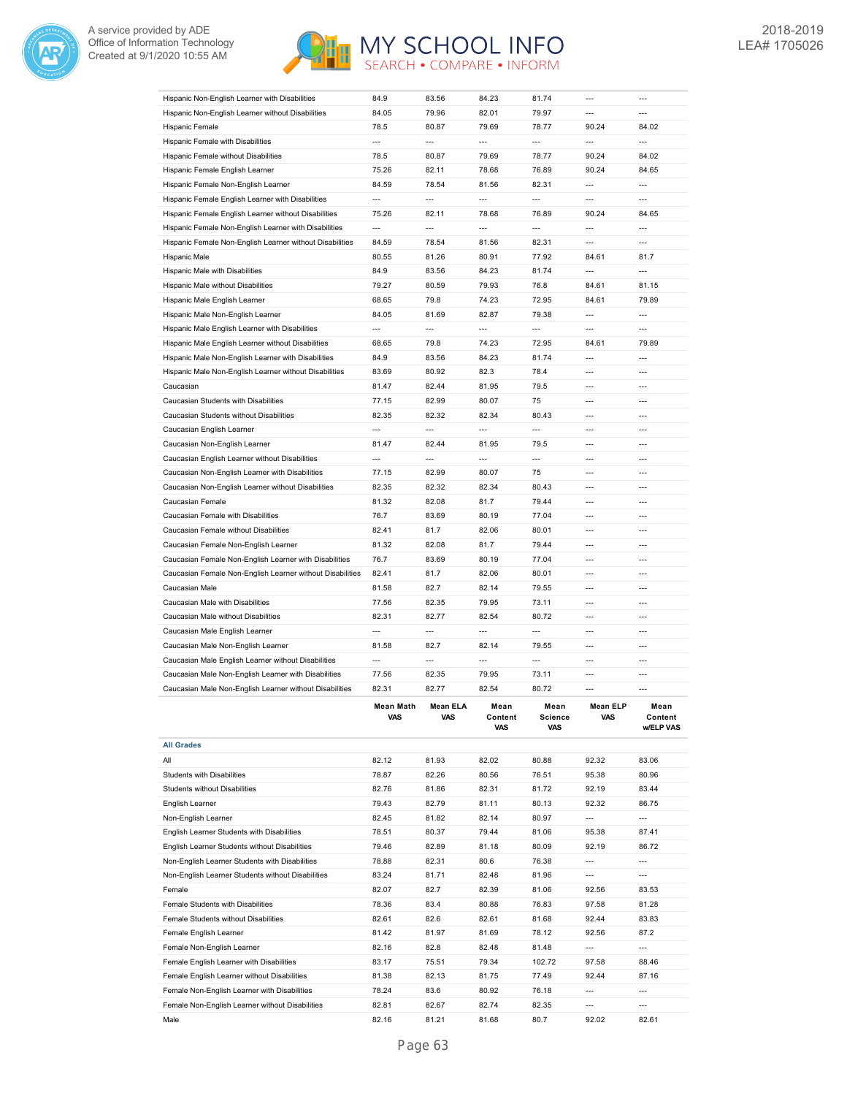



| Hispanic Non-English Learner with Disabilities            | 84.9                     | 83.56                    | 84.23                    | 81.74                    | $\overline{a}$           |                              |
|-----------------------------------------------------------|--------------------------|--------------------------|--------------------------|--------------------------|--------------------------|------------------------------|
| Hispanic Non-English Learner without Disabilities         | 84.05                    | 79.96                    | 82.01                    | 79.97                    | ---                      | $\overline{a}$               |
| Hispanic Female                                           | 78.5                     | 80.87                    | 79.69                    | 78.77                    | 90.24                    | 84.02                        |
| Hispanic Female with Disabilities                         | ---                      | $\overline{\phantom{a}}$ | $\overline{\phantom{a}}$ | $\overline{\phantom{a}}$ | ---                      | ---                          |
| Hispanic Female without Disabilities                      | 78.5                     | 80.87                    | 79.69                    | 78.77                    | 90.24                    | 84.02                        |
|                                                           |                          |                          |                          |                          | 90.24                    |                              |
| Hispanic Female English Learner                           | 75.26                    | 82.11                    | 78.68                    | 76.89                    | $\overline{a}$           | 84.65<br>$\overline{a}$      |
| Hispanic Female Non-English Learner                       | 84.59                    | 78.54                    | 81.56                    | 82.31                    |                          |                              |
| Hispanic Female English Learner with Disabilities         | $\overline{\phantom{a}}$ | $\overline{a}$           | $\overline{a}$           | $\overline{\phantom{a}}$ | $\overline{a}$           | ---                          |
| Hispanic Female English Learner without Disabilities      | 75.26                    | 82.11                    | 78.68                    | 76.89                    | 90.24                    | 84.65                        |
| Hispanic Female Non-English Learner with Disabilities     | $\overline{a}$           | $\overline{a}$           | $\overline{a}$           | $\overline{a}$           | $\overline{a}$           | $\overline{a}$               |
| Hispanic Female Non-English Learner without Disabilities  | 84.59                    | 78.54                    | 81.56                    | 82.31                    | $\overline{a}$           | $\overline{a}$               |
| Hispanic Male                                             | 80.55                    | 81.26                    | 80.91                    | 77.92                    | 84.61                    | 81.7                         |
| Hispanic Male with Disabilities                           | 84.9                     | 83.56                    | 84.23                    | 81.74                    | $\overline{a}$           | $\overline{a}$               |
| Hispanic Male without Disabilities                        | 79.27                    | 80.59                    | 79.93                    | 76.8                     | 84.61                    | 81.15                        |
| Hispanic Male English Learner                             | 68.65                    | 79.8                     | 74.23                    | 72.95                    | 84.61                    | 79.89                        |
| Hispanic Male Non-English Learner                         | 84.05                    | 81.69                    | 82.87                    | 79.38                    | $\overline{a}$           | $\overline{a}$               |
| Hispanic Male English Learner with Disabilities           | $\overline{\phantom{a}}$ | $\overline{a}$           | ---                      | ---                      | ---                      | $\overline{a}$               |
|                                                           | 68.65                    | 79.8                     | 74.23                    | 72.95                    | 84.61                    | 79.89                        |
| Hispanic Male English Learner without Disabilities        | 84.9                     | 83.56                    | 84.23                    | 81.74                    | $\overline{a}$           | ---                          |
| Hispanic Male Non-English Learner with Disabilities       |                          |                          |                          |                          |                          |                              |
| Hispanic Male Non-English Learner without Disabilities    | 83.69                    | 80.92                    | 82.3                     | 78.4                     | $\overline{a}$           | ---                          |
| Caucasian                                                 | 81.47                    | 82.44                    | 81.95                    | 79.5                     | ---                      | ---                          |
| Caucasian Students with Disabilities                      | 77.15                    | 82.99                    | 80.07                    | 75                       | ---                      |                              |
| Caucasian Students without Disabilities                   | 82.35                    | 82.32                    | 82.34                    | 80.43                    | $---$                    | ---                          |
| Caucasian English Learner                                 | ---                      | $\overline{a}$           | ---                      | ---                      | $\overline{a}$           | $\overline{a}$               |
| Caucasian Non-English Learner                             | 81.47                    | 82.44                    | 81.95                    | 79.5                     | $\overline{a}$           | ---                          |
| Caucasian English Learner without Disabilities            | $\overline{a}$           | $\overline{a}$           | ---                      | ---                      | $\overline{a}$           | $\overline{a}$               |
| Caucasian Non-English Learner with Disabilities           | 77.15                    | 82.99                    | 80.07                    | 75                       | $---$                    | $---$                        |
| Caucasian Non-English Learner without Disabilities        | 82.35                    | 82.32                    | 82.34                    | 80.43                    | $---$                    | $---$                        |
|                                                           |                          |                          |                          |                          |                          |                              |
| Caucasian Female                                          | 81.32                    | 82.08                    | 81.7                     | 79.44                    | $---$                    | ---                          |
| Caucasian Female with Disabilities                        | 76.7                     | 83.69                    | 80.19                    | 77.04                    | $---$                    | $---$                        |
| Caucasian Female without Disabilities                     | 82.41                    | 81.7                     | 82.06                    | 80.01                    | ---                      | $\overline{a}$               |
| Caucasian Female Non-English Learner                      | 81.32                    | 82.08                    | 81.7                     | 79.44                    | $\overline{a}$           | $\overline{a}$               |
| Caucasian Female Non-English Learner with Disabilities    | 76.7                     | 83.69                    |                          | 77.04                    | $\overline{a}$           |                              |
|                                                           |                          |                          | 80.19                    |                          |                          | $\overline{a}$               |
| Caucasian Female Non-English Learner without Disabilities | 82.41                    | 81.7                     | 82.06                    | 80.01                    | $\overline{a}$           | $\overline{a}$               |
| Caucasian Male                                            | 81.58                    | 82.7                     | 82.14                    | 79.55                    | $\overline{a}$           | ---                          |
| Caucasian Male with Disabilities                          | 77.56                    | 82.35                    | 79.95                    | 73.11                    | ---                      | ---                          |
| Caucasian Male without Disabilities                       | 82.31                    | 82.77                    | 82.54                    | 80.72                    | $\overline{a}$           | ---                          |
|                                                           |                          | $\overline{a}$           | $\overline{a}$           |                          | $\overline{a}$           | ---                          |
| Caucasian Male English Learner                            | $\overline{\phantom{a}}$ |                          |                          | $\overline{\phantom{a}}$ |                          | $\overline{a}$               |
| Caucasian Male Non-English Learner                        | 81.58                    | 82.7                     | 82.14                    | 79.55                    | $\overline{a}$           |                              |
| Caucasian Male English Learner without Disabilities       | $\overline{\phantom{a}}$ | $\overline{a}$           | $\overline{\phantom{a}}$ | $\overline{\phantom{a}}$ | ---                      | ---                          |
| Caucasian Male Non-English Learner with Disabilities      | 77.56                    | 82.35                    | 79.95                    | 73.11                    | $\overline{a}$           | $---$                        |
| Caucasian Male Non-English Learner without Disabilities   | 82.31                    | 82.77                    | 82.54                    | 80.72                    | $\overline{a}$           | $\overline{a}$               |
|                                                           | Mean Math<br>VAS         | an ELA<br>Μ6<br>VAS      | mean<br>Content<br>VAS   | Mean<br>Science<br>VAS   | mean ⊨∟r<br>VAS          | Mean<br>Content<br>w/ELP VAS |
| <b>All Grades</b>                                         |                          |                          |                          |                          |                          |                              |
| All                                                       | 82.12                    | 81.93                    | 82.02                    | 80.88                    | 92.32                    | 83.06                        |
| <b>Students with Disabilities</b>                         | 78.87                    | 82.26                    | 80.56                    | 76.51                    | 95.38                    | 80.96                        |
| <b>Students without Disabilities</b>                      | 82.76                    | 81.86                    | 82.31                    | 81.72                    | 92.19                    | 83.44                        |
|                                                           |                          |                          |                          |                          |                          |                              |
| English Learner                                           | 79.43                    | 82.79                    | 81.11                    | 80.13                    | 92.32                    | 86.75                        |
| Non-English Learner                                       | 82.45                    | 81.82                    | 82.14                    | 80.97                    | ---                      | ---                          |
| English Learner Students with Disabilities                | 78.51                    | 80.37                    | 79.44                    | 81.06                    | 95.38                    | 87.41                        |
| English Learner Students without Disabilities             | 79.46                    | 82.89                    | 81.18                    | 80.09                    | 92.19                    | 86.72                        |
| Non-English Learner Students with Disabilities            | 78.88                    | 82.31                    | 80.6                     | 76.38                    | ---                      | ---                          |
| Non-English Learner Students without Disabilities         | 83.24                    | 81.71                    | 82.48                    | 81.96                    | $---$                    | ---                          |
| Female                                                    | 82.07                    | 82.7                     | 82.39                    | 81.06                    | 92.56                    | 83.53                        |
| Female Students with Disabilities                         | 78.36                    | 83.4                     | 80.88                    | 76.83                    | 97.58                    | 81.28                        |
| Female Students without Disabilities                      | 82.61                    | 82.6                     | 82.61                    | 81.68                    | 92.44                    | 83.83                        |
| Female English Learner                                    | 81.42                    | 81.97                    | 81.69                    | 78.12                    | 92.56                    | 87.2                         |
| Female Non-English Learner                                | 82.16                    | 82.8                     | 82.48                    | 81.48                    | $\overline{\phantom{a}}$ | ---                          |
|                                                           |                          |                          |                          |                          |                          |                              |
| Female English Learner with Disabilities                  | 83.17                    | 75.51                    | 79.34                    | 102.72                   | 97.58                    | 88.46                        |
| Female English Learner without Disabilities               | 81.38                    | 82.13                    | 81.75                    | 77.49                    | 92.44                    | 87.16                        |
| Female Non-English Learner with Disabilities              | 78.24                    | 83.6                     | 80.92                    | 76.18                    | $\overline{a}$           | ---                          |
| Female Non-English Learner without Disabilities<br>Male   | 82.81<br>82.16           | 82.67<br>81.21           | 82.74<br>81.68           | 82.35<br>80.7            | ---<br>92.02             | ---<br>82.61                 |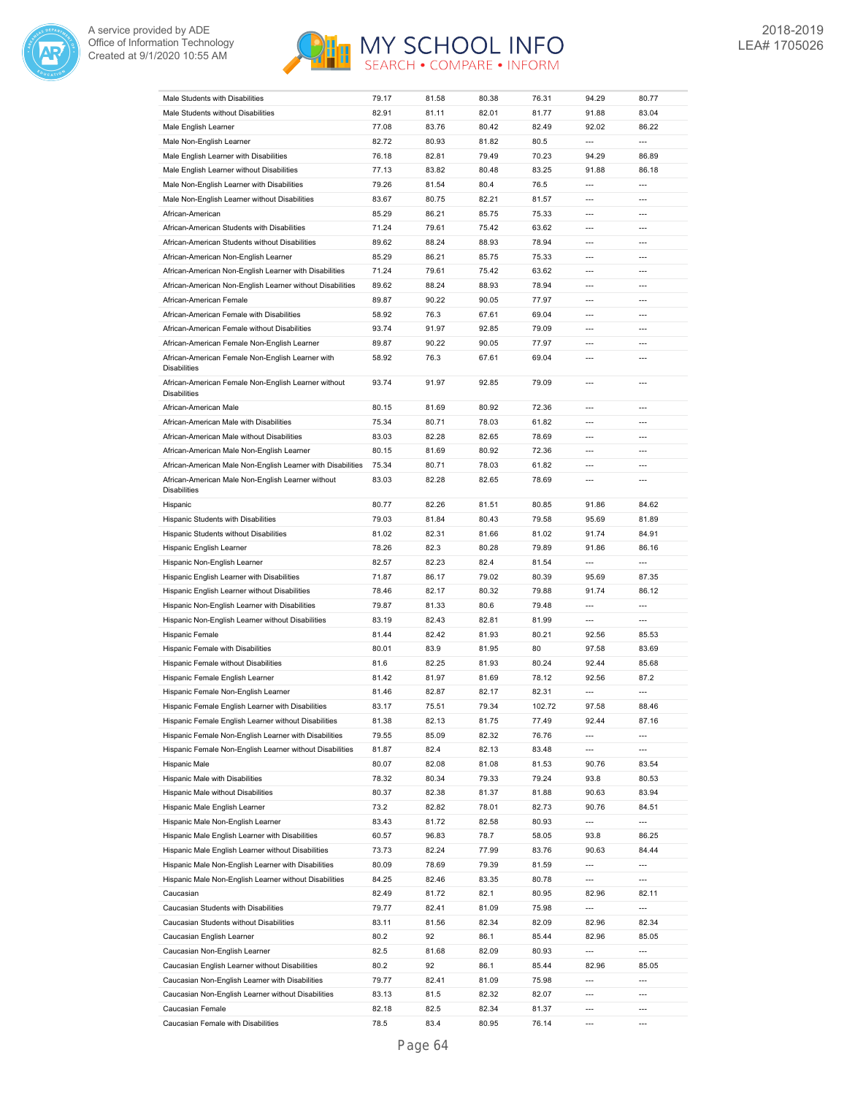



| Male Students with Disabilities                                            | 79.17          | 81.58        | 80.38          | 76.31          | 94.29                                                | 80.77                             |
|----------------------------------------------------------------------------|----------------|--------------|----------------|----------------|------------------------------------------------------|-----------------------------------|
| Male Students without Disabilities                                         | 82.91          | 81.11        | 82.01          | 81.77          | 91.88                                                | 83.04                             |
| Male English Learner                                                       | 77.08          | 83.76        | 80.42          | 82.49          | 92.02                                                | 86.22                             |
| Male Non-English Learner                                                   | 82.72          | 80.93        | 81.82          | 80.5           | $\overline{\phantom{a}}$                             | $\overline{\phantom{a}}$          |
|                                                                            |                |              |                |                |                                                      | 86.89                             |
| Male English Learner with Disabilities                                     | 76.18          | 82.81        | 79.49          | 70.23          | 94.29                                                |                                   |
| Male English Learner without Disabilities                                  | 77.13          | 83.82        | 80.48          | 83.25          | 91.88                                                | 86.18                             |
| Male Non-English Learner with Disabilities                                 | 79.26          | 81.54        | 80.4           | 76.5           | $\overline{a}$                                       | $\overline{a}$                    |
| Male Non-English Learner without Disabilities                              | 83.67          | 80.75        | 82.21          | 81.57          | ---                                                  | ---                               |
| African-American                                                           | 85.29          | 86.21        | 85.75          | 75.33          | $\overline{a}$                                       | $\overline{a}$                    |
| African-American Students with Disabilities                                | 71.24          | 79.61        | 75.42          | 63.62          | $\overline{\phantom{a}}$                             | ---                               |
| African-American Students without Disabilities                             | 89.62          | 88.24        | 88.93          | 78.94          | $\overline{a}$                                       | $---$                             |
| African-American Non-English Learner                                       | 85.29          | 86.21        | 85.75          | 75.33          | $\overline{a}$                                       | $---$                             |
| African-American Non-English Learner with Disabilities                     | 71.24          | 79.61        | 75.42          | 63.62          | $---$                                                | $---$                             |
| African-American Non-English Learner without Disabilities                  | 89.62          | 88.24        | 88.93          | 78.94          | $\overline{a}$                                       | ---                               |
| African-American Female                                                    | 89.87          | 90.22        | 90.05          | 77.97          | $\overline{a}$                                       | $\overline{a}$                    |
| African-American Female with Disabilities                                  | 58.92          | 76.3         | 67.61          | 69.04          | $\overline{a}$                                       | $\overline{a}$                    |
| African-American Female without Disabilities                               | 93.74          | 91.97        | 92.85          | 79.09          | $\overline{a}$                                       | $\overline{a}$                    |
| African-American Female Non-English Learner                                | 89.87          | 90.22        | 90.05          | 77.97          | $\overline{a}$                                       | $\overline{a}$                    |
| African-American Female Non-English Learner with                           | 58.92          | 76.3         | 67.61          | 69.04          | ---                                                  | ---                               |
| <b>Disabilities</b>                                                        |                |              |                |                |                                                      |                                   |
| African-American Female Non-English Learner without<br><b>Disabilities</b> | 93.74          | 91.97        | 92.85          | 79.09          | $\overline{a}$                                       | $\overline{a}$                    |
| African-American Male                                                      | 80.15          | 81.69        | 80.92          | 72.36          | $\overline{a}$                                       | $\overline{a}$                    |
| African-American Male with Disabilities                                    | 75.34          | 80.71        | 78.03          | 61.82          | $\overline{a}$                                       | $\overline{a}$                    |
| African-American Male without Disabilities                                 | 83.03          | 82.28        | 82.65          | 78.69          | $\overline{a}$                                       | $\overline{a}$                    |
| African-American Male Non-English Learner                                  | 80.15          | 81.69        | 80.92          | 72.36          | $\overline{a}$                                       | ---                               |
| African-American Male Non-English Learner with Disabilities                | 75.34          | 80.71        | 78.03          | 61.82          | $\overline{\phantom{a}}$                             | ---                               |
| African-American Male Non-English Learner without<br><b>Disabilities</b>   | 83.03          | 82.28        | 82.65          | 78.69          | $\overline{a}$                                       | ---                               |
| Hispanic                                                                   | 80.77          | 82.26        | 81.51          | 80.85          | 91.86                                                | 84.62                             |
| Hispanic Students with Disabilities                                        | 79.03          | 81.84        | 80.43          | 79.58          | 95.69                                                | 81.89                             |
| Hispanic Students without Disabilities                                     | 81.02          | 82.31        | 81.66          | 81.02          | 91.74                                                | 84.91                             |
| Hispanic English Learner                                                   | 78.26          | 82.3         | 80.28          | 79.89          | 91.86                                                | 86.16                             |
| Hispanic Non-English Learner                                               | 82.57          | 82.23        | 82.4           | 81.54          | $\overline{\phantom{a}}$                             | $\overline{a}$                    |
| Hispanic English Learner with Disabilities                                 |                |              |                |                |                                                      |                                   |
|                                                                            | 71.87          | 86.17        | 79.02          | 80.39          | 95.69                                                | 87.35                             |
| Hispanic English Learner without Disabilities                              | 78.46          | 82.17        | 80.32          | 79.88          | 91.74                                                | 86.12                             |
| Hispanic Non-English Learner with Disabilities                             | 79.87          | 81.33        | 80.6           | 79.48          | $\overline{a}$                                       | ---                               |
| Hispanic Non-English Learner without Disabilities                          | 83.19          | 82.43        | 82.81          | 81.99          | $\overline{a}$                                       | ---                               |
| Hispanic Female                                                            | 81.44          | 82.42        | 81.93          | 80.21          | 92.56                                                | 85.53                             |
| Hispanic Female with Disabilities                                          | 80.01          | 83.9         | 81.95          | 80             | 97.58                                                | 83.69                             |
|                                                                            |                |              |                |                |                                                      |                                   |
| Hispanic Female without Disabilities                                       | 81.6           | 82.25        | 81.93          | 80.24          | 92.44                                                | 85.68                             |
| Hispanic Female English Learner                                            | 81.42          | 81.97        | 81.69          | 78.12          | 92.56                                                | 87.2                              |
| Hispanic Female Non-English Learner                                        | 81.46          | 82.87        | 82.17          | 82.31          | $\overline{\phantom{a}}$                             | $\overline{a}$                    |
| Hispanic Female English Learner with Disabilities                          | 83.17          | 75.51        | 79.34          | 102.72         | 97.58                                                | 88.46                             |
| Hispanic Female English Learner without Disabilities                       | 81.38          | 82.13        | 81.75          | 77.49          | 92.44                                                | 87.16                             |
| Hispanic Female Non-English Learner with Disabilities                      | 79.55          | 85.09        | 82.32          | 76.76          | $\overline{\phantom{a}}$                             | $\overline{\phantom{a}}$          |
| Hispanic Female Non-English Learner without Disabilities                   | 81.87          | 82.4         | 82.13          | 83.48          | $\overline{\phantom{a}}$                             | $\overline{\phantom{a}}$          |
| Hispanic Male                                                              | 80.07          | 82.08        | 81.08          | 81.53          | 90.76                                                | 83.54                             |
| Hispanic Male with Disabilities                                            | 78.32          | 80.34        | 79.33          | 79.24          | 93.8                                                 | 80.53                             |
| Hispanic Male without Disabilities                                         | 80.37          | 82.38        | 81.37          | 81.88          | 90.63                                                | 83.94                             |
| Hispanic Male English Learner                                              | 73.2           | 82.82        | 78.01          | 82.73          | 90.76                                                | 84.51                             |
| Hispanic Male Non-English Learner                                          | 83.43          | 81.72        | 82.58          | 80.93          | ---                                                  | $\overline{\phantom{a}}$          |
| Hispanic Male English Learner with Disabilities                            | 60.57          | 96.83        | 78.7           | 58.05          | 93.8                                                 | 86.25                             |
|                                                                            | 73.73          |              |                |                |                                                      |                                   |
| Hispanic Male English Learner without Disabilities                         |                | 82.24        | 77.99          | 83.76          | 90.63<br>$\overline{\phantom{a}}$                    | 84.44<br>$\overline{a}$           |
| Hispanic Male Non-English Learner with Disabilities                        | 80.09          | 78.69        | 79.39          | 81.59          |                                                      |                                   |
| Hispanic Male Non-English Learner without Disabilities                     | 84.25          | 82.46        | 83.35          | 80.78          | $\overline{\phantom{a}}$                             | $\overline{\phantom{a}}$          |
| Caucasian                                                                  | 82.49          | 81.72        | 82.1           | 80.95          | 82.96                                                | 82.11                             |
| Caucasian Students with Disabilities                                       | 79.77          | 82.41        | 81.09          | 75.98          | ---                                                  | $\overline{\phantom{a}}$          |
| Caucasian Students without Disabilities                                    | 83.11          | 81.56        | 82.34          | 82.09          | 82.96                                                | 82.34                             |
| Caucasian English Learner                                                  | 80.2           | 92           | 86.1           | 85.44          | 82.96                                                | 85.05<br>---                      |
| Caucasian Non-English Learner                                              | 82.5           | 81.68        | 82.09          | 80.93          | ---                                                  |                                   |
| Caucasian English Learner without Disabilities                             | 80.2           | 92           | 86.1           | 85.44          | 82.96<br>$\overline{\phantom{a}}$                    | 85.05<br>$\overline{\phantom{a}}$ |
| Caucasian Non-English Learner with Disabilities                            | 79.77          | 82.41        | 81.09          | 75.98          |                                                      | $\overline{a}$                    |
| Caucasian Non-English Learner without Disabilities<br>Caucasian Female     | 83.13<br>82.18 | 81.5<br>82.5 | 82.32<br>82.34 | 82.07<br>81.37 | $\overline{\phantom{a}}$<br>$\overline{\phantom{a}}$ | $\overline{\phantom{a}}$          |